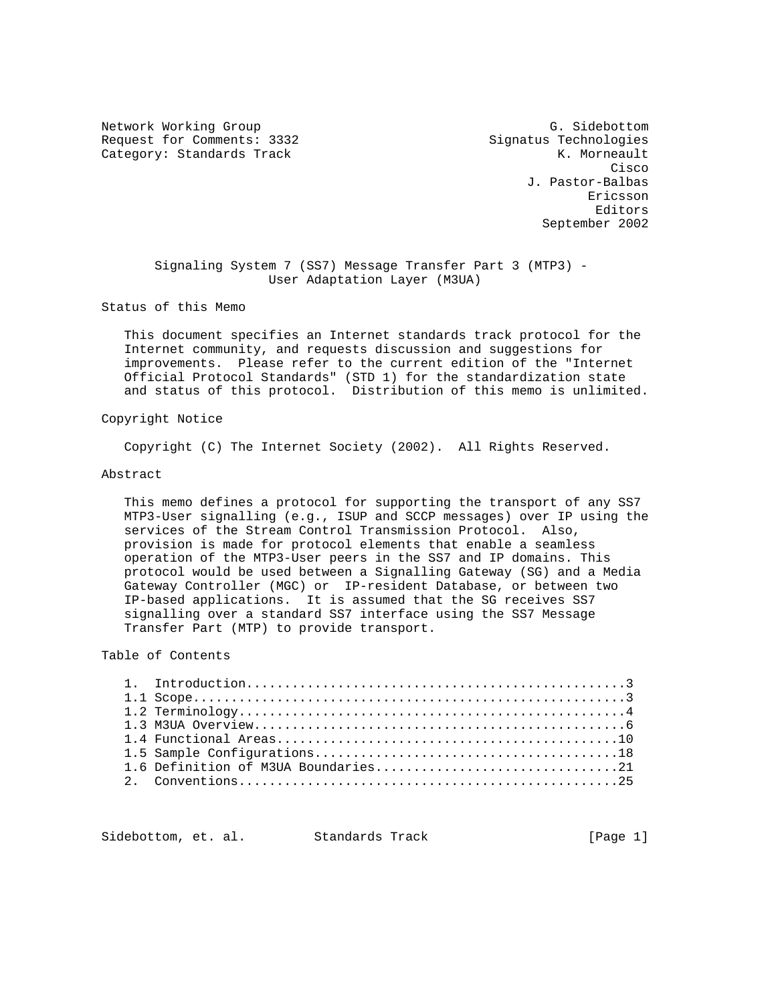Network Working Group G. Sidebottom Request for Comments: 3332 Signatus Technologies Category: Standards Track K. Morneault

**Cisco and Security Construction of the Construction of the Construction of the Construction of the Construction**  J. Pastor-Balbas Ericsson Editors September 2002

 Signaling System 7 (SS7) Message Transfer Part 3 (MTP3) - User Adaptation Layer (M3UA)

Status of this Memo

 This document specifies an Internet standards track protocol for the Internet community, and requests discussion and suggestions for improvements. Please refer to the current edition of the "Internet Official Protocol Standards" (STD 1) for the standardization state and status of this protocol. Distribution of this memo is unlimited.

# Copyright Notice

Copyright (C) The Internet Society (2002). All Rights Reserved.

### Abstract

 This memo defines a protocol for supporting the transport of any SS7 MTP3-User signalling (e.g., ISUP and SCCP messages) over IP using the services of the Stream Control Transmission Protocol. Also, provision is made for protocol elements that enable a seamless operation of the MTP3-User peers in the SS7 and IP domains. This protocol would be used between a Signalling Gateway (SG) and a Media Gateway Controller (MGC) or IP-resident Database, or between two IP-based applications. It is assumed that the SG receives SS7 signalling over a standard SS7 interface using the SS7 Message Transfer Part (MTP) to provide transport.

Table of Contents

| 1.6 Definition of M3UA Boundaries21 |
|-------------------------------------|
|                                     |

Sidebottom, et. al. Standards Track [Page 1]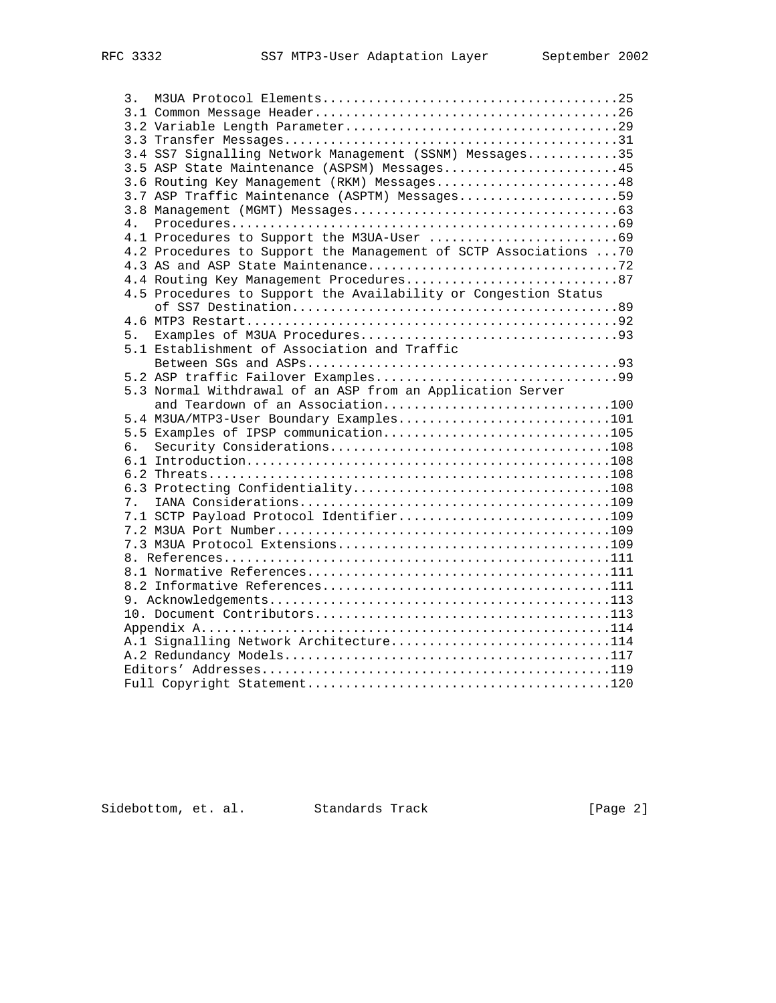| 3. |                                                                   |  |
|----|-------------------------------------------------------------------|--|
|    |                                                                   |  |
|    |                                                                   |  |
|    |                                                                   |  |
|    | 3.4 SS7 Signalling Network Management (SSNM) Messages35           |  |
|    | 3.5 ASP State Maintenance (ASPSM) Messages45                      |  |
|    | 3.6 Routing Key Management (RKM) Messages48                       |  |
|    | 3.7 ASP Traffic Maintenance (ASPTM) Messages59                    |  |
|    |                                                                   |  |
| 4. |                                                                   |  |
|    |                                                                   |  |
|    | 4.2 Procedures to Support the Management of SCTP Associations  70 |  |
|    |                                                                   |  |
|    |                                                                   |  |
|    | 4.5 Procedures to Support the Availability or Congestion Status   |  |
|    |                                                                   |  |
|    |                                                                   |  |
| 5. |                                                                   |  |
|    | 5.1 Establishment of Association and Traffic                      |  |
|    |                                                                   |  |
|    |                                                                   |  |
|    | 5.3 Normal Withdrawal of an ASP from an Application Server        |  |
|    | and Teardown of an Association100                                 |  |
|    | 5.4 M3UA/MTP3-User Boundary Examples101                           |  |
|    | 5.5 Examples of IPSP communication105                             |  |
| 6. |                                                                   |  |
|    |                                                                   |  |
|    |                                                                   |  |
|    |                                                                   |  |
|    |                                                                   |  |
|    | 7.1 SCTP Payload Protocol Identifier109                           |  |
|    |                                                                   |  |
|    |                                                                   |  |
|    |                                                                   |  |
|    |                                                                   |  |
|    |                                                                   |  |
|    |                                                                   |  |
|    |                                                                   |  |
|    |                                                                   |  |
|    | A.1 Signalling Network Architecture114                            |  |
|    |                                                                   |  |
|    |                                                                   |  |
|    |                                                                   |  |

Sidebottom, et. al. Standards Track [Page 2]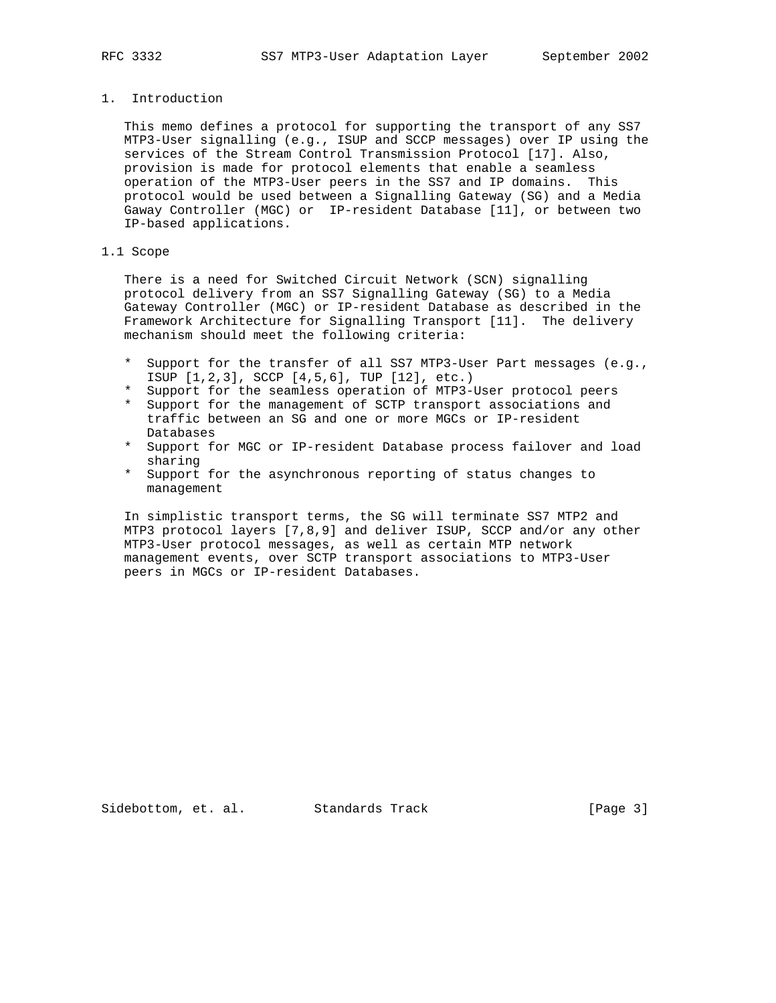# 1. Introduction

 This memo defines a protocol for supporting the transport of any SS7 MTP3-User signalling (e.g., ISUP and SCCP messages) over IP using the services of the Stream Control Transmission Protocol [17]. Also, provision is made for protocol elements that enable a seamless operation of the MTP3-User peers in the SS7 and IP domains. This protocol would be used between a Signalling Gateway (SG) and a Media Gaway Controller (MGC) or IP-resident Database [11], or between two IP-based applications.

# 1.1 Scope

 There is a need for Switched Circuit Network (SCN) signalling protocol delivery from an SS7 Signalling Gateway (SG) to a Media Gateway Controller (MGC) or IP-resident Database as described in the Framework Architecture for Signalling Transport [11]. The delivery mechanism should meet the following criteria:

- \* Support for the transfer of all SS7 MTP3-User Part messages (e.g., ISUP [1,2,3], SCCP [4,5,6], TUP [12], etc.)
- \* Support for the seamless operation of MTP3-User protocol peers
- \* Support for the management of SCTP transport associations and traffic between an SG and one or more MGCs or IP-resident Databases
- \* Support for MGC or IP-resident Database process failover and load sharing
- \* Support for the asynchronous reporting of status changes to management

 In simplistic transport terms, the SG will terminate SS7 MTP2 and MTP3 protocol layers [7,8,9] and deliver ISUP, SCCP and/or any other MTP3-User protocol messages, as well as certain MTP network management events, over SCTP transport associations to MTP3-User peers in MGCs or IP-resident Databases.

Sidebottom, et. al. Standards Track [Page 3]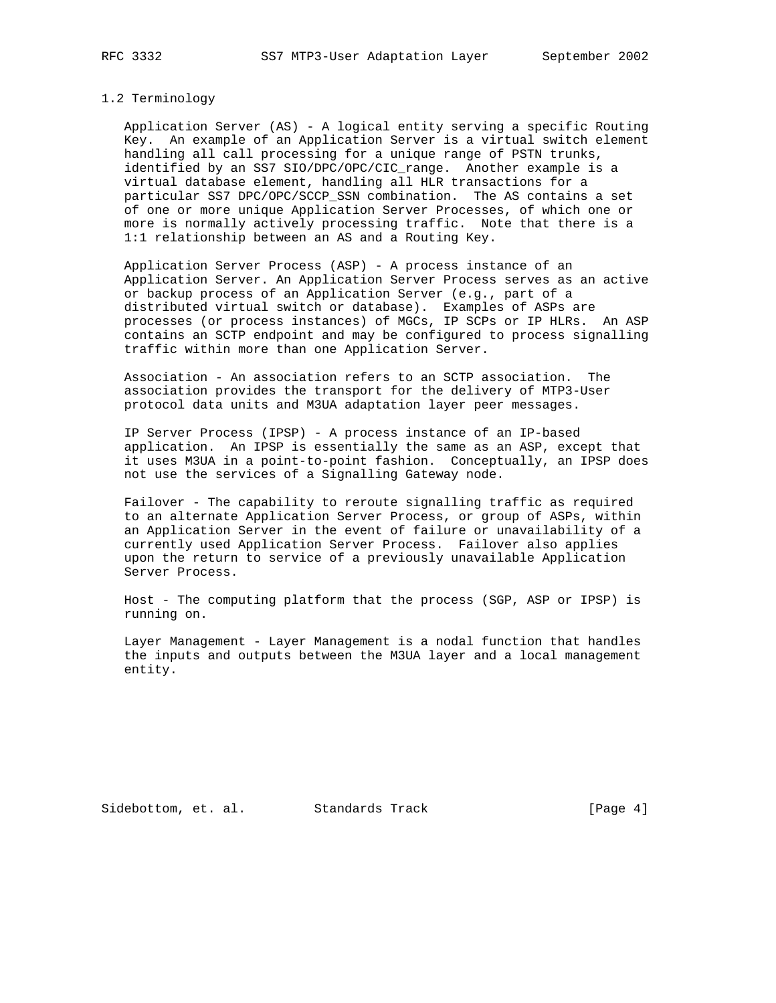#### 1.2 Terminology

 Application Server (AS) - A logical entity serving a specific Routing Key. An example of an Application Server is a virtual switch element handling all call processing for a unique range of PSTN trunks, identified by an SS7 SIO/DPC/OPC/CIC\_range. Another example is a virtual database element, handling all HLR transactions for a particular SS7 DPC/OPC/SCCP\_SSN combination. The AS contains a set of one or more unique Application Server Processes, of which one or more is normally actively processing traffic. Note that there is a 1:1 relationship between an AS and a Routing Key.

 Application Server Process (ASP) - A process instance of an Application Server. An Application Server Process serves as an active or backup process of an Application Server (e.g., part of a distributed virtual switch or database). Examples of ASPs are processes (or process instances) of MGCs, IP SCPs or IP HLRs. An ASP contains an SCTP endpoint and may be configured to process signalling traffic within more than one Application Server.

 Association - An association refers to an SCTP association. The association provides the transport for the delivery of MTP3-User protocol data units and M3UA adaptation layer peer messages.

 IP Server Process (IPSP) - A process instance of an IP-based application. An IPSP is essentially the same as an ASP, except that it uses M3UA in a point-to-point fashion. Conceptually, an IPSP does not use the services of a Signalling Gateway node.

 Failover - The capability to reroute signalling traffic as required to an alternate Application Server Process, or group of ASPs, within an Application Server in the event of failure or unavailability of a currently used Application Server Process. Failover also applies upon the return to service of a previously unavailable Application Server Process.

 Host - The computing platform that the process (SGP, ASP or IPSP) is running on.

 Layer Management - Layer Management is a nodal function that handles the inputs and outputs between the M3UA layer and a local management entity.

Sidebottom, et. al. Standards Track [Page 4]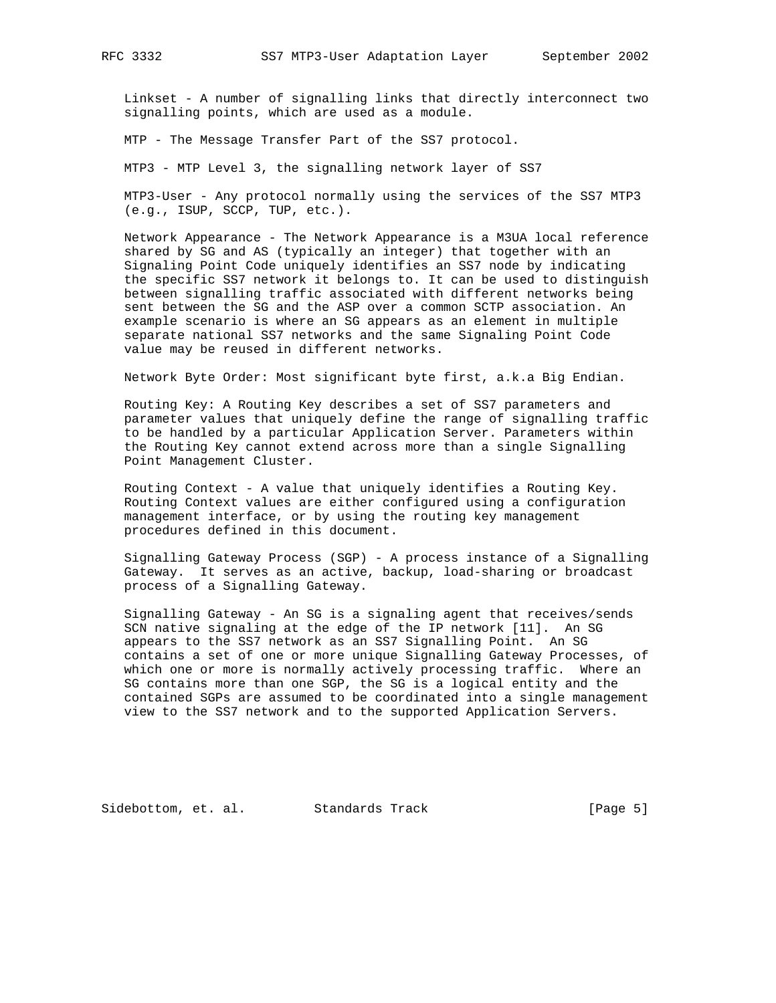Linkset - A number of signalling links that directly interconnect two signalling points, which are used as a module.

MTP - The Message Transfer Part of the SS7 protocol.

MTP3 - MTP Level 3, the signalling network layer of SS7

 MTP3-User - Any protocol normally using the services of the SS7 MTP3 (e.g., ISUP, SCCP, TUP, etc.).

 Network Appearance - The Network Appearance is a M3UA local reference shared by SG and AS (typically an integer) that together with an Signaling Point Code uniquely identifies an SS7 node by indicating the specific SS7 network it belongs to. It can be used to distinguish between signalling traffic associated with different networks being sent between the SG and the ASP over a common SCTP association. An example scenario is where an SG appears as an element in multiple separate national SS7 networks and the same Signaling Point Code value may be reused in different networks.

Network Byte Order: Most significant byte first, a.k.a Big Endian.

 Routing Key: A Routing Key describes a set of SS7 parameters and parameter values that uniquely define the range of signalling traffic to be handled by a particular Application Server. Parameters within the Routing Key cannot extend across more than a single Signalling Point Management Cluster.

 Routing Context - A value that uniquely identifies a Routing Key. Routing Context values are either configured using a configuration management interface, or by using the routing key management procedures defined in this document.

 Signalling Gateway Process (SGP) - A process instance of a Signalling Gateway. It serves as an active, backup, load-sharing or broadcast process of a Signalling Gateway.

 Signalling Gateway - An SG is a signaling agent that receives/sends SCN native signaling at the edge of the IP network [11]. An SG appears to the SS7 network as an SS7 Signalling Point. An SG contains a set of one or more unique Signalling Gateway Processes, of which one or more is normally actively processing traffic. Where an SG contains more than one SGP, the SG is a logical entity and the contained SGPs are assumed to be coordinated into a single management view to the SS7 network and to the supported Application Servers.

Sidebottom, et. al. Standards Track [Page 5]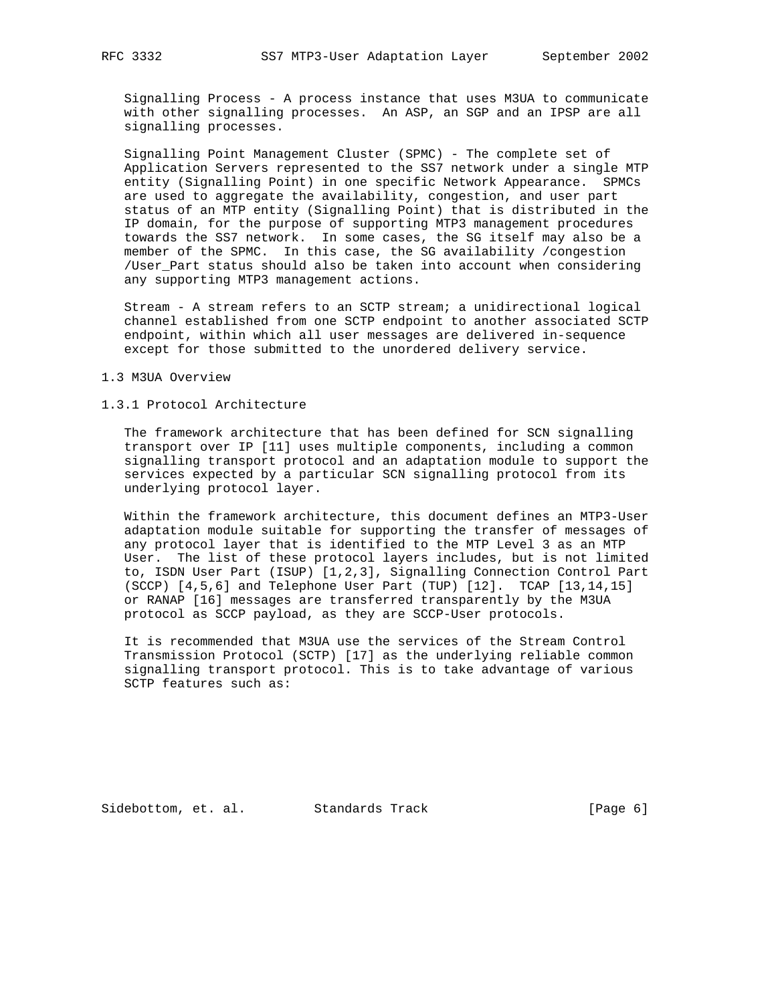Signalling Process - A process instance that uses M3UA to communicate with other signalling processes. An ASP, an SGP and an IPSP are all signalling processes.

 Signalling Point Management Cluster (SPMC) - The complete set of Application Servers represented to the SS7 network under a single MTP entity (Signalling Point) in one specific Network Appearance. SPMCs are used to aggregate the availability, congestion, and user part status of an MTP entity (Signalling Point) that is distributed in the IP domain, for the purpose of supporting MTP3 management procedures towards the SS7 network. In some cases, the SG itself may also be a member of the SPMC. In this case, the SG availability /congestion /User\_Part status should also be taken into account when considering any supporting MTP3 management actions.

 Stream - A stream refers to an SCTP stream; a unidirectional logical channel established from one SCTP endpoint to another associated SCTP endpoint, within which all user messages are delivered in-sequence except for those submitted to the unordered delivery service.

#### 1.3 M3UA Overview

# 1.3.1 Protocol Architecture

 The framework architecture that has been defined for SCN signalling transport over IP [11] uses multiple components, including a common signalling transport protocol and an adaptation module to support the services expected by a particular SCN signalling protocol from its underlying protocol layer.

 Within the framework architecture, this document defines an MTP3-User adaptation module suitable for supporting the transfer of messages of any protocol layer that is identified to the MTP Level 3 as an MTP User. The list of these protocol layers includes, but is not limited to, ISDN User Part (ISUP) [1,2,3], Signalling Connection Control Part (SCCP) [4,5,6] and Telephone User Part (TUP) [12]. TCAP [13,14,15] or RANAP [16] messages are transferred transparently by the M3UA protocol as SCCP payload, as they are SCCP-User protocols.

 It is recommended that M3UA use the services of the Stream Control Transmission Protocol (SCTP) [17] as the underlying reliable common signalling transport protocol. This is to take advantage of various SCTP features such as:

Sidebottom, et. al. Standards Track [Page 6]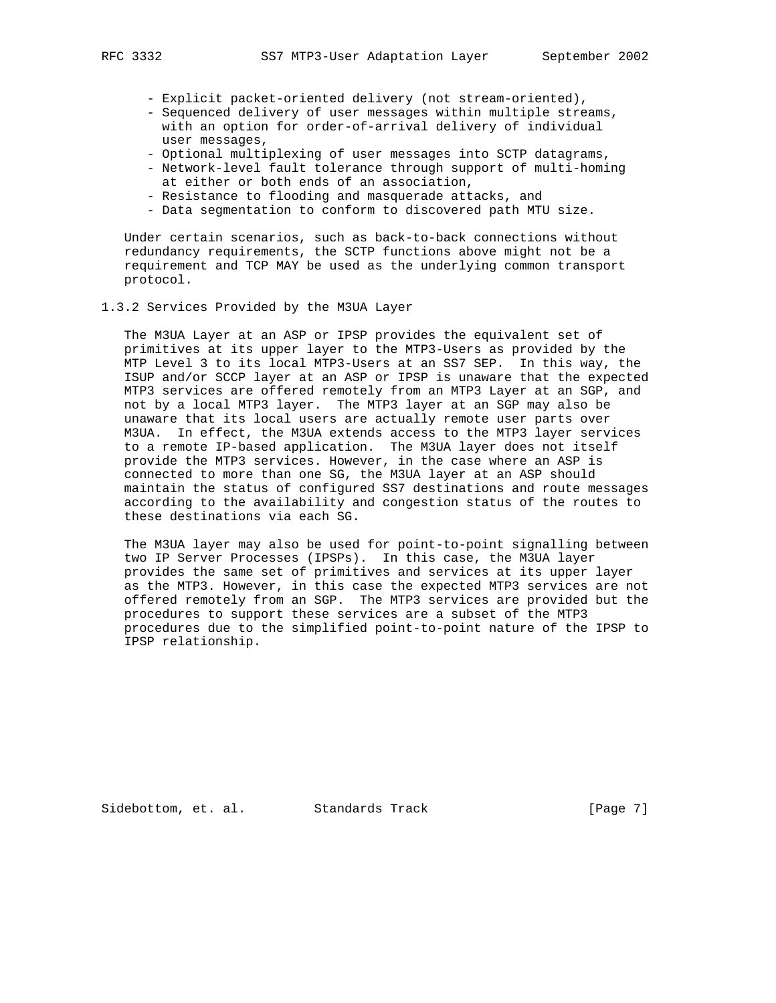- Explicit packet-oriented delivery (not stream-oriented),
- Sequenced delivery of user messages within multiple streams, with an option for order-of-arrival delivery of individual user messages,
- Optional multiplexing of user messages into SCTP datagrams,
- Network-level fault tolerance through support of multi-homing at either or both ends of an association,
- Resistance to flooding and masquerade attacks, and
- Data segmentation to conform to discovered path MTU size.

 Under certain scenarios, such as back-to-back connections without redundancy requirements, the SCTP functions above might not be a requirement and TCP MAY be used as the underlying common transport protocol.

#### 1.3.2 Services Provided by the M3UA Layer

 The M3UA Layer at an ASP or IPSP provides the equivalent set of primitives at its upper layer to the MTP3-Users as provided by the MTP Level 3 to its local MTP3-Users at an SS7 SEP. In this way, the ISUP and/or SCCP layer at an ASP or IPSP is unaware that the expected MTP3 services are offered remotely from an MTP3 Layer at an SGP, and not by a local MTP3 layer. The MTP3 layer at an SGP may also be unaware that its local users are actually remote user parts over M3UA. In effect, the M3UA extends access to the MTP3 layer services to a remote IP-based application. The M3UA layer does not itself provide the MTP3 services. However, in the case where an ASP is connected to more than one SG, the M3UA layer at an ASP should maintain the status of configured SS7 destinations and route messages according to the availability and congestion status of the routes to these destinations via each SG.

 The M3UA layer may also be used for point-to-point signalling between two IP Server Processes (IPSPs). In this case, the M3UA layer provides the same set of primitives and services at its upper layer as the MTP3. However, in this case the expected MTP3 services are not offered remotely from an SGP. The MTP3 services are provided but the procedures to support these services are a subset of the MTP3 procedures due to the simplified point-to-point nature of the IPSP to IPSP relationship.

Sidebottom, et. al. Standards Track [Page 7]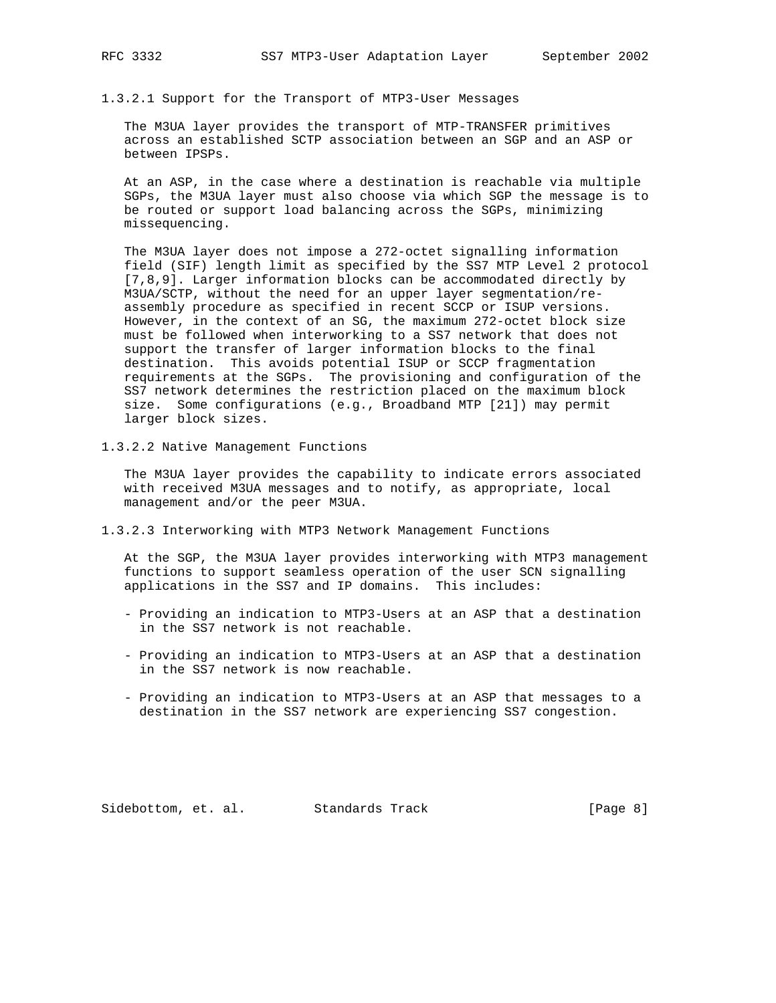1.3.2.1 Support for the Transport of MTP3-User Messages

 The M3UA layer provides the transport of MTP-TRANSFER primitives across an established SCTP association between an SGP and an ASP or between IPSPs.

 At an ASP, in the case where a destination is reachable via multiple SGPs, the M3UA layer must also choose via which SGP the message is to be routed or support load balancing across the SGPs, minimizing missequencing.

 The M3UA layer does not impose a 272-octet signalling information field (SIF) length limit as specified by the SS7 MTP Level 2 protocol [7,8,9]. Larger information blocks can be accommodated directly by M3UA/SCTP, without the need for an upper layer segmentation/re assembly procedure as specified in recent SCCP or ISUP versions. However, in the context of an SG, the maximum 272-octet block size must be followed when interworking to a SS7 network that does not support the transfer of larger information blocks to the final destination. This avoids potential ISUP or SCCP fragmentation requirements at the SGPs. The provisioning and configuration of the SS7 network determines the restriction placed on the maximum block size. Some configurations (e.g., Broadband MTP [21]) may permit larger block sizes.

1.3.2.2 Native Management Functions

 The M3UA layer provides the capability to indicate errors associated with received M3UA messages and to notify, as appropriate, local management and/or the peer M3UA.

1.3.2.3 Interworking with MTP3 Network Management Functions

 At the SGP, the M3UA layer provides interworking with MTP3 management functions to support seamless operation of the user SCN signalling applications in the SS7 and IP domains. This includes:

- Providing an indication to MTP3-Users at an ASP that a destination in the SS7 network is not reachable.
- Providing an indication to MTP3-Users at an ASP that a destination in the SS7 network is now reachable.
- Providing an indication to MTP3-Users at an ASP that messages to a destination in the SS7 network are experiencing SS7 congestion.

Sidebottom, et. al. Standards Track [Page 8]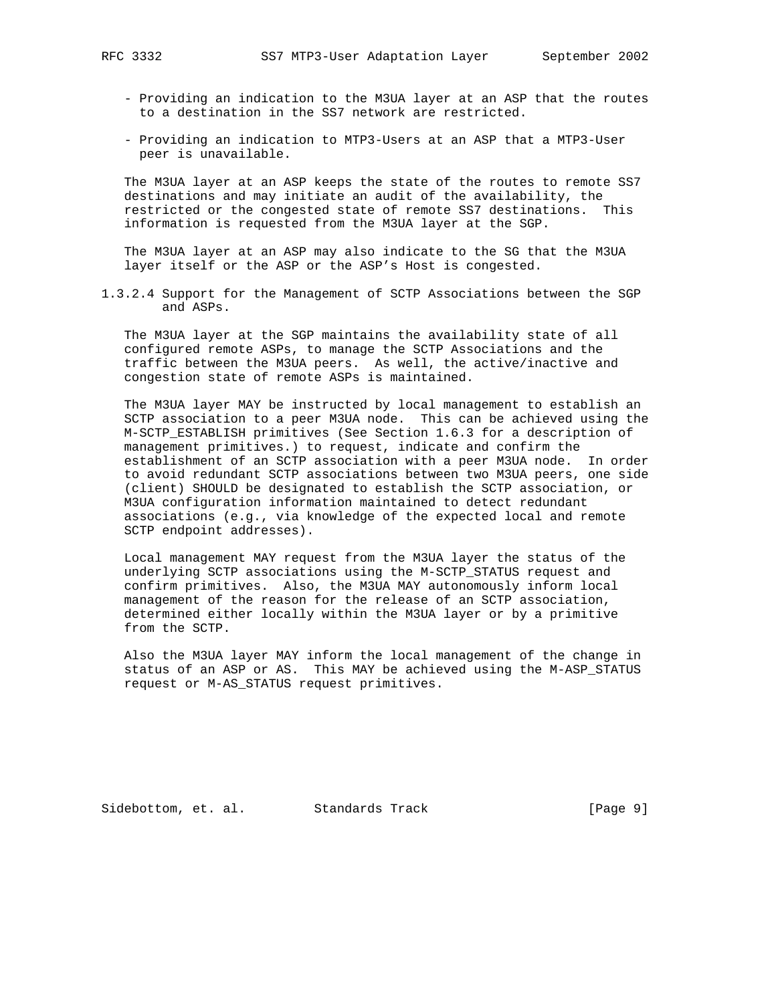- Providing an indication to the M3UA layer at an ASP that the routes to a destination in the SS7 network are restricted.
- Providing an indication to MTP3-Users at an ASP that a MTP3-User peer is unavailable.

 The M3UA layer at an ASP keeps the state of the routes to remote SS7 destinations and may initiate an audit of the availability, the restricted or the congested state of remote SS7 destinations. This information is requested from the M3UA layer at the SGP.

 The M3UA layer at an ASP may also indicate to the SG that the M3UA layer itself or the ASP or the ASP's Host is congested.

1.3.2.4 Support for the Management of SCTP Associations between the SGP and ASPs.

 The M3UA layer at the SGP maintains the availability state of all configured remote ASPs, to manage the SCTP Associations and the traffic between the M3UA peers. As well, the active/inactive and congestion state of remote ASPs is maintained.

 The M3UA layer MAY be instructed by local management to establish an SCTP association to a peer M3UA node. This can be achieved using the M-SCTP\_ESTABLISH primitives (See Section 1.6.3 for a description of management primitives.) to request, indicate and confirm the establishment of an SCTP association with a peer M3UA node. In order to avoid redundant SCTP associations between two M3UA peers, one side (client) SHOULD be designated to establish the SCTP association, or M3UA configuration information maintained to detect redundant associations (e.g., via knowledge of the expected local and remote SCTP endpoint addresses).

 Local management MAY request from the M3UA layer the status of the underlying SCTP associations using the M-SCTP\_STATUS request and confirm primitives. Also, the M3UA MAY autonomously inform local management of the reason for the release of an SCTP association, determined either locally within the M3UA layer or by a primitive from the SCTP.

 Also the M3UA layer MAY inform the local management of the change in status of an ASP or AS. This MAY be achieved using the M-ASP\_STATUS request or M-AS\_STATUS request primitives.

Sidebottom, et. al. Standards Track [Page 9]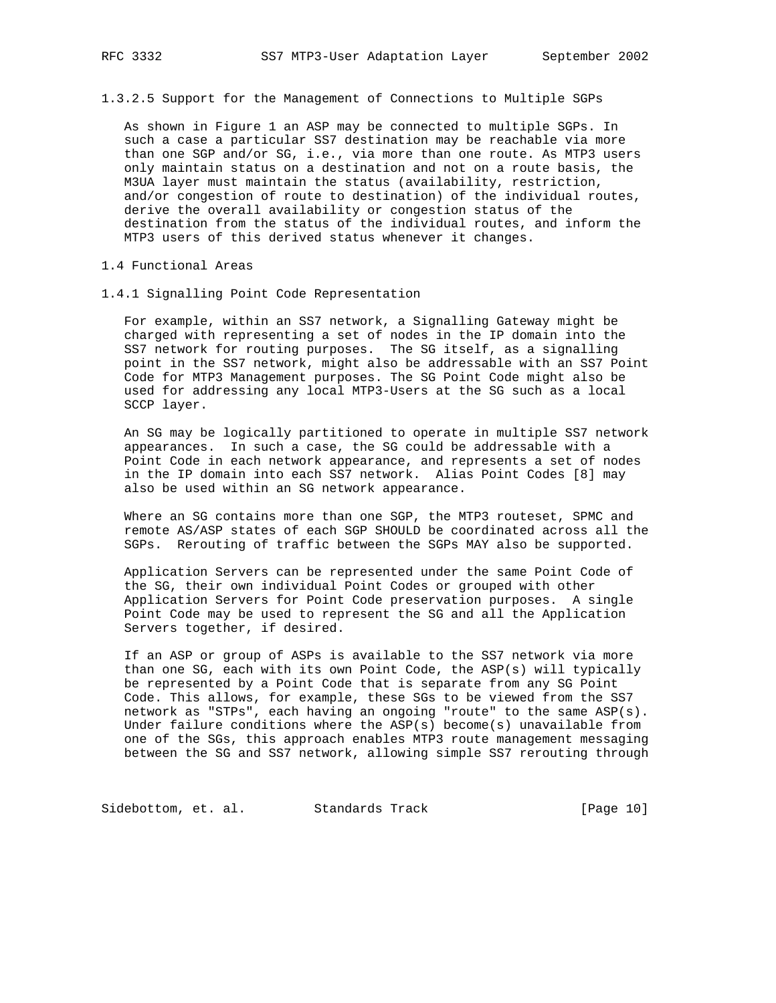1.3.2.5 Support for the Management of Connections to Multiple SGPs

 As shown in Figure 1 an ASP may be connected to multiple SGPs. In such a case a particular SS7 destination may be reachable via more than one SGP and/or SG, i.e., via more than one route. As MTP3 users only maintain status on a destination and not on a route basis, the M3UA layer must maintain the status (availability, restriction, and/or congestion of route to destination) of the individual routes, derive the overall availability or congestion status of the destination from the status of the individual routes, and inform the MTP3 users of this derived status whenever it changes.

1.4 Functional Areas

1.4.1 Signalling Point Code Representation

 For example, within an SS7 network, a Signalling Gateway might be charged with representing a set of nodes in the IP domain into the SS7 network for routing purposes. The SG itself, as a signalling point in the SS7 network, might also be addressable with an SS7 Point Code for MTP3 Management purposes. The SG Point Code might also be used for addressing any local MTP3-Users at the SG such as a local SCCP layer.

 An SG may be logically partitioned to operate in multiple SS7 network appearances. In such a case, the SG could be addressable with a Point Code in each network appearance, and represents a set of nodes in the IP domain into each SS7 network. Alias Point Codes [8] may also be used within an SG network appearance.

 Where an SG contains more than one SGP, the MTP3 routeset, SPMC and remote AS/ASP states of each SGP SHOULD be coordinated across all the SGPs. Rerouting of traffic between the SGPs MAY also be supported.

 Application Servers can be represented under the same Point Code of the SG, their own individual Point Codes or grouped with other Application Servers for Point Code preservation purposes. A single Point Code may be used to represent the SG and all the Application Servers together, if desired.

 If an ASP or group of ASPs is available to the SS7 network via more than one SG, each with its own Point Code, the ASP(s) will typically be represented by a Point Code that is separate from any SG Point Code. This allows, for example, these SGs to be viewed from the SS7 network as "STPs", each having an ongoing "route" to the same ASP(s). Under failure conditions where the ASP(s) become(s) unavailable from one of the SGs, this approach enables MTP3 route management messaging between the SG and SS7 network, allowing simple SS7 rerouting through

Sidebottom, et. al. Standards Track [Page 10]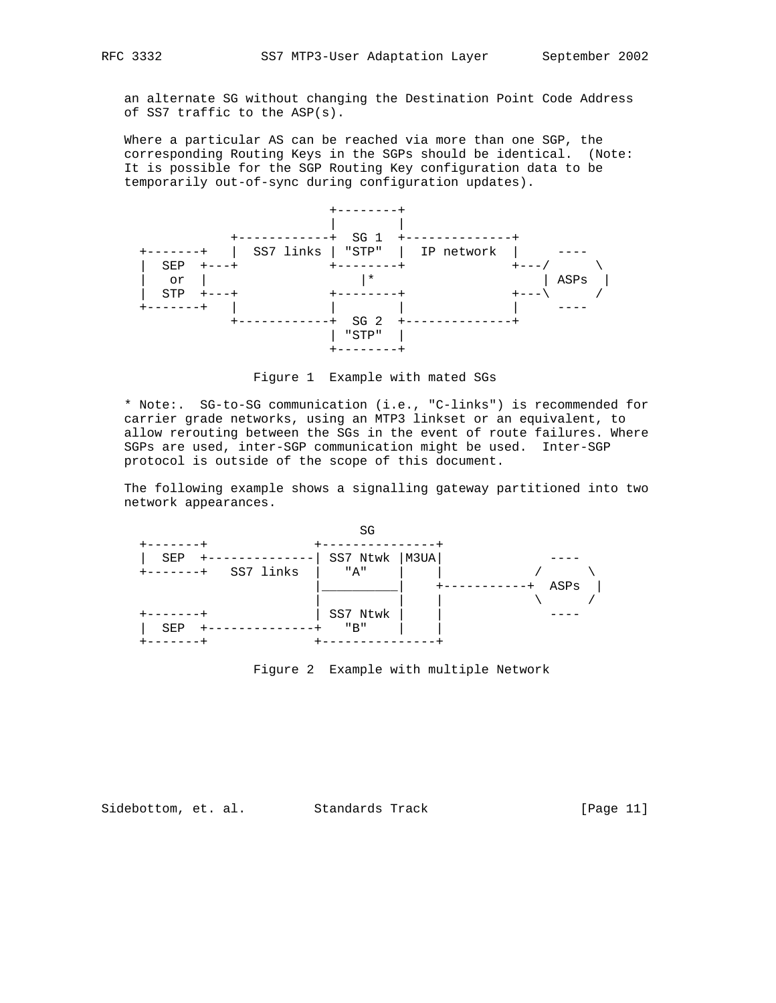an alternate SG without changing the Destination Point Code Address of SS7 traffic to the ASP(s).

 Where a particular AS can be reached via more than one SGP, the corresponding Routing Keys in the SGPs should be identical. (Note: It is possible for the SGP Routing Key configuration data to be temporarily out-of-sync during configuration updates).



Figure 1 Example with mated SGs

 \* Note:. SG-to-SG communication (i.e., "C-links") is recommended for carrier grade networks, using an MTP3 linkset or an equivalent, to allow rerouting between the SGs in the event of route failures. Where SGPs are used, inter-SGP communication might be used. Inter-SGP protocol is outside of the scope of this document.

 The following example shows a signalling gateway partitioned into two network appearances.



Figure 2 Example with multiple Network

Sidebottom, et. al. Standards Track [Page 11]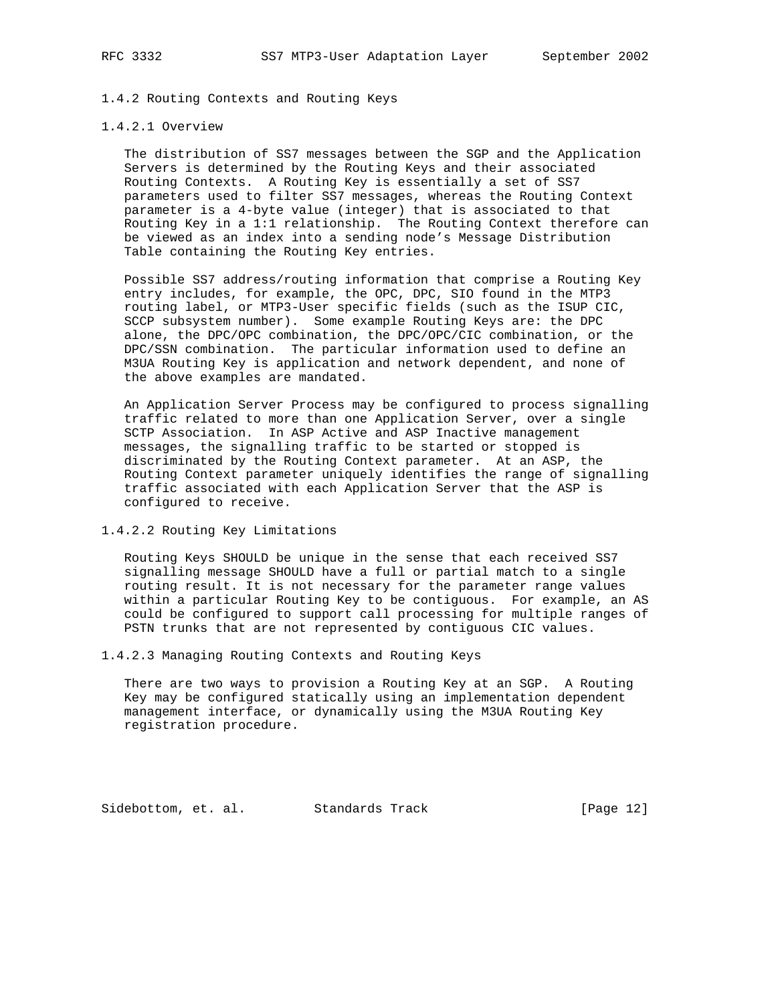# 1.4.2 Routing Contexts and Routing Keys

## 1.4.2.1 Overview

 The distribution of SS7 messages between the SGP and the Application Servers is determined by the Routing Keys and their associated Routing Contexts. A Routing Key is essentially a set of SS7 parameters used to filter SS7 messages, whereas the Routing Context parameter is a 4-byte value (integer) that is associated to that Routing Key in a 1:1 relationship. The Routing Context therefore can be viewed as an index into a sending node's Message Distribution Table containing the Routing Key entries.

 Possible SS7 address/routing information that comprise a Routing Key entry includes, for example, the OPC, DPC, SIO found in the MTP3 routing label, or MTP3-User specific fields (such as the ISUP CIC, SCCP subsystem number). Some example Routing Keys are: the DPC alone, the DPC/OPC combination, the DPC/OPC/CIC combination, or the DPC/SSN combination. The particular information used to define an M3UA Routing Key is application and network dependent, and none of the above examples are mandated.

 An Application Server Process may be configured to process signalling traffic related to more than one Application Server, over a single SCTP Association. In ASP Active and ASP Inactive management messages, the signalling traffic to be started or stopped is discriminated by the Routing Context parameter. At an ASP, the Routing Context parameter uniquely identifies the range of signalling traffic associated with each Application Server that the ASP is configured to receive.

1.4.2.2 Routing Key Limitations

 Routing Keys SHOULD be unique in the sense that each received SS7 signalling message SHOULD have a full or partial match to a single routing result. It is not necessary for the parameter range values within a particular Routing Key to be contiguous. For example, an AS could be configured to support call processing for multiple ranges of PSTN trunks that are not represented by contiguous CIC values.

1.4.2.3 Managing Routing Contexts and Routing Keys

 There are two ways to provision a Routing Key at an SGP. A Routing Key may be configured statically using an implementation dependent management interface, or dynamically using the M3UA Routing Key registration procedure.

Sidebottom, et. al. Standards Track [Page 12]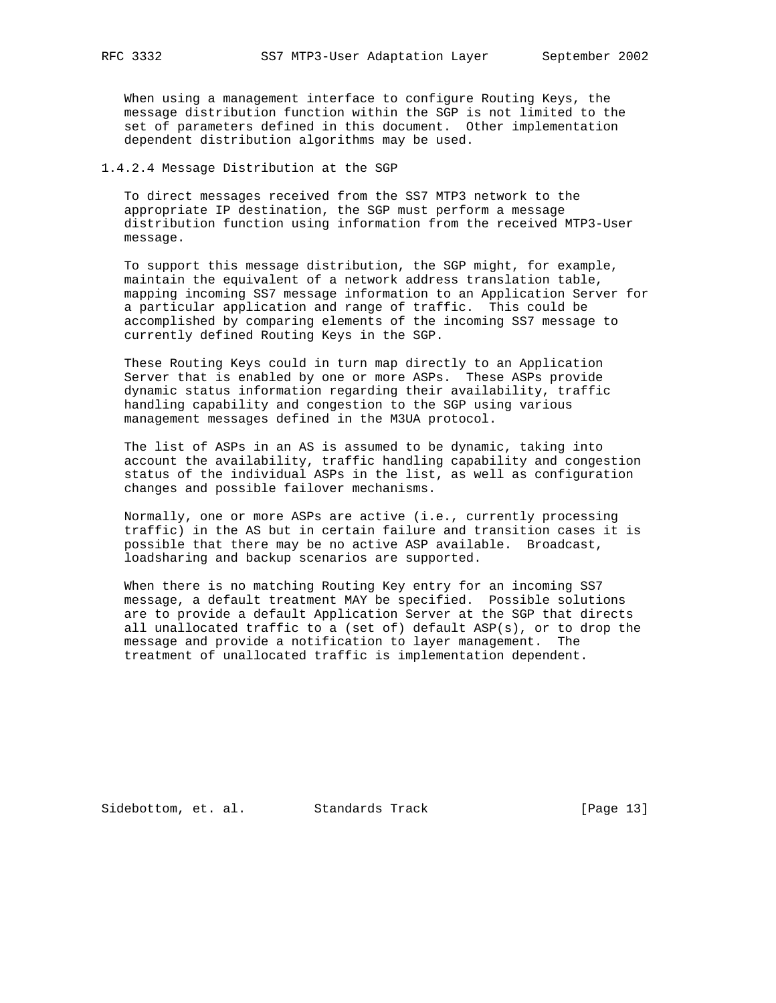When using a management interface to configure Routing Keys, the message distribution function within the SGP is not limited to the set of parameters defined in this document. Other implementation dependent distribution algorithms may be used.

1.4.2.4 Message Distribution at the SGP

 To direct messages received from the SS7 MTP3 network to the appropriate IP destination, the SGP must perform a message distribution function using information from the received MTP3-User message.

 To support this message distribution, the SGP might, for example, maintain the equivalent of a network address translation table, mapping incoming SS7 message information to an Application Server for a particular application and range of traffic. This could be accomplished by comparing elements of the incoming SS7 message to currently defined Routing Keys in the SGP.

 These Routing Keys could in turn map directly to an Application Server that is enabled by one or more ASPs. These ASPs provide dynamic status information regarding their availability, traffic handling capability and congestion to the SGP using various management messages defined in the M3UA protocol.

 The list of ASPs in an AS is assumed to be dynamic, taking into account the availability, traffic handling capability and congestion status of the individual ASPs in the list, as well as configuration changes and possible failover mechanisms.

 Normally, one or more ASPs are active (i.e., currently processing traffic) in the AS but in certain failure and transition cases it is possible that there may be no active ASP available. Broadcast, loadsharing and backup scenarios are supported.

 When there is no matching Routing Key entry for an incoming SS7 message, a default treatment MAY be specified. Possible solutions are to provide a default Application Server at the SGP that directs all unallocated traffic to a (set of) default ASP(s), or to drop the message and provide a notification to layer management. The treatment of unallocated traffic is implementation dependent.

Sidebottom, et. al. Standards Track [Page 13]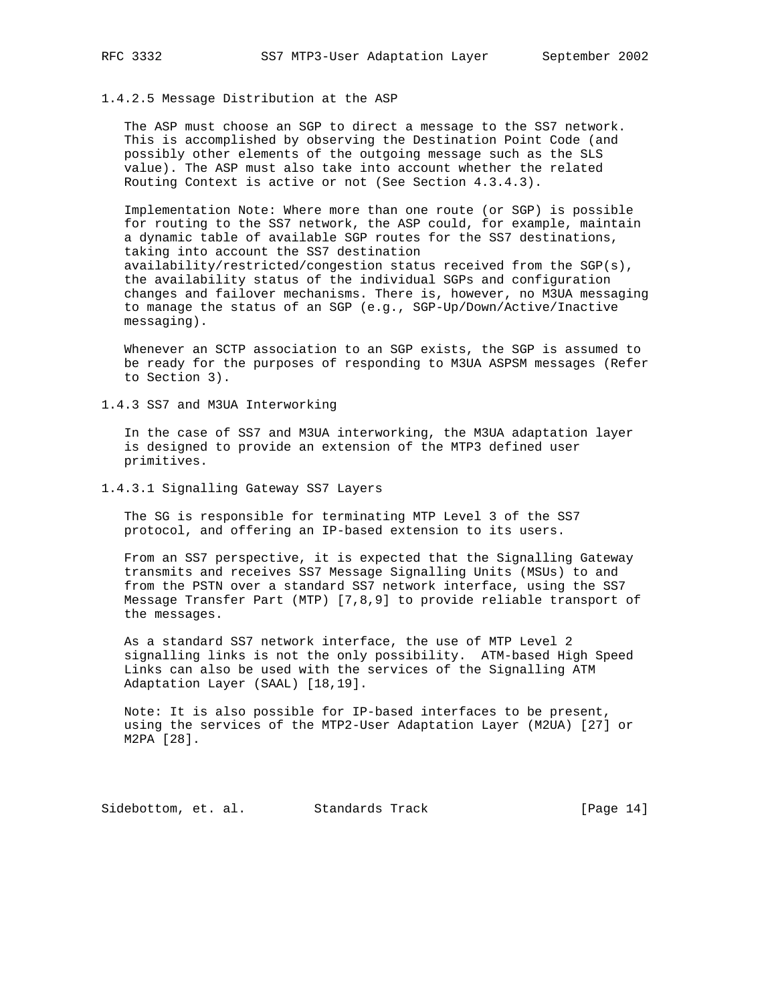## 1.4.2.5 Message Distribution at the ASP

 The ASP must choose an SGP to direct a message to the SS7 network. This is accomplished by observing the Destination Point Code (and possibly other elements of the outgoing message such as the SLS value). The ASP must also take into account whether the related Routing Context is active or not (See Section 4.3.4.3).

 Implementation Note: Where more than one route (or SGP) is possible for routing to the SS7 network, the ASP could, for example, maintain a dynamic table of available SGP routes for the SS7 destinations, taking into account the SS7 destination availability/restricted/congestion status received from the SGP(s), the availability status of the individual SGPs and configuration changes and failover mechanisms. There is, however, no M3UA messaging to manage the status of an SGP (e.g., SGP-Up/Down/Active/Inactive messaging).

 Whenever an SCTP association to an SGP exists, the SGP is assumed to be ready for the purposes of responding to M3UA ASPSM messages (Refer to Section 3).

1.4.3 SS7 and M3UA Interworking

 In the case of SS7 and M3UA interworking, the M3UA adaptation layer is designed to provide an extension of the MTP3 defined user primitives.

1.4.3.1 Signalling Gateway SS7 Layers

 The SG is responsible for terminating MTP Level 3 of the SS7 protocol, and offering an IP-based extension to its users.

 From an SS7 perspective, it is expected that the Signalling Gateway transmits and receives SS7 Message Signalling Units (MSUs) to and from the PSTN over a standard SS7 network interface, using the SS7 Message Transfer Part (MTP) [7,8,9] to provide reliable transport of the messages.

 As a standard SS7 network interface, the use of MTP Level 2 signalling links is not the only possibility. ATM-based High Speed Links can also be used with the services of the Signalling ATM Adaptation Layer (SAAL) [18,19].

 Note: It is also possible for IP-based interfaces to be present, using the services of the MTP2-User Adaptation Layer (M2UA) [27] or M2PA [28].

Sidebottom, et. al. Standards Track [Page 14]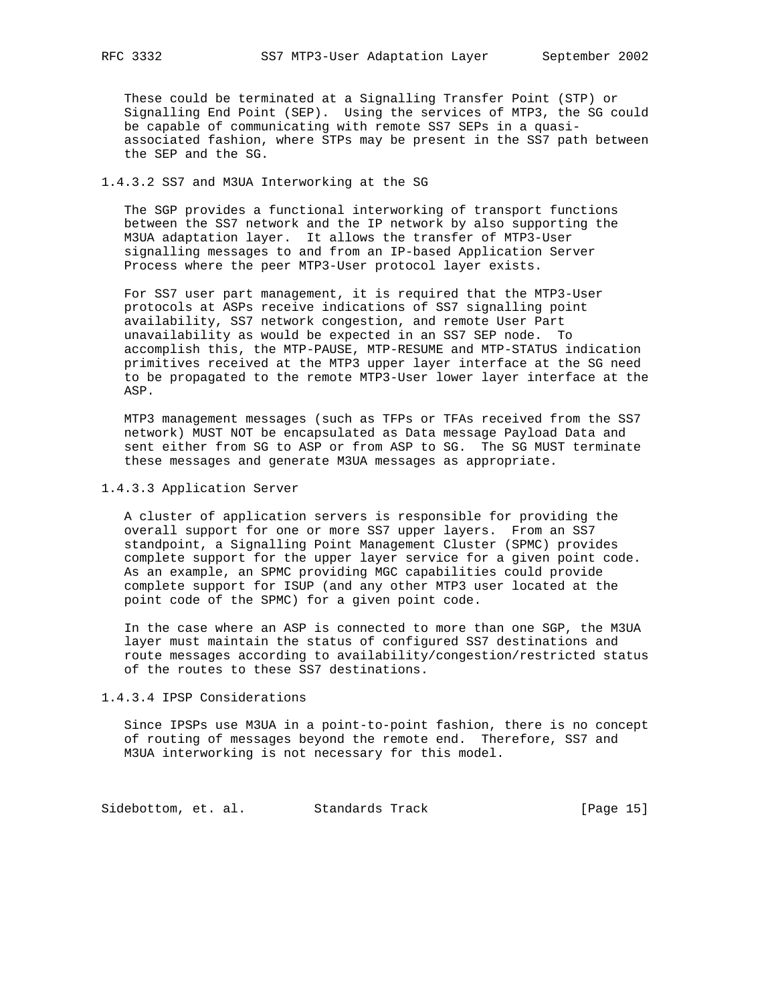These could be terminated at a Signalling Transfer Point (STP) or Signalling End Point (SEP). Using the services of MTP3, the SG could be capable of communicating with remote SS7 SEPs in a quasi associated fashion, where STPs may be present in the SS7 path between the SEP and the SG.

# 1.4.3.2 SS7 and M3UA Interworking at the SG

 The SGP provides a functional interworking of transport functions between the SS7 network and the IP network by also supporting the M3UA adaptation layer. It allows the transfer of MTP3-User signalling messages to and from an IP-based Application Server Process where the peer MTP3-User protocol layer exists.

 For SS7 user part management, it is required that the MTP3-User protocols at ASPs receive indications of SS7 signalling point availability, SS7 network congestion, and remote User Part unavailability as would be expected in an SS7 SEP node. To accomplish this, the MTP-PAUSE, MTP-RESUME and MTP-STATUS indication primitives received at the MTP3 upper layer interface at the SG need to be propagated to the remote MTP3-User lower layer interface at the ASP.

 MTP3 management messages (such as TFPs or TFAs received from the SS7 network) MUST NOT be encapsulated as Data message Payload Data and sent either from SG to ASP or from ASP to SG. The SG MUST terminate these messages and generate M3UA messages as appropriate.

#### 1.4.3.3 Application Server

 A cluster of application servers is responsible for providing the overall support for one or more SS7 upper layers. From an SS7 standpoint, a Signalling Point Management Cluster (SPMC) provides complete support for the upper layer service for a given point code. As an example, an SPMC providing MGC capabilities could provide complete support for ISUP (and any other MTP3 user located at the point code of the SPMC) for a given point code.

 In the case where an ASP is connected to more than one SGP, the M3UA layer must maintain the status of configured SS7 destinations and route messages according to availability/congestion/restricted status of the routes to these SS7 destinations.

#### 1.4.3.4 IPSP Considerations

 Since IPSPs use M3UA in a point-to-point fashion, there is no concept of routing of messages beyond the remote end. Therefore, SS7 and M3UA interworking is not necessary for this model.

Sidebottom, et. al. Standards Track [Page 15]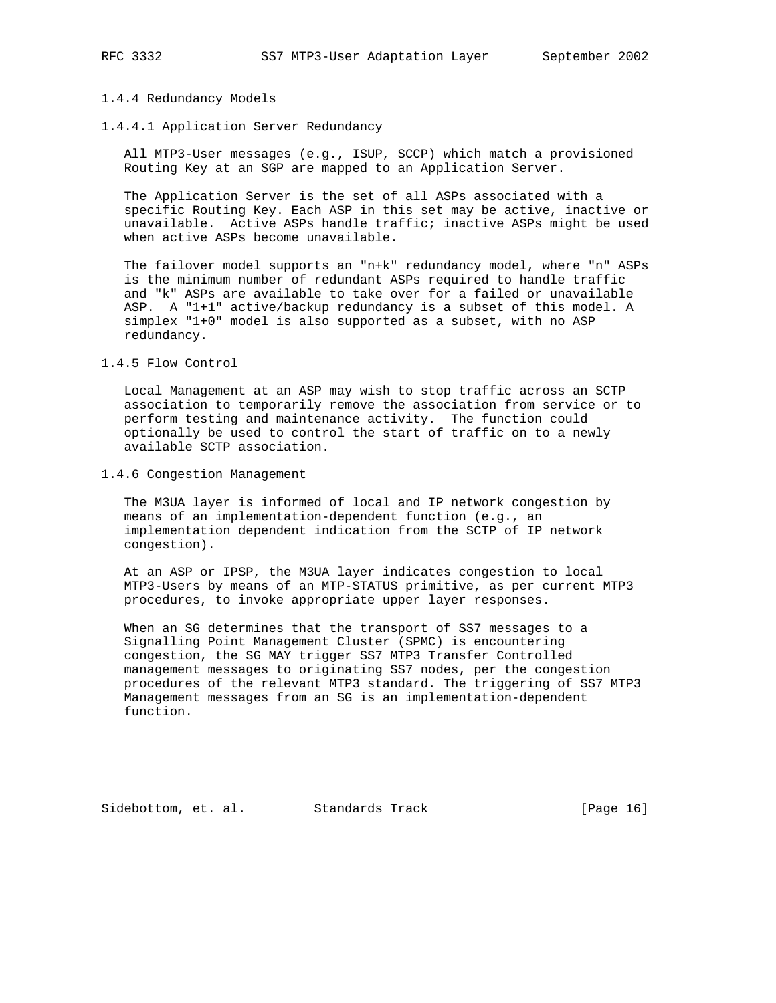#### 1.4.4 Redundancy Models

1.4.4.1 Application Server Redundancy

 All MTP3-User messages (e.g., ISUP, SCCP) which match a provisioned Routing Key at an SGP are mapped to an Application Server.

 The Application Server is the set of all ASPs associated with a specific Routing Key. Each ASP in this set may be active, inactive or unavailable. Active ASPs handle traffic; inactive ASPs might be used when active ASPs become unavailable.

 The failover model supports an "n+k" redundancy model, where "n" ASPs is the minimum number of redundant ASPs required to handle traffic and "k" ASPs are available to take over for a failed or unavailable ASP. A "1+1" active/backup redundancy is a subset of this model. A simplex "1+0" model is also supported as a subset, with no ASP redundancy.

1.4.5 Flow Control

 Local Management at an ASP may wish to stop traffic across an SCTP association to temporarily remove the association from service or to perform testing and maintenance activity. The function could optionally be used to control the start of traffic on to a newly available SCTP association.

1.4.6 Congestion Management

 The M3UA layer is informed of local and IP network congestion by means of an implementation-dependent function (e.g., an implementation dependent indication from the SCTP of IP network congestion).

 At an ASP or IPSP, the M3UA layer indicates congestion to local MTP3-Users by means of an MTP-STATUS primitive, as per current MTP3 procedures, to invoke appropriate upper layer responses.

 When an SG determines that the transport of SS7 messages to a Signalling Point Management Cluster (SPMC) is encountering congestion, the SG MAY trigger SS7 MTP3 Transfer Controlled management messages to originating SS7 nodes, per the congestion procedures of the relevant MTP3 standard. The triggering of SS7 MTP3 Management messages from an SG is an implementation-dependent function.

Sidebottom, et. al. Standards Track [Page 16]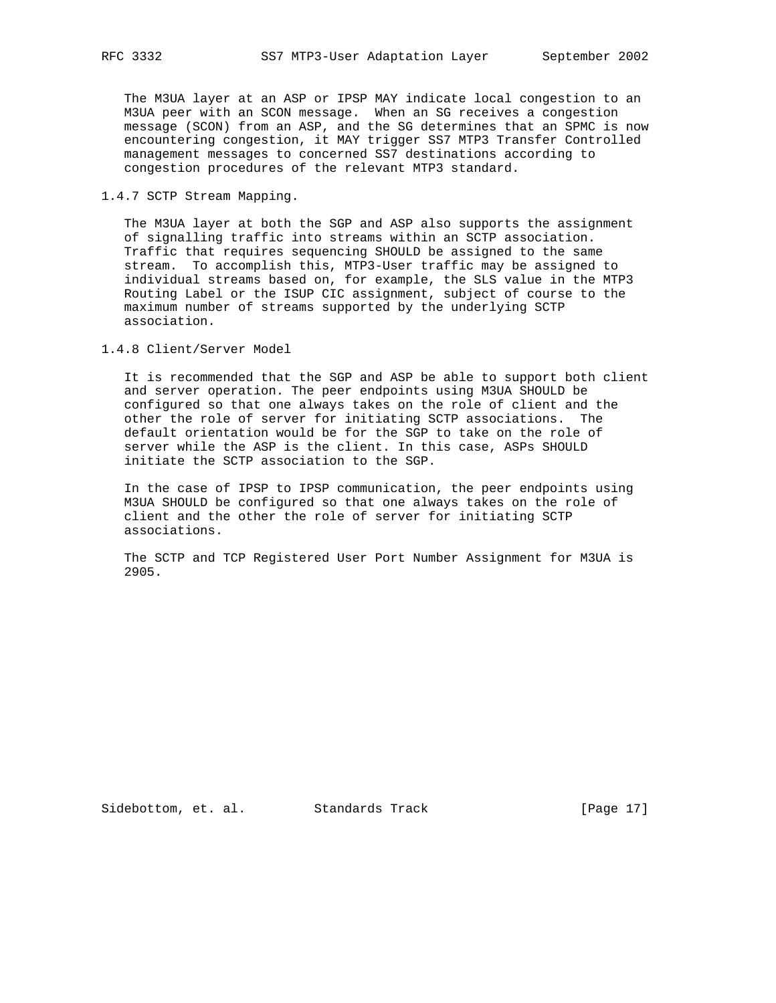The M3UA layer at an ASP or IPSP MAY indicate local congestion to an M3UA peer with an SCON message. When an SG receives a congestion message (SCON) from an ASP, and the SG determines that an SPMC is now encountering congestion, it MAY trigger SS7 MTP3 Transfer Controlled management messages to concerned SS7 destinations according to congestion procedures of the relevant MTP3 standard.

1.4.7 SCTP Stream Mapping.

 The M3UA layer at both the SGP and ASP also supports the assignment of signalling traffic into streams within an SCTP association. Traffic that requires sequencing SHOULD be assigned to the same stream. To accomplish this, MTP3-User traffic may be assigned to individual streams based on, for example, the SLS value in the MTP3 Routing Label or the ISUP CIC assignment, subject of course to the maximum number of streams supported by the underlying SCTP association.

1.4.8 Client/Server Model

 It is recommended that the SGP and ASP be able to support both client and server operation. The peer endpoints using M3UA SHOULD be configured so that one always takes on the role of client and the other the role of server for initiating SCTP associations. The default orientation would be for the SGP to take on the role of server while the ASP is the client. In this case, ASPs SHOULD initiate the SCTP association to the SGP.

 In the case of IPSP to IPSP communication, the peer endpoints using M3UA SHOULD be configured so that one always takes on the role of client and the other the role of server for initiating SCTP associations.

 The SCTP and TCP Registered User Port Number Assignment for M3UA is 2905.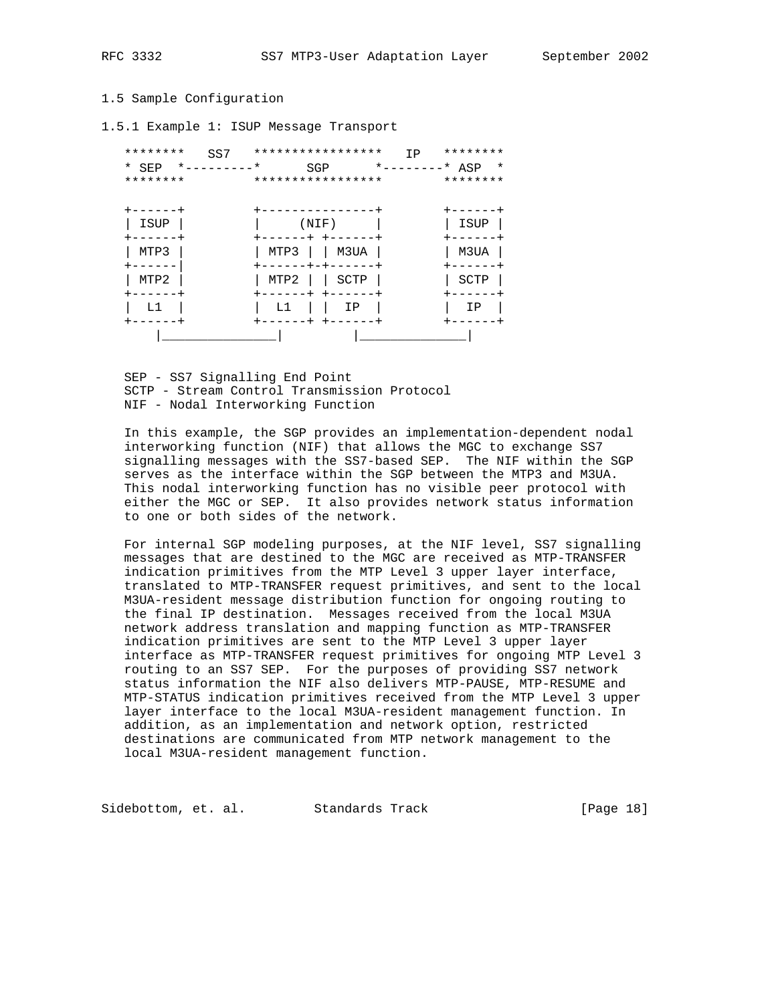# 1.5 Sample Configuration

1.5.1 Example 1: ISUP Message Transport

| ********<br>SS7                    |          | ***************** | ΙP               | ******** |
|------------------------------------|----------|-------------------|------------------|----------|
| $*$ _ _ _ _ _ _ _ _ _ _ *<br>* SEP |          | SGP               | *--------* ASP * |          |
| ********                           |          | ***************** |                  | ******** |
|                                    |          |                   |                  |          |
| ------                             |          | ---------         |                  | -----    |
| ISUP                               |          | (NIF)             |                  | ISUP     |
| ------                             |          | +------+ +-----   |                  | $------$ |
| MTP3                               | MTP3     | M3UA              |                  | M3UA     |
|                                    |          | -----+-+------+   |                  |          |
| MTP2                               | MTP2     | SCTP              |                  | SCTP     |
|                                    | $----++$ | $+ - - - - -$     |                  |          |
|                                    | 五上       | ΙP                |                  | IΡ       |
|                                    |          | $+ - - - - -$     |                  |          |
|                                    |          |                   |                  |          |

 SEP - SS7 Signalling End Point SCTP - Stream Control Transmission Protocol NIF - Nodal Interworking Function

 In this example, the SGP provides an implementation-dependent nodal interworking function (NIF) that allows the MGC to exchange SS7 signalling messages with the SS7-based SEP. The NIF within the SGP serves as the interface within the SGP between the MTP3 and M3UA. This nodal interworking function has no visible peer protocol with either the MGC or SEP. It also provides network status information to one or both sides of the network.

 For internal SGP modeling purposes, at the NIF level, SS7 signalling messages that are destined to the MGC are received as MTP-TRANSFER indication primitives from the MTP Level 3 upper layer interface, translated to MTP-TRANSFER request primitives, and sent to the local M3UA-resident message distribution function for ongoing routing to the final IP destination. Messages received from the local M3UA network address translation and mapping function as MTP-TRANSFER indication primitives are sent to the MTP Level 3 upper layer interface as MTP-TRANSFER request primitives for ongoing MTP Level 3 routing to an SS7 SEP. For the purposes of providing SS7 network status information the NIF also delivers MTP-PAUSE, MTP-RESUME and MTP-STATUS indication primitives received from the MTP Level 3 upper layer interface to the local M3UA-resident management function. In addition, as an implementation and network option, restricted destinations are communicated from MTP network management to the local M3UA-resident management function.

Sidebottom, et. al. Standards Track [Page 18]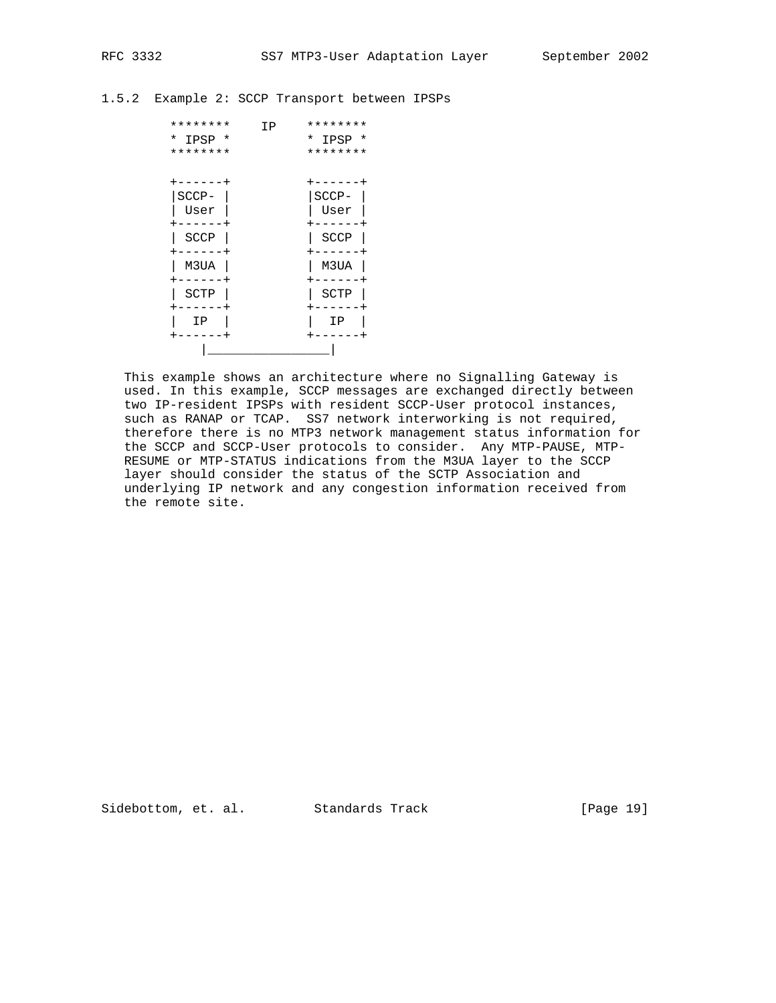1.5.2 Example 2: SCCP Transport between IPSPs

| ********    | ΙP | ********             |
|-------------|----|----------------------|
| *<br>IPSP * |    | *<br>IPSP<br>$\star$ |
| ********    |    | ********             |
|             |    |                      |
|             |    |                      |
| $SCCP-$     |    | SCCP-                |
| User        |    | User                 |
|             |    |                      |
| <b>SCCP</b> |    | <b>SCCP</b>          |
|             |    |                      |
| M3UA        |    | M3UA                 |
|             |    |                      |
| SCTP        |    | SCTP                 |
|             |    |                      |
| ΙP          |    | ΙP                   |
|             |    |                      |
|             |    |                      |

 This example shows an architecture where no Signalling Gateway is used. In this example, SCCP messages are exchanged directly between two IP-resident IPSPs with resident SCCP-User protocol instances, such as RANAP or TCAP. SS7 network interworking is not required, therefore there is no MTP3 network management status information for the SCCP and SCCP-User protocols to consider. Any MTP-PAUSE, MTP- RESUME or MTP-STATUS indications from the M3UA layer to the SCCP layer should consider the status of the SCTP Association and underlying IP network and any congestion information received from the remote site.

Sidebottom, et. al. Standards Track [Page 19]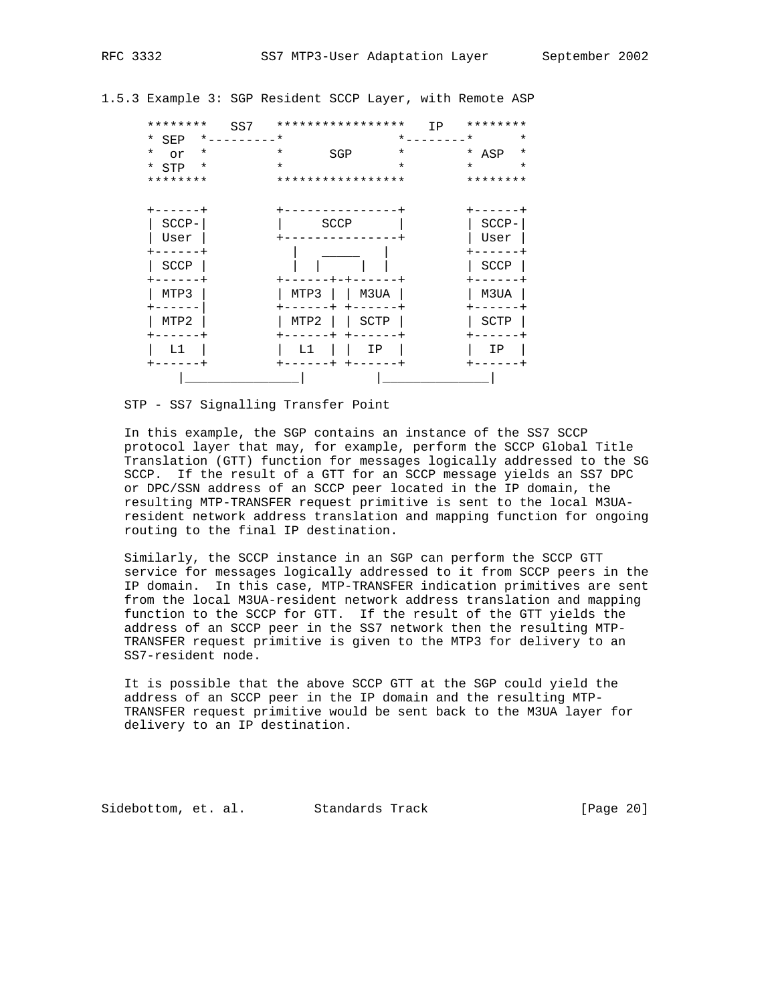1.5.3 Example 3: SGP Resident SCCP Layer, with Remote ASP

| ********       | SS7      |          | ***************** | IP       | ******** |          |
|----------------|----------|----------|-------------------|----------|----------|----------|
| * SEP          | *.       | $\star$  |                   | $\star$  | $\star$  | $\star$  |
| $^\star$<br>or | $^\star$ | $^\star$ | SGP               | $^\star$ | * ASP    | $^\star$ |
| * STP          | $^\star$ | $\star$  |                   | $\star$  | $\star$  | $^\star$ |
| ********       |          |          | ***************** |          | ******** |          |
|                |          |          |                   |          |          |          |
|                |          |          |                   |          |          |          |
| SCCP-          |          |          | SCCP              |          | SCCP-    |          |
| User           |          |          |                   |          | User     |          |
|                |          |          |                   |          |          |          |
| SCCP           |          |          |                   |          | SCCP     |          |
|                |          |          |                   |          |          |          |
| MTP3           |          | MTP3     | M3UA              |          | M3UA     |          |
|                |          |          |                   |          |          |          |
| MTP2           |          | MTP2     | SCTP              |          | SCTP     |          |
|                |          |          |                   |          |          |          |
| L1             |          | L1       | IΡ                |          | ΙP       |          |
|                |          |          |                   |          |          |          |
|                |          |          |                   |          |          |          |

STP - SS7 Signalling Transfer Point

 In this example, the SGP contains an instance of the SS7 SCCP protocol layer that may, for example, perform the SCCP Global Title Translation (GTT) function for messages logically addressed to the SG SCCP. If the result of a GTT for an SCCP message yields an SS7 DPC or DPC/SSN address of an SCCP peer located in the IP domain, the resulting MTP-TRANSFER request primitive is sent to the local M3UA resident network address translation and mapping function for ongoing routing to the final IP destination.

 Similarly, the SCCP instance in an SGP can perform the SCCP GTT service for messages logically addressed to it from SCCP peers in the IP domain. In this case, MTP-TRANSFER indication primitives are sent from the local M3UA-resident network address translation and mapping function to the SCCP for GTT. If the result of the GTT yields the address of an SCCP peer in the SS7 network then the resulting MTP- TRANSFER request primitive is given to the MTP3 for delivery to an SS7-resident node.

 It is possible that the above SCCP GTT at the SGP could yield the address of an SCCP peer in the IP domain and the resulting MTP- TRANSFER request primitive would be sent back to the M3UA layer for delivery to an IP destination.

Sidebottom, et. al. Standards Track [Page 20]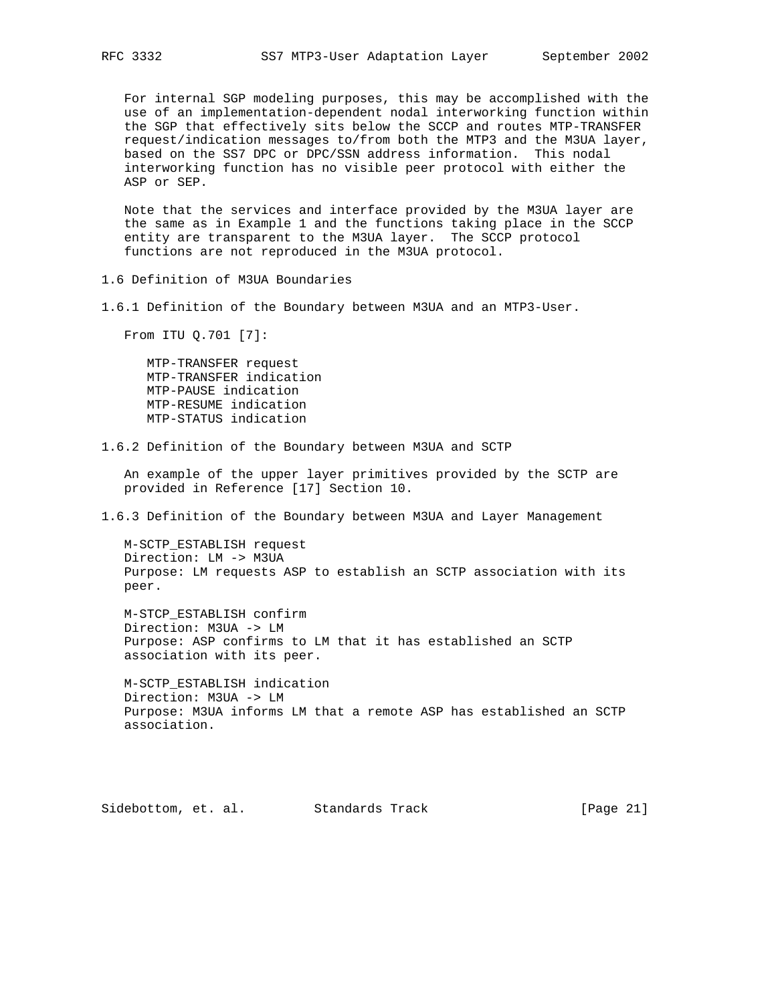For internal SGP modeling purposes, this may be accomplished with the use of an implementation-dependent nodal interworking function within the SGP that effectively sits below the SCCP and routes MTP-TRANSFER request/indication messages to/from both the MTP3 and the M3UA layer, based on the SS7 DPC or DPC/SSN address information. This nodal interworking function has no visible peer protocol with either the ASP or SEP.

 Note that the services and interface provided by the M3UA layer are the same as in Example 1 and the functions taking place in the SCCP entity are transparent to the M3UA layer. The SCCP protocol functions are not reproduced in the M3UA protocol.

1.6 Definition of M3UA Boundaries

1.6.1 Definition of the Boundary between M3UA and an MTP3-User.

From ITU Q.701 [7]:

 MTP-TRANSFER request MTP-TRANSFER indication MTP-PAUSE indication MTP-RESUME indication MTP-STATUS indication

1.6.2 Definition of the Boundary between M3UA and SCTP

 An example of the upper layer primitives provided by the SCTP are provided in Reference [17] Section 10.

1.6.3 Definition of the Boundary between M3UA and Layer Management

 M-SCTP\_ESTABLISH request Direction: LM -> M3UA Purpose: LM requests ASP to establish an SCTP association with its peer.

 M-STCP\_ESTABLISH confirm Direction: M3UA -> LM Purpose: ASP confirms to LM that it has established an SCTP association with its peer.

 M-SCTP\_ESTABLISH indication Direction: M3UA -> LM Purpose: M3UA informs LM that a remote ASP has established an SCTP association.

Sidebottom, et. al. Standards Track [Page 21]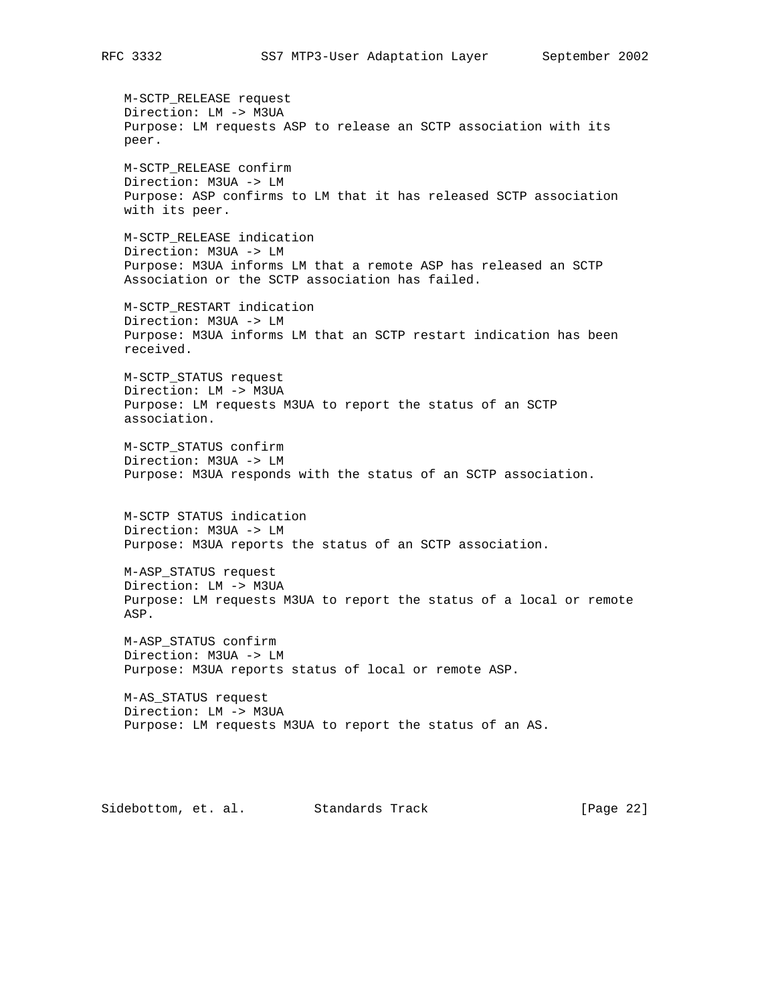M-SCTP\_RELEASE request Direction: LM -> M3UA Purpose: LM requests ASP to release an SCTP association with its peer.

 M-SCTP\_RELEASE confirm Direction: M3UA -> LM Purpose: ASP confirms to LM that it has released SCTP association with its peer.

 M-SCTP\_RELEASE indication Direction: M3UA -> LM Purpose: M3UA informs LM that a remote ASP has released an SCTP Association or the SCTP association has failed.

 M-SCTP\_RESTART indication Direction: M3UA -> LM Purpose: M3UA informs LM that an SCTP restart indication has been received.

 M-SCTP\_STATUS request Direction: LM -> M3UA Purpose: LM requests M3UA to report the status of an SCTP association.

 M-SCTP\_STATUS confirm Direction: M3UA -> LM Purpose: M3UA responds with the status of an SCTP association.

 M-SCTP STATUS indication Direction: M3UA -> LM Purpose: M3UA reports the status of an SCTP association.

 M-ASP\_STATUS request Direction: LM -> M3UA Purpose: LM requests M3UA to report the status of a local or remote ASP.

 M-ASP\_STATUS confirm Direction: M3UA -> LM Purpose: M3UA reports status of local or remote ASP.

 M-AS\_STATUS request Direction: LM -> M3UA Purpose: LM requests M3UA to report the status of an AS.

Sidebottom, et. al. Standards Track [Page 22]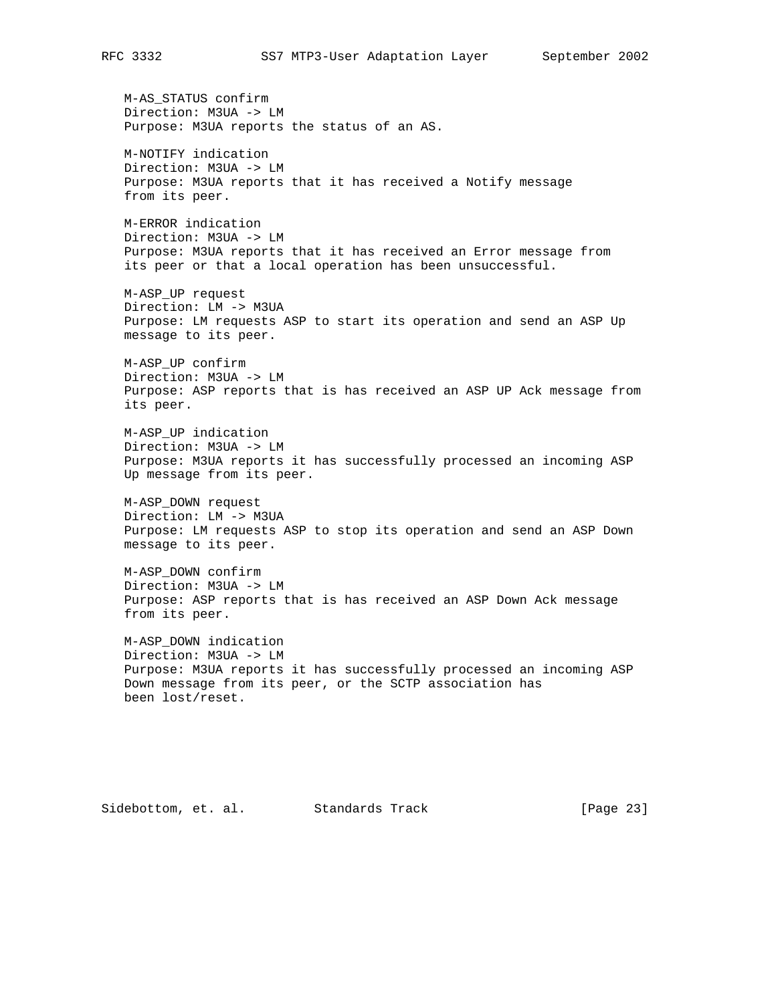M-AS\_STATUS confirm Direction: M3UA -> LM Purpose: M3UA reports the status of an AS. M-NOTIFY indication Direction: M3UA -> LM Purpose: M3UA reports that it has received a Notify message from its peer. M-ERROR indication Direction: M3UA -> LM Purpose: M3UA reports that it has received an Error message from its peer or that a local operation has been unsuccessful. M-ASP\_UP request Direction: LM -> M3UA Purpose: LM requests ASP to start its operation and send an ASP Up message to its peer. M-ASP\_UP confirm Direction: M3UA -> LM Purpose: ASP reports that is has received an ASP UP Ack message from its peer. M-ASP\_UP indication Direction: M3UA -> LM Purpose: M3UA reports it has successfully processed an incoming ASP Up message from its peer. M-ASP\_DOWN request Direction: LM -> M3UA Purpose: LM requests ASP to stop its operation and send an ASP Down message to its peer. M-ASP\_DOWN confirm Direction: M3UA -> LM Purpose: ASP reports that is has received an ASP Down Ack message from its peer. M-ASP\_DOWN indication Direction: M3UA -> LM Purpose: M3UA reports it has successfully processed an incoming ASP Down message from its peer, or the SCTP association has been lost/reset.

Sidebottom, et. al. Standards Track [Page 23]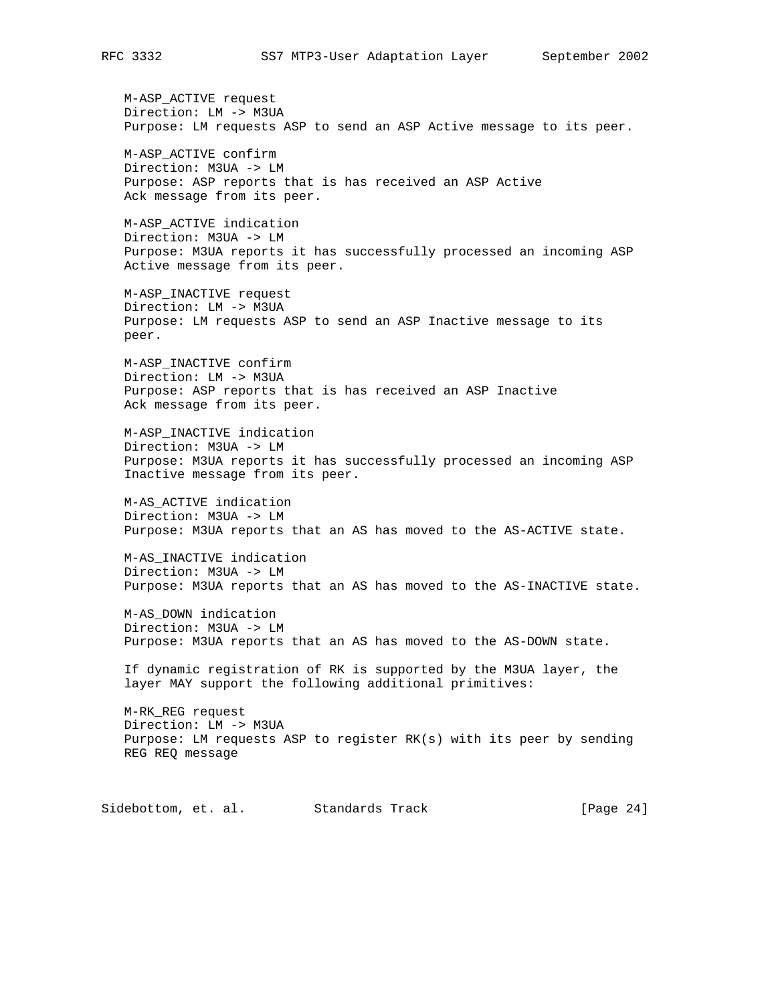M-ASP\_ACTIVE request Direction: LM -> M3UA Purpose: LM requests ASP to send an ASP Active message to its peer.

 M-ASP\_ACTIVE confirm Direction: M3UA -> LM Purpose: ASP reports that is has received an ASP Active Ack message from its peer.

 M-ASP\_ACTIVE indication Direction: M3UA -> LM Purpose: M3UA reports it has successfully processed an incoming ASP Active message from its peer.

 M-ASP\_INACTIVE request Direction: LM -> M3UA Purpose: LM requests ASP to send an ASP Inactive message to its peer.

 M-ASP\_INACTIVE confirm Direction: LM -> M3UA Purpose: ASP reports that is has received an ASP Inactive Ack message from its peer.

 M-ASP\_INACTIVE indication Direction: M3UA -> LM Purpose: M3UA reports it has successfully processed an incoming ASP Inactive message from its peer.

 M-AS\_ACTIVE indication Direction: M3UA -> LM Purpose: M3UA reports that an AS has moved to the AS-ACTIVE state.

 M-AS\_INACTIVE indication Direction: M3UA -> LM Purpose: M3UA reports that an AS has moved to the AS-INACTIVE state.

 M-AS\_DOWN indication Direction: M3UA -> LM Purpose: M3UA reports that an AS has moved to the AS-DOWN state.

 If dynamic registration of RK is supported by the M3UA layer, the layer MAY support the following additional primitives:

 M-RK\_REG request Direction: LM -> M3UA Purpose: LM requests ASP to register RK(s) with its peer by sending REG REQ message

Sidebottom, et. al. Standards Track [Page 24]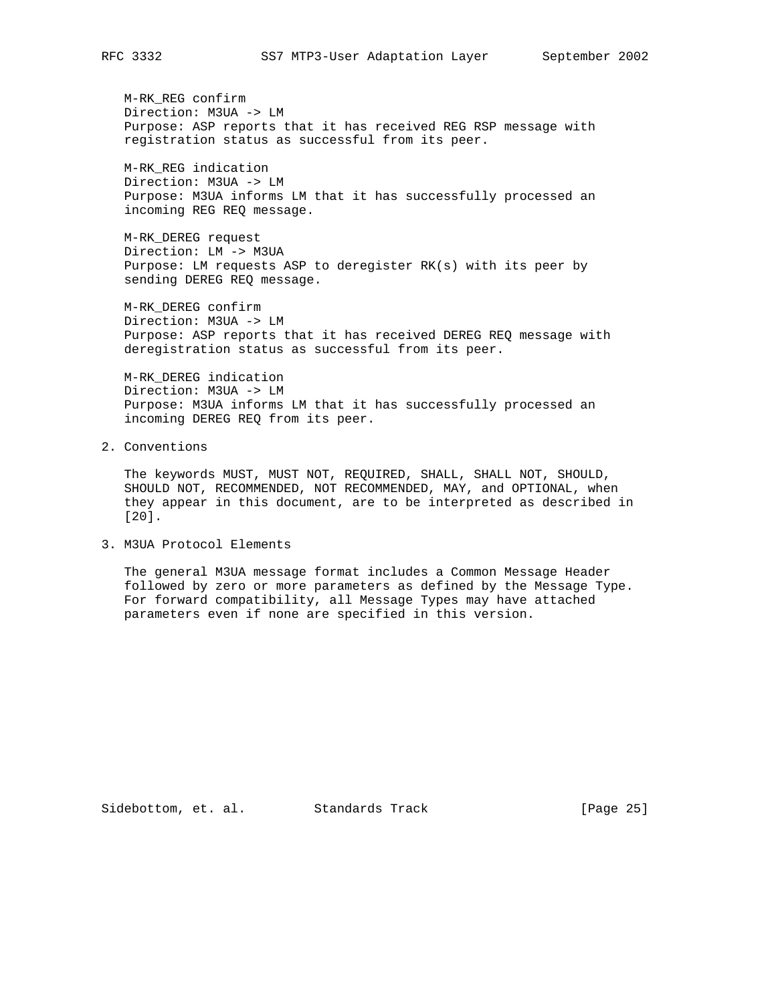M-RK\_REG confirm Direction: M3UA -> LM Purpose: ASP reports that it has received REG RSP message with registration status as successful from its peer.

 M-RK\_REG indication Direction: M3UA -> LM Purpose: M3UA informs LM that it has successfully processed an incoming REG REQ message.

 M-RK\_DEREG request Direction: LM -> M3UA Purpose: LM requests ASP to deregister RK(s) with its peer by sending DEREG REQ message.

 M-RK\_DEREG confirm Direction: M3UA -> LM Purpose: ASP reports that it has received DEREG REQ message with deregistration status as successful from its peer.

 M-RK\_DEREG indication Direction: M3UA -> LM Purpose: M3UA informs LM that it has successfully processed an incoming DEREG REQ from its peer.

2. Conventions

 The keywords MUST, MUST NOT, REQUIRED, SHALL, SHALL NOT, SHOULD, SHOULD NOT, RECOMMENDED, NOT RECOMMENDED, MAY, and OPTIONAL, when they appear in this document, are to be interpreted as described in [20].

3. M3UA Protocol Elements

 The general M3UA message format includes a Common Message Header followed by zero or more parameters as defined by the Message Type. For forward compatibility, all Message Types may have attached parameters even if none are specified in this version.

Sidebottom, et. al. Standards Track [Page 25]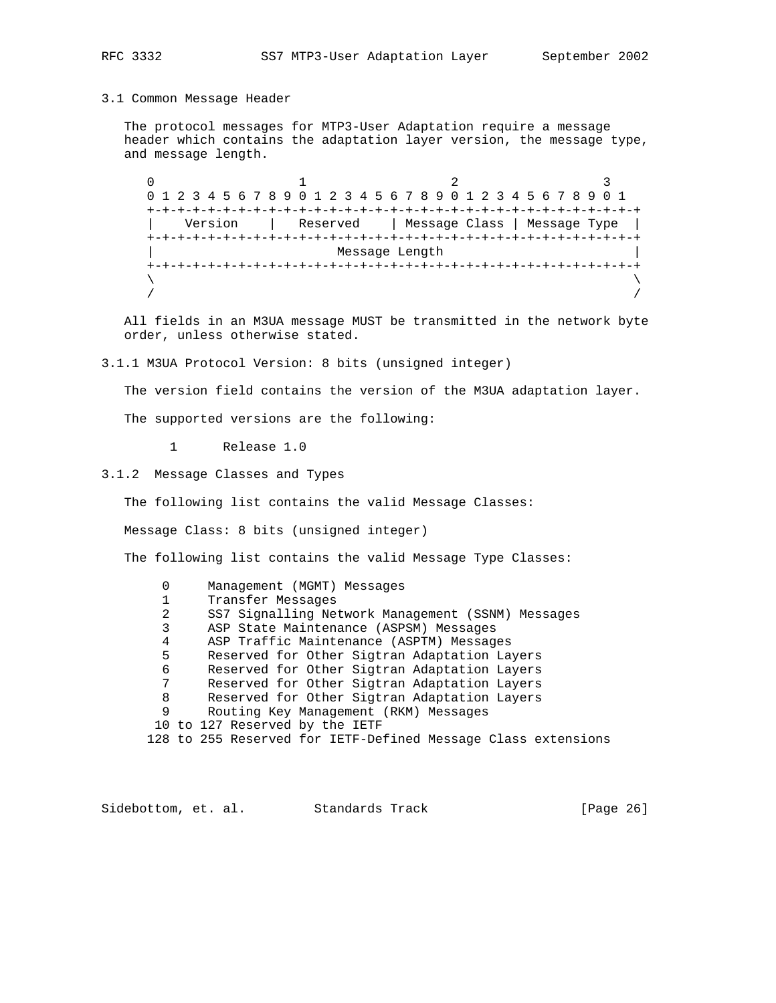### 3.1 Common Message Header

 The protocol messages for MTP3-User Adaptation require a message header which contains the adaptation layer version, the message type, and message length.

 $0$  and  $1$  and  $2$  3 0 1 2 3 4 5 6 7 8 9 0 1 2 3 4 5 6 7 8 9 0 1 2 3 4 5 6 7 8 9 0 1 +-+-+-+-+-+-+-+-+-+-+-+-+-+-+-+-+-+-+-+-+-+-+-+-+-+-+-+-+-+-+-+-+ | Version | Reserved | Message Class | Message Type | +-+-+-+-+-+-+-+-+-+-+-+-+-+-+-+-+-+-+-+-+-+-+-+-+-+-+-+-+-+-+-+-+ Message Length +-+-+-+-+-+-+-+-+-+-+-+-+-+-+-+-+-+-+-+-+-+-+-+-+-+-+-+-+-+-+-+-+  $\lambda$  and  $\lambda$  and  $\lambda$  and  $\lambda$  and  $\lambda$  and  $\lambda$  and  $\lambda$  and  $\lambda$  and  $\lambda$  and  $\lambda$  and  $\lambda$  and  $\lambda$  and  $\lambda$  and  $\lambda$  and  $\lambda$  and  $\lambda$  and  $\lambda$  and  $\lambda$  and  $\lambda$  and  $\lambda$  and  $\lambda$  and  $\lambda$  and  $\lambda$  and  $\lambda$  and  $\lambda$  / /

 All fields in an M3UA message MUST be transmitted in the network byte order, unless otherwise stated.

3.1.1 M3UA Protocol Version: 8 bits (unsigned integer)

The version field contains the version of the M3UA adaptation layer.

The supported versions are the following:

1 Release 1.0

3.1.2 Message Classes and Types

The following list contains the valid Message Classes:

Message Class: 8 bits (unsigned integer)

The following list contains the valid Message Type Classes:

 0 Management (MGMT) Messages 1 Transfer Messages 2 SS7 Signalling Network Management (SSNM) Messages 3 ASP State Maintenance (ASPSM) Messages 4 ASP Traffic Maintenance (ASPTM) Messages 5 Reserved for Other Sigtran Adaptation Layers 6 Reserved for Other Sigtran Adaptation Layers 7 Reserved for Other Sigtran Adaptation Layers 8 Reserved for Other Sigtran Adaptation Layers 9 Routing Key Management (RKM) Messages 10 to 127 Reserved by the IETF 128 to 255 Reserved for IETF-Defined Message Class extensions

Sidebottom, et. al. Standards Track [Page 26]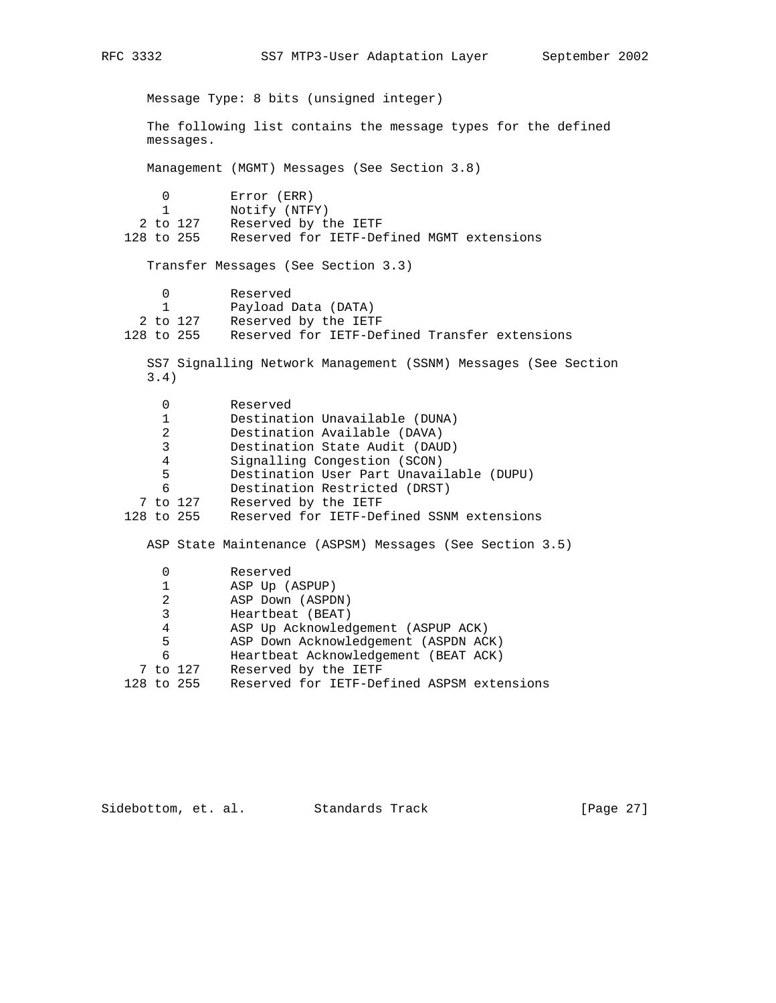Message Type: 8 bits (unsigned integer) The following list contains the message types for the defined messages. Management (MGMT) Messages (See Section 3.8) 0 Error (ERR)<br>1 Notify (NTF Notify (NTFY) 2 to 127 Reserved by the IETF 128 to 255 Reserved for IETF-Defined MGMT extensions Transfer Messages (See Section 3.3) 0 Reserved 1 Payload Data (DATA) 2 to 127 Reserved by the IETF 128 to 255 Reserved for IETF-Defined Transfer extensions SS7 Signalling Network Management (SSNM) Messages (See Section 3.4) 0 Reserved 1 Destination Unavailable (DUNA) 2 Destination Available (DAVA) 3 Destination State Audit (DAUD) 4 Signalling Congestion (SCON) 5 Destination User Part Unavailable (DUPU) 6 Destination Restricted (DRST) 7 to 127 Reserved by the IETF 128 to 255 Reserved for IETF-Defined SSNM extensions ASP State Maintenance (ASPSM) Messages (See Section 3.5) 0 Reserved 1 ASP Up (ASPUP) 2 ASP Down (ASPDN) 3 Heartbeat (BEAT) 4 ASP Up Acknowledgement (ASPUP ACK) 5 ASP Down Acknowledgement (ASPDN ACK) 6 Heartbeat Acknowledgement (BEAT ACK) 7 to 127 Reserved by the IETF 128 to 255 Reserved for IETF-Defined ASPSM extensions

Sidebottom, et. al. Standards Track [Page 27]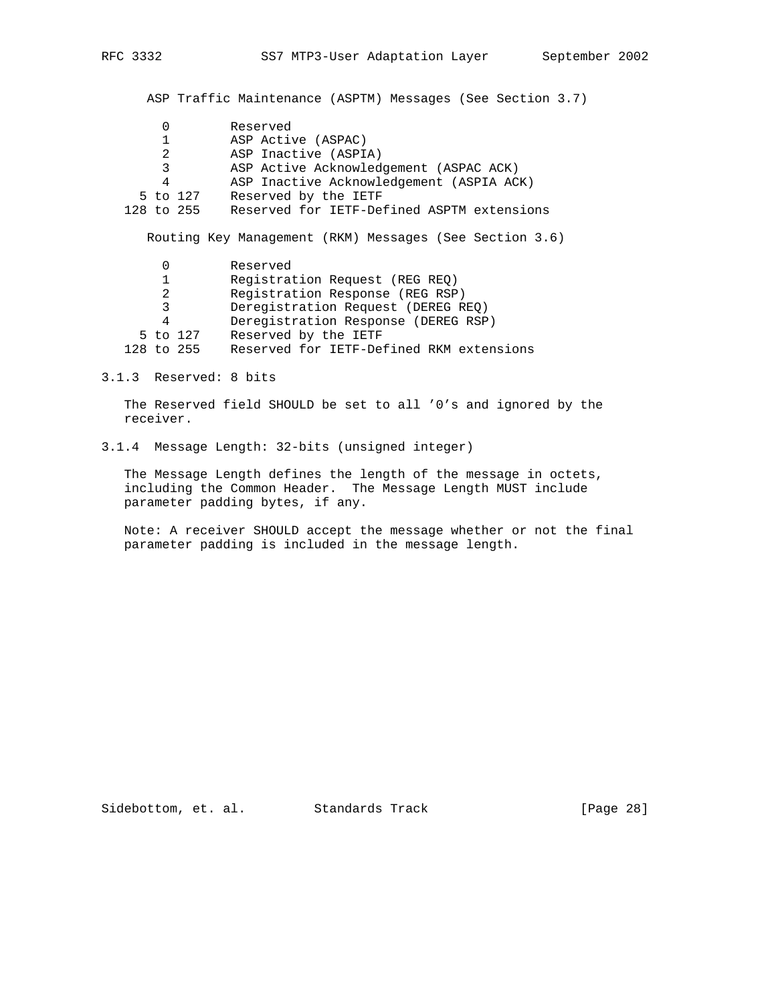ASP Traffic Maintenance (ASPTM) Messages (See Section 3.7)

|                | Reserved                                                |
|----------------|---------------------------------------------------------|
|                | ASP Active (ASPAC)                                      |
| 2              | ASP Inactive (ASPIA)                                    |
| 3              | ASP Active Acknowledgement (ASPAC ACK)                  |
| 4              | ASP Inactive Acknowledgement (ASPIA ACK)                |
| 5 to 127       | Reserved by the IETF                                    |
| 128 to 255     | Reserved for IETF-Defined ASPTM extensions              |
|                |                                                         |
|                | Routing Key Management (RKM) Messages (See Section 3.6) |
|                |                                                         |
| 0              | Reserved                                                |
|                | Registration Request (REG REO)                          |
| $\mathfrak{D}$ | Registration Response (REG RSP)                         |
| 3              | Deregistration Request (DEREG REO)                      |
| 4              | Deregistration Response (DEREG RSP)                     |
|                |                                                         |

5 to 127 Reserved by the IETF

128 to 255 Reserved for IETF-Defined RKM extensions

#### 3.1.3 Reserved: 8 bits

 The Reserved field SHOULD be set to all '0's and ignored by the receiver.

3.1.4 Message Length: 32-bits (unsigned integer)

 The Message Length defines the length of the message in octets, including the Common Header. The Message Length MUST include parameter padding bytes, if any.

 Note: A receiver SHOULD accept the message whether or not the final parameter padding is included in the message length.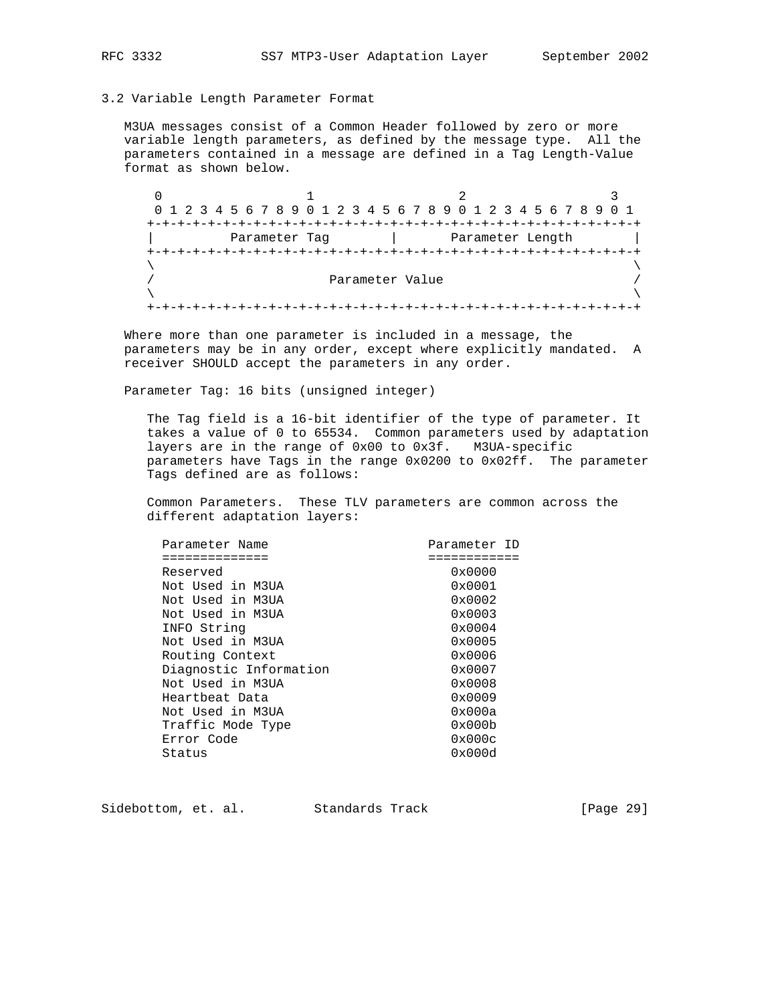#### 3.2 Variable Length Parameter Format

 M3UA messages consist of a Common Header followed by zero or more variable length parameters, as defined by the message type. All the parameters contained in a message are defined in a Tag Length-Value format as shown below.

 $0$  1 2 3 0 1 2 3 4 5 6 7 8 9 0 1 2 3 4 5 6 7 8 9 0 1 2 3 4 5 6 7 8 9 0 1 +-+-+-+-+-+-+-+-+-+-+-+-+-+-+-+-+-+-+-+-+-+-+-+-+-+-+-+-+-+-+-+-+ Parameter Tag  $|$  Parameter Length +-+-+-+-+-+-+-+-+-+-+-+-+-+-+-+-+-+-+-+-+-+-+-+-+-+-+-+-+-+-+-+-+  $\lambda$  and  $\lambda$  and  $\lambda$  and  $\lambda$  and  $\lambda$  and  $\lambda$  and  $\lambda$  and  $\lambda$  and  $\lambda$  and  $\lambda$  and  $\lambda$  and  $\lambda$  and  $\lambda$  and  $\lambda$  and  $\lambda$  and  $\lambda$  and  $\lambda$  and  $\lambda$  and  $\lambda$  and  $\lambda$  and  $\lambda$  and  $\lambda$  and  $\lambda$  and  $\lambda$  and  $\lambda$  Parameter Value / /  $\lambda$  and  $\lambda$  and  $\lambda$  and  $\lambda$  and  $\lambda$  and  $\lambda$  and  $\lambda$  and  $\lambda$  and  $\lambda$  and  $\lambda$  and  $\lambda$  and  $\lambda$  and  $\lambda$  and  $\lambda$  and  $\lambda$  and  $\lambda$  and  $\lambda$  and  $\lambda$  and  $\lambda$  and  $\lambda$  and  $\lambda$  and  $\lambda$  and  $\lambda$  and  $\lambda$  and  $\lambda$  +-+-+-+-+-+-+-+-+-+-+-+-+-+-+-+-+-+-+-+-+-+-+-+-+-+-+-+-+-+-+-+-+

 Where more than one parameter is included in a message, the parameters may be in any order, except where explicitly mandated. A receiver SHOULD accept the parameters in any order.

Parameter Tag: 16 bits (unsigned integer)

 The Tag field is a 16-bit identifier of the type of parameter. It takes a value of 0 to 65534. Common parameters used by adaptation layers are in the range of 0x00 to 0x3f. M3UA-specific parameters have Tags in the range 0x0200 to 0x02ff. The parameter Tags defined are as follows:

 Common Parameters. These TLV parameters are common across the different adaptation layers:

| Parameter Name         | Parameter ID    |  |
|------------------------|-----------------|--|
|                        |                 |  |
| Reserved               | 0x0000          |  |
| Not Used in M3UA       | $0 \times 0001$ |  |
| Not Used in M3UA       | $0 \times 0002$ |  |
| Not Used in M3UA       | $0 \times 0003$ |  |
| INFO String            | $0 \times 0004$ |  |
| Not Used in M3UA       | $0 \times 0005$ |  |
| Routing Context        | $0 \times 0006$ |  |
| Diagnostic Information | $0 \times 0007$ |  |
| Not Used in M3UA       | $0 \times 0008$ |  |
| Heartbeat Data         | 0x0009          |  |
| Not Used in M3UA       | 0x000a          |  |
| Traffic Mode Type      | 0x000b          |  |
| Error Code             | 0x000c          |  |
| Status                 | 0x000d          |  |
|                        |                 |  |

Sidebottom, et. al. Standards Track [Page 29]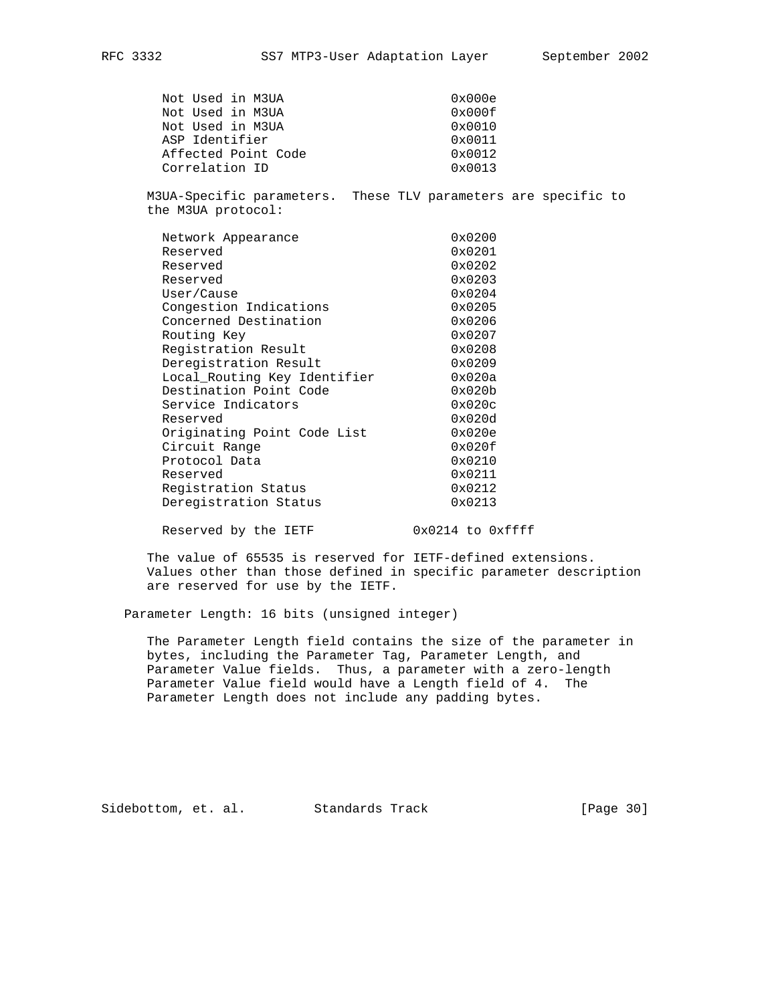| Not Used in M3UA    | 0x000e          |
|---------------------|-----------------|
| Not Used in M3UA    | 0x000f          |
| Not Used in M3UA    | $0 \times 0010$ |
| ASP Identifier      | $0 \times 0011$ |
| Affected Point Code | $0 \times 0012$ |
| Correlation ID      | $0 \times 0013$ |

 M3UA-Specific parameters. These TLV parameters are specific to the M3UA protocol:

| Network Appearance           | 0x0200          |
|------------------------------|-----------------|
| Reserved                     | $0 \times 0201$ |
| Reserved                     | 0x0202          |
| Reserved                     | 0x0203          |
| User/Cause                   | $0 \times 0204$ |
| Congestion Indications       | 0x0205          |
| Concerned Destination        | 0x0206          |
| Routing Key                  | $0 \times 0207$ |
| Registration Result          | 0x0208          |
| Deregistration Result        | 0x0209          |
| Local Routing Key Identifier | 0x020a          |
| Destination Point Code       | 0x020b          |
| Service Indicators           | 0x020c          |
| Reserved                     | 0x020d          |
| Originating Point Code List  | 0x020e          |
| Circuit Range                | 0x020f          |
| Protocol Data                | 0x0210          |
| Reserved                     | 0x0211          |
| Registration Status          | 0x0212          |
| Deregistration Status        | 0x0213          |

Reserved by the IETF 0x0214 to 0xffff

 The value of 65535 is reserved for IETF-defined extensions. Values other than those defined in specific parameter description are reserved for use by the IETF.

Parameter Length: 16 bits (unsigned integer)

 The Parameter Length field contains the size of the parameter in bytes, including the Parameter Tag, Parameter Length, and Parameter Value fields. Thus, a parameter with a zero-length Parameter Value field would have a Length field of 4. The Parameter Length does not include any padding bytes.

Sidebottom, et. al. Standards Track [Page 30]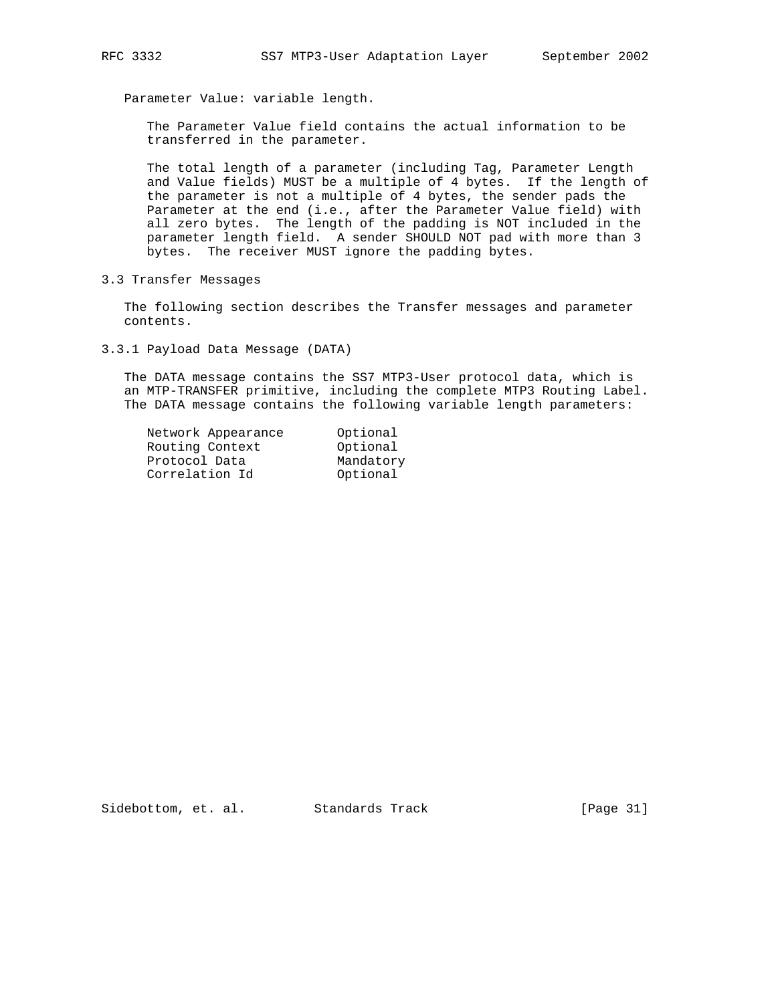Parameter Value: variable length.

 The Parameter Value field contains the actual information to be transferred in the parameter.

 The total length of a parameter (including Tag, Parameter Length and Value fields) MUST be a multiple of 4 bytes. If the length of the parameter is not a multiple of 4 bytes, the sender pads the Parameter at the end (i.e., after the Parameter Value field) with all zero bytes. The length of the padding is NOT included in the parameter length field. A sender SHOULD NOT pad with more than 3 bytes. The receiver MUST ignore the padding bytes.

3.3 Transfer Messages

 The following section describes the Transfer messages and parameter contents.

3.3.1 Payload Data Message (DATA)

 The DATA message contains the SS7 MTP3-User protocol data, which is an MTP-TRANSFER primitive, including the complete MTP3 Routing Label. The DATA message contains the following variable length parameters:

| Network Appearance | Optional  |
|--------------------|-----------|
| Routing Context    | Optional  |
| Protocol Data      | Mandatory |
| Correlation Id     | Optional  |
|                    |           |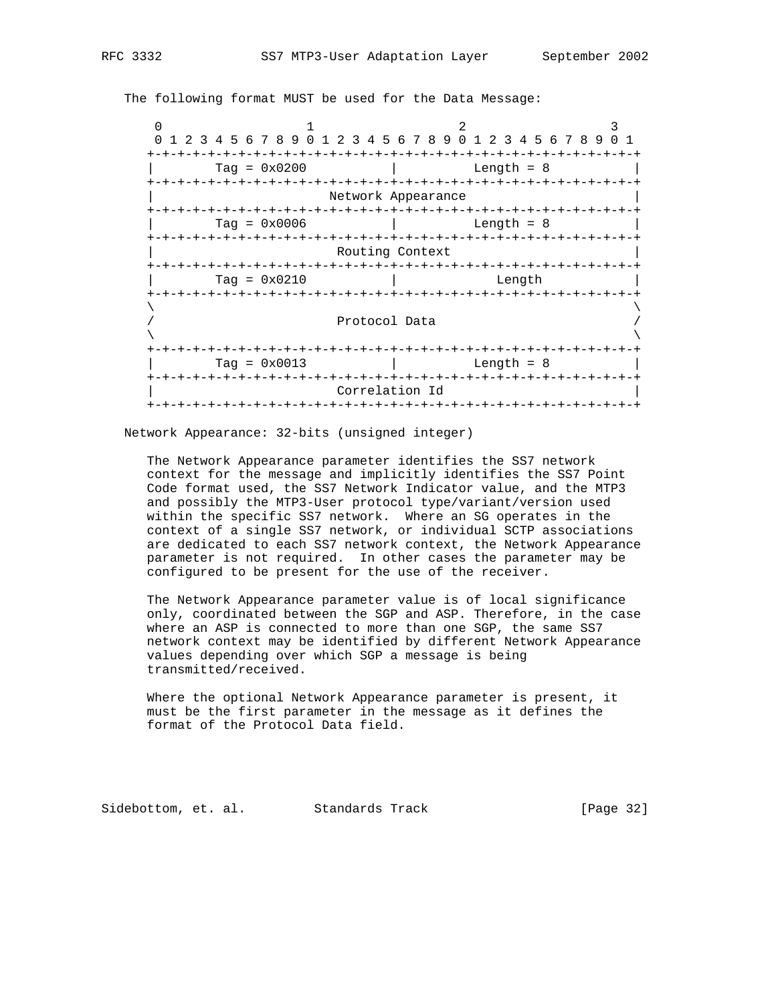The following format MUST be used for the Data Message:

| 1 2 3 4 5 6 7 8 9 0 1 2 3 4 5 6 7 8 9 0 1 2 3 4 5 6 7 8 9 0 1 |                                                  |                      |                                |  |  |
|---------------------------------------------------------------|--------------------------------------------------|----------------------|--------------------------------|--|--|
| $Taq = 0x0200$                                                |                                                  | $-+ - + - + - + - +$ | -+-+-+-+-+-+-+<br>Length $= 8$ |  |  |
|                                                               | -+-+-+-+-+-+-+-+-+-+-+-+-+<br>Network Appearance |                      |                                |  |  |
| $Taq = 0x0006$<br>+-+-+-+-+-+-+-+-+-+-+                       | -+-+-+-+-+-+-+-+-+-+-+-+-+-+-+-+-+-+-+           |                      | Length $= 8$                   |  |  |
|                                                               | Routing Context                                  |                      |                                |  |  |
| $Taq = 0x0210$                                                |                                                  |                      | Length                         |  |  |
|                                                               | Protocol Data                                    |                      |                                |  |  |
| +-+-+-+-+-+-+-+-+-+-+-+<br>$Taq = 0x0013$                     | -+-+-+-+-+-+-+-+                                 |                      | Length = $8$                   |  |  |
|                                                               | Correlation Id                                   |                      |                                |  |  |
|                                                               |                                                  |                      |                                |  |  |

Network Appearance: 32-bits (unsigned integer)

 The Network Appearance parameter identifies the SS7 network context for the message and implicitly identifies the SS7 Point Code format used, the SS7 Network Indicator value, and the MTP3 and possibly the MTP3-User protocol type/variant/version used within the specific SS7 network. Where an SG operates in the context of a single SS7 network, or individual SCTP associations are dedicated to each SS7 network context, the Network Appearance parameter is not required. In other cases the parameter may be configured to be present for the use of the receiver.

 The Network Appearance parameter value is of local significance only, coordinated between the SGP and ASP. Therefore, in the case where an ASP is connected to more than one SGP, the same SS7 network context may be identified by different Network Appearance values depending over which SGP a message is being transmitted/received.

 Where the optional Network Appearance parameter is present, it must be the first parameter in the message as it defines the format of the Protocol Data field.

Sidebottom, et. al. Standards Track [Page 32]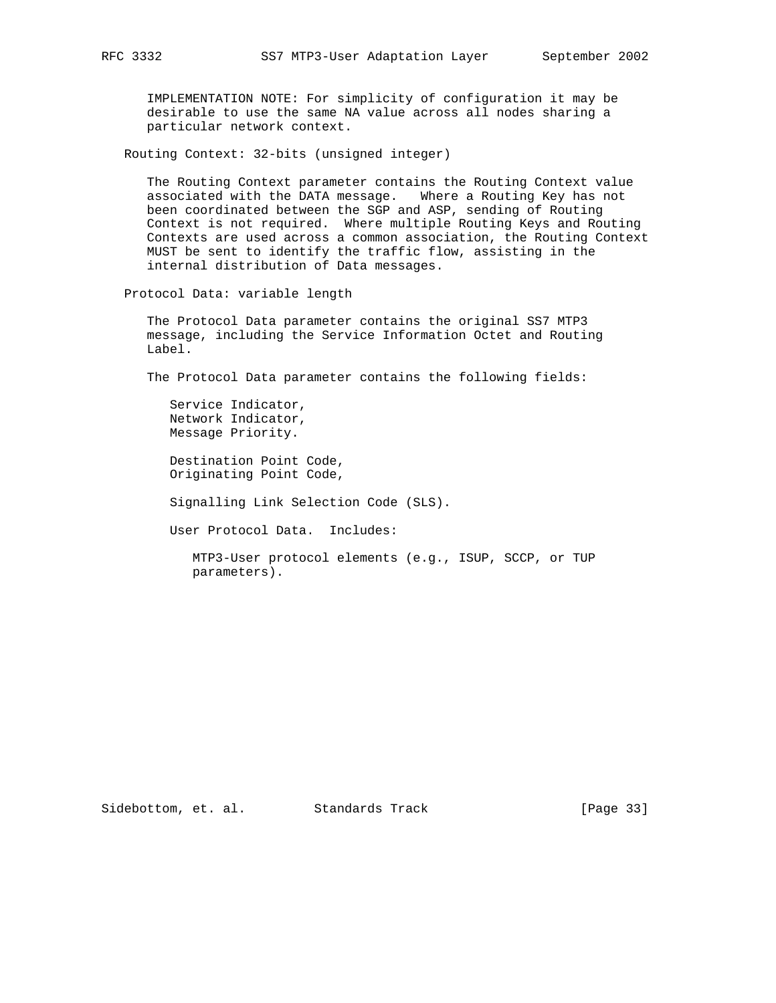IMPLEMENTATION NOTE: For simplicity of configuration it may be desirable to use the same NA value across all nodes sharing a particular network context.

Routing Context: 32-bits (unsigned integer)

 The Routing Context parameter contains the Routing Context value associated with the DATA message. Where a Routing Key has not been coordinated between the SGP and ASP, sending of Routing Context is not required. Where multiple Routing Keys and Routing Contexts are used across a common association, the Routing Context MUST be sent to identify the traffic flow, assisting in the internal distribution of Data messages.

Protocol Data: variable length

 The Protocol Data parameter contains the original SS7 MTP3 message, including the Service Information Octet and Routing Label.

The Protocol Data parameter contains the following fields:

 Service Indicator, Network Indicator, Message Priority.

 Destination Point Code, Originating Point Code,

Signalling Link Selection Code (SLS).

User Protocol Data. Includes:

 MTP3-User protocol elements (e.g., ISUP, SCCP, or TUP parameters).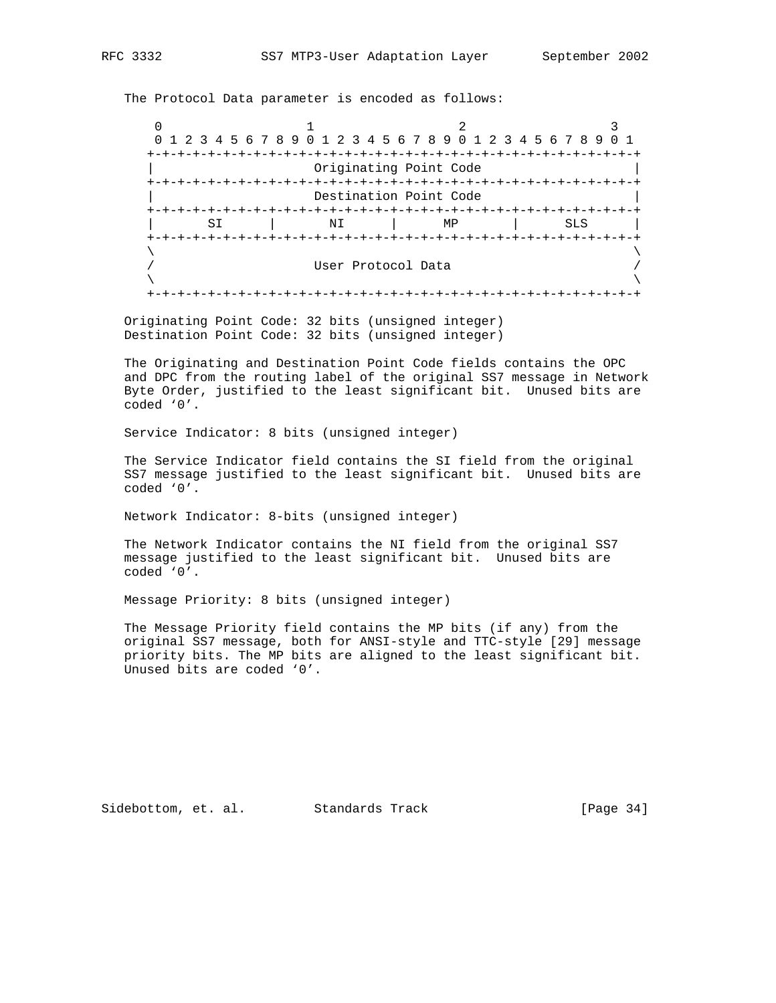The Protocol Data parameter is encoded as follows:

0  $1$  2 3 0 1 2 3 4 5 6 7 8 9 0 1 2 3 4 5 6 7 8 9 0 1 2 3 4 5 6 7 8 9 0 1 +-+-+-+-+-+-+-+-+-+-+-+-+-+-+-+-+-+-+-+-+-+-+-+-+-+-+-+-+-+-+-+-+ Originating Point Code +-+-+-+-+-+-+-+-+-+-+-+-+-+-+-+-+-+-+-+-+-+-+-+-+-+-+-+-+-+-+-+-+ Destination Point Code +-+-+-+-+-+-+-+-+-+-+-+-+-+-+-+-+-+-+-+-+-+-+-+-+-+-+-+-+-+-+-+-+ | SI | NI | MP | SLS | +-+-+-+-+-+-+-+-+-+-+-+-+-+-+-+-+-+-+-+-+-+-+-+-+-+-+-+-+-+-+-+-+  $\lambda$  and  $\lambda$  and  $\lambda$  and  $\lambda$  and  $\lambda$  and  $\lambda$  and  $\lambda$  and  $\lambda$  and  $\lambda$  and  $\lambda$  and  $\lambda$  and  $\lambda$  and  $\lambda$  and  $\lambda$  and  $\lambda$  and  $\lambda$  and  $\lambda$  and  $\lambda$  and  $\lambda$  and  $\lambda$  and  $\lambda$  and  $\lambda$  and  $\lambda$  and  $\lambda$  and  $\lambda$  / User Protocol Data /  $\lambda$  and  $\lambda$  and  $\lambda$  and  $\lambda$  and  $\lambda$  and  $\lambda$  and  $\lambda$  and  $\lambda$  and  $\lambda$  and  $\lambda$  and  $\lambda$  and  $\lambda$  and  $\lambda$  and  $\lambda$  and  $\lambda$  and  $\lambda$  and  $\lambda$  and  $\lambda$  and  $\lambda$  and  $\lambda$  and  $\lambda$  and  $\lambda$  and  $\lambda$  and  $\lambda$  and  $\lambda$  +-+-+-+-+-+-+-+-+-+-+-+-+-+-+-+-+-+-+-+-+-+-+-+-+-+-+-+-+-+-+-+-+

 Originating Point Code: 32 bits (unsigned integer) Destination Point Code: 32 bits (unsigned integer)

 The Originating and Destination Point Code fields contains the OPC and DPC from the routing label of the original SS7 message in Network Byte Order, justified to the least significant bit. Unused bits are coded '0'.

Service Indicator: 8 bits (unsigned integer)

 The Service Indicator field contains the SI field from the original SS7 message justified to the least significant bit. Unused bits are coded '0'.

Network Indicator: 8-bits (unsigned integer)

 The Network Indicator contains the NI field from the original SS7 message justified to the least significant bit. Unused bits are coded '0'.

Message Priority: 8 bits (unsigned integer)

 The Message Priority field contains the MP bits (if any) from the original SS7 message, both for ANSI-style and TTC-style [29] message priority bits. The MP bits are aligned to the least significant bit. Unused bits are coded '0'.

Sidebottom, et. al. Standards Track [Page 34]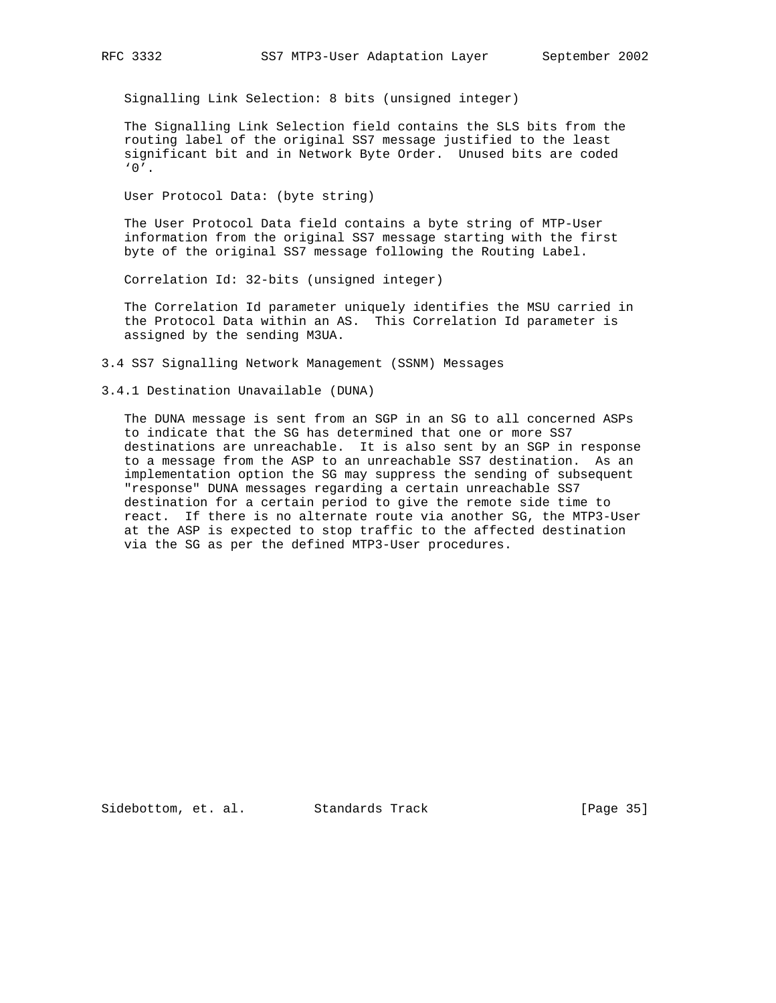Signalling Link Selection: 8 bits (unsigned integer)

 The Signalling Link Selection field contains the SLS bits from the routing label of the original SS7 message justified to the least significant bit and in Network Byte Order. Unused bits are coded  $'0'$ .

User Protocol Data: (byte string)

 The User Protocol Data field contains a byte string of MTP-User information from the original SS7 message starting with the first byte of the original SS7 message following the Routing Label.

Correlation Id: 32-bits (unsigned integer)

 The Correlation Id parameter uniquely identifies the MSU carried in the Protocol Data within an AS. This Correlation Id parameter is assigned by the sending M3UA.

3.4 SS7 Signalling Network Management (SSNM) Messages

3.4.1 Destination Unavailable (DUNA)

 The DUNA message is sent from an SGP in an SG to all concerned ASPs to indicate that the SG has determined that one or more SS7 destinations are unreachable. It is also sent by an SGP in response to a message from the ASP to an unreachable SS7 destination. As an implementation option the SG may suppress the sending of subsequent "response" DUNA messages regarding a certain unreachable SS7 destination for a certain period to give the remote side time to react. If there is no alternate route via another SG, the MTP3-User at the ASP is expected to stop traffic to the affected destination via the SG as per the defined MTP3-User procedures.

Sidebottom, et. al. Standards Track [Page 35]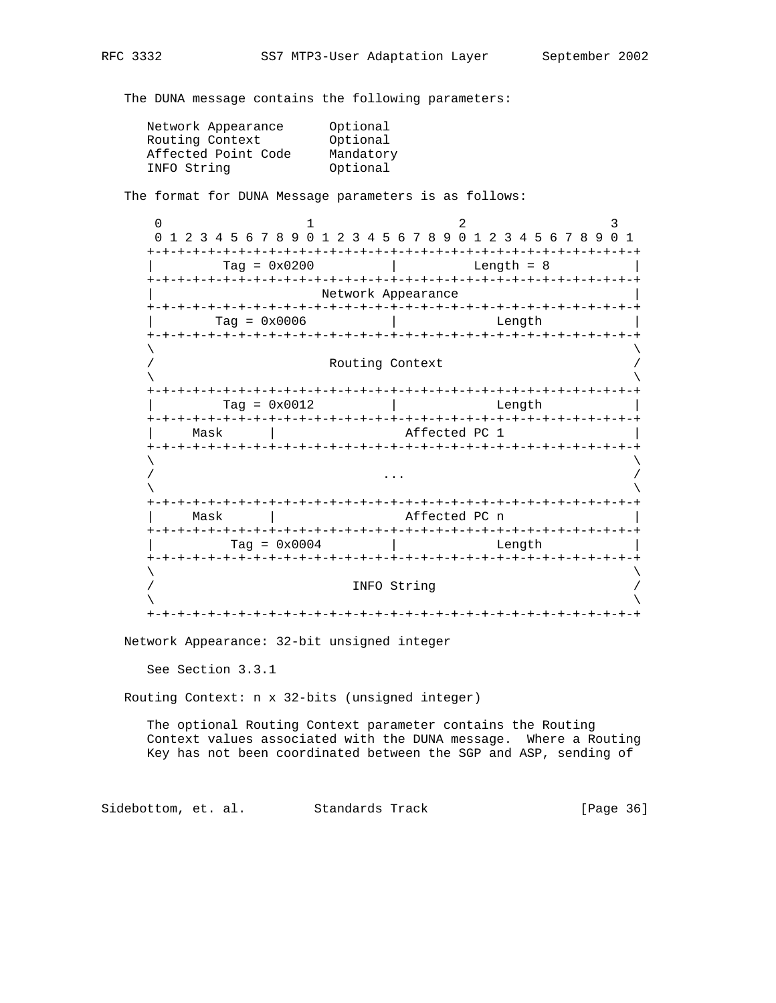The DUNA message contains the following parameters:

| Optional  |
|-----------|
| Optional  |
| Mandatory |
| Optional  |
|           |

The format for DUNA Message parameters is as follows:

 $0$  1 2 3 0 1 2 3 4 5 6 7 8 9 0 1 2 3 4 5 6 7 8 9 0 1 2 3 4 5 6 7 8 9 0 1 +-+-+-+-+-+-+-+-+-+-+-+-+-+-+-+-+-+-+-+-+-+-+-+-+-+-+-+-+-+-+-+-+ | Tag = 0x0200 | Length = 8 | +-+-+-+-+-+-+-+-+-+-+-+-+-+-+-+-+-+-+-+-+-+-+-+-+-+-+-+-+-+-+-+-+ Network Appearance +-+-+-+-+-+-+-+-+-+-+-+-+-+-+-+-+-+-+-+-+-+-+-+-+-+-+-+-+-+-+-+-+ | Tag = 0x0006 | Length | +-+-+-+-+-+-+-+-+-+-+-+-+-+-+-+-+-+-+-+-+-+-+-+-+-+-+-+-+-+-+-+-+  $\lambda$  and  $\lambda$  and  $\lambda$  and  $\lambda$  and  $\lambda$  and  $\lambda$  and  $\lambda$  and  $\lambda$  and  $\lambda$  and  $\lambda$  and  $\lambda$  and  $\lambda$  and  $\lambda$  and  $\lambda$  and  $\lambda$  and  $\lambda$  and  $\lambda$  and  $\lambda$  and  $\lambda$  and  $\lambda$  and  $\lambda$  and  $\lambda$  and  $\lambda$  and  $\lambda$  and  $\lambda$  Routing Context  $\lambda$  and  $\lambda$  and  $\lambda$  and  $\lambda$  and  $\lambda$  and  $\lambda$  and  $\lambda$  and  $\lambda$  and  $\lambda$  and  $\lambda$  and  $\lambda$  and  $\lambda$  and  $\lambda$  and  $\lambda$  and  $\lambda$  and  $\lambda$  and  $\lambda$  and  $\lambda$  and  $\lambda$  and  $\lambda$  and  $\lambda$  and  $\lambda$  and  $\lambda$  and  $\lambda$  and  $\lambda$  +-+-+-+-+-+-+-+-+-+-+-+-+-+-+-+-+-+-+-+-+-+-+-+-+-+-+-+-+-+-+-+-+ Tag =  $0x0012$  | Length +-+-+-+-+-+-+-+-+-+-+-+-+-+-+-+-+-+-+-+-+-+-+-+-+-+-+-+-+-+-+-+-+ Mask | Affected PC 1 +-+-+-+-+-+-+-+-+-+-+-+-+-+-+-+-+-+-+-+-+-+-+-+-+-+-+-+-+-+-+-+-+  $\lambda$  and  $\lambda$  and  $\lambda$  and  $\lambda$  and  $\lambda$  and  $\lambda$  and  $\lambda$  and  $\lambda$  and  $\lambda$  and  $\lambda$  and  $\lambda$  and  $\lambda$  and  $\lambda$  and  $\lambda$  and  $\lambda$  and  $\lambda$  and  $\lambda$  and  $\lambda$  and  $\lambda$  and  $\lambda$  and  $\lambda$  and  $\lambda$  and  $\lambda$  and  $\lambda$  and  $\lambda$  / ... /  $\lambda$  and  $\lambda$  and  $\lambda$  and  $\lambda$  and  $\lambda$  and  $\lambda$  and  $\lambda$  and  $\lambda$  and  $\lambda$  and  $\lambda$  and  $\lambda$  and  $\lambda$  and  $\lambda$  and  $\lambda$  and  $\lambda$  and  $\lambda$  and  $\lambda$  and  $\lambda$  and  $\lambda$  and  $\lambda$  and  $\lambda$  and  $\lambda$  and  $\lambda$  and  $\lambda$  and  $\lambda$  +-+-+-+-+-+-+-+-+-+-+-+-+-+-+-+-+-+-+-+-+-+-+-+-+-+-+-+-+-+-+-+-+ Mask | Affected PC n +-+-+-+-+-+-+-+-+-+-+-+-+-+-+-+-+-+-+-+-+-+-+-+-+-+-+-+-+-+-+-+-+  $\text{Tag} = 0 \times 0004$  | Length +-+-+-+-+-+-+-+-+-+-+-+-+-+-+-+-+-+-+-+-+-+-+-+-+-+-+-+-+-+-+-+-+  $\lambda$  and  $\lambda$  and  $\lambda$  and  $\lambda$  and  $\lambda$  and  $\lambda$  and  $\lambda$  and  $\lambda$  and  $\lambda$  and  $\lambda$  and  $\lambda$  and  $\lambda$  and  $\lambda$  and  $\lambda$  and  $\lambda$  and  $\lambda$  and  $\lambda$  and  $\lambda$  and  $\lambda$  and  $\lambda$  and  $\lambda$  and  $\lambda$  and  $\lambda$  and  $\lambda$  and  $\lambda$  INFO String  $\lambda$  and  $\lambda$  and  $\lambda$  and  $\lambda$  and  $\lambda$  and  $\lambda$  and  $\lambda$  and  $\lambda$  and  $\lambda$  and  $\lambda$  and  $\lambda$  and  $\lambda$  and  $\lambda$  and  $\lambda$  and  $\lambda$  and  $\lambda$  and  $\lambda$  and  $\lambda$  and  $\lambda$  and  $\lambda$  and  $\lambda$  and  $\lambda$  and  $\lambda$  and  $\lambda$  and  $\lambda$  +-+-+-+-+-+-+-+-+-+-+-+-+-+-+-+-+-+-+-+-+-+-+-+-+-+-+-+-+-+-+-+-+

Network Appearance: 32-bit unsigned integer

See Section 3.3.1

Routing Context: n x 32-bits (unsigned integer)

 The optional Routing Context parameter contains the Routing Context values associated with the DUNA message. Where a Routing Key has not been coordinated between the SGP and ASP, sending of

Sidebottom, et. al. Standards Track [Page 36]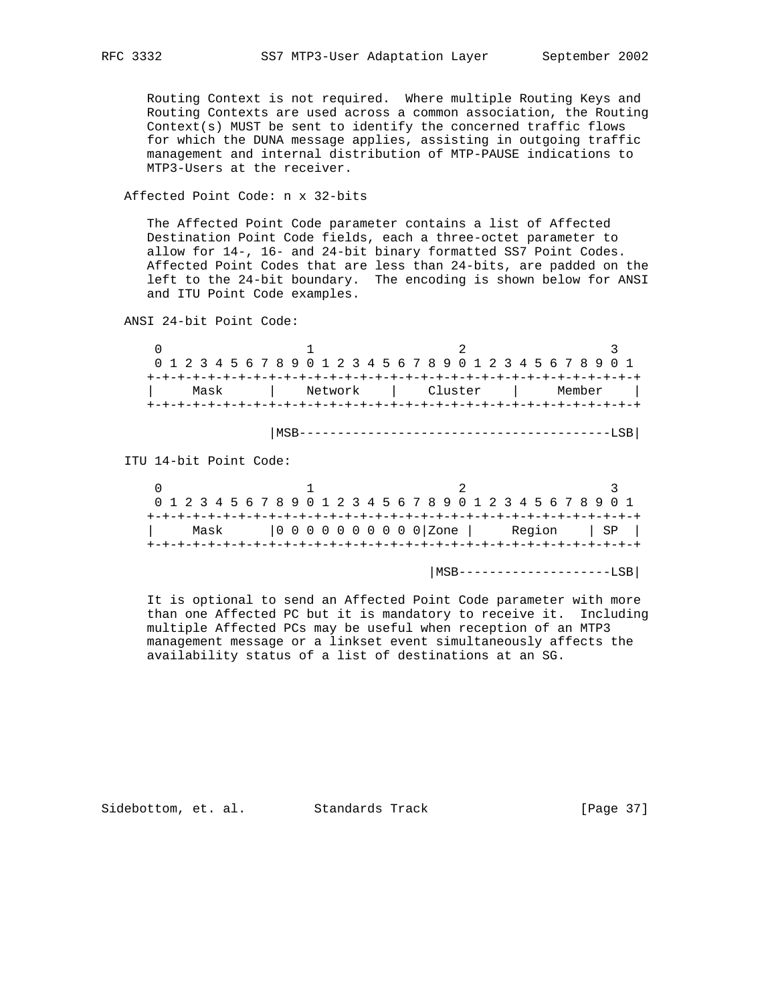Routing Context is not required. Where multiple Routing Keys and Routing Contexts are used across a common association, the Routing Context(s) MUST be sent to identify the concerned traffic flows for which the DUNA message applies, assisting in outgoing traffic management and internal distribution of MTP-PAUSE indications to MTP3-Users at the receiver.

# Affected Point Code: n x 32-bits

 The Affected Point Code parameter contains a list of Affected Destination Point Code fields, each a three-octet parameter to allow for 14-, 16- and 24-bit binary formatted SS7 Point Codes. Affected Point Codes that are less than 24-bits, are padded on the left to the 24-bit boundary. The encoding is shown below for ANSI and ITU Point Code examples.

ANSI 24-bit Point Code:

 $0$  1 2 3 0 1 2 3 4 5 6 7 8 9 0 1 2 3 4 5 6 7 8 9 0 1 2 3 4 5 6 7 8 9 0 1 +-+-+-+-+-+-+-+-+-+-+-+-+-+-+-+-+-+-+-+-+-+-+-+-+-+-+-+-+-+-+-+-+ | Mask | Network | Cluster | Member | +-+-+-+-+-+-+-+-+-+-+-+-+-+-+-+-+-+-+-+-+-+-+-+-+-+-+-+-+-+-+-+-+

|MSB-----------------------------------------LSB|

ITU 14-bit Point Code:

|      |  | 0 1 2 3 4 5 6 7 8 9 0 1 2 3 4 5 6 7 8 9 0 1 2 3 4 5 6 7 8 9 0 1 |             |
|------|--|-----------------------------------------------------------------|-------------|
|      |  |                                                                 |             |
| Mask |  |                                                                 | Region   SP |
|      |  |                                                                 |             |

|MSB--------------------LSB|

 It is optional to send an Affected Point Code parameter with more than one Affected PC but it is mandatory to receive it. Including multiple Affected PCs may be useful when reception of an MTP3 management message or a linkset event simultaneously affects the availability status of a list of destinations at an SG.

Sidebottom, et. al. Standards Track [Page 37]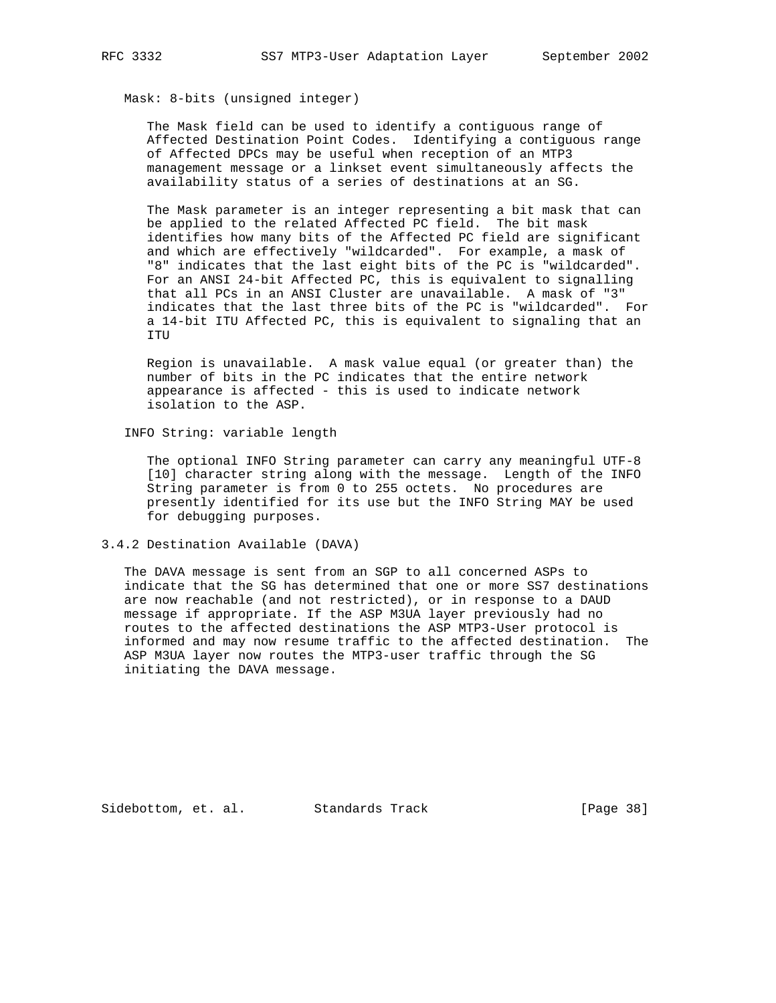Mask: 8-bits (unsigned integer)

 The Mask field can be used to identify a contiguous range of Affected Destination Point Codes. Identifying a contiguous range of Affected DPCs may be useful when reception of an MTP3 management message or a linkset event simultaneously affects the availability status of a series of destinations at an SG.

 The Mask parameter is an integer representing a bit mask that can be applied to the related Affected PC field. The bit mask identifies how many bits of the Affected PC field are significant and which are effectively "wildcarded". For example, a mask of "8" indicates that the last eight bits of the PC is "wildcarded". For an ANSI 24-bit Affected PC, this is equivalent to signalling that all PCs in an ANSI Cluster are unavailable. A mask of "3" indicates that the last three bits of the PC is "wildcarded". For a 14-bit ITU Affected PC, this is equivalent to signaling that an ITU

 Region is unavailable. A mask value equal (or greater than) the number of bits in the PC indicates that the entire network appearance is affected - this is used to indicate network isolation to the ASP.

INFO String: variable length

 The optional INFO String parameter can carry any meaningful UTF-8 [10] character string along with the message. Length of the INFO String parameter is from 0 to 255 octets. No procedures are presently identified for its use but the INFO String MAY be used for debugging purposes.

3.4.2 Destination Available (DAVA)

 The DAVA message is sent from an SGP to all concerned ASPs to indicate that the SG has determined that one or more SS7 destinations are now reachable (and not restricted), or in response to a DAUD message if appropriate. If the ASP M3UA layer previously had no routes to the affected destinations the ASP MTP3-User protocol is informed and may now resume traffic to the affected destination. The ASP M3UA layer now routes the MTP3-user traffic through the SG initiating the DAVA message.

Sidebottom, et. al. Standards Track [Page 38]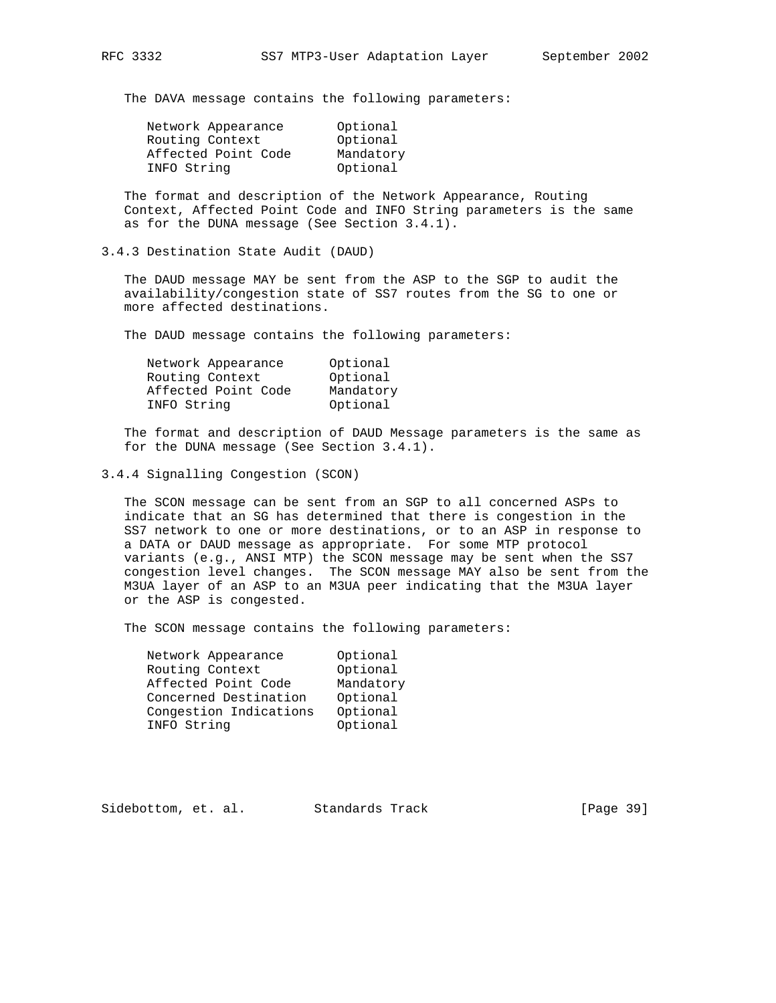The DAVA message contains the following parameters:

| Network Appearance  | Optional  |
|---------------------|-----------|
| Routing Context     | Optional  |
| Affected Point Code | Mandatory |
| INFO String         | Optional  |

 The format and description of the Network Appearance, Routing Context, Affected Point Code and INFO String parameters is the same as for the DUNA message (See Section 3.4.1).

3.4.3 Destination State Audit (DAUD)

 The DAUD message MAY be sent from the ASP to the SGP to audit the availability/congestion state of SS7 routes from the SG to one or more affected destinations.

The DAUD message contains the following parameters:

| Network Appearance  | Optional  |
|---------------------|-----------|
| Routing Context     | Optional  |
| Affected Point Code | Mandatory |
| INFO String         | Optional  |

 The format and description of DAUD Message parameters is the same as for the DUNA message (See Section 3.4.1).

3.4.4 Signalling Congestion (SCON)

 The SCON message can be sent from an SGP to all concerned ASPs to indicate that an SG has determined that there is congestion in the SS7 network to one or more destinations, or to an ASP in response to a DATA or DAUD message as appropriate. For some MTP protocol variants (e.g., ANSI MTP) the SCON message may be sent when the SS7 congestion level changes. The SCON message MAY also be sent from the M3UA layer of an ASP to an M3UA peer indicating that the M3UA layer or the ASP is congested.

The SCON message contains the following parameters:

| Network Appearance     | Optional  |
|------------------------|-----------|
| Routing Context        | Optional  |
| Affected Point Code    | Mandatory |
| Concerned Destination  | Optional  |
| Congestion Indications | Optional  |
| INFO String            | Optional  |

Sidebottom, et. al. Standards Track [Page 39]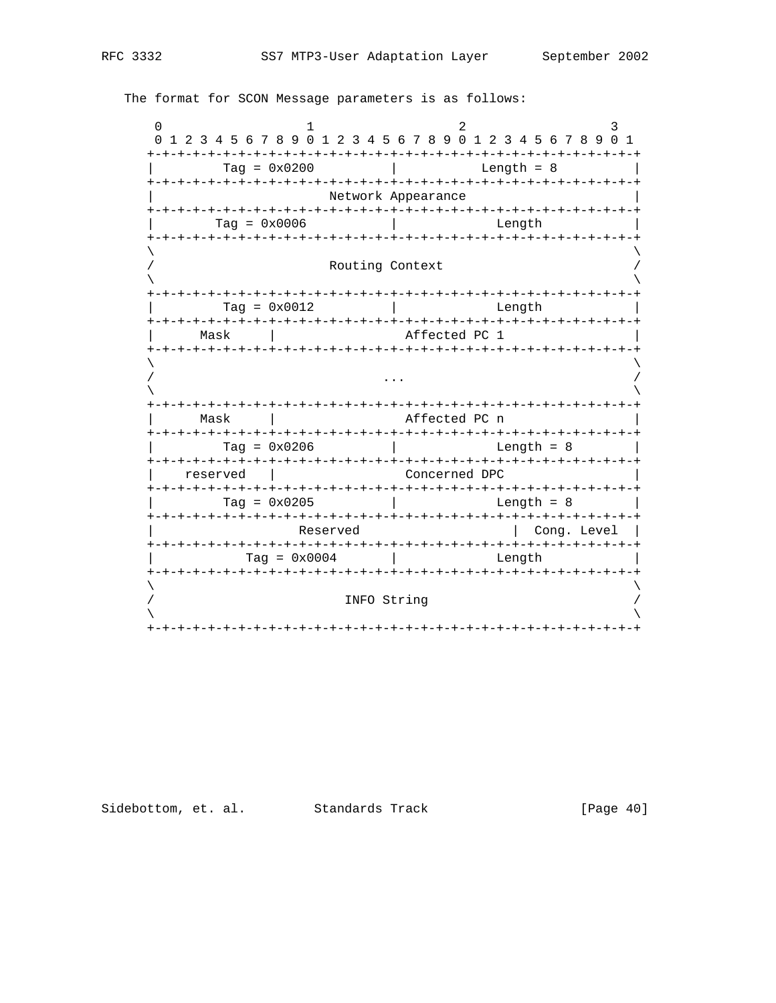$\Omega$  $\overline{1}$  $\overline{2}$  $\mathbf{3}$ 0 1 2 3 4 5 6 7 8 9 0 1 2 3 4 5 6 7 8 9 0 1 2 3 4 5 6 7 8 9 0 1  $Tag = 0x0200$  | Length =  $8$ Network Appearance  $Tag = 0x0006$ **Example 1** Length Routing Context Tag =  $0 \times 0012$ Length  $\mathbb{R}^n$ Mask | Affected PC 1  $\mathbf{1}$ | Mask | Affected PC n  $Tag = 0x0206$  | Length =  $8$ reserved | Concerned DPC  $Tag = 0x0205$  | Length  $= 8$ Reserved | Cong. Level | Length  $Tag = 0x0004$  $\mathcal{L} = \mathcal{L}$ INFO String 

The format for SCON Message parameters is as follows:

[Page  $40$ ]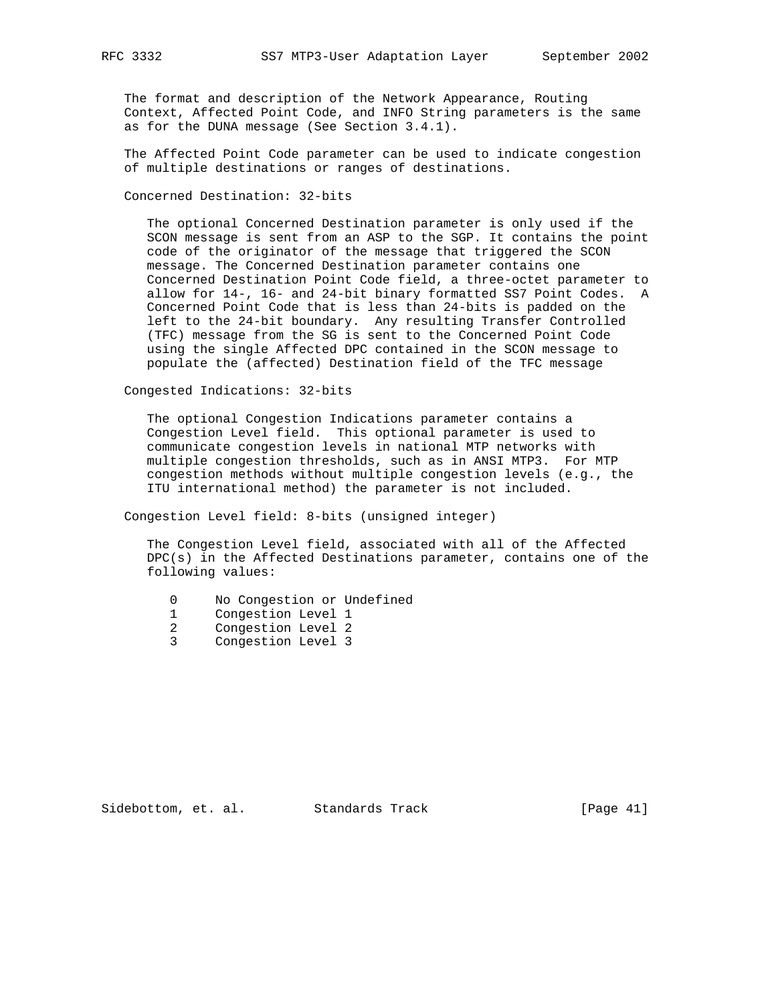The format and description of the Network Appearance, Routing Context, Affected Point Code, and INFO String parameters is the same as for the DUNA message (See Section 3.4.1).

 The Affected Point Code parameter can be used to indicate congestion of multiple destinations or ranges of destinations.

Concerned Destination: 32-bits

 The optional Concerned Destination parameter is only used if the SCON message is sent from an ASP to the SGP. It contains the point code of the originator of the message that triggered the SCON message. The Concerned Destination parameter contains one Concerned Destination Point Code field, a three-octet parameter to allow for 14-, 16- and 24-bit binary formatted SS7 Point Codes. A Concerned Point Code that is less than 24-bits is padded on the left to the 24-bit boundary. Any resulting Transfer Controlled (TFC) message from the SG is sent to the Concerned Point Code using the single Affected DPC contained in the SCON message to populate the (affected) Destination field of the TFC message

Congested Indications: 32-bits

 The optional Congestion Indications parameter contains a Congestion Level field. This optional parameter is used to communicate congestion levels in national MTP networks with multiple congestion thresholds, such as in ANSI MTP3. For MTP congestion methods without multiple congestion levels (e.g., the ITU international method) the parameter is not included.

Congestion Level field: 8-bits (unsigned integer)

 The Congestion Level field, associated with all of the Affected DPC(s) in the Affected Destinations parameter, contains one of the following values:

- 0 No Congestion or Undefined
- 
- 1 Congestion Level 1<br>2 Congestion Level 2 2 Congestion Level 2
- 3 Congestion Level 3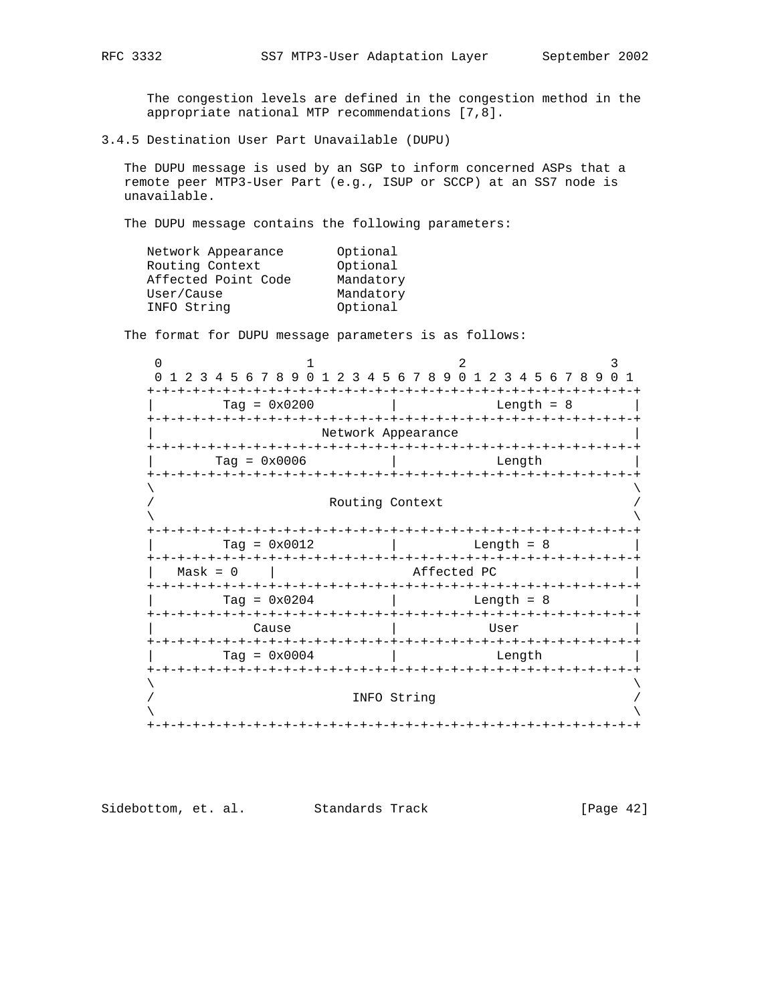The congestion levels are defined in the congestion method in the appropriate national MTP recommendations [7,8].

3.4.5 Destination User Part Unavailable (DUPU)

 The DUPU message is used by an SGP to inform concerned ASPs that a remote peer MTP3-User Part (e.g., ISUP or SCCP) at an SS7 node is unavailable.

The DUPU message contains the following parameters:

| Network Appearance  | Optional  |
|---------------------|-----------|
| Routing Context     | Optional  |
| Affected Point Code | Mandatory |
| User/Cause          | Mandatory |
| INFO String         | Optional  |
|                     |           |

The format for DUPU message parameters is as follows:

| 2 3 4 5 6 7 8 9 0 1 2 3 4 5 6 7 8 9 0 1 2 3 4 5 6 7 8 9 0 1 |  |                    |  |                                                  |  |  |  |  |  |  |              |  |  |  |  |  |  |
|-------------------------------------------------------------|--|--------------------|--|--------------------------------------------------|--|--|--|--|--|--|--------------|--|--|--|--|--|--|
| Tag = $0 \times 0200$                                       |  |                    |  |                                                  |  |  |  |  |  |  | Length = $8$ |  |  |  |  |  |  |
|                                                             |  | Network Appearance |  |                                                  |  |  |  |  |  |  |              |  |  |  |  |  |  |
| $Taq = 0x0006$                                              |  |                    |  | Length                                           |  |  |  |  |  |  |              |  |  |  |  |  |  |
|                                                             |  |                    |  |                                                  |  |  |  |  |  |  |              |  |  |  |  |  |  |
| Routing Context<br>-+-+-+-+-+-+-+<br>-+-+-+-+-+             |  |                    |  |                                                  |  |  |  |  |  |  |              |  |  |  |  |  |  |
| $Tag = 0x0012$<br>-+-+-+-+-+-+-+-+-+-+-+-+-                 |  |                    |  | Length = $8$                                     |  |  |  |  |  |  |              |  |  |  |  |  |  |
| $Mask = 0$                                                  |  |                    |  | -+-+-+-+-+-+-+-+-+-+-+-+-+-+-+-+-<br>Affected PC |  |  |  |  |  |  |              |  |  |  |  |  |  |
| Tag = $0 \times 0204$                                       |  |                    |  | -+-+-+-+-+-+-+-+-+-+-+<br>Length $= 8$           |  |  |  |  |  |  |              |  |  |  |  |  |  |
| Cause                                                       |  | User               |  |                                                  |  |  |  |  |  |  |              |  |  |  |  |  |  |
| $Tag = 0x0004$                                              |  | Length             |  |                                                  |  |  |  |  |  |  |              |  |  |  |  |  |  |
|                                                             |  |                    |  |                                                  |  |  |  |  |  |  |              |  |  |  |  |  |  |
|                                                             |  | INFO String        |  |                                                  |  |  |  |  |  |  |              |  |  |  |  |  |  |

Sidebottom, et. al. Standards Track [Page 42]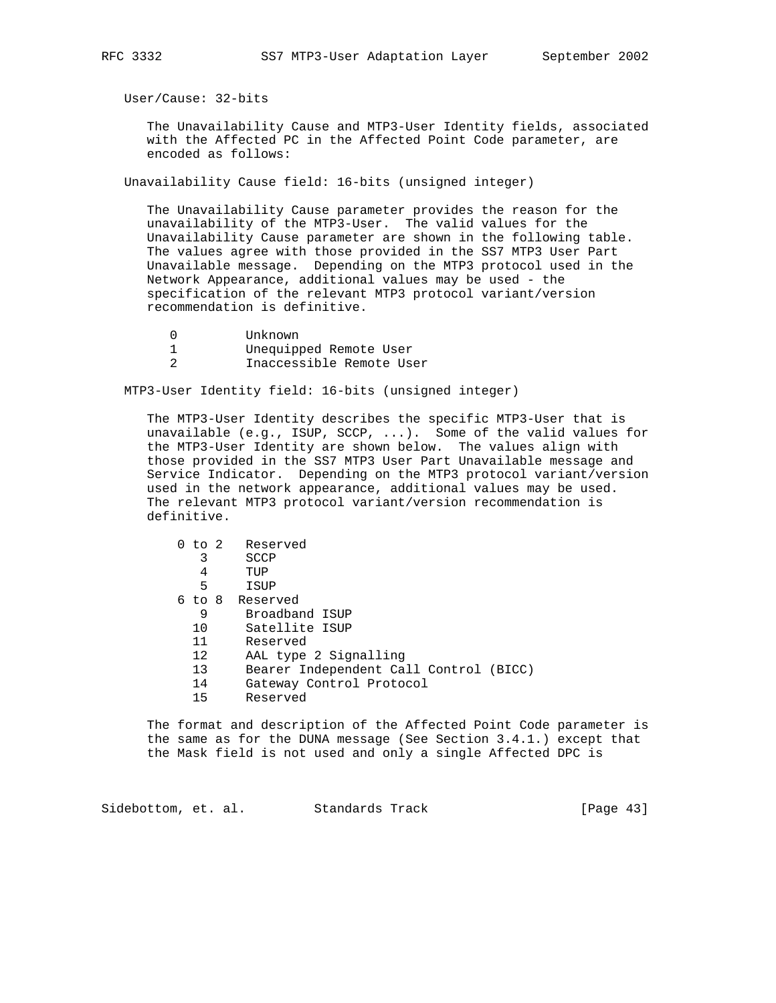User/Cause: 32-bits

 The Unavailability Cause and MTP3-User Identity fields, associated with the Affected PC in the Affected Point Code parameter, are encoded as follows:

Unavailability Cause field: 16-bits (unsigned integer)

 The Unavailability Cause parameter provides the reason for the unavailability of the MTP3-User. The valid values for the Unavailability Cause parameter are shown in the following table. The values agree with those provided in the SS7 MTP3 User Part Unavailable message. Depending on the MTP3 protocol used in the Network Appearance, additional values may be used - the specification of the relevant MTP3 protocol variant/version recommendation is definitive.

- 0 Unknown<br>1 Unequipp Unequipped Remote User
- 2 Inaccessible Remote User

MTP3-User Identity field: 16-bits (unsigned integer)

 The MTP3-User Identity describes the specific MTP3-User that is unavailable (e.g., ISUP, SCCP, ...). Some of the valid values for the MTP3-User Identity are shown below. The values align with those provided in the SS7 MTP3 User Part Unavailable message and Service Indicator. Depending on the MTP3 protocol variant/version used in the network appearance, additional values may be used. The relevant MTP3 protocol variant/version recommendation is definitive.

|  |    | 0 to 2 Reserved                        |
|--|----|----------------------------------------|
|  | 3  | SCCP                                   |
|  | 4  | TUP                                    |
|  | 5  | ISUP                                   |
|  |    | 6 to 8 Reserved                        |
|  | 9  | Broadband ISUP                         |
|  | 10 | Satellite ISUP                         |
|  | 11 | Reserved                               |
|  | 12 | AAL type 2 Signalling                  |
|  | 13 | Bearer Independent Call Control (BICC) |
|  | 14 | Gateway Control Protocol               |
|  | 15 | Reserved                               |
|  |    |                                        |

 The format and description of the Affected Point Code parameter is the same as for the DUNA message (See Section 3.4.1.) except that the Mask field is not used and only a single Affected DPC is

Sidebottom, et. al. Standards Track [Page 43]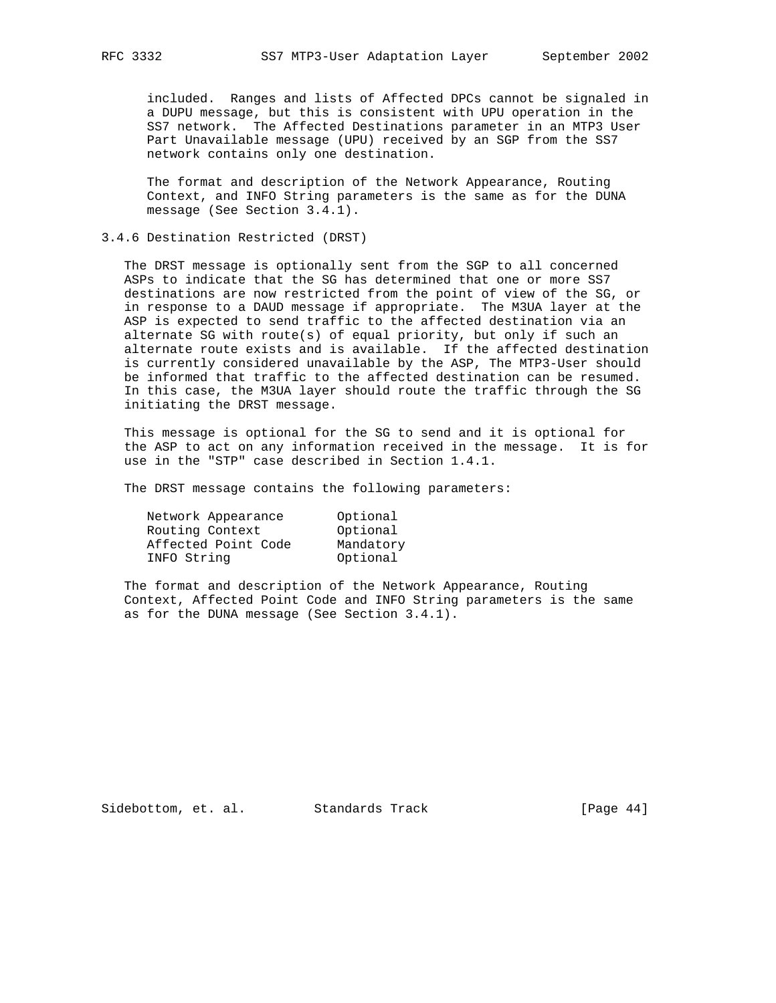included. Ranges and lists of Affected DPCs cannot be signaled in a DUPU message, but this is consistent with UPU operation in the SS7 network. The Affected Destinations parameter in an MTP3 User Part Unavailable message (UPU) received by an SGP from the SS7 network contains only one destination.

 The format and description of the Network Appearance, Routing Context, and INFO String parameters is the same as for the DUNA message (See Section 3.4.1).

# 3.4.6 Destination Restricted (DRST)

 The DRST message is optionally sent from the SGP to all concerned ASPs to indicate that the SG has determined that one or more SS7 destinations are now restricted from the point of view of the SG, or in response to a DAUD message if appropriate. The M3UA layer at the ASP is expected to send traffic to the affected destination via an alternate SG with route(s) of equal priority, but only if such an alternate route exists and is available. If the affected destination is currently considered unavailable by the ASP, The MTP3-User should be informed that traffic to the affected destination can be resumed. In this case, the M3UA layer should route the traffic through the SG initiating the DRST message.

 This message is optional for the SG to send and it is optional for the ASP to act on any information received in the message. It is for use in the "STP" case described in Section 1.4.1.

The DRST message contains the following parameters:

| Network Appearance  | Optional  |
|---------------------|-----------|
| Routing Context     | Optional  |
| Affected Point Code | Mandatory |
| INFO String         | Optional  |

 The format and description of the Network Appearance, Routing Context, Affected Point Code and INFO String parameters is the same as for the DUNA message (See Section 3.4.1).

Sidebottom, et. al. Standards Track [Page 44]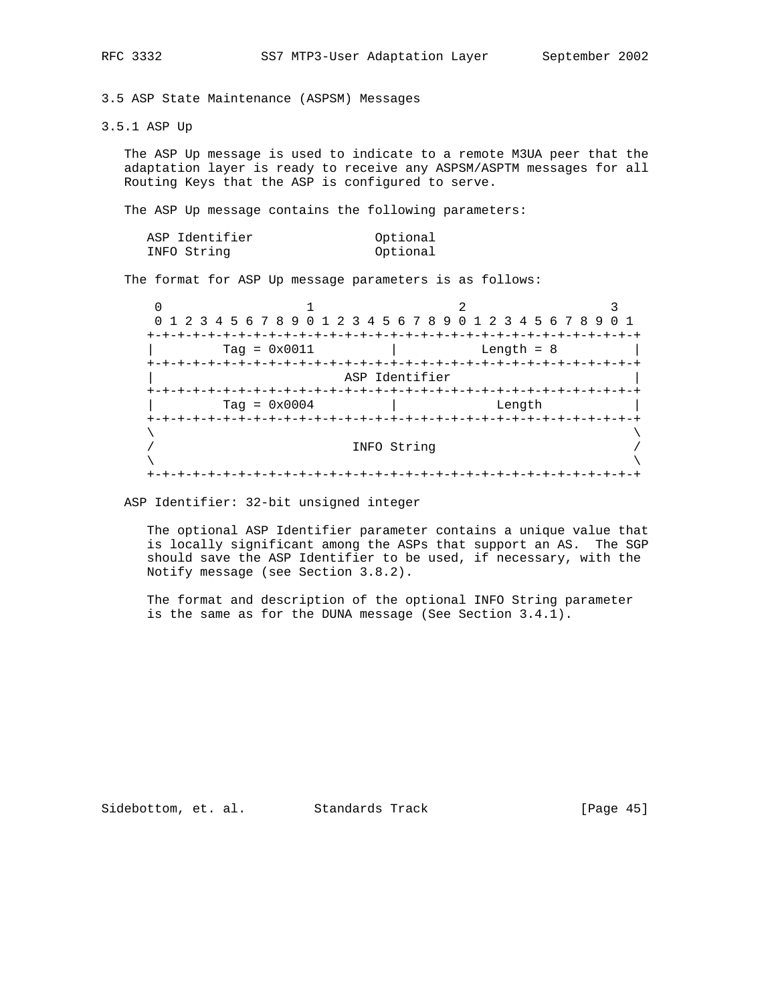3.5 ASP State Maintenance (ASPSM) Messages

3.5.1 ASP Up

 The ASP Up message is used to indicate to a remote M3UA peer that the adaptation layer is ready to receive any ASPSM/ASPTM messages for all Routing Keys that the ASP is configured to serve.

The ASP Up message contains the following parameters:

| ASP Identifier | Optional |
|----------------|----------|
| INFO String    | Optional |

The format for ASP Up message parameters is as follows:

 $0$  1 2 3 0 1 2 3 4 5 6 7 8 9 0 1 2 3 4 5 6 7 8 9 0 1 2 3 4 5 6 7 8 9 0 1 +-+-+-+-+-+-+-+-+-+-+-+-+-+-+-+-+-+-+-+-+-+-+-+-+-+-+-+-+-+-+-+-+ | Tag = 0x0011 | Length = 8 | +-+-+-+-+-+-+-+-+-+-+-+-+-+-+-+-+-+-+-+-+-+-+-+-+-+-+-+-+-+-+-+-+ ASP Identifier +-+-+-+-+-+-+-+-+-+-+-+-+-+-+-+-+-+-+-+-+-+-+-+-+-+-+-+-+-+-+-+-+ | Tag = 0x0004 | Length | +-+-+-+-+-+-+-+-+-+-+-+-+-+-+-+-+-+-+-+-+-+-+-+-+-+-+-+-+-+-+-+-+  $\lambda$  and  $\lambda$  and  $\lambda$  and  $\lambda$  and  $\lambda$  and  $\lambda$  and  $\lambda$  and  $\lambda$  and  $\lambda$  and  $\lambda$  and  $\lambda$  and  $\lambda$  and  $\lambda$  and  $\lambda$  and  $\lambda$  and  $\lambda$  and  $\lambda$  and  $\lambda$  and  $\lambda$  and  $\lambda$  and  $\lambda$  and  $\lambda$  and  $\lambda$  and  $\lambda$  and  $\lambda$  / INFO String /  $\lambda$  and  $\lambda$  and  $\lambda$  and  $\lambda$  and  $\lambda$  and  $\lambda$  and  $\lambda$  and  $\lambda$  and  $\lambda$  and  $\lambda$  and  $\lambda$  and  $\lambda$  and  $\lambda$  and  $\lambda$  and  $\lambda$  and  $\lambda$  and  $\lambda$  and  $\lambda$  and  $\lambda$  and  $\lambda$  and  $\lambda$  and  $\lambda$  and  $\lambda$  and  $\lambda$  and  $\lambda$  +-+-+-+-+-+-+-+-+-+-+-+-+-+-+-+-+-+-+-+-+-+-+-+-+-+-+-+-+-+-+-+-+

ASP Identifier: 32-bit unsigned integer

 The optional ASP Identifier parameter contains a unique value that is locally significant among the ASPs that support an AS. The SGP should save the ASP Identifier to be used, if necessary, with the Notify message (see Section 3.8.2).

 The format and description of the optional INFO String parameter is the same as for the DUNA message (See Section 3.4.1).

Sidebottom, et. al. Standards Track [Page 45]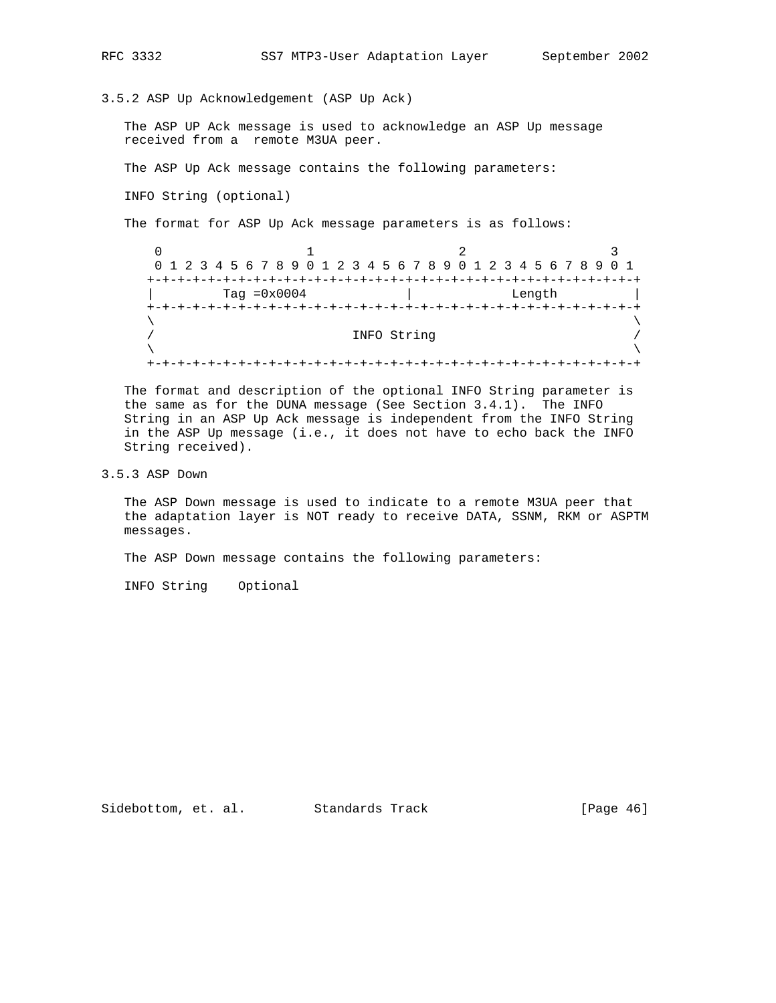3.5.2 ASP Up Acknowledgement (ASP Up Ack)

 The ASP UP Ack message is used to acknowledge an ASP Up message received from a remote M3UA peer.

The ASP Up Ack message contains the following parameters:

INFO String (optional)

The format for ASP Up Ack message parameters is as follows:

|         | 0 1 2 3 4 5 6 7 8 9 0 1 2 3 4 5 6 7 8 9 0 1 2 3 4 5 6 7 8 9 0 1 |                                       |        |  |  |  |  |  |  |  |  |  |  |  |
|---------|-----------------------------------------------------------------|---------------------------------------|--------|--|--|--|--|--|--|--|--|--|--|--|
|         |                                                                 |                                       |        |  |  |  |  |  |  |  |  |  |  |  |
|         | Tag $=0x0004$                                                   |                                       | Length |  |  |  |  |  |  |  |  |  |  |  |
| $+ - +$ |                                                                 | . - + - + - + - + - + - + - + - + - + |        |  |  |  |  |  |  |  |  |  |  |  |
|         |                                                                 |                                       |        |  |  |  |  |  |  |  |  |  |  |  |
|         |                                                                 | INFO String                           |        |  |  |  |  |  |  |  |  |  |  |  |
|         |                                                                 |                                       |        |  |  |  |  |  |  |  |  |  |  |  |
|         |                                                                 |                                       |        |  |  |  |  |  |  |  |  |  |  |  |

 The format and description of the optional INFO String parameter is the same as for the DUNA message (See Section 3.4.1). The INFO String in an ASP Up Ack message is independent from the INFO String in the ASP Up message (i.e., it does not have to echo back the INFO String received).

3.5.3 ASP Down

 The ASP Down message is used to indicate to a remote M3UA peer that the adaptation layer is NOT ready to receive DATA, SSNM, RKM or ASPTM messages.

The ASP Down message contains the following parameters:

INFO String Optional

Sidebottom, et. al. Standards Track [Page 46]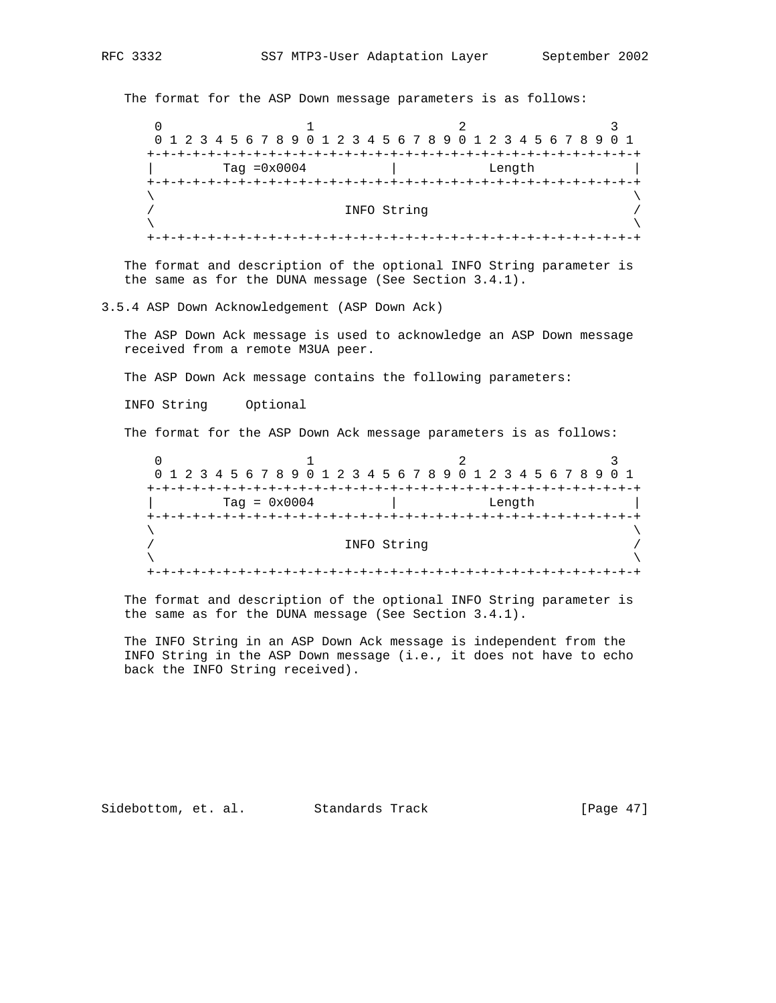The format for the ASP Down message parameters is as follows:

0  $1$  2 3 0 1 2 3 4 5 6 7 8 9 0 1 2 3 4 5 6 7 8 9 0 1 2 3 4 5 6 7 8 9 0 1 +-+-+-+-+-+-+-+-+-+-+-+-+-+-+-+-+-+-+-+-+-+-+-+-+-+-+-+-+-+-+-+-+ | Tag =0x0004 | Length | +-+-+-+-+-+-+-+-+-+-+-+-+-+-+-+-+-+-+-+-+-+-+-+-+-+-+-+-+-+-+-+-+  $\lambda$  and  $\lambda$  and  $\lambda$  and  $\lambda$  and  $\lambda$  and  $\lambda$  and  $\lambda$  and  $\lambda$  and  $\lambda$  and  $\lambda$  and  $\lambda$  and  $\lambda$  and  $\lambda$  and  $\lambda$  and  $\lambda$  and  $\lambda$  and  $\lambda$  and  $\lambda$  and  $\lambda$  and  $\lambda$  and  $\lambda$  and  $\lambda$  and  $\lambda$  and  $\lambda$  and  $\lambda$  INFO String  $\lambda$  and  $\lambda$  and  $\lambda$  and  $\lambda$  and  $\lambda$  and  $\lambda$  and  $\lambda$  and  $\lambda$  and  $\lambda$  and  $\lambda$  and  $\lambda$  and  $\lambda$  and  $\lambda$  and  $\lambda$  and  $\lambda$  and  $\lambda$  and  $\lambda$  and  $\lambda$  and  $\lambda$  and  $\lambda$  and  $\lambda$  and  $\lambda$  and  $\lambda$  and  $\lambda$  and  $\lambda$  +-+-+-+-+-+-+-+-+-+-+-+-+-+-+-+-+-+-+-+-+-+-+-+-+-+-+-+-+-+-+-+-+

 The format and description of the optional INFO String parameter is the same as for the DUNA message (See Section 3.4.1).

3.5.4 ASP Down Acknowledgement (ASP Down Ack)

 The ASP Down Ack message is used to acknowledge an ASP Down message received from a remote M3UA peer.

The ASP Down Ack message contains the following parameters:

INFO String Optional

The format for the ASP Down Ack message parameters is as follows:

0  $1$  2 3 0 1 2 3 4 5 6 7 8 9 0 1 2 3 4 5 6 7 8 9 0 1 2 3 4 5 6 7 8 9 0 1 +-+-+-+-+-+-+-+-+-+-+-+-+-+-+-+-+-+-+-+-+-+-+-+-+-+-+-+-+-+-+-+-+ | Tag = 0x0004 | Length | +-+-+-+-+-+-+-+-+-+-+-+-+-+-+-+-+-+-+-+-+-+-+-+-+-+-+-+-+-+-+-+-+  $\lambda$  and  $\lambda$  and  $\lambda$  and  $\lambda$  and  $\lambda$  and  $\lambda$  and  $\lambda$  and  $\lambda$  and  $\lambda$  and  $\lambda$  and  $\lambda$  and  $\lambda$  and  $\lambda$  and  $\lambda$  and  $\lambda$  and  $\lambda$  and  $\lambda$  and  $\lambda$  and  $\lambda$  and  $\lambda$  and  $\lambda$  and  $\lambda$  and  $\lambda$  and  $\lambda$  and  $\lambda$  / INFO String /  $\lambda$  and  $\lambda$  and  $\lambda$  and  $\lambda$  and  $\lambda$  and  $\lambda$  and  $\lambda$  and  $\lambda$  and  $\lambda$  and  $\lambda$  and  $\lambda$  and  $\lambda$  and  $\lambda$  and  $\lambda$  and  $\lambda$  and  $\lambda$  and  $\lambda$  and  $\lambda$  and  $\lambda$  and  $\lambda$  and  $\lambda$  and  $\lambda$  and  $\lambda$  and  $\lambda$  and  $\lambda$  +-+-+-+-+-+-+-+-+-+-+-+-+-+-+-+-+-+-+-+-+-+-+-+-+-+-+-+-+-+-+-+-+

 The format and description of the optional INFO String parameter is the same as for the DUNA message (See Section 3.4.1).

 The INFO String in an ASP Down Ack message is independent from the INFO String in the ASP Down message (i.e., it does not have to echo back the INFO String received).

Sidebottom, et. al. Standards Track [Page 47]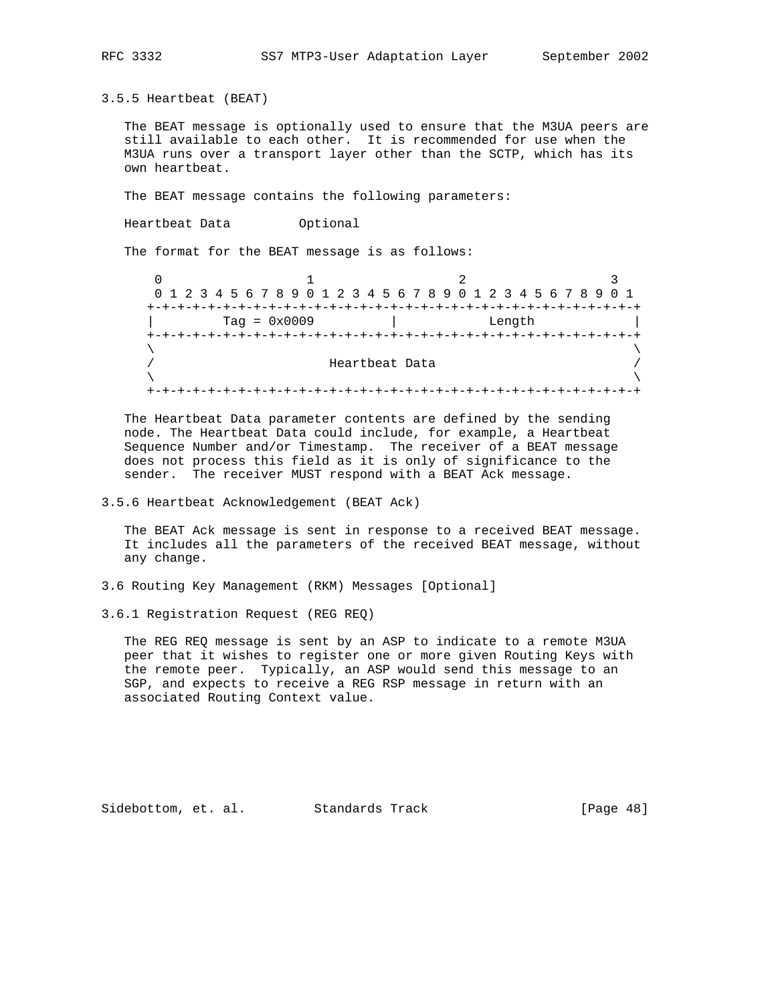3.5.5 Heartbeat (BEAT)

 The BEAT message is optionally used to ensure that the M3UA peers are still available to each other. It is recommended for use when the M3UA runs over a transport layer other than the SCTP, which has its own heartbeat.

The BEAT message contains the following parameters:

Heartbeat Data Optional

The format for the BEAT message is as follows:

 $0$  1 2 3 0 1 2 3 4 5 6 7 8 9 0 1 2 3 4 5 6 7 8 9 0 1 2 3 4 5 6 7 8 9 0 1 +-+-+-+-+-+-+-+-+-+-+-+-+-+-+-+-+-+-+-+-+-+-+-+-+-+-+-+-+-+-+-+-+ | Tag = 0x0009 | Length | +-+-+-+-+-+-+-+-+-+-+-+-+-+-+-+-+-+-+-+-+-+-+-+-+-+-+-+-+-+-+-+-+  $\lambda$  and  $\lambda$  and  $\lambda$  and  $\lambda$  and  $\lambda$  and  $\lambda$  and  $\lambda$  and  $\lambda$  and  $\lambda$  and  $\lambda$  and  $\lambda$  and  $\lambda$  and  $\lambda$  and  $\lambda$  and  $\lambda$  and  $\lambda$  and  $\lambda$  and  $\lambda$  and  $\lambda$  and  $\lambda$  and  $\lambda$  and  $\lambda$  and  $\lambda$  and  $\lambda$  and  $\lambda$  Heartbeat Data  $\lambda$  and  $\lambda$  and  $\lambda$  and  $\lambda$  and  $\lambda$  and  $\lambda$  and  $\lambda$  and  $\lambda$  and  $\lambda$  and  $\lambda$  and  $\lambda$  and  $\lambda$  and  $\lambda$  and  $\lambda$  and  $\lambda$  and  $\lambda$  and  $\lambda$  and  $\lambda$  and  $\lambda$  and  $\lambda$  and  $\lambda$  and  $\lambda$  and  $\lambda$  and  $\lambda$  and  $\lambda$  +-+-+-+-+-+-+-+-+-+-+-+-+-+-+-+-+-+-+-+-+-+-+-+-+-+-+-+-+-+-+-+-+

 The Heartbeat Data parameter contents are defined by the sending node. The Heartbeat Data could include, for example, a Heartbeat Sequence Number and/or Timestamp. The receiver of a BEAT message does not process this field as it is only of significance to the sender. The receiver MUST respond with a BEAT Ack message.

3.5.6 Heartbeat Acknowledgement (BEAT Ack)

 The BEAT Ack message is sent in response to a received BEAT message. It includes all the parameters of the received BEAT message, without any change.

3.6 Routing Key Management (RKM) Messages [Optional]

3.6.1 Registration Request (REG REQ)

 The REG REQ message is sent by an ASP to indicate to a remote M3UA peer that it wishes to register one or more given Routing Keys with the remote peer. Typically, an ASP would send this message to an SGP, and expects to receive a REG RSP message in return with an associated Routing Context value.

Sidebottom, et. al. Standards Track [Page 48]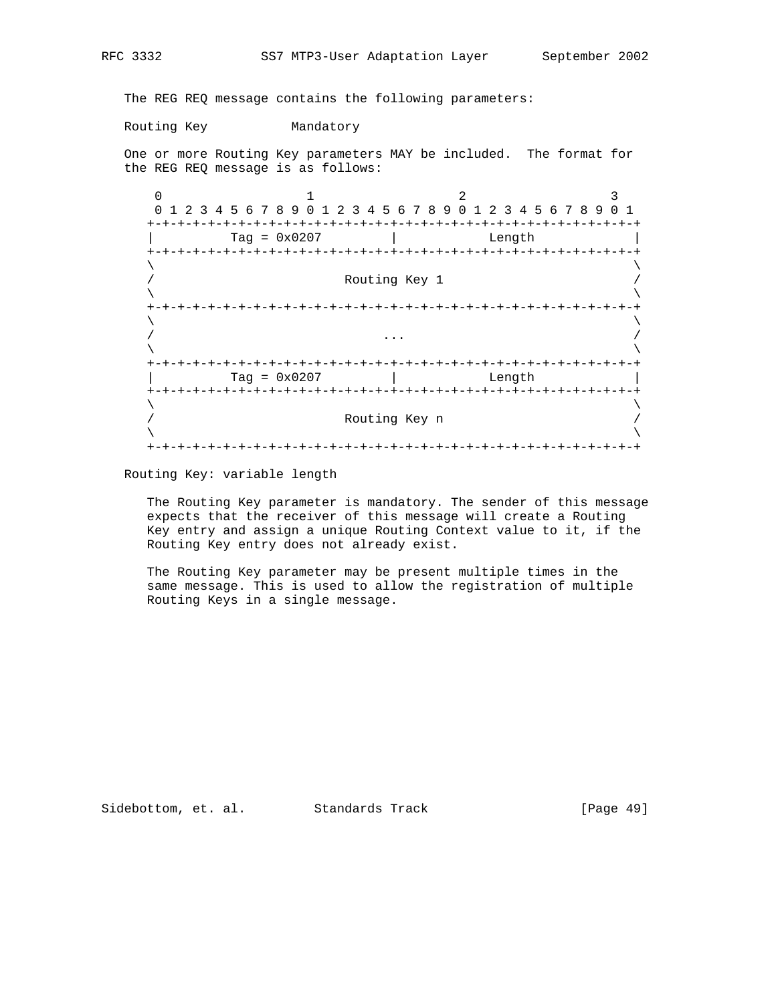The REG REQ message contains the following parameters:

Routing Key Mandatory

 One or more Routing Key parameters MAY be included. The format for the REG REQ message is as follows:

 $0$  1 2 3 0 1 2 3 4 5 6 7 8 9 0 1 2 3 4 5 6 7 8 9 0 1 2 3 4 5 6 7 8 9 0 1 +-+-+-+-+-+-+-+-+-+-+-+-+-+-+-+-+-+-+-+-+-+-+-+-+-+-+-+-+-+-+-+-+ | Tag = 0x0207 | Length | +-+-+-+-+-+-+-+-+-+-+-+-+-+-+-+-+-+-+-+-+-+-+-+-+-+-+-+-+-+-+-+-+  $\lambda$  and  $\lambda$  and  $\lambda$  and  $\lambda$  and  $\lambda$  and  $\lambda$  and  $\lambda$  and  $\lambda$  and  $\lambda$  and  $\lambda$  and  $\lambda$  and  $\lambda$  and  $\lambda$  and  $\lambda$  and  $\lambda$  and  $\lambda$  and  $\lambda$  and  $\lambda$  and  $\lambda$  and  $\lambda$  and  $\lambda$  and  $\lambda$  and  $\lambda$  and  $\lambda$  and  $\lambda$  Routing Key 1  $\lambda$  and  $\lambda$  and  $\lambda$  and  $\lambda$  and  $\lambda$  and  $\lambda$  and  $\lambda$  and  $\lambda$  and  $\lambda$  and  $\lambda$  and  $\lambda$  and  $\lambda$  and  $\lambda$  and  $\lambda$  and  $\lambda$  and  $\lambda$  and  $\lambda$  and  $\lambda$  and  $\lambda$  and  $\lambda$  and  $\lambda$  and  $\lambda$  and  $\lambda$  and  $\lambda$  and  $\lambda$  +-+-+-+-+-+-+-+-+-+-+-+-+-+-+-+-+-+-+-+-+-+-+-+-+-+-+-+-+-+-+-+-+  $\lambda$  and  $\lambda$  and  $\lambda$  and  $\lambda$  and  $\lambda$  and  $\lambda$  and  $\lambda$  and  $\lambda$  and  $\lambda$  and  $\lambda$  and  $\lambda$  and  $\lambda$  and  $\lambda$  and  $\lambda$  and  $\lambda$  and  $\lambda$  and  $\lambda$  and  $\lambda$  and  $\lambda$  and  $\lambda$  and  $\lambda$  and  $\lambda$  and  $\lambda$  and  $\lambda$  and  $\lambda$  / ... /  $\lambda$  and  $\lambda$  and  $\lambda$  and  $\lambda$  and  $\lambda$  and  $\lambda$  and  $\lambda$  and  $\lambda$  and  $\lambda$  and  $\lambda$  and  $\lambda$  and  $\lambda$  and  $\lambda$  and  $\lambda$  and  $\lambda$  and  $\lambda$  and  $\lambda$  and  $\lambda$  and  $\lambda$  and  $\lambda$  and  $\lambda$  and  $\lambda$  and  $\lambda$  and  $\lambda$  and  $\lambda$  +-+-+-+-+-+-+-+-+-+-+-+-+-+-+-+-+-+-+-+-+-+-+-+-+-+-+-+-+-+-+-+-+ | Tag = 0x0207 | Length | +-+-+-+-+-+-+-+-+-+-+-+-+-+-+-+-+-+-+-+-+-+-+-+-+-+-+-+-+-+-+-+-+  $\lambda$  and  $\lambda$  and  $\lambda$  and  $\lambda$  and  $\lambda$  and  $\lambda$  and  $\lambda$  and  $\lambda$  and  $\lambda$  and  $\lambda$  and  $\lambda$  and  $\lambda$  and  $\lambda$  and  $\lambda$  and  $\lambda$  and  $\lambda$  and  $\lambda$  and  $\lambda$  and  $\lambda$  and  $\lambda$  and  $\lambda$  and  $\lambda$  and  $\lambda$  and  $\lambda$  and  $\lambda$  Routing Key n / /  $\lambda$  and  $\lambda$  and  $\lambda$  and  $\lambda$  and  $\lambda$  and  $\lambda$  and  $\lambda$  and  $\lambda$  and  $\lambda$  and  $\lambda$  and  $\lambda$  and  $\lambda$  and  $\lambda$  and  $\lambda$  and  $\lambda$  and  $\lambda$  and  $\lambda$  and  $\lambda$  and  $\lambda$  and  $\lambda$  and  $\lambda$  and  $\lambda$  and  $\lambda$  and  $\lambda$  and  $\lambda$  +-+-+-+-+-+-+-+-+-+-+-+-+-+-+-+-+-+-+-+-+-+-+-+-+-+-+-+-+-+-+-+-+

Routing Key: variable length

 The Routing Key parameter is mandatory. The sender of this message expects that the receiver of this message will create a Routing Key entry and assign a unique Routing Context value to it, if the Routing Key entry does not already exist.

 The Routing Key parameter may be present multiple times in the same message. This is used to allow the registration of multiple Routing Keys in a single message.

Sidebottom, et. al. Standards Track [Page 49]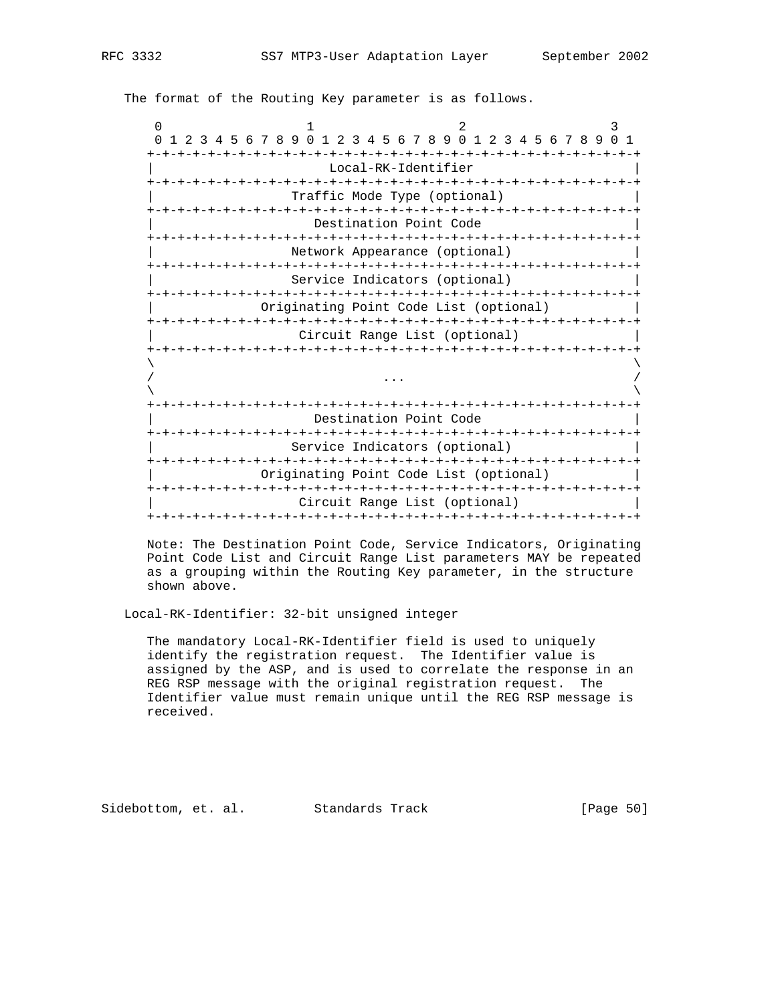The format of the Routing Key parameter is as follows.

| $\Omega$                     |                                                       |  |                                        |  |  |  |  |  |  |  | $\overline{2}$                |  |                  |               |  |  | 3 |    |
|------------------------------|-------------------------------------------------------|--|----------------------------------------|--|--|--|--|--|--|--|-------------------------------|--|------------------|---------------|--|--|---|----|
| $\Omega$                     | 3 4 5 6 7 8 9 0 1 2 3 4 5 6 7 8 9 0 1 2 3 4 5 6 7 8 9 |  |                                        |  |  |  |  |  |  |  |                               |  |                  |               |  |  |   | -1 |
|                              |                                                       |  |                                        |  |  |  |  |  |  |  | Local-RK-Identifier           |  |                  |               |  |  |   |    |
|                              |                                                       |  |                                        |  |  |  |  |  |  |  |                               |  |                  |               |  |  |   |    |
| Traffic Mode Type (optional) |                                                       |  |                                        |  |  |  |  |  |  |  |                               |  |                  |               |  |  |   |    |
| Destination Point Code       |                                                       |  |                                        |  |  |  |  |  |  |  |                               |  |                  |               |  |  |   |    |
|                              |                                                       |  |                                        |  |  |  |  |  |  |  |                               |  |                  |               |  |  |   |    |
|                              |                                                       |  |                                        |  |  |  |  |  |  |  | Network Appearance (optional) |  |                  |               |  |  |   |    |
|                              |                                                       |  |                                        |  |  |  |  |  |  |  | Service Indicators (optional) |  |                  |               |  |  |   |    |
|                              |                                                       |  | Originating Point Code List (optional) |  |  |  |  |  |  |  |                               |  |                  |               |  |  |   |    |
|                              |                                                       |  |                                        |  |  |  |  |  |  |  |                               |  |                  |               |  |  |   |    |
|                              |                                                       |  |                                        |  |  |  |  |  |  |  | Circuit Range List (optional) |  |                  |               |  |  |   |    |
|                              |                                                       |  |                                        |  |  |  |  |  |  |  | -+-+-+-+-+-+-+-+-+-+-+-+-+-+- |  |                  | -+-+-+-+-+-+· |  |  |   |    |
|                              |                                                       |  |                                        |  |  |  |  |  |  |  |                               |  |                  |               |  |  |   |    |
|                              |                                                       |  |                                        |  |  |  |  |  |  |  |                               |  |                  |               |  |  |   |    |
|                              |                                                       |  |                                        |  |  |  |  |  |  |  |                               |  | -+-+-+-+-+-+-+-+ |               |  |  |   |    |
|                              |                                                       |  |                                        |  |  |  |  |  |  |  | Destination Point Code        |  |                  |               |  |  |   |    |
|                              |                                                       |  |                                        |  |  |  |  |  |  |  | Service Indicators (optional) |  |                  |               |  |  |   |    |
|                              |                                                       |  |                                        |  |  |  |  |  |  |  |                               |  |                  |               |  |  |   |    |
|                              |                                                       |  | Originating Point Code List (optional) |  |  |  |  |  |  |  |                               |  |                  |               |  |  |   |    |
|                              |                                                       |  |                                        |  |  |  |  |  |  |  | Circuit Range List (optional) |  |                  |               |  |  |   |    |
|                              |                                                       |  |                                        |  |  |  |  |  |  |  |                               |  |                  |               |  |  |   |    |

 Note: The Destination Point Code, Service Indicators, Originating Point Code List and Circuit Range List parameters MAY be repeated as a grouping within the Routing Key parameter, in the structure shown above.

Local-RK-Identifier: 32-bit unsigned integer

 The mandatory Local-RK-Identifier field is used to uniquely identify the registration request. The Identifier value is assigned by the ASP, and is used to correlate the response in an REG RSP message with the original registration request. The Identifier value must remain unique until the REG RSP message is received.

Sidebottom, et. al. Standards Track [Page 50]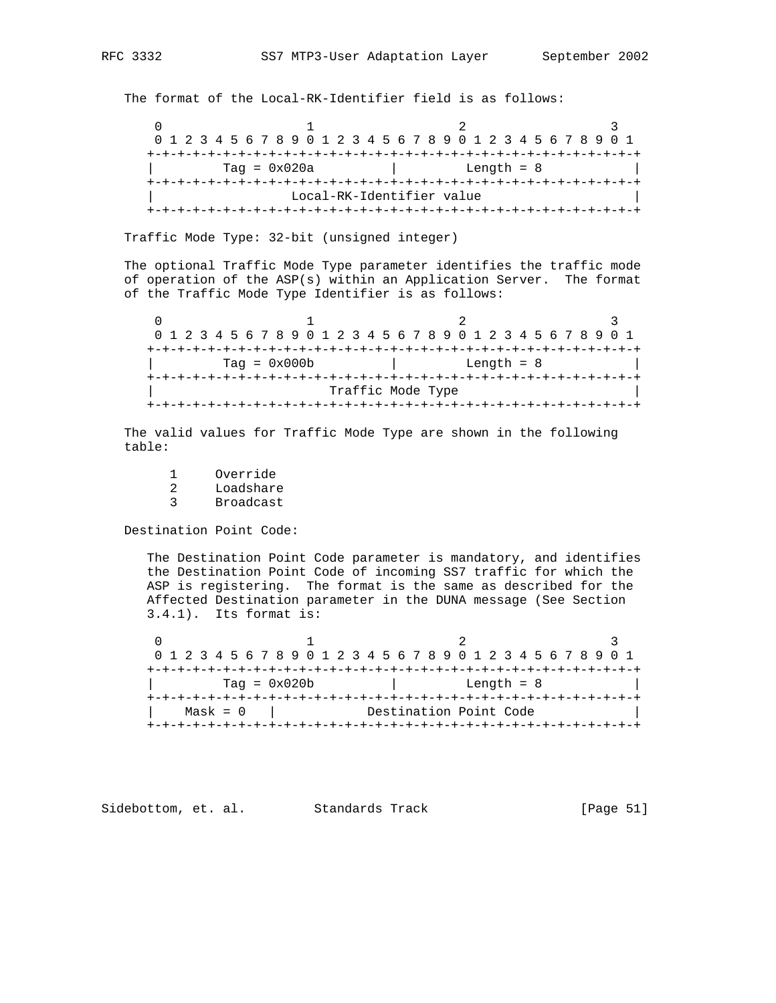The format of the Local-RK-Identifier field is as follows:

0  $1$  2 3 0 1 2 3 4 5 6 7 8 9 0 1 2 3 4 5 6 7 8 9 0 1 2 3 4 5 6 7 8 9 0 1 +-+-+-+-+-+-+-+-+-+-+-+-+-+-+-+-+-+-+-+-+-+-+-+-+-+-+-+-+-+-+-+-+  $\text{Tag} = 0 \times 020a$  | Length = 8 +-+-+-+-+-+-+-+-+-+-+-+-+-+-+-+-+-+-+-+-+-+-+-+-+-+-+-+-+-+-+-+-+ Local-RK-Identifier value +-+-+-+-+-+-+-+-+-+-+-+-+-+-+-+-+-+-+-+-+-+-+-+-+-+-+-+-+-+-+-+-+

Traffic Mode Type: 32-bit (unsigned integer)

 The optional Traffic Mode Type parameter identifies the traffic mode of operation of the ASP(s) within an Application Server. The format of the Traffic Mode Type Identifier is as follows:

| 0 1 2 3 4 5 6 7 8 9 0 1 2 3 4 5 6 7 8 9 0 1 2 3 4 5 6 7 8 9 0 1 |                |  |  |  |  |  |              |                   |  |  |  |  |  |  |  |  |  |  |  |  |  |  |  |
|-----------------------------------------------------------------|----------------|--|--|--|--|--|--------------|-------------------|--|--|--|--|--|--|--|--|--|--|--|--|--|--|--|
|                                                                 |                |  |  |  |  |  |              |                   |  |  |  |  |  |  |  |  |  |  |  |  |  |  |  |
|                                                                 | $Taq = 0x000b$ |  |  |  |  |  | Length $= 8$ |                   |  |  |  |  |  |  |  |  |  |  |  |  |  |  |  |
|                                                                 |                |  |  |  |  |  |              |                   |  |  |  |  |  |  |  |  |  |  |  |  |  |  |  |
|                                                                 |                |  |  |  |  |  |              | Traffic Mode Type |  |  |  |  |  |  |  |  |  |  |  |  |  |  |  |
|                                                                 |                |  |  |  |  |  |              |                   |  |  |  |  |  |  |  |  |  |  |  |  |  |  |  |

 The valid values for Traffic Mode Type are shown in the following table:

1 Override<br>2 Loadshare

- 2 Loadshare
- 3 Broadcast

Destination Point Code:

 The Destination Point Code parameter is mandatory, and identifies the Destination Point Code of incoming SS7 traffic for which the ASP is registering. The format is the same as described for the Affected Destination parameter in the DUNA message (See Section 3.4.1). Its format is:

 $0$  1 2 3 0 1 2 3 4 5 6 7 8 9 0 1 2 3 4 5 6 7 8 9 0 1 2 3 4 5 6 7 8 9 0 1 +-+-+-+-+-+-+-+-+-+-+-+-+-+-+-+-+-+-+-+-+-+-+-+-+-+-+-+-+-+-+-+-+ | Tag = 0x020b | Length = 8 | +-+-+-+-+-+-+-+-+-+-+-+-+-+-+-+-+-+-+-+-+-+-+-+-+-+-+-+-+-+-+-+-+ | Mask = 0 | Destination Point Code | +-+-+-+-+-+-+-+-+-+-+-+-+-+-+-+-+-+-+-+-+-+-+-+-+-+-+-+-+-+-+-+-+

Sidebottom, et. al. Standards Track [Page 51]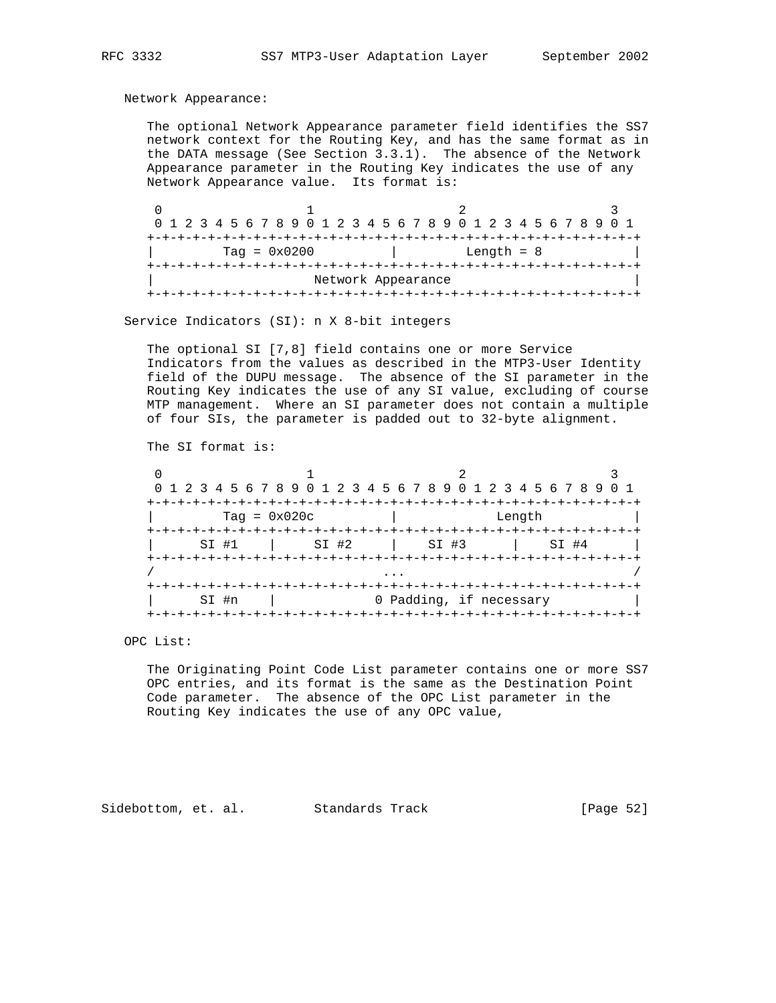Network Appearance:

 The optional Network Appearance parameter field identifies the SS7 network context for the Routing Key, and has the same format as in the DATA message (See Section 3.3.1). The absence of the Network Appearance parameter in the Routing Key indicates the use of any Network Appearance value. Its format is:

|  |                |  |  |  |                    |  |                          |  | 0 1 2 3 4 5 6 7 8 9 0 1 2 3 4 5 6 7 8 9 0 1 2 3 4 5 6 7 8 9 0 1 |  |  |  |  |  |  |  |  |  |  |  |  |  |  |  |  |  |
|--|----------------|--|--|--|--------------------|--|--------------------------|--|-----------------------------------------------------------------|--|--|--|--|--|--|--|--|--|--|--|--|--|--|--|--|--|
|  |                |  |  |  |                    |  |                          |  |                                                                 |  |  |  |  |  |  |  |  |  |  |  |  |  |  |  |  |  |
|  | $Taq = 0x0200$ |  |  |  |                    |  | Length $= 8$             |  |                                                                 |  |  |  |  |  |  |  |  |  |  |  |  |  |  |  |  |  |
|  |                |  |  |  |                    |  | --+-+-+-+-+-+-+-+-+-+-+- |  |                                                                 |  |  |  |  |  |  |  |  |  |  |  |  |  |  |  |  |  |
|  |                |  |  |  | Network Appearance |  |                          |  |                                                                 |  |  |  |  |  |  |  |  |  |  |  |  |  |  |  |  |  |
|  |                |  |  |  |                    |  |                          |  |                                                                 |  |  |  |  |  |  |  |  |  |  |  |  |  |  |  |  |  |

Service Indicators (SI): n X 8-bit integers

 The optional SI [7,8] field contains one or more Service Indicators from the values as described in the MTP3-User Identity field of the DUPU message. The absence of the SI parameter in the Routing Key indicates the use of any SI value, excluding of course MTP management. Where an SI parameter does not contain a multiple of four SIs, the parameter is padded out to 32-byte alignment.

The SI format is:

|         | 0 1 2 3 4 5 6 7 8 9 0 1 2 3 4 5 6 7 8 9 0 1 2 3 4 5 6 7 8 9 |                         |        |
|---------|-------------------------------------------------------------|-------------------------|--------|
|         |                                                             | +-+-+-+-+-+-+-+-+-      |        |
|         | $Taq = 0x020c$                                              |                         | Length |
|         |                                                             |                         |        |
| $SI$ #1 | SI #2                                                       | $\vert$ SI #3           | SI #4  |
|         |                                                             |                         |        |
|         |                                                             |                         |        |
|         |                                                             |                         |        |
| SI #n   |                                                             | 0 Padding, if necessary |        |
|         |                                                             |                         |        |

OPC List:

 The Originating Point Code List parameter contains one or more SS7 OPC entries, and its format is the same as the Destination Point Code parameter. The absence of the OPC List parameter in the Routing Key indicates the use of any OPC value,

Sidebottom, et. al. Standards Track [Page 52]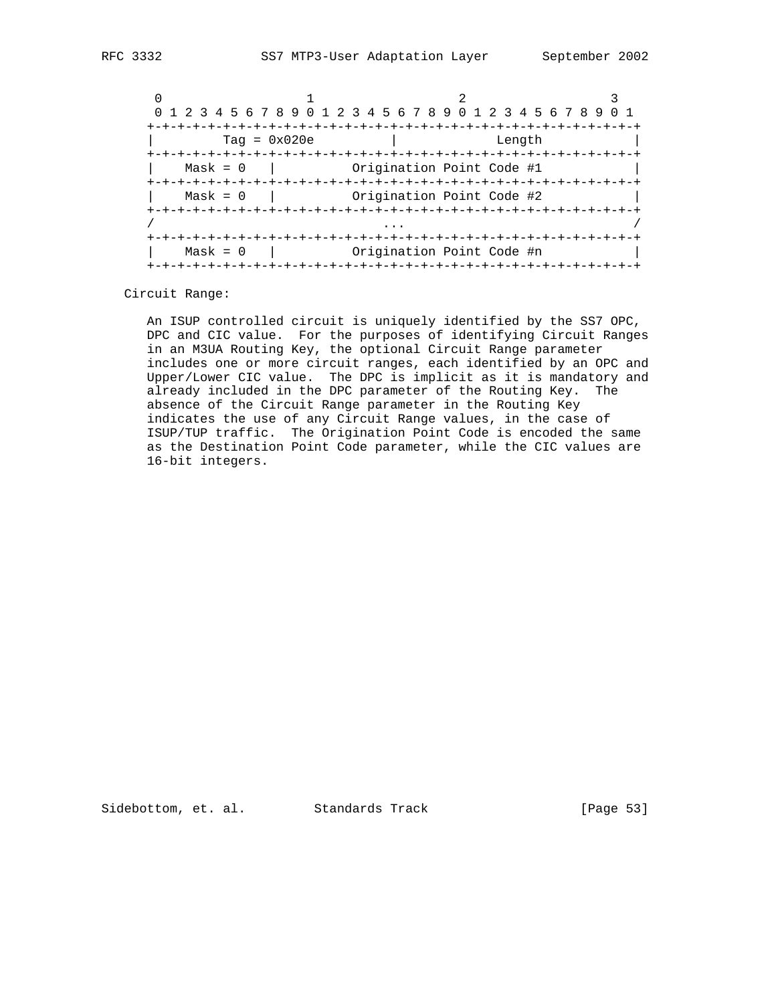|            | 0 1 2 3 4 5 6 7 8 9 0 1 2 3 4 5 6 7 8 9 0 1 2 3 4 5 6 7 8 9 |                           |  |
|------------|-------------------------------------------------------------|---------------------------|--|
|            | $Taq = 0x020e$                                              | Length                    |  |
| $Mask = 0$ |                                                             | Origination Point Code #1 |  |
| $Mask = 0$ |                                                             | Origination Point Code #2 |  |
|            |                                                             |                           |  |
| $Mask = 0$ |                                                             | Origination Point Code #n |  |

Circuit Range:

 An ISUP controlled circuit is uniquely identified by the SS7 OPC, DPC and CIC value. For the purposes of identifying Circuit Ranges in an M3UA Routing Key, the optional Circuit Range parameter includes one or more circuit ranges, each identified by an OPC and Upper/Lower CIC value. The DPC is implicit as it is mandatory and already included in the DPC parameter of the Routing Key. The absence of the Circuit Range parameter in the Routing Key indicates the use of any Circuit Range values, in the case of ISUP/TUP traffic. The Origination Point Code is encoded the same as the Destination Point Code parameter, while the CIC values are 16-bit integers.

Sidebottom, et. al. Standards Track [Page 53]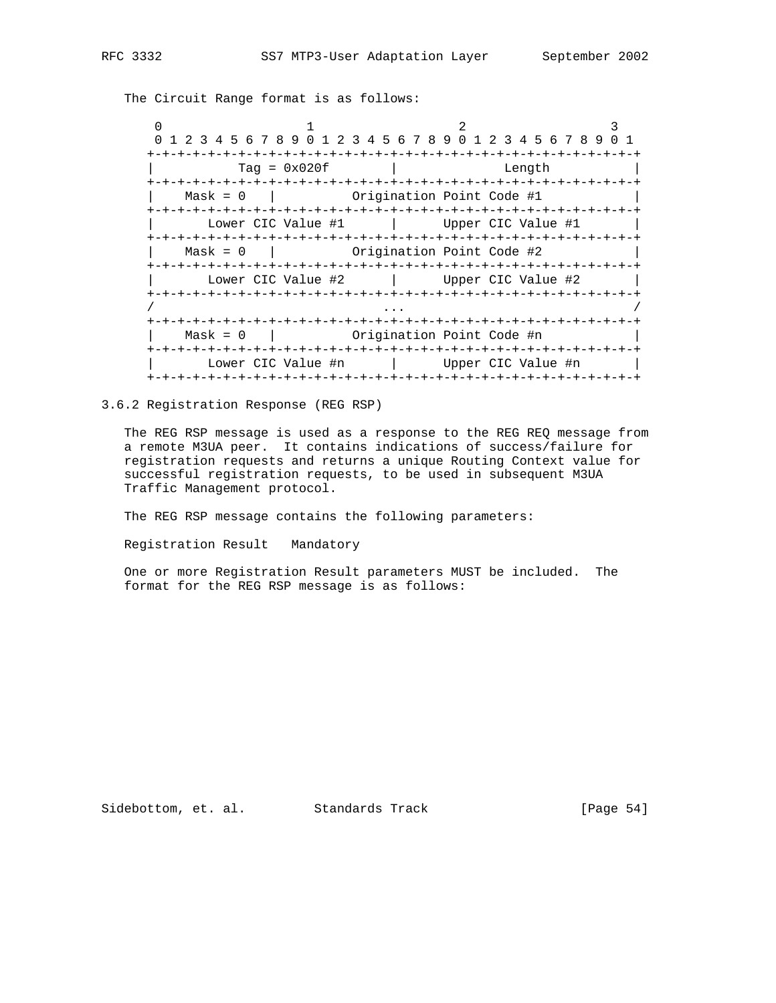The Circuit Range format is as follows:

| 1 2 3 4 5 6 7 8 9 0 1 2 3 4 5 6 7 8 9 0 1 2 3 4 5 6 7 8 9 0 1 |                    |                        |                                         |                    |  |  |
|---------------------------------------------------------------|--------------------|------------------------|-----------------------------------------|--------------------|--|--|
|                                                               |                    |                        | -+-+-+-+-+-+-+-+-+-+-+-+-+-+-+-+-+-+    |                    |  |  |
|                                                               | $Taq = 0x020f$     |                        |                                         | Length             |  |  |
|                                                               |                    |                        |                                         |                    |  |  |
| $Mask = 0$                                                    |                    |                        | Origination Point Code #1               |                    |  |  |
|                                                               | Lower CIC Value #1 |                        |                                         | Upper CIC Value #1 |  |  |
| -+-+-+-+-+-+                                                  |                    |                        |                                         |                    |  |  |
| $Mask = 0$                                                    |                    |                        | Origination Point Code #2               |                    |  |  |
| +-+-+-+-+-+-+-+                                               | Lower CIC Value #2 |                        |                                         | Upper CIC Value #2 |  |  |
|                                                               |                    | -+-+-+-+-+-+-+-+-+-+   |                                         |                    |  |  |
| $Mask = 0$<br>+-+-+-+-+-+                                     |                    | -+-+-+-+-+-+-+-+-+-+-+ | Origination Point Code #n               |                    |  |  |
| +-+-+-+-+-+-+-+-+-+-+-+                                       | Lower CIC Value #n |                        | -+-+-+-+-+-+-+-+-+-+-+-+-+-+-+-+-+-+-+- | Upper CIC Value #n |  |  |
|                                                               |                    |                        |                                         |                    |  |  |

3.6.2 Registration Response (REG RSP)

 The REG RSP message is used as a response to the REG REQ message from a remote M3UA peer. It contains indications of success/failure for registration requests and returns a unique Routing Context value for successful registration requests, to be used in subsequent M3UA Traffic Management protocol.

The REG RSP message contains the following parameters:

Registration Result Mandatory

 One or more Registration Result parameters MUST be included. The format for the REG RSP message is as follows:

Sidebottom, et. al. Standards Track [Page 54]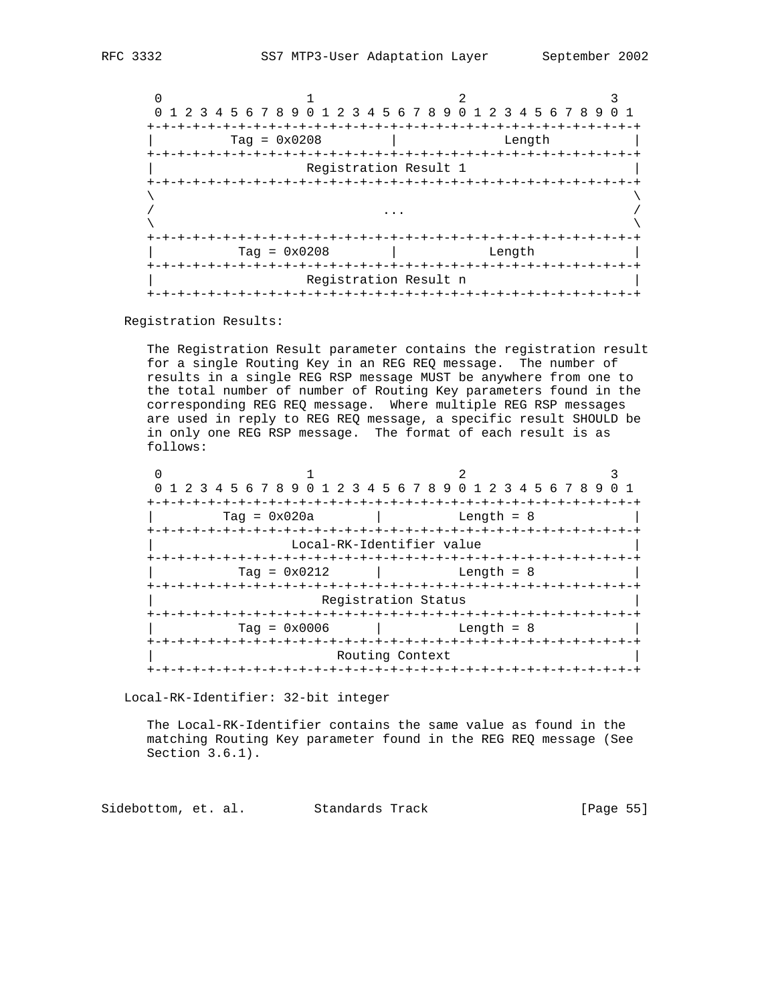| $\Omega$                |                       | 1 2 3 4 5 6 7 8 9 0 1 2 3 4 5 6 7 8 9 0 1 2 3 4 5 6 7 8 9 | $(1)$ 1 |
|-------------------------|-----------------------|-----------------------------------------------------------|---------|
| $+-+$<br>$Taq = 0x0208$ |                       | Length                                                    |         |
|                         | Registration Result 1 |                                                           |         |
|                         |                       |                                                           |         |
| Tag = $0 \times 0208$   |                       | Length                                                    |         |
|                         | Registration Result n |                                                           |         |

Registration Results:

 The Registration Result parameter contains the registration result for a single Routing Key in an REG REQ message. The number of results in a single REG RSP message MUST be anywhere from one to the total number of number of Routing Key parameters found in the corresponding REG REQ message. Where multiple REG RSP messages are used in reply to REG REQ message, a specific result SHOULD be in only one REG RSP message. The format of each result is as follows:

|                           |                                    | 0 1 2 3 4 5 6 7 8 9 0 1 2 3 4 5 6 7 8 9 0 1 2 3 4 5 6 7 8 9 |  |
|---------------------------|------------------------------------|-------------------------------------------------------------|--|
|                           | -+-+-+-+-+                         |                                                             |  |
| $Taq = 0x020a$            |                                    | Length = $8$                                                |  |
| +-+-+-+-+-+-+-+-+-+-+-+-+ |                                    | -+-+-+-+-+-+-+-+-+-+-+-+-+-+-+                              |  |
|                           | Local-RK-Identifier value          |                                                             |  |
|                           |                                    | -+-+-+-+-+-+-+-+-+-+-+-+-                                   |  |
| Tag = $0 \times 0212$     |                                    | Length = $8$                                                |  |
|                           |                                    |                                                             |  |
|                           | Registration Status                |                                                             |  |
|                           |                                    |                                                             |  |
| $Taq = 0x0006$            |                                    | Length = $8$                                                |  |
|                           |                                    |                                                             |  |
|                           | Routing Context                    |                                                             |  |
|                           | +-+-+-+-+-+-+-+-+-+-+-+-+-+-+-+-+- |                                                             |  |

Local-RK-Identifier: 32-bit integer

 The Local-RK-Identifier contains the same value as found in the matching Routing Key parameter found in the REG REQ message (See Section 3.6.1).

Sidebottom, et. al. Standards Track [Page 55]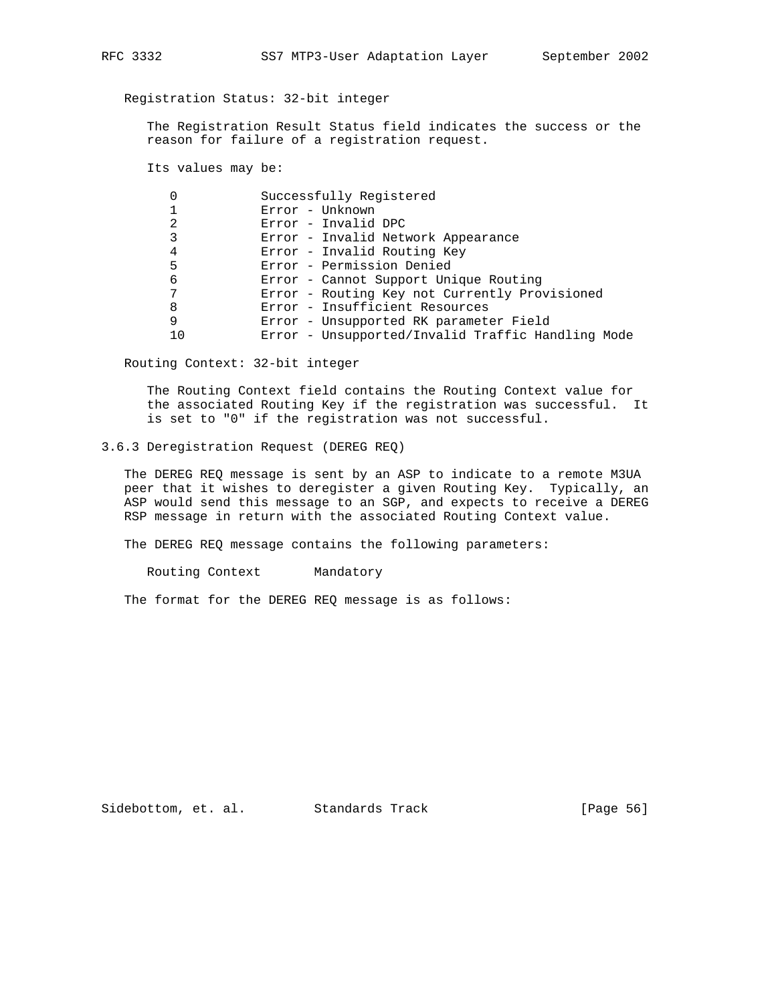# Registration Status: 32-bit integer

 The Registration Result Status field indicates the success or the reason for failure of a registration request.

Its values may be:

|    | Successfully Registered                           |
|----|---------------------------------------------------|
|    | Error - Unknown                                   |
| 2  | Error - Invalid DPC                               |
|    | Error - Invalid Network Appearance                |
| 4  | Error - Invalid Routing Key                       |
| 5  | Error - Permission Denied                         |
| 6  | Error - Cannot Support Unique Routing             |
|    | Error - Routing Key not Currently Provisioned     |
| 8  | Error - Insufficient Resources                    |
| 9  | Error - Unsupported RK parameter Field            |
| 10 | Error - Unsupported/Invalid Traffic Handling Mode |

Routing Context: 32-bit integer

 The Routing Context field contains the Routing Context value for the associated Routing Key if the registration was successful. It is set to "0" if the registration was not successful.

# 3.6.3 Deregistration Request (DEREG REQ)

 The DEREG REQ message is sent by an ASP to indicate to a remote M3UA peer that it wishes to deregister a given Routing Key. Typically, an ASP would send this message to an SGP, and expects to receive a DEREG RSP message in return with the associated Routing Context value.

The DEREG REQ message contains the following parameters:

Routing Context Mandatory

The format for the DEREG REQ message is as follows:

Sidebottom, et. al. Standards Track [Page 56]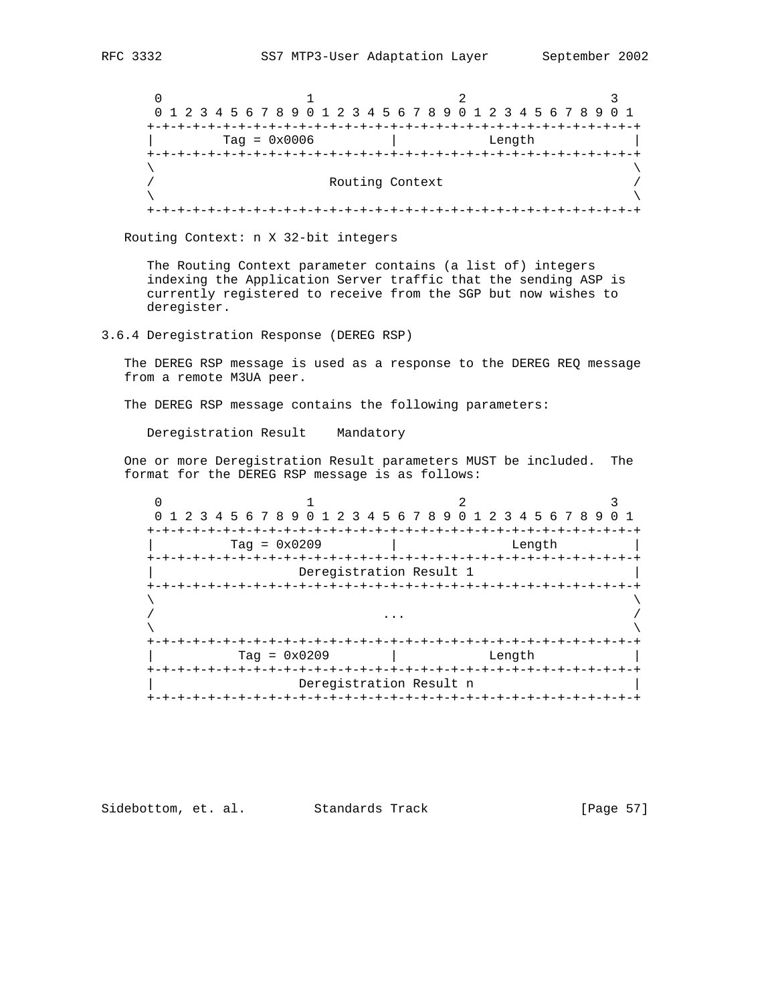$0$  1 2 3 0 1 2 3 4 5 6 7 8 9 0 1 2 3 4 5 6 7 8 9 0 1 2 3 4 5 6 7 8 9 0 1 +-+-+-+-+-+-+-+-+-+-+-+-+-+-+-+-+-+-+-+-+-+-+-+-+-+-+-+-+-+-+-+-+ | Tag = 0x0006 | Length | +-+-+-+-+-+-+-+-+-+-+-+-+-+-+-+-+-+-+-+-+-+-+-+-+-+-+-+-+-+-+-+-+  $\lambda$  and  $\lambda$  and  $\lambda$  and  $\lambda$  and  $\lambda$  and  $\lambda$  and  $\lambda$  and  $\lambda$  and  $\lambda$  and  $\lambda$  and  $\lambda$  and  $\lambda$  and  $\lambda$  and  $\lambda$  and  $\lambda$  and  $\lambda$  and  $\lambda$  and  $\lambda$  and  $\lambda$  and  $\lambda$  and  $\lambda$  and  $\lambda$  and  $\lambda$  and  $\lambda$  and  $\lambda$  / Routing Context /  $\lambda$  and  $\lambda$  and  $\lambda$  and  $\lambda$  and  $\lambda$  and  $\lambda$  and  $\lambda$  and  $\lambda$  and  $\lambda$  and  $\lambda$  and  $\lambda$  and  $\lambda$  and  $\lambda$  and  $\lambda$  and  $\lambda$  and  $\lambda$  and  $\lambda$  and  $\lambda$  and  $\lambda$  and  $\lambda$  and  $\lambda$  and  $\lambda$  and  $\lambda$  and  $\lambda$  and  $\lambda$  +-+-+-+-+-+-+-+-+-+-+-+-+-+-+-+-+-+-+-+-+-+-+-+-+-+-+-+-+-+-+-+-+

Routing Context: n X 32-bit integers

 The Routing Context parameter contains (a list of) integers indexing the Application Server traffic that the sending ASP is currently registered to receive from the SGP but now wishes to deregister.

3.6.4 Deregistration Response (DEREG RSP)

 The DEREG RSP message is used as a response to the DEREG REQ message from a remote M3UA peer.

The DEREG RSP message contains the following parameters:

Deregistration Result Mandatory

 One or more Deregistration Result parameters MUST be included. The format for the DEREG RSP message is as follows:

| 0              | 1 2 3 4 5 6 7 8 9 0 1 2 3 4 5 6 7 8 9 0 1 2 3 4 5 6 7 8 9 |                         |                    |
|----------------|-----------------------------------------------------------|-------------------------|--------------------|
|                |                                                           |                         |                    |
|                | $Taq = 0x0209$                                            |                         | Length             |
| +-+-+-+-+-+-+- | -+-+-+-+                                                  |                         | -+-+-+-+-+-+-+-+-+ |
|                |                                                           | Deregistration Result 1 |                    |
|                |                                                           |                         |                    |
|                |                                                           |                         |                    |
|                |                                                           |                         |                    |
|                |                                                           |                         |                    |
|                |                                                           |                         |                    |
|                | $Taq = 0x0209$                                            | Length                  |                    |
|                |                                                           |                         |                    |
|                |                                                           | Deregistration Result n |                    |
|                |                                                           |                         |                    |

Sidebottom, et. al. Standards Track [Page 57]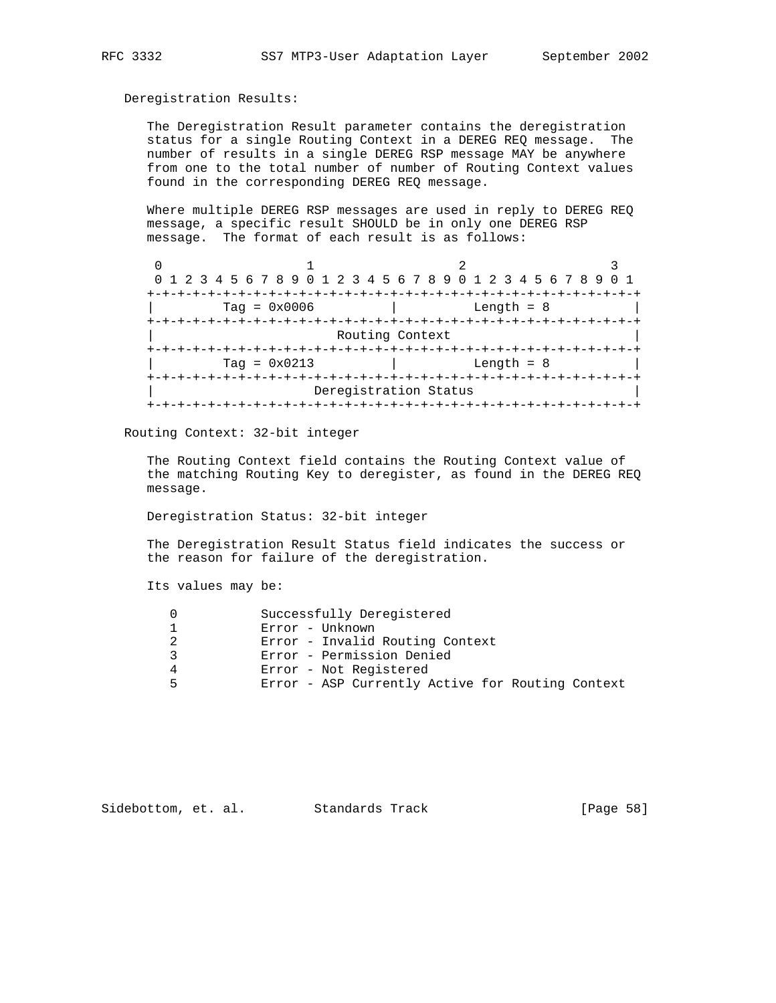### Deregistration Results:

 The Deregistration Result parameter contains the deregistration status for a single Routing Context in a DEREG REQ message. The number of results in a single DEREG RSP message MAY be anywhere from one to the total number of number of Routing Context values found in the corresponding DEREG REQ message.

 Where multiple DEREG RSP messages are used in reply to DEREG REQ message, a specific result SHOULD be in only one DEREG RSP message. The format of each result is as follows:

| 0 1 2 3 4 5 6 7 8 9 0 1 2 3 4 5 6 7 8 9 0 1 2 3 4 5 6 7 8 9 |                       |              |
|-------------------------------------------------------------|-----------------------|--------------|
| $Taq = 0x0006$                                              |                       | Length = $8$ |
|                                                             | Routing Context       |              |
| $Taq = 0x0213$                                              |                       | Length $= 8$ |
|                                                             | Deregistration Status |              |

Routing Context: 32-bit integer

 The Routing Context field contains the Routing Context value of the matching Routing Key to deregister, as found in the DEREG REQ message.

Deregistration Status: 32-bit integer

 The Deregistration Result Status field indicates the success or the reason for failure of the deregistration.

Its values may be:

|   | Successfully Deregistered                        |
|---|--------------------------------------------------|
|   | Error - Unknown                                  |
|   | Error - Invalid Routing Context                  |
|   | Error - Permission Denied                        |
|   | Error - Not Registered                           |
| ᄃ | Error - ASP Currently Active for Routing Context |
|   |                                                  |

Sidebottom, et. al. Standards Track [Page 58]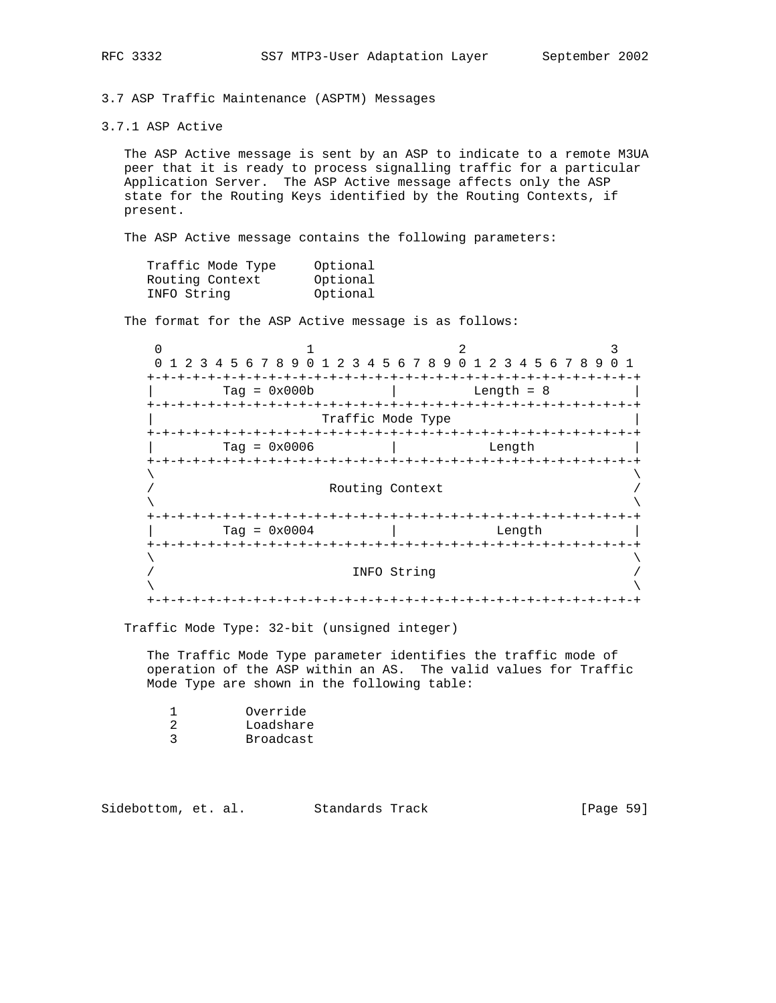3.7 ASP Traffic Maintenance (ASPTM) Messages

3.7.1 ASP Active

 The ASP Active message is sent by an ASP to indicate to a remote M3UA peer that it is ready to process signalling traffic for a particular Application Server. The ASP Active message affects only the ASP state for the Routing Keys identified by the Routing Contexts, if present.

The ASP Active message contains the following parameters:

| Traffic Mode Type | Optional |
|-------------------|----------|
| Routing Context   | Optional |
| INFO String       | Optional |

The format for the ASP Active message is as follows:

| 1 2 3 4 5 6 7 8 9 0 1 2 3 4 5 6 7 8 9 0 1 2 3 4 5 6 7 8 9 0 1 |                    |  |
|---------------------------------------------------------------|--------------------|--|
| -+-+-+-+                                                      |                    |  |
| $Taq = 0x000b$                                                | Length $= 8$       |  |
|                                                               |                    |  |
| Traffic Mode Type                                             |                    |  |
|                                                               |                    |  |
| $Taq = 0x0006$                                                | Length             |  |
|                                                               |                    |  |
| Routing Context                                               |                    |  |
|                                                               |                    |  |
|                                                               |                    |  |
| $Taq = 0x0004$                                                | Length             |  |
| +-+-+-+-+-+-+-+-+-+-+-+-+-+                                   | -+-+-+-+-+-+-+-+-+ |  |
|                                                               |                    |  |
| INFO String                                                   |                    |  |
|                                                               |                    |  |
|                                                               |                    |  |

Traffic Mode Type: 32-bit (unsigned integer)

 The Traffic Mode Type parameter identifies the traffic mode of operation of the ASP within an AS. The valid values for Traffic Mode Type are shown in the following table:

| Override  |
|-----------|
| Loadshare |
| Broadcast |
|           |

| Sidebottom, et. al.<br>Standards Track | [Page 59] |  |  |
|----------------------------------------|-----------|--|--|
|----------------------------------------|-----------|--|--|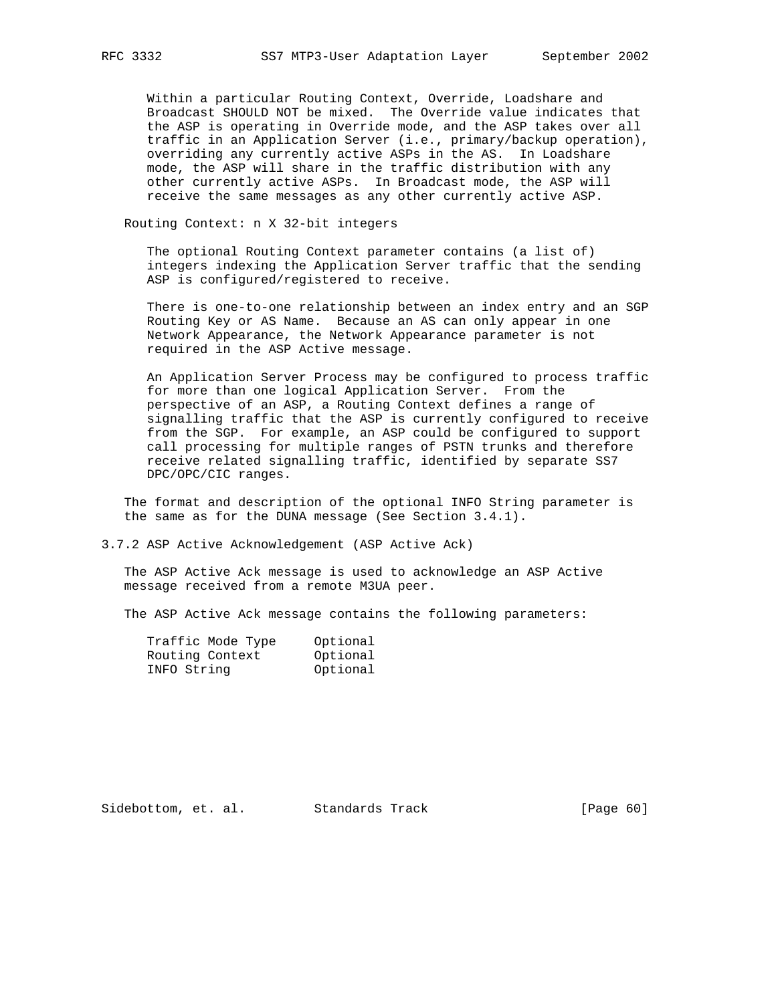Within a particular Routing Context, Override, Loadshare and Broadcast SHOULD NOT be mixed. The Override value indicates that the ASP is operating in Override mode, and the ASP takes over all traffic in an Application Server (i.e., primary/backup operation), overriding any currently active ASPs in the AS. In Loadshare mode, the ASP will share in the traffic distribution with any other currently active ASPs. In Broadcast mode, the ASP will receive the same messages as any other currently active ASP.

Routing Context: n X 32-bit integers

 The optional Routing Context parameter contains (a list of) integers indexing the Application Server traffic that the sending ASP is configured/registered to receive.

 There is one-to-one relationship between an index entry and an SGP Routing Key or AS Name. Because an AS can only appear in one Network Appearance, the Network Appearance parameter is not required in the ASP Active message.

 An Application Server Process may be configured to process traffic for more than one logical Application Server. From the perspective of an ASP, a Routing Context defines a range of signalling traffic that the ASP is currently configured to receive from the SGP. For example, an ASP could be configured to support call processing for multiple ranges of PSTN trunks and therefore receive related signalling traffic, identified by separate SS7 DPC/OPC/CIC ranges.

 The format and description of the optional INFO String parameter is the same as for the DUNA message (See Section 3.4.1).

3.7.2 ASP Active Acknowledgement (ASP Active Ack)

 The ASP Active Ack message is used to acknowledge an ASP Active message received from a remote M3UA peer.

The ASP Active Ack message contains the following parameters:

| Traffic Mode Type | Optional |
|-------------------|----------|
| Routing Context   | Optional |
| INFO String       | Optional |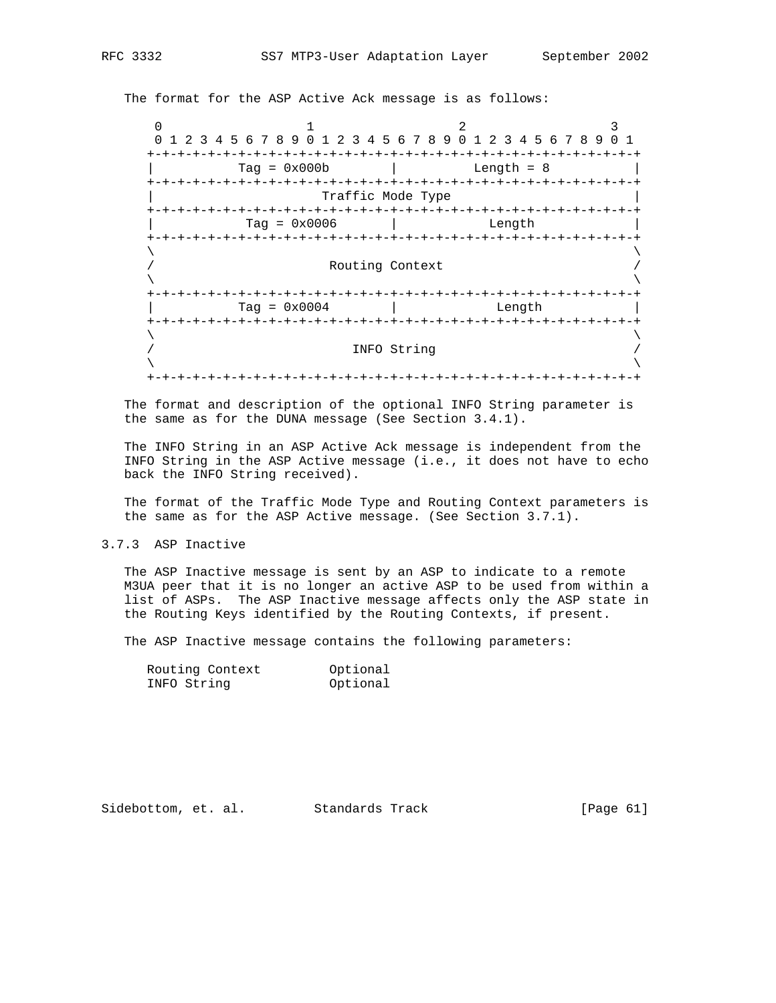The format for the ASP Active Ack message is as follows:

0  $1$  2 3 0 1 2 3 4 5 6 7 8 9 0 1 2 3 4 5 6 7 8 9 0 1 2 3 4 5 6 7 8 9 0 1 +-+-+-+-+-+-+-+-+-+-+-+-+-+-+-+-+-+-+-+-+-+-+-+-+-+-+-+-+-+-+-+-+  $\text{Tag} = 0 \times 000b$  | Length = 8 +-+-+-+-+-+-+-+-+-+-+-+-+-+-+-+-+-+-+-+-+-+-+-+-+-+-+-+-+-+-+-+-+ | Traffic Mode Type | +-+-+-+-+-+-+-+-+-+-+-+-+-+-+-+-+-+-+-+-+-+-+-+-+-+-+-+-+-+-+-+-+ | Tag = 0x0006 | Length | +-+-+-+-+-+-+-+-+-+-+-+-+-+-+-+-+-+-+-+-+-+-+-+-+-+-+-+-+-+-+-+-+  $\lambda$  and  $\lambda$  and  $\lambda$  and  $\lambda$  and  $\lambda$  and  $\lambda$  and  $\lambda$  and  $\lambda$  and  $\lambda$  and  $\lambda$  and  $\lambda$  and  $\lambda$  and  $\lambda$  and  $\lambda$  and  $\lambda$  and  $\lambda$  and  $\lambda$  and  $\lambda$  and  $\lambda$  and  $\lambda$  and  $\lambda$  and  $\lambda$  and  $\lambda$  and  $\lambda$  and  $\lambda$  Routing Context  $\lambda$  and  $\lambda$  and  $\lambda$  and  $\lambda$  and  $\lambda$  and  $\lambda$  and  $\lambda$  and  $\lambda$  and  $\lambda$  and  $\lambda$  and  $\lambda$  and  $\lambda$  and  $\lambda$  and  $\lambda$  and  $\lambda$  and  $\lambda$  and  $\lambda$  and  $\lambda$  and  $\lambda$  and  $\lambda$  and  $\lambda$  and  $\lambda$  and  $\lambda$  and  $\lambda$  and  $\lambda$  +-+-+-+-+-+-+-+-+-+-+-+-+-+-+-+-+-+-+-+-+-+-+-+-+-+-+-+-+-+-+-+-+  $\text{Tag} = 0 \times 0004$  | Length +-+-+-+-+-+-+-+-+-+-+-+-+-+-+-+-+-+-+-+-+-+-+-+-+-+-+-+-+-+-+-+-+  $\lambda$  and  $\lambda$  and  $\lambda$  and  $\lambda$  and  $\lambda$  and  $\lambda$  and  $\lambda$  and  $\lambda$  and  $\lambda$  and  $\lambda$  and  $\lambda$  and  $\lambda$  and  $\lambda$  and  $\lambda$  and  $\lambda$  and  $\lambda$  and  $\lambda$  and  $\lambda$  and  $\lambda$  and  $\lambda$  and  $\lambda$  and  $\lambda$  and  $\lambda$  and  $\lambda$  and  $\lambda$  / INFO String /  $\lambda$  and  $\lambda$  and  $\lambda$  and  $\lambda$  and  $\lambda$  and  $\lambda$  and  $\lambda$  and  $\lambda$  and  $\lambda$  and  $\lambda$  and  $\lambda$  and  $\lambda$  and  $\lambda$  and  $\lambda$  and  $\lambda$  and  $\lambda$  and  $\lambda$  and  $\lambda$  and  $\lambda$  and  $\lambda$  and  $\lambda$  and  $\lambda$  and  $\lambda$  and  $\lambda$  and  $\lambda$  +-+-+-+-+-+-+-+-+-+-+-+-+-+-+-+-+-+-+-+-+-+-+-+-+-+-+-+-+-+-+-+-+

 The format and description of the optional INFO String parameter is the same as for the DUNA message (See Section 3.4.1).

 The INFO String in an ASP Active Ack message is independent from the INFO String in the ASP Active message (i.e., it does not have to echo back the INFO String received).

 The format of the Traffic Mode Type and Routing Context parameters is the same as for the ASP Active message. (See Section 3.7.1).

3.7.3 ASP Inactive

 The ASP Inactive message is sent by an ASP to indicate to a remote M3UA peer that it is no longer an active ASP to be used from within a list of ASPs. The ASP Inactive message affects only the ASP state in the Routing Keys identified by the Routing Contexts, if present.

The ASP Inactive message contains the following parameters:

| Routing Context | Optional |
|-----------------|----------|
| INFO String     | Optional |

Sidebottom, et. al. Standards Track [Page 61]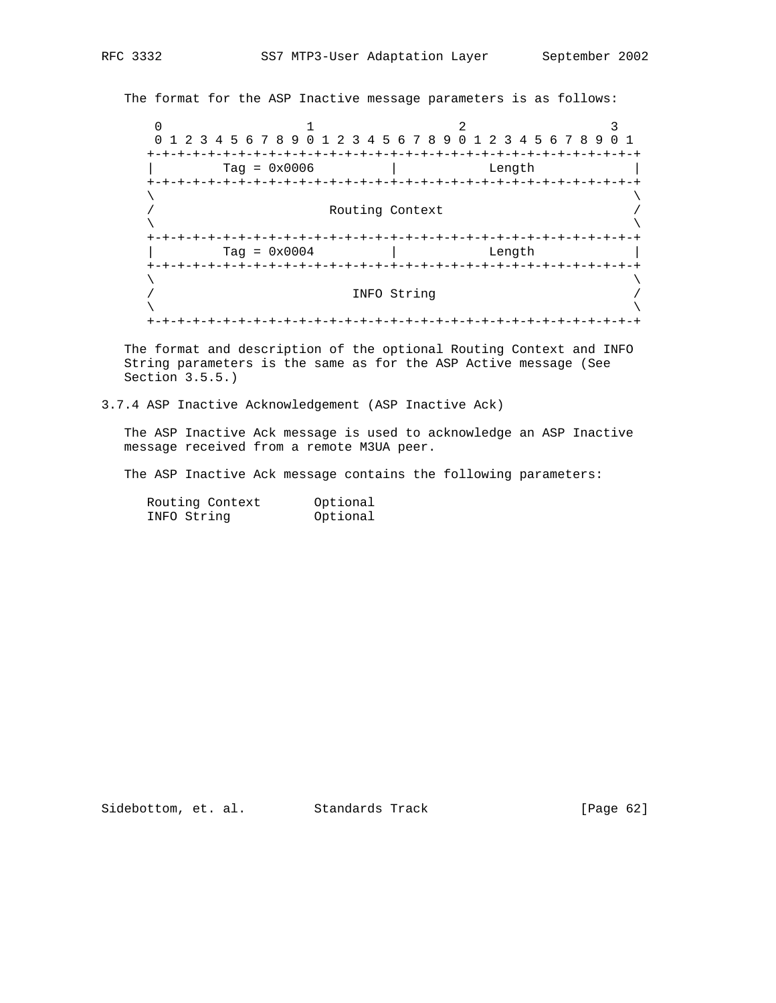The format for the ASP Inactive message parameters is as follows:

0  $1$  2 3 0 1 2 3 4 5 6 7 8 9 0 1 2 3 4 5 6 7 8 9 0 1 2 3 4 5 6 7 8 9 0 1 +-+-+-+-+-+-+-+-+-+-+-+-+-+-+-+-+-+-+-+-+-+-+-+-+-+-+-+-+-+-+-+-+ | Tag = 0x0006 | Length | +-+-+-+-+-+-+-+-+-+-+-+-+-+-+-+-+-+-+-+-+-+-+-+-+-+-+-+-+-+-+-+-+  $\lambda$  and  $\lambda$  and  $\lambda$  and  $\lambda$  and  $\lambda$  and  $\lambda$  and  $\lambda$  and  $\lambda$  and  $\lambda$  and  $\lambda$  and  $\lambda$  and  $\lambda$  and  $\lambda$  and  $\lambda$  and  $\lambda$  and  $\lambda$  and  $\lambda$  and  $\lambda$  and  $\lambda$  and  $\lambda$  and  $\lambda$  and  $\lambda$  and  $\lambda$  and  $\lambda$  and  $\lambda$  Routing Context  $\lambda$  and  $\lambda$  and  $\lambda$  and  $\lambda$  and  $\lambda$  and  $\lambda$  and  $\lambda$  and  $\lambda$  and  $\lambda$  and  $\lambda$  and  $\lambda$  and  $\lambda$  and  $\lambda$  and  $\lambda$  and  $\lambda$  and  $\lambda$  and  $\lambda$  and  $\lambda$  and  $\lambda$  and  $\lambda$  and  $\lambda$  and  $\lambda$  and  $\lambda$  and  $\lambda$  and  $\lambda$  +-+-+-+-+-+-+-+-+-+-+-+-+-+-+-+-+-+-+-+-+-+-+-+-+-+-+-+-+-+-+-+-+ | Tag = 0x0004 | Length | +-+-+-+-+-+-+-+-+-+-+-+-+-+-+-+-+-+-+-+-+-+-+-+-+-+-+-+-+-+-+-+-+  $\lambda$  and  $\lambda$  and  $\lambda$  and  $\lambda$  and  $\lambda$  and  $\lambda$  and  $\lambda$  and  $\lambda$  and  $\lambda$  and  $\lambda$  and  $\lambda$  and  $\lambda$  and  $\lambda$  and  $\lambda$  and  $\lambda$  and  $\lambda$  and  $\lambda$  and  $\lambda$  and  $\lambda$  and  $\lambda$  and  $\lambda$  and  $\lambda$  and  $\lambda$  and  $\lambda$  and  $\lambda$  / INFO String /  $\lambda$  and  $\lambda$  and  $\lambda$  and  $\lambda$  and  $\lambda$  and  $\lambda$  and  $\lambda$  and  $\lambda$  and  $\lambda$  and  $\lambda$  and  $\lambda$  and  $\lambda$  and  $\lambda$  and  $\lambda$  and  $\lambda$  and  $\lambda$  and  $\lambda$  and  $\lambda$  and  $\lambda$  and  $\lambda$  and  $\lambda$  and  $\lambda$  and  $\lambda$  and  $\lambda$  and  $\lambda$  +-+-+-+-+-+-+-+-+-+-+-+-+-+-+-+-+-+-+-+-+-+-+-+-+-+-+-+-+-+-+-+-+

 The format and description of the optional Routing Context and INFO String parameters is the same as for the ASP Active message (See Section 3.5.5.)

3.7.4 ASP Inactive Acknowledgement (ASP Inactive Ack)

 The ASP Inactive Ack message is used to acknowledge an ASP Inactive message received from a remote M3UA peer.

The ASP Inactive Ack message contains the following parameters:

| Routing Context | Optional |
|-----------------|----------|
| INFO String     | Optional |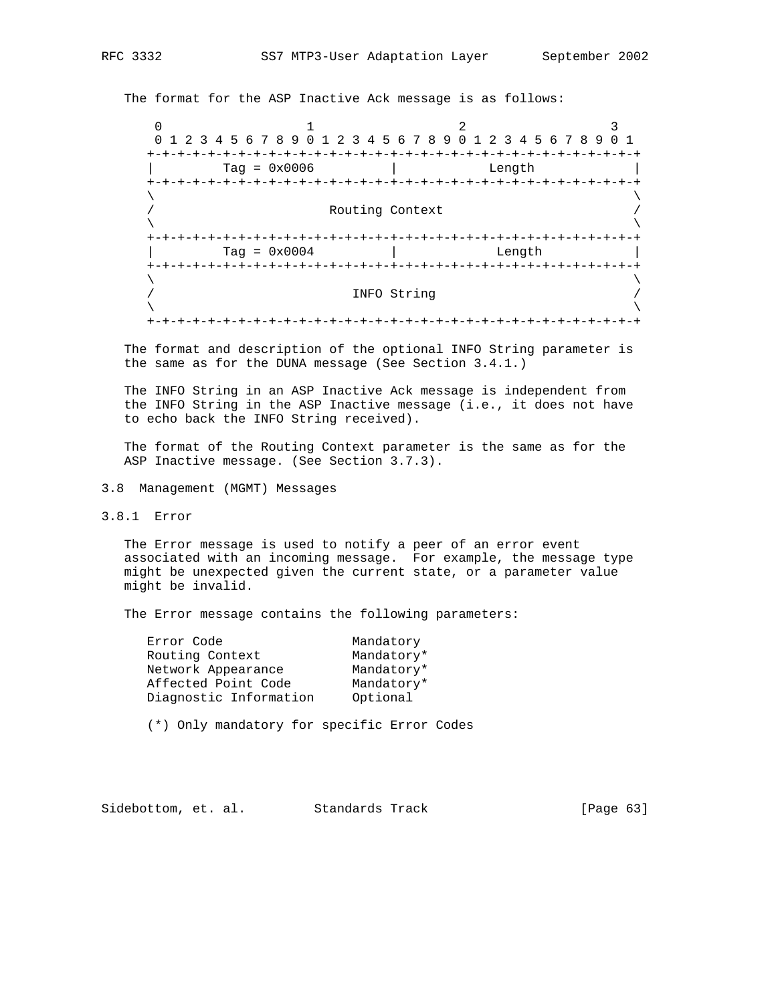The format for the ASP Inactive Ack message is as follows:

0  $1$  2 3 0 1 2 3 4 5 6 7 8 9 0 1 2 3 4 5 6 7 8 9 0 1 2 3 4 5 6 7 8 9 0 1 +-+-+-+-+-+-+-+-+-+-+-+-+-+-+-+-+-+-+-+-+-+-+-+-+-+-+-+-+-+-+-+-+ | Tag = 0x0006 | Length | +-+-+-+-+-+-+-+-+-+-+-+-+-+-+-+-+-+-+-+-+-+-+-+-+-+-+-+-+-+-+-+-+  $\lambda$  and  $\lambda$  and  $\lambda$  and  $\lambda$  and  $\lambda$  and  $\lambda$  and  $\lambda$  and  $\lambda$  and  $\lambda$  and  $\lambda$  and  $\lambda$  and  $\lambda$  and  $\lambda$  and  $\lambda$  and  $\lambda$  and  $\lambda$  and  $\lambda$  and  $\lambda$  and  $\lambda$  and  $\lambda$  and  $\lambda$  and  $\lambda$  and  $\lambda$  and  $\lambda$  and  $\lambda$  Routing Context  $\lambda$  and  $\lambda$  and  $\lambda$  and  $\lambda$  and  $\lambda$  and  $\lambda$  and  $\lambda$  and  $\lambda$  and  $\lambda$  and  $\lambda$  and  $\lambda$  and  $\lambda$  and  $\lambda$  and  $\lambda$  and  $\lambda$  and  $\lambda$  and  $\lambda$  and  $\lambda$  and  $\lambda$  and  $\lambda$  and  $\lambda$  and  $\lambda$  and  $\lambda$  and  $\lambda$  and  $\lambda$  +-+-+-+-+-+-+-+-+-+-+-+-+-+-+-+-+-+-+-+-+-+-+-+-+-+-+-+-+-+-+-+-+ | Tag = 0x0004 | Length | +-+-+-+-+-+-+-+-+-+-+-+-+-+-+-+-+-+-+-+-+-+-+-+-+-+-+-+-+-+-+-+-+  $\lambda$  and  $\lambda$  and  $\lambda$  and  $\lambda$  and  $\lambda$  and  $\lambda$  and  $\lambda$  and  $\lambda$  and  $\lambda$  and  $\lambda$  and  $\lambda$  and  $\lambda$  and  $\lambda$  and  $\lambda$  and  $\lambda$  and  $\lambda$  and  $\lambda$  and  $\lambda$  and  $\lambda$  and  $\lambda$  and  $\lambda$  and  $\lambda$  and  $\lambda$  and  $\lambda$  and  $\lambda$  / INFO String /  $\lambda$  and  $\lambda$  and  $\lambda$  and  $\lambda$  and  $\lambda$  and  $\lambda$  and  $\lambda$  and  $\lambda$  and  $\lambda$  and  $\lambda$  and  $\lambda$  and  $\lambda$  and  $\lambda$  and  $\lambda$  and  $\lambda$  and  $\lambda$  and  $\lambda$  and  $\lambda$  and  $\lambda$  and  $\lambda$  and  $\lambda$  and  $\lambda$  and  $\lambda$  and  $\lambda$  and  $\lambda$  +-+-+-+-+-+-+-+-+-+-+-+-+-+-+-+-+-+-+-+-+-+-+-+-+-+-+-+-+-+-+-+-+

 The format and description of the optional INFO String parameter is the same as for the DUNA message (See Section 3.4.1.)

 The INFO String in an ASP Inactive Ack message is independent from the INFO String in the ASP Inactive message (i.e., it does not have to echo back the INFO String received).

 The format of the Routing Context parameter is the same as for the ASP Inactive message. (See Section 3.7.3).

3.8 Management (MGMT) Messages

3.8.1 Error

 The Error message is used to notify a peer of an error event associated with an incoming message. For example, the message type might be unexpected given the current state, or a parameter value might be invalid.

The Error message contains the following parameters:

| Error Code             | Mandatory  |
|------------------------|------------|
| Routing Context        | Mandatory* |
| Network Appearance     | Mandatory* |
| Affected Point Code    | Mandatory* |
| Diagnostic Information | Optional   |
|                        |            |

(\*) Only mandatory for specific Error Codes

Sidebottom, et. al. Standards Track [Page 63]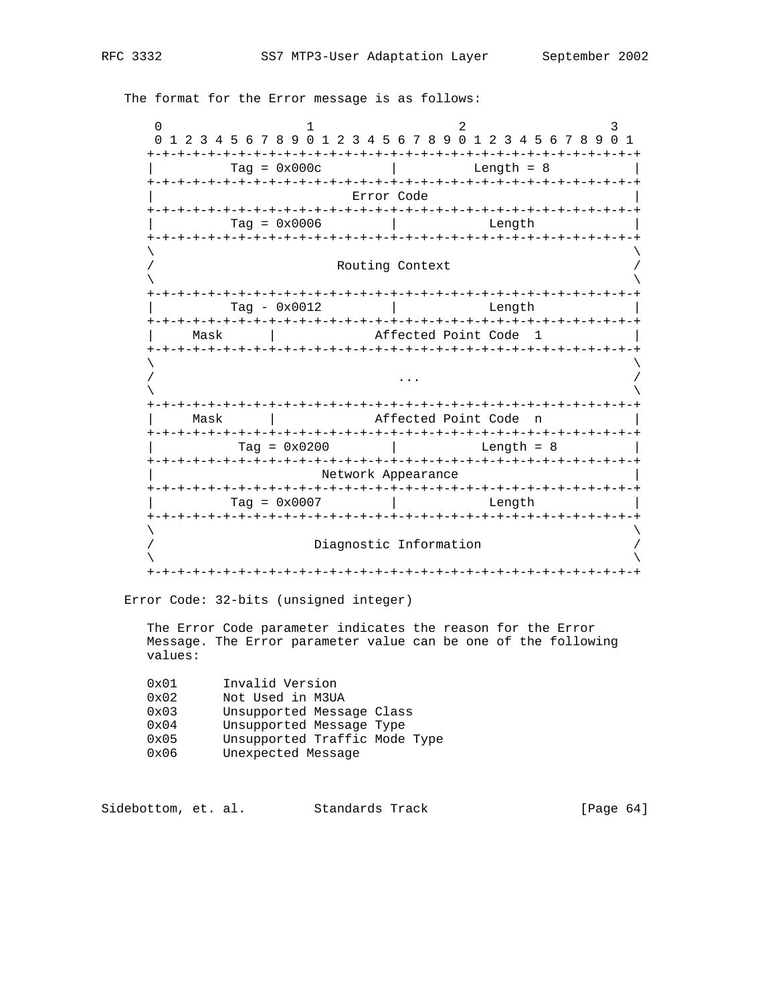0  $1$  2 3 0 1 2 3 4 5 6 7 8 9 0 1 2 3 4 5 6 7 8 9 0 1 2 3 4 5 6 7 8 9 0 1 +-+-+-+-+-+-+-+-+-+-+-+-+-+-+-+-+-+-+-+-+-+-+-+-+-+-+-+-+-+-+-+-+  $Tag = 0x000c$  | Length = 8 +-+-+-+-+-+-+-+-+-+-+-+-+-+-+-+-+-+-+-+-+-+-+-+-+-+-+-+-+-+-+-+-+ Error Code +-+-+-+-+-+-+-+-+-+-+-+-+-+-+-+-+-+-+-+-+-+-+-+-+-+-+-+-+-+-+-+-+  $Tag = 0x0006$  | +-+-+-+-+-+-+-+-+-+-+-+-+-+-+-+-+-+-+-+-+-+-+-+-+-+-+-+-+-+-+-+-+  $\lambda$  and  $\lambda$  and  $\lambda$  and  $\lambda$  and  $\lambda$  and  $\lambda$  and  $\lambda$  and  $\lambda$  and  $\lambda$  and  $\lambda$  and  $\lambda$  and  $\lambda$  and  $\lambda$  and  $\lambda$  and  $\lambda$  and  $\lambda$  and  $\lambda$  and  $\lambda$  and  $\lambda$  and  $\lambda$  and  $\lambda$  and  $\lambda$  and  $\lambda$  and  $\lambda$  and  $\lambda$  Routing Context  $\lambda$  and  $\lambda$  and  $\lambda$  and  $\lambda$  and  $\lambda$  and  $\lambda$  and  $\lambda$  and  $\lambda$  and  $\lambda$  and  $\lambda$  and  $\lambda$  and  $\lambda$  and  $\lambda$  and  $\lambda$  and  $\lambda$  and  $\lambda$  and  $\lambda$  and  $\lambda$  and  $\lambda$  and  $\lambda$  and  $\lambda$  and  $\lambda$  and  $\lambda$  and  $\lambda$  and  $\lambda$  +-+-+-+-+-+-+-+-+-+-+-+-+-+-+-+-+-+-+-+-+-+-+-+-+-+-+-+-+-+-+-+-+ | Tag - 0x0012 | Length | +-+-+-+-+-+-+-+-+-+-+-+-+-+-+-+-+-+-+-+-+-+-+-+-+-+-+-+-+-+-+-+-+ Mask | Affected Point Code 1 +-+-+-+-+-+-+-+-+-+-+-+-+-+-+-+-+-+-+-+-+-+-+-+-+-+-+-+-+-+-+-+-+  $\lambda$  and  $\lambda$  and  $\lambda$  and  $\lambda$  and  $\lambda$  and  $\lambda$  and  $\lambda$  and  $\lambda$  and  $\lambda$  and  $\lambda$  and  $\lambda$  and  $\lambda$  and  $\lambda$  and  $\lambda$  and  $\lambda$  and  $\lambda$  and  $\lambda$  and  $\lambda$  and  $\lambda$  and  $\lambda$  and  $\lambda$  and  $\lambda$  and  $\lambda$  and  $\lambda$  and  $\lambda$  / ... /  $\lambda$  and  $\lambda$  and  $\lambda$  and  $\lambda$  and  $\lambda$  and  $\lambda$  and  $\lambda$  and  $\lambda$  and  $\lambda$  and  $\lambda$  and  $\lambda$  and  $\lambda$  and  $\lambda$  and  $\lambda$  and  $\lambda$  and  $\lambda$  and  $\lambda$  and  $\lambda$  and  $\lambda$  and  $\lambda$  and  $\lambda$  and  $\lambda$  and  $\lambda$  and  $\lambda$  and  $\lambda$  +-+-+-+-+-+-+-+-+-+-+-+-+-+-+-+-+-+-+-+-+-+-+-+-+-+-+-+-+-+-+-+-+ | Mask | Affected Point Code n | +-+-+-+-+-+-+-+-+-+-+-+-+-+-+-+-+-+-+-+-+-+-+-+-+-+-+-+-+-+-+-+-+  $Tag = 0x0200$  | Length = 8 +-+-+-+-+-+-+-+-+-+-+-+-+-+-+-+-+-+-+-+-+-+-+-+-+-+-+-+-+-+-+-+-+ Network Appearance +-+-+-+-+-+-+-+-+-+-+-+-+-+-+-+-+-+-+-+-+-+-+-+-+-+-+-+-+-+-+-+-+ | Tag = 0x0007 | Length | +-+-+-+-+-+-+-+-+-+-+-+-+-+-+-+-+-+-+-+-+-+-+-+-+-+-+-+-+-+-+-+-+  $\lambda$  and  $\lambda$  and  $\lambda$  and  $\lambda$  and  $\lambda$  and  $\lambda$  and  $\lambda$  and  $\lambda$  and  $\lambda$  and  $\lambda$  and  $\lambda$  and  $\lambda$  and  $\lambda$  and  $\lambda$  and  $\lambda$  and  $\lambda$  and  $\lambda$  and  $\lambda$  and  $\lambda$  and  $\lambda$  and  $\lambda$  and  $\lambda$  and  $\lambda$  and  $\lambda$  and  $\lambda$  / Diagnostic Information /  $\lambda$  and  $\lambda$  and  $\lambda$  and  $\lambda$  and  $\lambda$  and  $\lambda$  and  $\lambda$  and  $\lambda$  and  $\lambda$  and  $\lambda$  and  $\lambda$  and  $\lambda$  and  $\lambda$  and  $\lambda$  and  $\lambda$  and  $\lambda$  and  $\lambda$  and  $\lambda$  and  $\lambda$  and  $\lambda$  and  $\lambda$  and  $\lambda$  and  $\lambda$  and  $\lambda$  and  $\lambda$  +-+-+-+-+-+-+-+-+-+-+-+-+-+-+-+-+-+-+-+-+-+-+-+-+-+-+-+-+-+-+-+-+

The format for the Error message is as follows:

Error Code: 32-bits (unsigned integer)

 The Error Code parameter indicates the reason for the Error Message. The Error parameter value can be one of the following values:

| 0x01          | Invalid Version               |
|---------------|-------------------------------|
| 0x02          | Not Used in M3UA              |
| 0x03          | Unsupported Message Class     |
| $0 \times 04$ | Unsupported Message Type      |
| 0x05          | Unsupported Traffic Mode Type |
| 0x06          | Unexpected Message            |

Sidebottom, et. al. Standards Track [Page 64]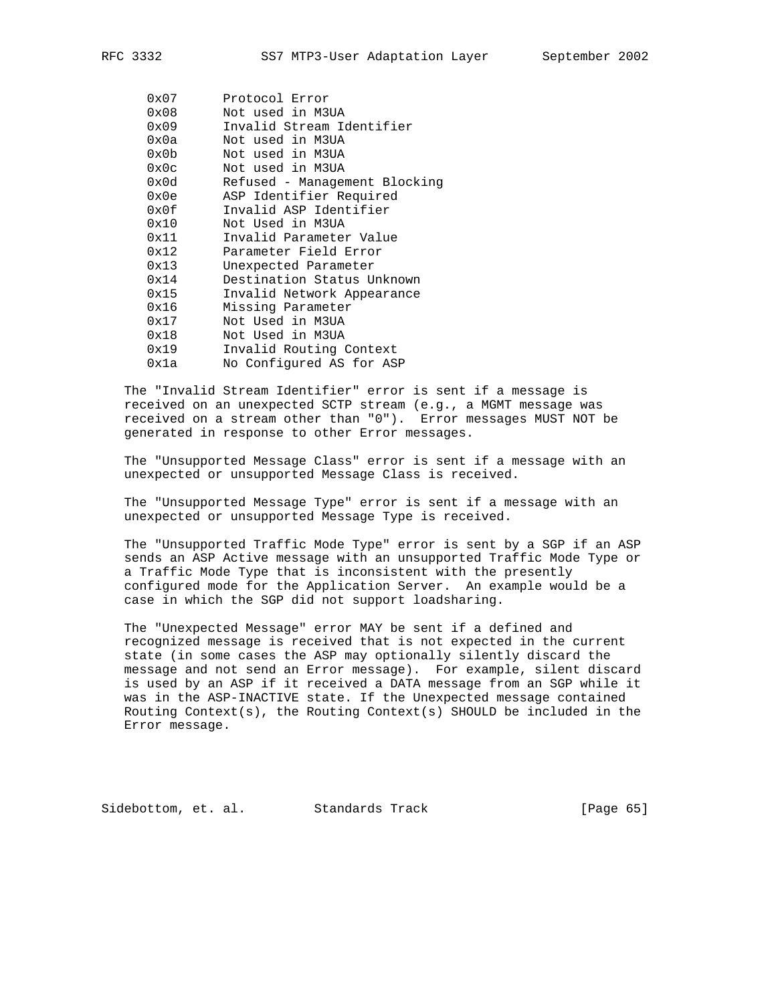| 0x07           | Protocol Error                |
|----------------|-------------------------------|
| 0x08           | Not used in M3UA              |
| 0x09           | Invalid Stream Identifier     |
| 0x0a           | Not used in M3UA              |
| 0x0b           | Not used in M3UA              |
| $0 \times 0$ c | Not used in M3UA              |
| 0x0d           | Refused - Management Blocking |
| 0x0e           | ASP Identifier Required       |
| 0x0f           | Invalid ASP Identifier        |
| 0x10           | Not Used in M3UA              |
| 0x11           | Invalid Parameter Value       |
| 0x12           | Parameter Field Error         |
| 0x13           | Unexpected Parameter          |
| 0x14           | Destination Status Unknown    |
| 0x15           | Invalid Network Appearance    |
| 0x16           | Missing Parameter             |
| 0x17           | Not Used in M3UA              |
| 0x18           | Not Used in M3UA              |
| 0x19           | Invalid Routing Context       |
| 0x1a           | No Configured AS for ASP      |
|                |                               |

 The "Invalid Stream Identifier" error is sent if a message is received on an unexpected SCTP stream (e.g., a MGMT message was received on a stream other than "0"). Error messages MUST NOT be generated in response to other Error messages.

 The "Unsupported Message Class" error is sent if a message with an unexpected or unsupported Message Class is received.

 The "Unsupported Message Type" error is sent if a message with an unexpected or unsupported Message Type is received.

 The "Unsupported Traffic Mode Type" error is sent by a SGP if an ASP sends an ASP Active message with an unsupported Traffic Mode Type or a Traffic Mode Type that is inconsistent with the presently configured mode for the Application Server. An example would be a case in which the SGP did not support loadsharing.

 The "Unexpected Message" error MAY be sent if a defined and recognized message is received that is not expected in the current state (in some cases the ASP may optionally silently discard the message and not send an Error message). For example, silent discard is used by an ASP if it received a DATA message from an SGP while it was in the ASP-INACTIVE state. If the Unexpected message contained Routing Context(s), the Routing Context(s) SHOULD be included in the Error message.

Sidebottom, et. al. Standards Track [Page 65]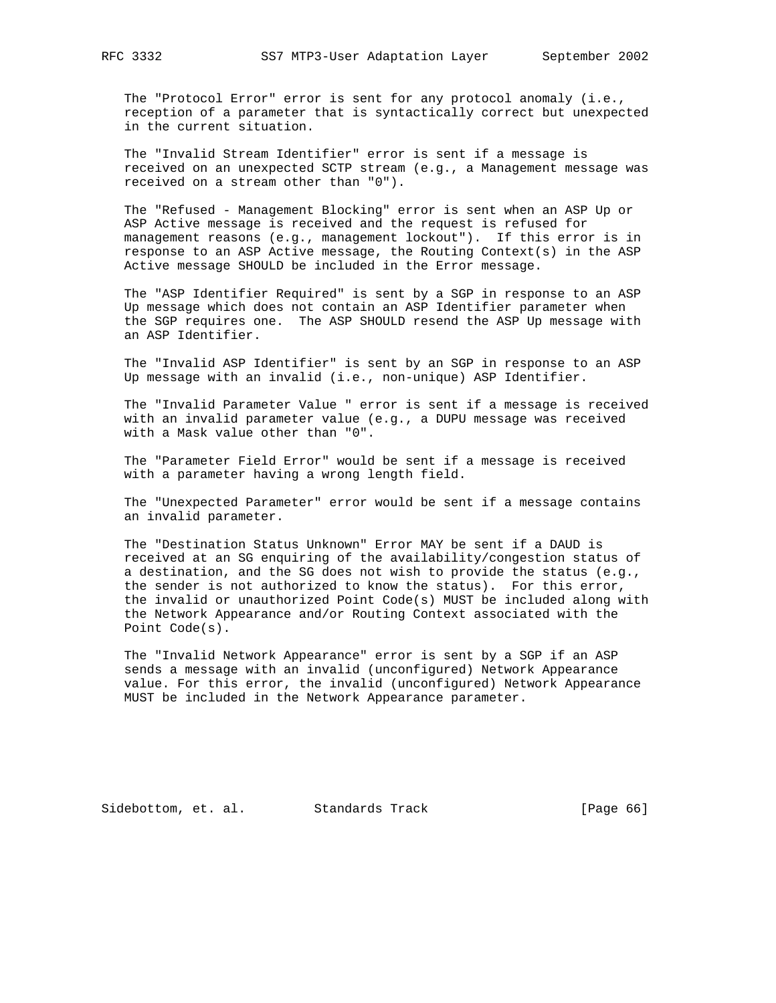The "Protocol Error" error is sent for any protocol anomaly (i.e., reception of a parameter that is syntactically correct but unexpected in the current situation.

 The "Invalid Stream Identifier" error is sent if a message is received on an unexpected SCTP stream (e.g., a Management message was received on a stream other than "0").

 The "Refused - Management Blocking" error is sent when an ASP Up or ASP Active message is received and the request is refused for management reasons (e.g., management lockout"). If this error is in response to an ASP Active message, the Routing Context(s) in the ASP Active message SHOULD be included in the Error message.

 The "ASP Identifier Required" is sent by a SGP in response to an ASP Up message which does not contain an ASP Identifier parameter when the SGP requires one. The ASP SHOULD resend the ASP Up message with an ASP Identifier.

 The "Invalid ASP Identifier" is sent by an SGP in response to an ASP Up message with an invalid (i.e., non-unique) ASP Identifier.

 The "Invalid Parameter Value " error is sent if a message is received with an invalid parameter value (e.g., a DUPU message was received with a Mask value other than "0".

 The "Parameter Field Error" would be sent if a message is received with a parameter having a wrong length field.

 The "Unexpected Parameter" error would be sent if a message contains an invalid parameter.

 The "Destination Status Unknown" Error MAY be sent if a DAUD is received at an SG enquiring of the availability/congestion status of a destination, and the SG does not wish to provide the status (e.g., the sender is not authorized to know the status). For this error, the invalid or unauthorized Point Code(s) MUST be included along with the Network Appearance and/or Routing Context associated with the Point Code(s).

 The "Invalid Network Appearance" error is sent by a SGP if an ASP sends a message with an invalid (unconfigured) Network Appearance value. For this error, the invalid (unconfigured) Network Appearance MUST be included in the Network Appearance parameter.

Sidebottom, et. al. Standards Track [Page 66]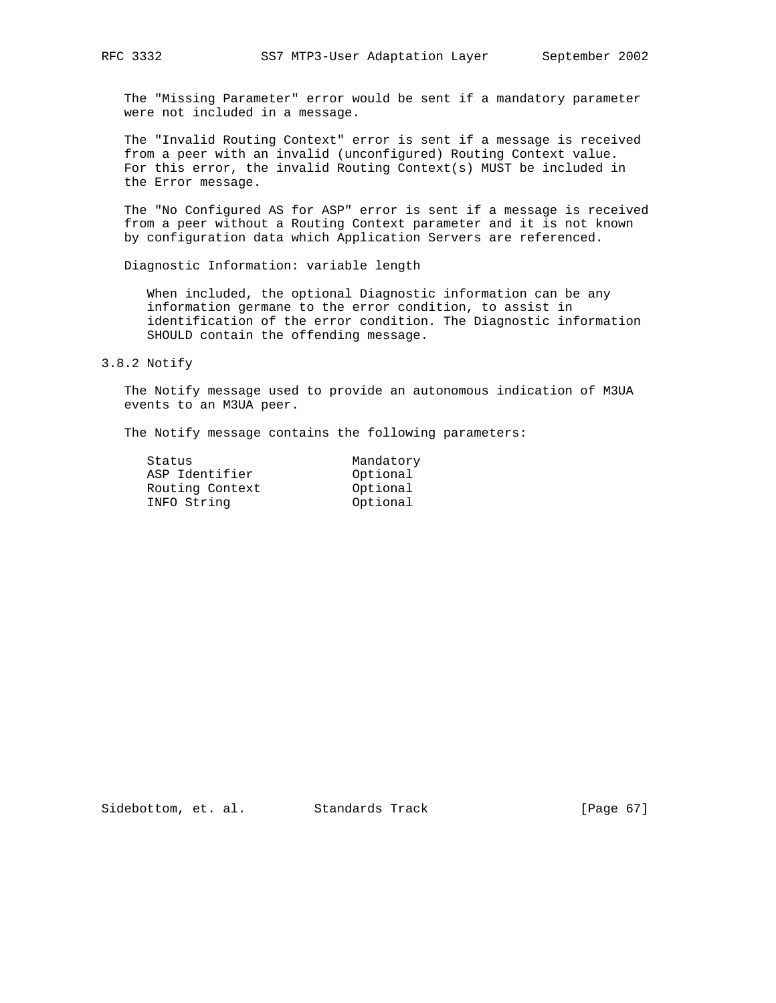The "Missing Parameter" error would be sent if a mandatory parameter were not included in a message.

 The "Invalid Routing Context" error is sent if a message is received from a peer with an invalid (unconfigured) Routing Context value. For this error, the invalid Routing Context(s) MUST be included in the Error message.

 The "No Configured AS for ASP" error is sent if a message is received from a peer without a Routing Context parameter and it is not known by configuration data which Application Servers are referenced.

Diagnostic Information: variable length

 When included, the optional Diagnostic information can be any information germane to the error condition, to assist in identification of the error condition. The Diagnostic information SHOULD contain the offending message.

# 3.8.2 Notify

 The Notify message used to provide an autonomous indication of M3UA events to an M3UA peer.

The Notify message contains the following parameters:

| Status          | Mandatory |
|-----------------|-----------|
| ASP Identifier  | Optional  |
| Routing Context | Optional  |
| INFO String     | Optional  |
|                 |           |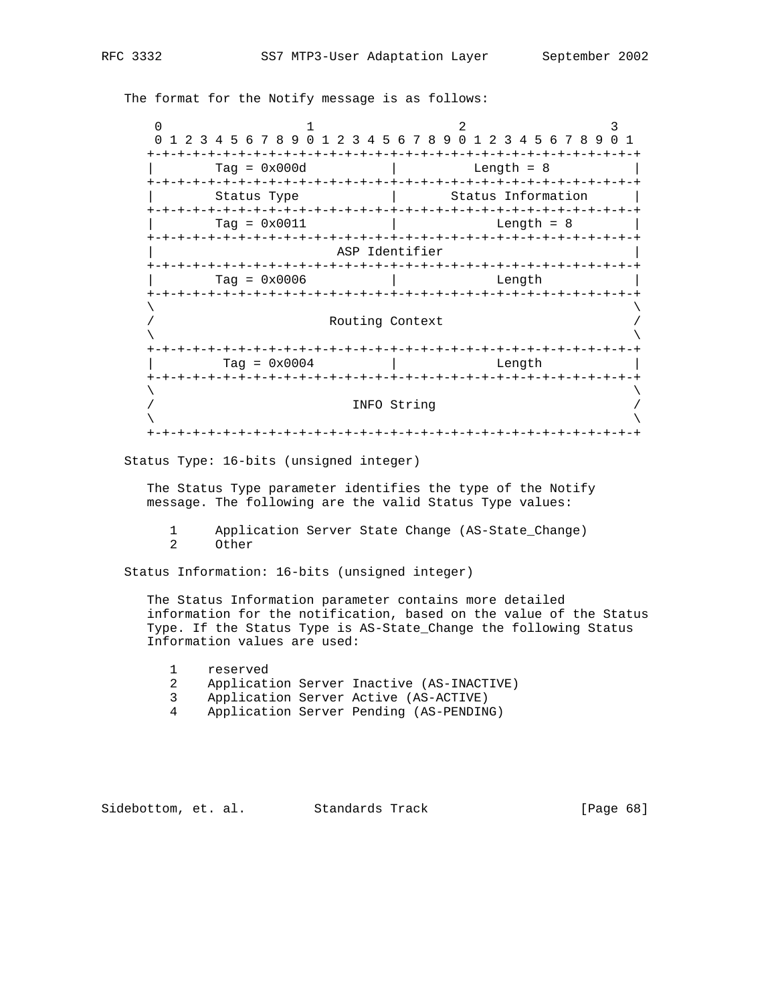The format for the Notify message is as follows:

| O                         |                                                           |                              |             | 2                    |              |                            |  |
|---------------------------|-----------------------------------------------------------|------------------------------|-------------|----------------------|--------------|----------------------------|--|
| $\Omega$                  | 1 2 3 4 5 6 7 8 9 0 1 2 3 4 5 6 7 8 9 0 1 2 3 4 5 6 7 8 9 |                              |             |                      |              |                            |  |
| -+-+-+-+-+-+-+-+-+        | $Taq = 0x000d$                                            |                              |             |                      | Length $= 8$ |                            |  |
|                           | Status Type                                               |                              |             |                      |              | Status Information         |  |
|                           | $Tag = 0x0011$                                            |                              |             |                      |              | Length = $8$               |  |
| +-+-+-+-+-+-+-+-+-+-+-+   |                                                           | ASP Identifier<br>-+-+-+-+-+ |             | -+-+-+-+-+-+-+-+-+-+ |              |                            |  |
|                           | $Taq = 0x0006$                                            |                              |             |                      |              | Length                     |  |
| +-+-+-+-+-+-+-+-+-+-+-+-+ |                                                           | Routing Context              |             |                      |              | -+-+-+-+-+-+-+-+-+-+-+     |  |
| +-+-+-+-+-+-+-+-+-+-+-+-+ | Tag = $0 \times 0004$                                     |                              |             |                      |              | -+-+-+-+-+-+-+-+<br>Length |  |
| -+-+-+-+-                 |                                                           |                              | INFO String |                      |              | -+-+-+-+-+-+-+             |  |
|                           |                                                           |                              |             | -+-+-+-+-+-+-+-+     |              |                            |  |

Status Type: 16-bits (unsigned integer)

 The Status Type parameter identifies the type of the Notify message. The following are the valid Status Type values:

1 Application Server State Change (AS-State\_Change)<br>2 Other 0ther

Status Information: 16-bits (unsigned integer)

 The Status Information parameter contains more detailed information for the notification, based on the value of the Status Type. If the Status Type is AS-State\_Change the following Status Information values are used:

- 1 reserved
- 2 Application Server Inactive (AS-INACTIVE)
- 3 Application Server Active (AS-ACTIVE)
- 4 Application Server Pending (AS-PENDING)

Sidebottom, et. al. Standards Track [Page 68]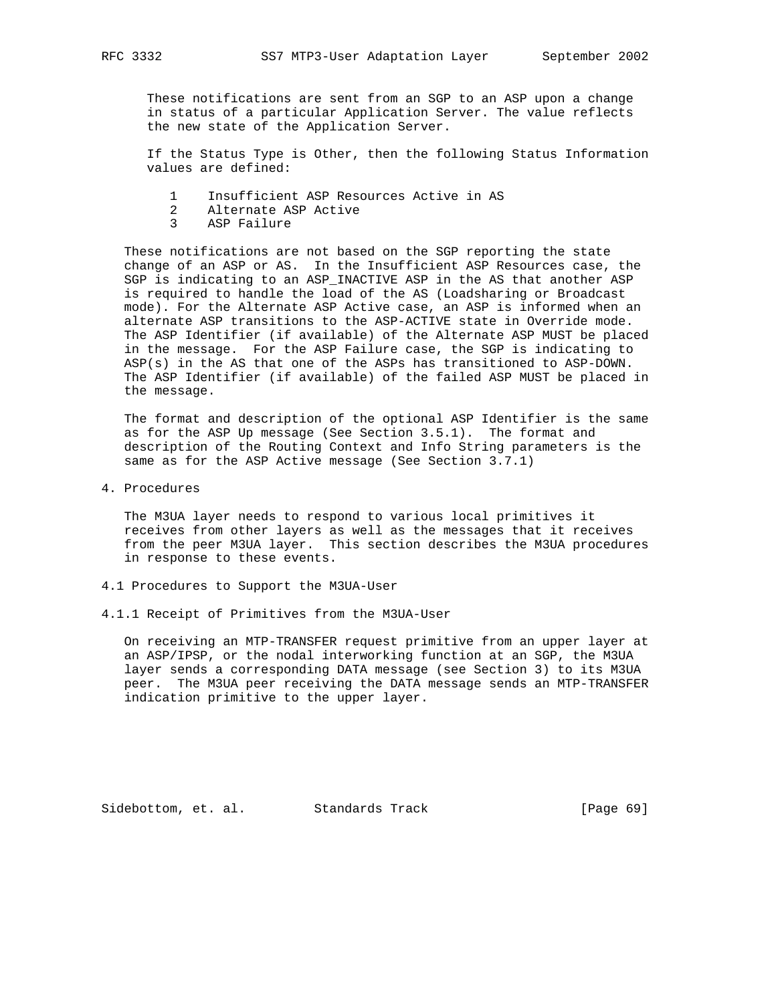These notifications are sent from an SGP to an ASP upon a change in status of a particular Application Server. The value reflects the new state of the Application Server.

 If the Status Type is Other, then the following Status Information values are defined:

- 1 Insufficient ASP Resources Active in AS
- 2 Alternate ASP Active
- 3 ASP Failure

 These notifications are not based on the SGP reporting the state change of an ASP or AS. In the Insufficient ASP Resources case, the SGP is indicating to an ASP\_INACTIVE ASP in the AS that another ASP is required to handle the load of the AS (Loadsharing or Broadcast mode). For the Alternate ASP Active case, an ASP is informed when an alternate ASP transitions to the ASP-ACTIVE state in Override mode. The ASP Identifier (if available) of the Alternate ASP MUST be placed in the message. For the ASP Failure case, the SGP is indicating to ASP(s) in the AS that one of the ASPs has transitioned to ASP-DOWN. The ASP Identifier (if available) of the failed ASP MUST be placed in the message.

 The format and description of the optional ASP Identifier is the same as for the ASP Up message (See Section 3.5.1). The format and description of the Routing Context and Info String parameters is the same as for the ASP Active message (See Section 3.7.1)

4. Procedures

 The M3UA layer needs to respond to various local primitives it receives from other layers as well as the messages that it receives from the peer M3UA layer. This section describes the M3UA procedures in response to these events.

- 4.1 Procedures to Support the M3UA-User
- 4.1.1 Receipt of Primitives from the M3UA-User

 On receiving an MTP-TRANSFER request primitive from an upper layer at an ASP/IPSP, or the nodal interworking function at an SGP, the M3UA layer sends a corresponding DATA message (see Section 3) to its M3UA peer. The M3UA peer receiving the DATA message sends an MTP-TRANSFER indication primitive to the upper layer.

Sidebottom, et. al. Standards Track [Page 69]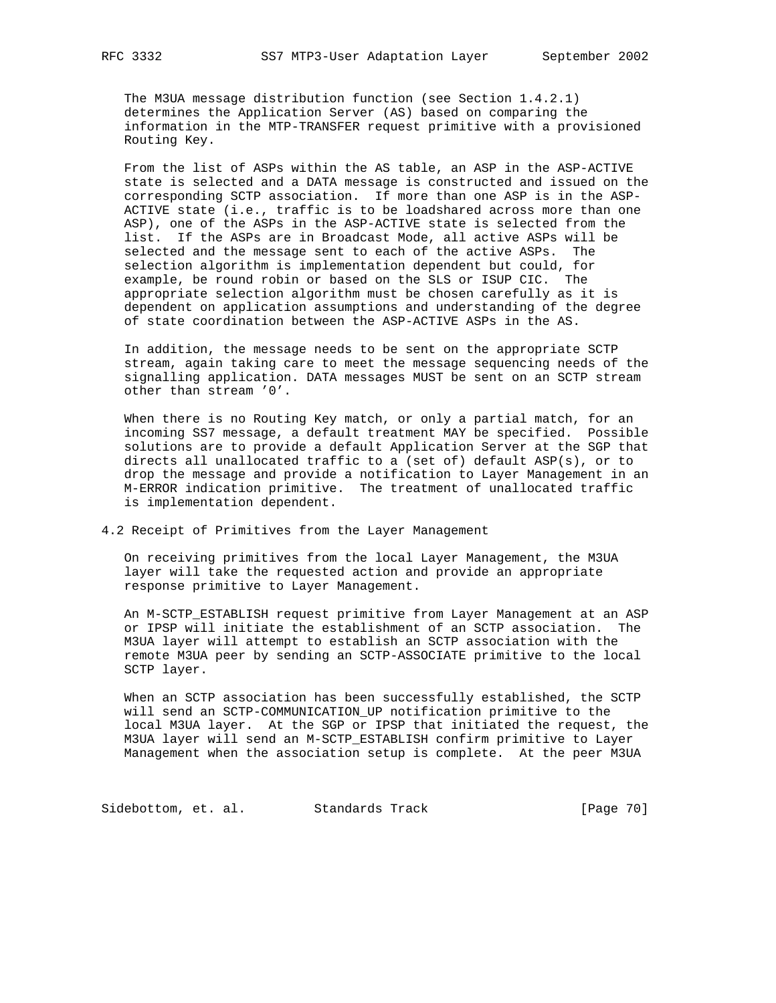The M3UA message distribution function (see Section 1.4.2.1) determines the Application Server (AS) based on comparing the information in the MTP-TRANSFER request primitive with a provisioned Routing Key.

 From the list of ASPs within the AS table, an ASP in the ASP-ACTIVE state is selected and a DATA message is constructed and issued on the corresponding SCTP association. If more than one ASP is in the ASP- ACTIVE state (i.e., traffic is to be loadshared across more than one ASP), one of the ASPs in the ASP-ACTIVE state is selected from the list. If the ASPs are in Broadcast Mode, all active ASPs will be selected and the message sent to each of the active ASPs. The selection algorithm is implementation dependent but could, for example, be round robin or based on the SLS or ISUP CIC. The appropriate selection algorithm must be chosen carefully as it is dependent on application assumptions and understanding of the degree of state coordination between the ASP-ACTIVE ASPs in the AS.

 In addition, the message needs to be sent on the appropriate SCTP stream, again taking care to meet the message sequencing needs of the signalling application. DATA messages MUST be sent on an SCTP stream other than stream '0'.

 When there is no Routing Key match, or only a partial match, for an incoming SS7 message, a default treatment MAY be specified. Possible solutions are to provide a default Application Server at the SGP that directs all unallocated traffic to a (set of) default ASP(s), or to drop the message and provide a notification to Layer Management in an M-ERROR indication primitive. The treatment of unallocated traffic is implementation dependent.

4.2 Receipt of Primitives from the Layer Management

 On receiving primitives from the local Layer Management, the M3UA layer will take the requested action and provide an appropriate response primitive to Layer Management.

 An M-SCTP\_ESTABLISH request primitive from Layer Management at an ASP or IPSP will initiate the establishment of an SCTP association. The M3UA layer will attempt to establish an SCTP association with the remote M3UA peer by sending an SCTP-ASSOCIATE primitive to the local SCTP layer.

 When an SCTP association has been successfully established, the SCTP will send an SCTP-COMMUNICATION\_UP notification primitive to the local M3UA layer. At the SGP or IPSP that initiated the request, the M3UA layer will send an M-SCTP\_ESTABLISH confirm primitive to Layer Management when the association setup is complete. At the peer M3UA

Sidebottom, et. al. Standards Track [Page 70]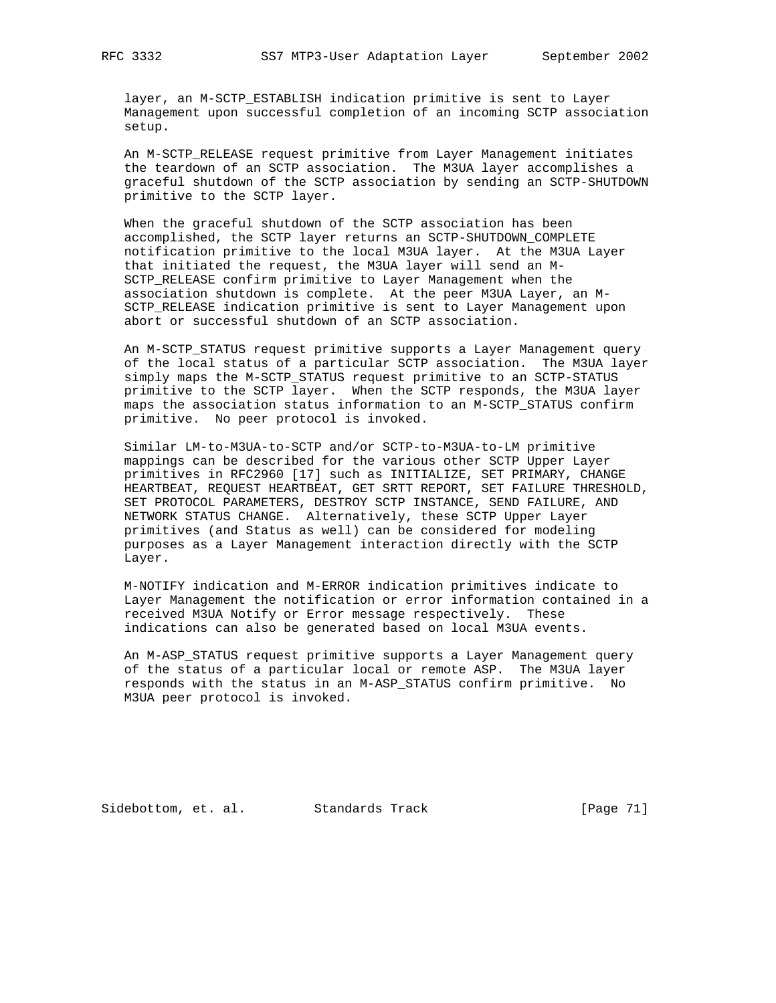layer, an M-SCTP\_ESTABLISH indication primitive is sent to Layer Management upon successful completion of an incoming SCTP association setup.

 An M-SCTP\_RELEASE request primitive from Layer Management initiates the teardown of an SCTP association. The M3UA layer accomplishes a graceful shutdown of the SCTP association by sending an SCTP-SHUTDOWN primitive to the SCTP layer.

 When the graceful shutdown of the SCTP association has been accomplished, the SCTP layer returns an SCTP-SHUTDOWN\_COMPLETE notification primitive to the local M3UA layer. At the M3UA Layer that initiated the request, the M3UA layer will send an M- SCTP\_RELEASE confirm primitive to Layer Management when the association shutdown is complete. At the peer M3UA Layer, an M- SCTP\_RELEASE indication primitive is sent to Layer Management upon abort or successful shutdown of an SCTP association.

 An M-SCTP\_STATUS request primitive supports a Layer Management query of the local status of a particular SCTP association. The M3UA layer simply maps the M-SCTP\_STATUS request primitive to an SCTP-STATUS primitive to the SCTP layer. When the SCTP responds, the M3UA layer maps the association status information to an M-SCTP\_STATUS confirm primitive. No peer protocol is invoked.

 Similar LM-to-M3UA-to-SCTP and/or SCTP-to-M3UA-to-LM primitive mappings can be described for the various other SCTP Upper Layer primitives in RFC2960 [17] such as INITIALIZE, SET PRIMARY, CHANGE HEARTBEAT, REQUEST HEARTBEAT, GET SRTT REPORT, SET FAILURE THRESHOLD, SET PROTOCOL PARAMETERS, DESTROY SCTP INSTANCE, SEND FAILURE, AND NETWORK STATUS CHANGE. Alternatively, these SCTP Upper Layer primitives (and Status as well) can be considered for modeling purposes as a Layer Management interaction directly with the SCTP Layer.

 M-NOTIFY indication and M-ERROR indication primitives indicate to Layer Management the notification or error information contained in a received M3UA Notify or Error message respectively. These indications can also be generated based on local M3UA events.

 An M-ASP\_STATUS request primitive supports a Layer Management query of the status of a particular local or remote ASP. The M3UA layer responds with the status in an M-ASP\_STATUS confirm primitive. No M3UA peer protocol is invoked.

Sidebottom, et. al. Standards Track [Page 71]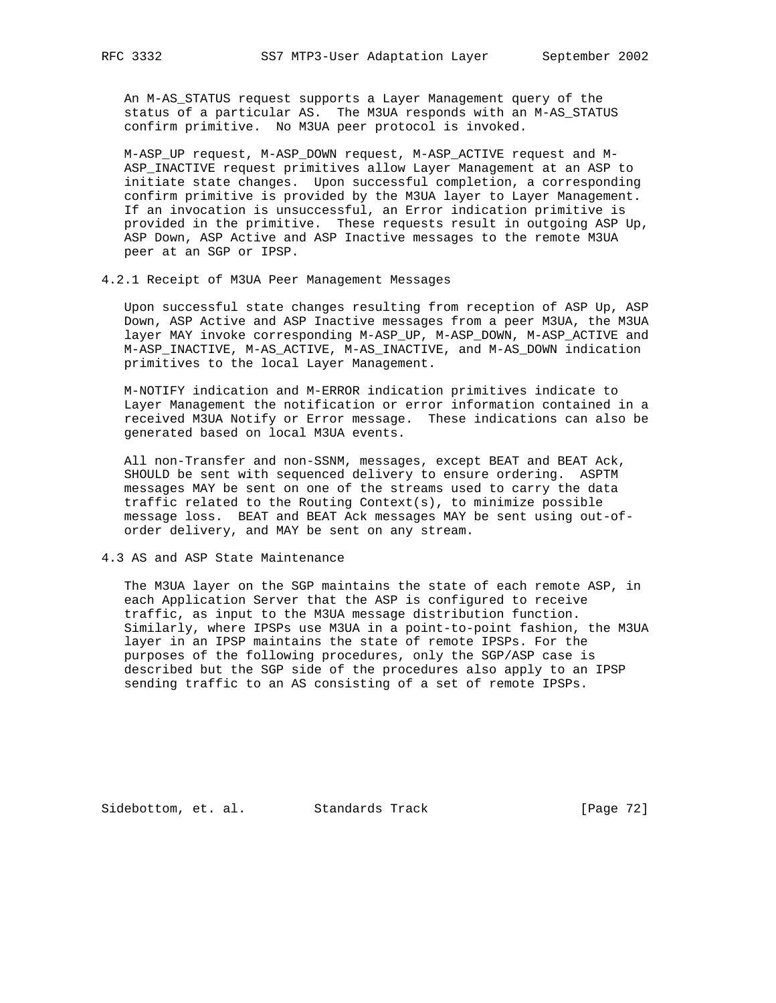An M-AS\_STATUS request supports a Layer Management query of the status of a particular AS. The M3UA responds with an M-AS\_STATUS confirm primitive. No M3UA peer protocol is invoked.

 M-ASP\_UP request, M-ASP\_DOWN request, M-ASP\_ACTIVE request and M- ASP\_INACTIVE request primitives allow Layer Management at an ASP to initiate state changes. Upon successful completion, a corresponding confirm primitive is provided by the M3UA layer to Layer Management. If an invocation is unsuccessful, an Error indication primitive is provided in the primitive. These requests result in outgoing ASP Up, ASP Down, ASP Active and ASP Inactive messages to the remote M3UA peer at an SGP or IPSP.

4.2.1 Receipt of M3UA Peer Management Messages

 Upon successful state changes resulting from reception of ASP Up, ASP Down, ASP Active and ASP Inactive messages from a peer M3UA, the M3UA layer MAY invoke corresponding M-ASP\_UP, M-ASP\_DOWN, M-ASP\_ACTIVE and M-ASP\_INACTIVE, M-AS\_ACTIVE, M-AS\_INACTIVE, and M-AS\_DOWN indication primitives to the local Layer Management.

 M-NOTIFY indication and M-ERROR indication primitives indicate to Layer Management the notification or error information contained in a received M3UA Notify or Error message. These indications can also be generated based on local M3UA events.

 All non-Transfer and non-SSNM, messages, except BEAT and BEAT Ack, SHOULD be sent with sequenced delivery to ensure ordering. ASPTM messages MAY be sent on one of the streams used to carry the data traffic related to the Routing Context(s), to minimize possible message loss. BEAT and BEAT Ack messages MAY be sent using out-of order delivery, and MAY be sent on any stream.

4.3 AS and ASP State Maintenance

 The M3UA layer on the SGP maintains the state of each remote ASP, in each Application Server that the ASP is configured to receive traffic, as input to the M3UA message distribution function. Similarly, where IPSPs use M3UA in a point-to-point fashion, the M3UA layer in an IPSP maintains the state of remote IPSPs. For the purposes of the following procedures, only the SGP/ASP case is described but the SGP side of the procedures also apply to an IPSP sending traffic to an AS consisting of a set of remote IPSPs.

Sidebottom, et. al. Standards Track [Page 72]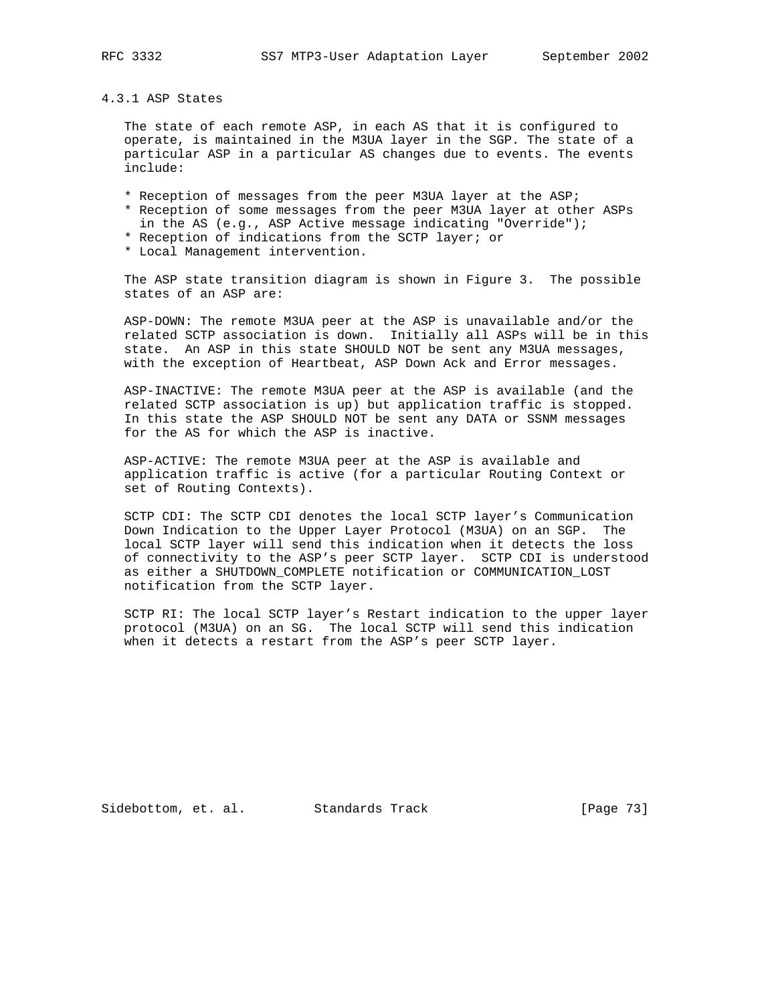## 4.3.1 ASP States

 The state of each remote ASP, in each AS that it is configured to operate, is maintained in the M3UA layer in the SGP. The state of a particular ASP in a particular AS changes due to events. The events include:

- \* Reception of messages from the peer M3UA layer at the ASP;
- \* Reception of some messages from the peer M3UA layer at other ASPs
- in the AS (e.g., ASP Active message indicating "Override");
- \* Reception of indications from the SCTP layer; or
- \* Local Management intervention.

 The ASP state transition diagram is shown in Figure 3. The possible states of an ASP are:

 ASP-DOWN: The remote M3UA peer at the ASP is unavailable and/or the related SCTP association is down. Initially all ASPs will be in this state. An ASP in this state SHOULD NOT be sent any M3UA messages, with the exception of Heartbeat, ASP Down Ack and Error messages.

 ASP-INACTIVE: The remote M3UA peer at the ASP is available (and the related SCTP association is up) but application traffic is stopped. In this state the ASP SHOULD NOT be sent any DATA or SSNM messages for the AS for which the ASP is inactive.

 ASP-ACTIVE: The remote M3UA peer at the ASP is available and application traffic is active (for a particular Routing Context or set of Routing Contexts).

 SCTP CDI: The SCTP CDI denotes the local SCTP layer's Communication Down Indication to the Upper Layer Protocol (M3UA) on an SGP. The local SCTP layer will send this indication when it detects the loss of connectivity to the ASP's peer SCTP layer. SCTP CDI is understood as either a SHUTDOWN\_COMPLETE notification or COMMUNICATION\_LOST notification from the SCTP layer.

 SCTP RI: The local SCTP layer's Restart indication to the upper layer protocol (M3UA) on an SG. The local SCTP will send this indication when it detects a restart from the ASP's peer SCTP layer.

Sidebottom, et. al. Standards Track [Page 73]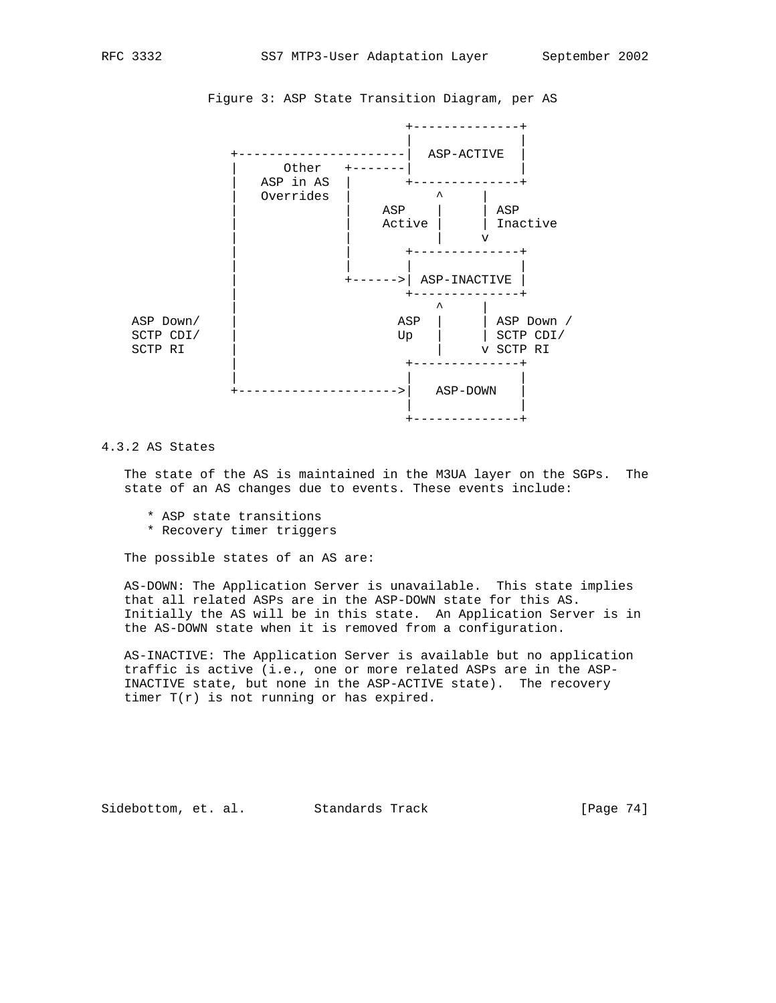

Figure 3: ASP State Transition Diagram, per AS

## 4.3.2 AS States

 The state of the AS is maintained in the M3UA layer on the SGPs. The state of an AS changes due to events. These events include:

- \* ASP state transitions
- \* Recovery timer triggers

The possible states of an AS are:

 AS-DOWN: The Application Server is unavailable. This state implies that all related ASPs are in the ASP-DOWN state for this AS. Initially the AS will be in this state. An Application Server is in the AS-DOWN state when it is removed from a configuration.

 AS-INACTIVE: The Application Server is available but no application traffic is active (i.e., one or more related ASPs are in the ASP- INACTIVE state, but none in the ASP-ACTIVE state). The recovery timer  $T(r)$  is not running or has expired.

Sidebottom, et. al. Standards Track [Page 74]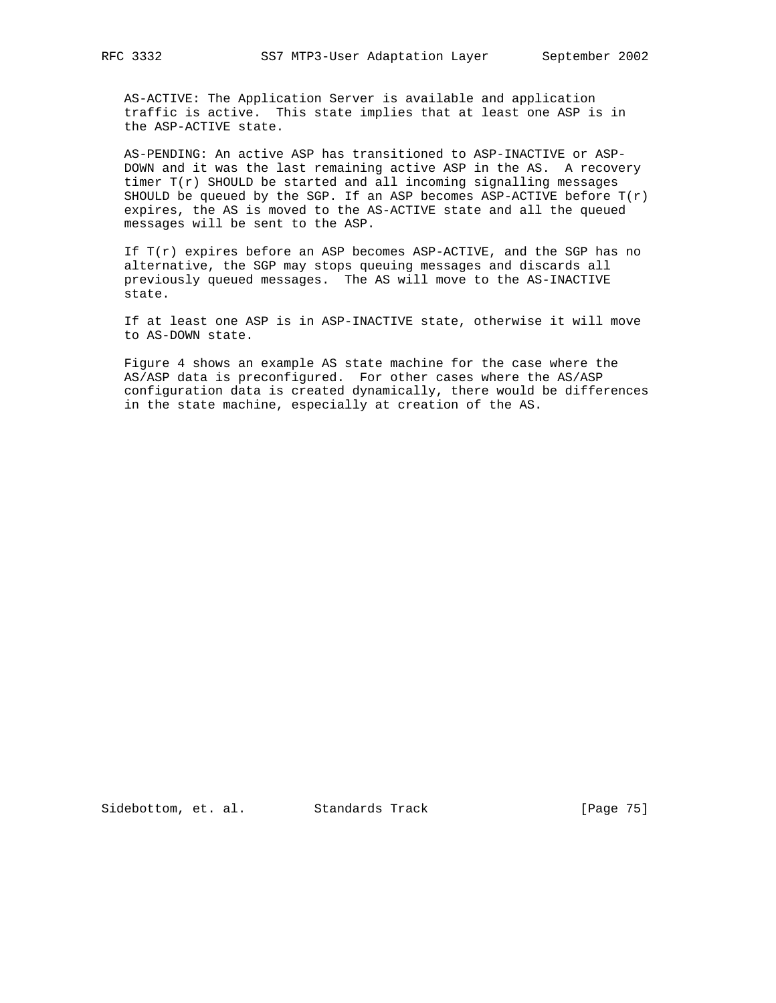AS-ACTIVE: The Application Server is available and application traffic is active. This state implies that at least one ASP is in the ASP-ACTIVE state.

 AS-PENDING: An active ASP has transitioned to ASP-INACTIVE or ASP- DOWN and it was the last remaining active ASP in the AS. A recovery timer  $T(r)$  SHOULD be started and all incoming signalling messages SHOULD be queued by the SGP. If an ASP becomes ASP-ACTIVE before  $T(r)$  expires, the AS is moved to the AS-ACTIVE state and all the queued messages will be sent to the ASP.

If  $T(r)$  expires before an ASP becomes ASP-ACTIVE, and the SGP has no alternative, the SGP may stops queuing messages and discards all previously queued messages. The AS will move to the AS-INACTIVE state.

 If at least one ASP is in ASP-INACTIVE state, otherwise it will move to AS-DOWN state.

 Figure 4 shows an example AS state machine for the case where the AS/ASP data is preconfigured. For other cases where the AS/ASP configuration data is created dynamically, there would be differences in the state machine, especially at creation of the AS.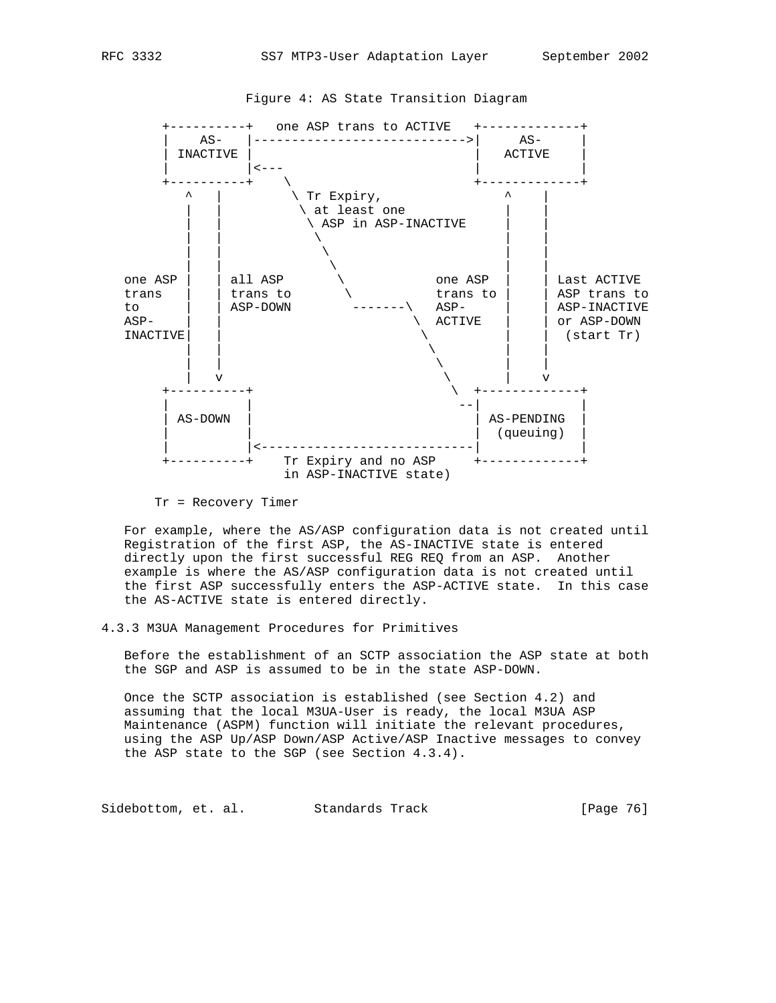

Figure 4: AS State Transition Diagram

 For example, where the AS/ASP configuration data is not created until Registration of the first ASP, the AS-INACTIVE state is entered directly upon the first successful REG REQ from an ASP. Another example is where the AS/ASP configuration data is not created until the first ASP successfully enters the ASP-ACTIVE state. In this case the AS-ACTIVE state is entered directly.

4.3.3 M3UA Management Procedures for Primitives

 Before the establishment of an SCTP association the ASP state at both the SGP and ASP is assumed to be in the state ASP-DOWN.

 Once the SCTP association is established (see Section 4.2) and assuming that the local M3UA-User is ready, the local M3UA ASP Maintenance (ASPM) function will initiate the relevant procedures, using the ASP Up/ASP Down/ASP Active/ASP Inactive messages to convey the ASP state to the SGP (see Section 4.3.4).

Sidebottom, et. al. Standards Track [Page 76]

Tr = Recovery Timer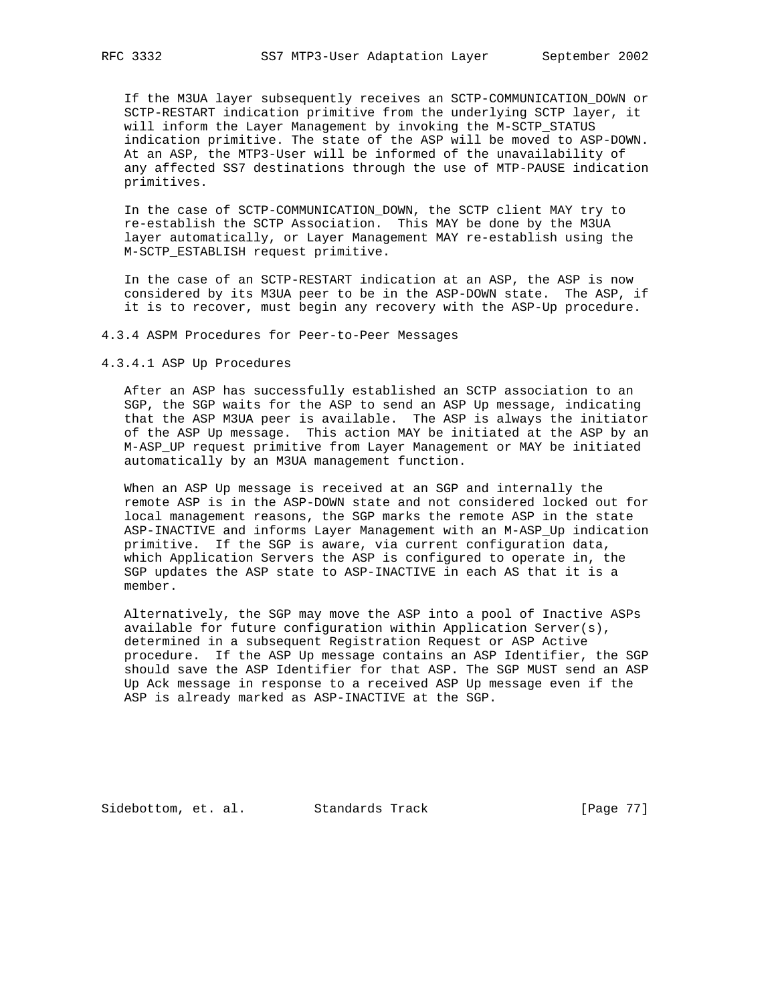If the M3UA layer subsequently receives an SCTP-COMMUNICATION\_DOWN or SCTP-RESTART indication primitive from the underlying SCTP layer, it will inform the Layer Management by invoking the M-SCTP\_STATUS indication primitive. The state of the ASP will be moved to ASP-DOWN. At an ASP, the MTP3-User will be informed of the unavailability of any affected SS7 destinations through the use of MTP-PAUSE indication primitives.

 In the case of SCTP-COMMUNICATION\_DOWN, the SCTP client MAY try to re-establish the SCTP Association. This MAY be done by the M3UA layer automatically, or Layer Management MAY re-establish using the M-SCTP\_ESTABLISH request primitive.

 In the case of an SCTP-RESTART indication at an ASP, the ASP is now considered by its M3UA peer to be in the ASP-DOWN state. The ASP, if it is to recover, must begin any recovery with the ASP-Up procedure.

4.3.4 ASPM Procedures for Peer-to-Peer Messages

4.3.4.1 ASP Up Procedures

 After an ASP has successfully established an SCTP association to an SGP, the SGP waits for the ASP to send an ASP Up message, indicating that the ASP M3UA peer is available. The ASP is always the initiator of the ASP Up message. This action MAY be initiated at the ASP by an M-ASP\_UP request primitive from Layer Management or MAY be initiated automatically by an M3UA management function.

 When an ASP Up message is received at an SGP and internally the remote ASP is in the ASP-DOWN state and not considered locked out for local management reasons, the SGP marks the remote ASP in the state ASP-INACTIVE and informs Layer Management with an M-ASP\_Up indication primitive. If the SGP is aware, via current configuration data, which Application Servers the ASP is configured to operate in, the SGP updates the ASP state to ASP-INACTIVE in each AS that it is a member.

 Alternatively, the SGP may move the ASP into a pool of Inactive ASPs available for future configuration within Application Server(s), determined in a subsequent Registration Request or ASP Active procedure. If the ASP Up message contains an ASP Identifier, the SGP should save the ASP Identifier for that ASP. The SGP MUST send an ASP Up Ack message in response to a received ASP Up message even if the ASP is already marked as ASP-INACTIVE at the SGP.

Sidebottom, et. al. Standards Track [Page 77]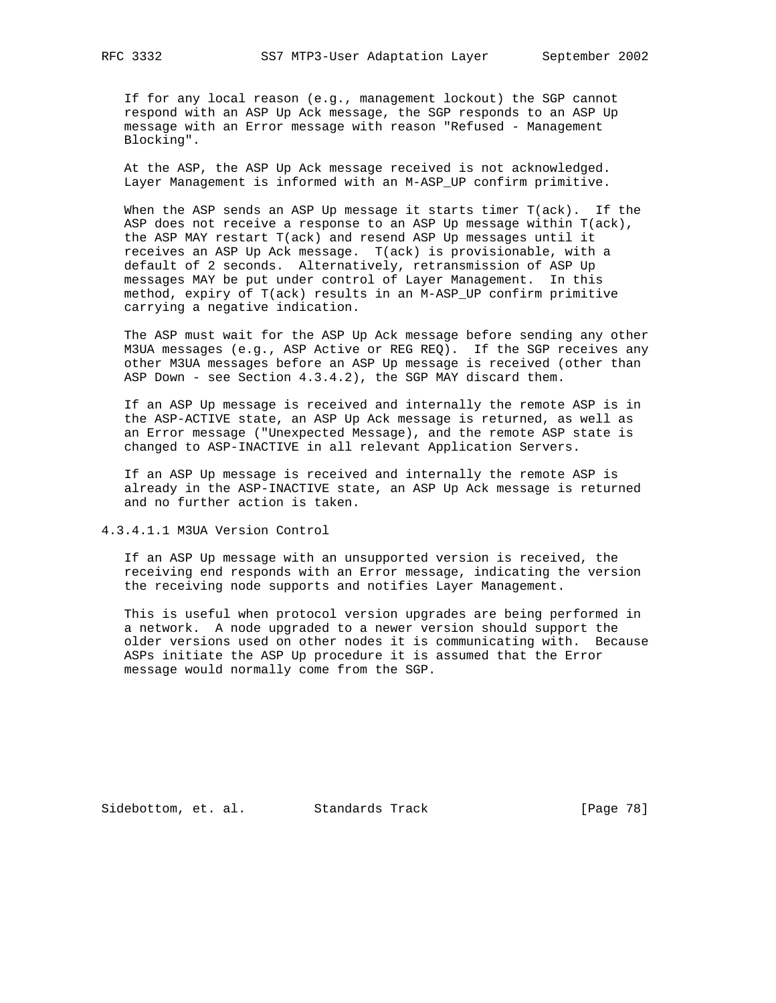If for any local reason (e.g., management lockout) the SGP cannot respond with an ASP Up Ack message, the SGP responds to an ASP Up message with an Error message with reason "Refused - Management Blocking".

 At the ASP, the ASP Up Ack message received is not acknowledged. Layer Management is informed with an M-ASP\_UP confirm primitive.

 When the ASP sends an ASP Up message it starts timer T(ack). If the ASP does not receive a response to an ASP Up message within T(ack), the ASP MAY restart T(ack) and resend ASP Up messages until it receives an ASP Up Ack message. T(ack) is provisionable, with a default of 2 seconds. Alternatively, retransmission of ASP Up messages MAY be put under control of Layer Management. In this method, expiry of T(ack) results in an M-ASP\_UP confirm primitive carrying a negative indication.

 The ASP must wait for the ASP Up Ack message before sending any other M3UA messages (e.g., ASP Active or REG REQ). If the SGP receives any other M3UA messages before an ASP Up message is received (other than ASP Down - see Section 4.3.4.2), the SGP MAY discard them.

 If an ASP Up message is received and internally the remote ASP is in the ASP-ACTIVE state, an ASP Up Ack message is returned, as well as an Error message ("Unexpected Message), and the remote ASP state is changed to ASP-INACTIVE in all relevant Application Servers.

 If an ASP Up message is received and internally the remote ASP is already in the ASP-INACTIVE state, an ASP Up Ack message is returned and no further action is taken.

4.3.4.1.1 M3UA Version Control

 If an ASP Up message with an unsupported version is received, the receiving end responds with an Error message, indicating the version the receiving node supports and notifies Layer Management.

 This is useful when protocol version upgrades are being performed in a network. A node upgraded to a newer version should support the older versions used on other nodes it is communicating with. Because ASPs initiate the ASP Up procedure it is assumed that the Error message would normally come from the SGP.

Sidebottom, et. al. Standards Track [Page 78]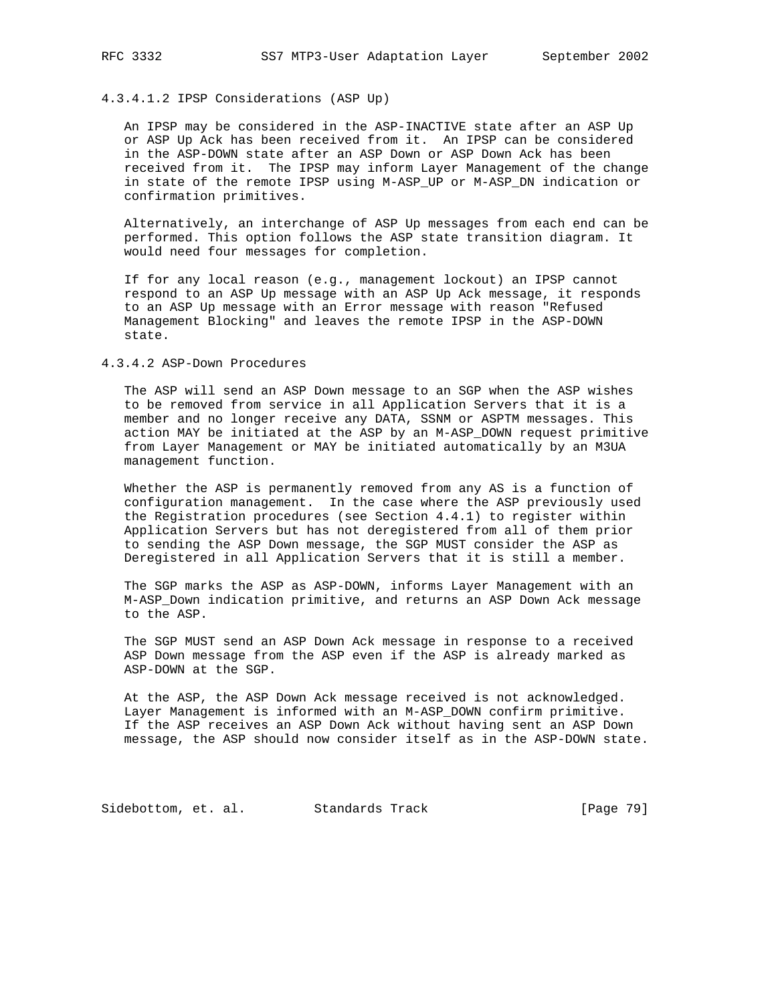# 4.3.4.1.2 IPSP Considerations (ASP Up)

 An IPSP may be considered in the ASP-INACTIVE state after an ASP Up or ASP Up Ack has been received from it. An IPSP can be considered in the ASP-DOWN state after an ASP Down or ASP Down Ack has been received from it. The IPSP may inform Layer Management of the change in state of the remote IPSP using M-ASP\_UP or M-ASP\_DN indication or confirmation primitives.

 Alternatively, an interchange of ASP Up messages from each end can be performed. This option follows the ASP state transition diagram. It would need four messages for completion.

 If for any local reason (e.g., management lockout) an IPSP cannot respond to an ASP Up message with an ASP Up Ack message, it responds to an ASP Up message with an Error message with reason "Refused Management Blocking" and leaves the remote IPSP in the ASP-DOWN state.

## 4.3.4.2 ASP-Down Procedures

 The ASP will send an ASP Down message to an SGP when the ASP wishes to be removed from service in all Application Servers that it is a member and no longer receive any DATA, SSNM or ASPTM messages. This action MAY be initiated at the ASP by an M-ASP\_DOWN request primitive from Layer Management or MAY be initiated automatically by an M3UA management function.

 Whether the ASP is permanently removed from any AS is a function of configuration management. In the case where the ASP previously used the Registration procedures (see Section 4.4.1) to register within Application Servers but has not deregistered from all of them prior to sending the ASP Down message, the SGP MUST consider the ASP as Deregistered in all Application Servers that it is still a member.

 The SGP marks the ASP as ASP-DOWN, informs Layer Management with an M-ASP\_Down indication primitive, and returns an ASP Down Ack message to the ASP.

 The SGP MUST send an ASP Down Ack message in response to a received ASP Down message from the ASP even if the ASP is already marked as ASP-DOWN at the SGP.

 At the ASP, the ASP Down Ack message received is not acknowledged. Layer Management is informed with an M-ASP\_DOWN confirm primitive. If the ASP receives an ASP Down Ack without having sent an ASP Down message, the ASP should now consider itself as in the ASP-DOWN state.

Sidebottom, et. al. Standards Track [Page 79]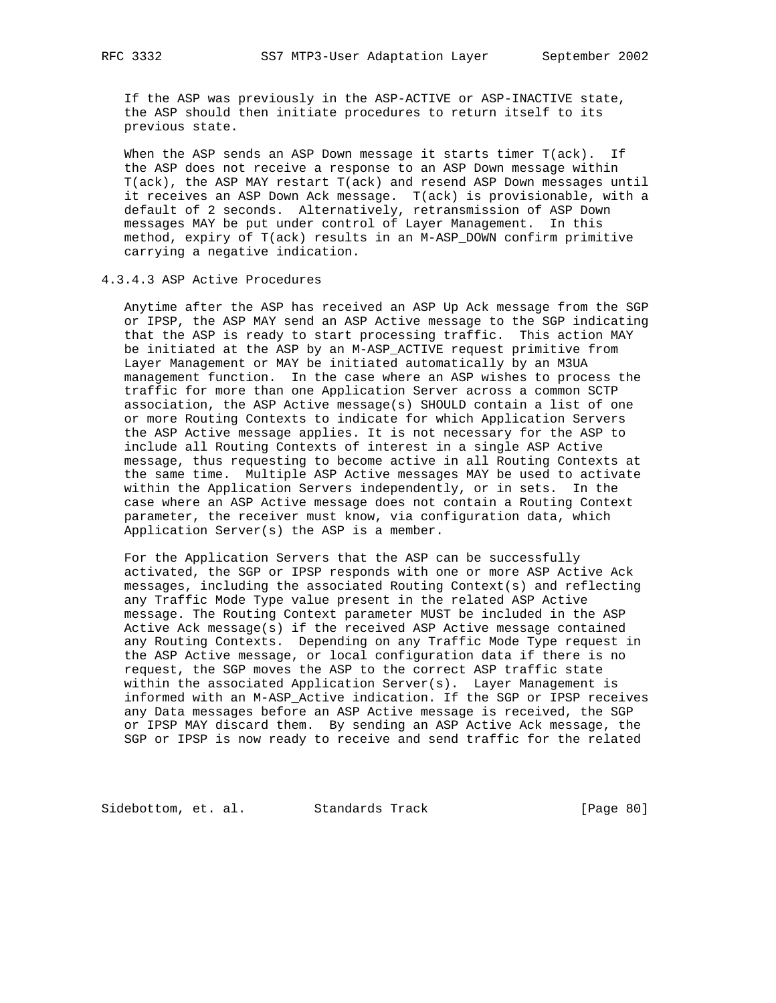If the ASP was previously in the ASP-ACTIVE or ASP-INACTIVE state, the ASP should then initiate procedures to return itself to its previous state.

 When the ASP sends an ASP Down message it starts timer T(ack). If the ASP does not receive a response to an ASP Down message within T(ack), the ASP MAY restart T(ack) and resend ASP Down messages until it receives an ASP Down Ack message. T(ack) is provisionable, with a default of 2 seconds. Alternatively, retransmission of ASP Down messages MAY be put under control of Layer Management. In this method, expiry of T(ack) results in an M-ASP\_DOWN confirm primitive carrying a negative indication.

## 4.3.4.3 ASP Active Procedures

 Anytime after the ASP has received an ASP Up Ack message from the SGP or IPSP, the ASP MAY send an ASP Active message to the SGP indicating that the ASP is ready to start processing traffic. This action MAY be initiated at the ASP by an M-ASP\_ACTIVE request primitive from Layer Management or MAY be initiated automatically by an M3UA management function. In the case where an ASP wishes to process the traffic for more than one Application Server across a common SCTP association, the ASP Active message(s) SHOULD contain a list of one or more Routing Contexts to indicate for which Application Servers the ASP Active message applies. It is not necessary for the ASP to include all Routing Contexts of interest in a single ASP Active message, thus requesting to become active in all Routing Contexts at the same time. Multiple ASP Active messages MAY be used to activate within the Application Servers independently, or in sets. In the case where an ASP Active message does not contain a Routing Context parameter, the receiver must know, via configuration data, which Application Server(s) the ASP is a member.

 For the Application Servers that the ASP can be successfully activated, the SGP or IPSP responds with one or more ASP Active Ack messages, including the associated Routing Context(s) and reflecting any Traffic Mode Type value present in the related ASP Active message. The Routing Context parameter MUST be included in the ASP Active Ack message(s) if the received ASP Active message contained any Routing Contexts. Depending on any Traffic Mode Type request in the ASP Active message, or local configuration data if there is no request, the SGP moves the ASP to the correct ASP traffic state within the associated Application Server(s). Layer Management is informed with an M-ASP\_Active indication. If the SGP or IPSP receives any Data messages before an ASP Active message is received, the SGP or IPSP MAY discard them. By sending an ASP Active Ack message, the SGP or IPSP is now ready to receive and send traffic for the related

Sidebottom, et. al. Standards Track [Page 80]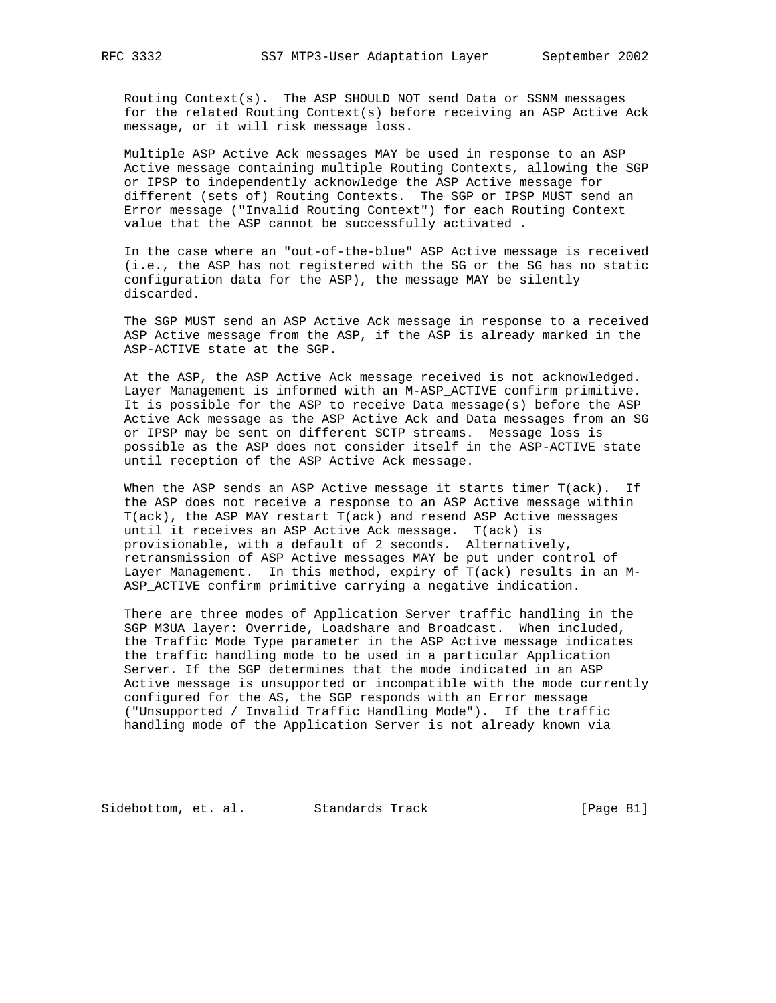Routing Context(s). The ASP SHOULD NOT send Data or SSNM messages for the related Routing Context(s) before receiving an ASP Active Ack message, or it will risk message loss.

 Multiple ASP Active Ack messages MAY be used in response to an ASP Active message containing multiple Routing Contexts, allowing the SGP or IPSP to independently acknowledge the ASP Active message for different (sets of) Routing Contexts. The SGP or IPSP MUST send an Error message ("Invalid Routing Context") for each Routing Context value that the ASP cannot be successfully activated .

 In the case where an "out-of-the-blue" ASP Active message is received (i.e., the ASP has not registered with the SG or the SG has no static configuration data for the ASP), the message MAY be silently discarded.

 The SGP MUST send an ASP Active Ack message in response to a received ASP Active message from the ASP, if the ASP is already marked in the ASP-ACTIVE state at the SGP.

 At the ASP, the ASP Active Ack message received is not acknowledged. Layer Management is informed with an M-ASP\_ACTIVE confirm primitive. It is possible for the ASP to receive Data message(s) before the ASP Active Ack message as the ASP Active Ack and Data messages from an SG or IPSP may be sent on different SCTP streams. Message loss is possible as the ASP does not consider itself in the ASP-ACTIVE state until reception of the ASP Active Ack message.

 When the ASP sends an ASP Active message it starts timer T(ack). If the ASP does not receive a response to an ASP Active message within T(ack), the ASP MAY restart T(ack) and resend ASP Active messages until it receives an ASP Active Ack message. T(ack) is provisionable, with a default of 2 seconds. Alternatively, retransmission of ASP Active messages MAY be put under control of Layer Management. In this method, expiry of T(ack) results in an M- ASP\_ACTIVE confirm primitive carrying a negative indication.

 There are three modes of Application Server traffic handling in the SGP M3UA layer: Override, Loadshare and Broadcast. When included, the Traffic Mode Type parameter in the ASP Active message indicates the traffic handling mode to be used in a particular Application Server. If the SGP determines that the mode indicated in an ASP Active message is unsupported or incompatible with the mode currently configured for the AS, the SGP responds with an Error message ("Unsupported / Invalid Traffic Handling Mode"). If the traffic handling mode of the Application Server is not already known via

Sidebottom, et. al. Standards Track [Page 81]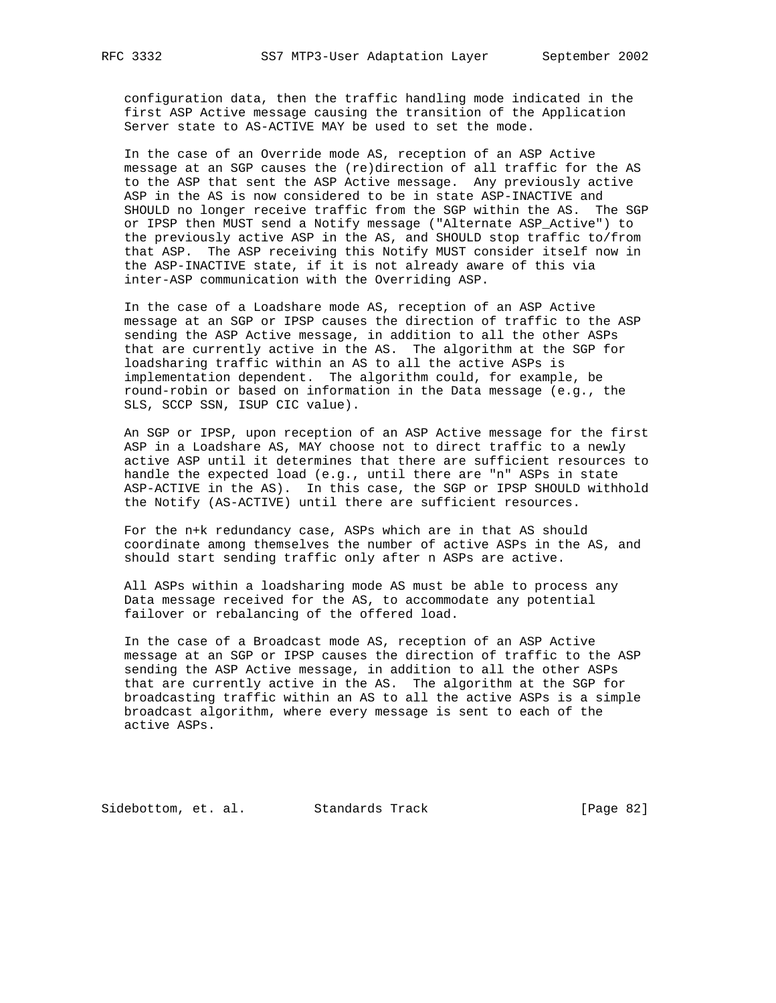configuration data, then the traffic handling mode indicated in the first ASP Active message causing the transition of the Application Server state to AS-ACTIVE MAY be used to set the mode.

 In the case of an Override mode AS, reception of an ASP Active message at an SGP causes the (re)direction of all traffic for the AS to the ASP that sent the ASP Active message. Any previously active ASP in the AS is now considered to be in state ASP-INACTIVE and SHOULD no longer receive traffic from the SGP within the AS. The SGP or IPSP then MUST send a Notify message ("Alternate ASP\_Active") to the previously active ASP in the AS, and SHOULD stop traffic to/from that ASP. The ASP receiving this Notify MUST consider itself now in the ASP-INACTIVE state, if it is not already aware of this via inter-ASP communication with the Overriding ASP.

 In the case of a Loadshare mode AS, reception of an ASP Active message at an SGP or IPSP causes the direction of traffic to the ASP sending the ASP Active message, in addition to all the other ASPs that are currently active in the AS. The algorithm at the SGP for loadsharing traffic within an AS to all the active ASPs is implementation dependent. The algorithm could, for example, be round-robin or based on information in the Data message (e.g., the SLS, SCCP SSN, ISUP CIC value).

 An SGP or IPSP, upon reception of an ASP Active message for the first ASP in a Loadshare AS, MAY choose not to direct traffic to a newly active ASP until it determines that there are sufficient resources to handle the expected load (e.g., until there are "n" ASPs in state ASP-ACTIVE in the AS). In this case, the SGP or IPSP SHOULD withhold the Notify (AS-ACTIVE) until there are sufficient resources.

 For the n+k redundancy case, ASPs which are in that AS should coordinate among themselves the number of active ASPs in the AS, and should start sending traffic only after n ASPs are active.

 All ASPs within a loadsharing mode AS must be able to process any Data message received for the AS, to accommodate any potential failover or rebalancing of the offered load.

 In the case of a Broadcast mode AS, reception of an ASP Active message at an SGP or IPSP causes the direction of traffic to the ASP sending the ASP Active message, in addition to all the other ASPs that are currently active in the AS. The algorithm at the SGP for broadcasting traffic within an AS to all the active ASPs is a simple broadcast algorithm, where every message is sent to each of the active ASPs.

Sidebottom, et. al. Standards Track [Page 82]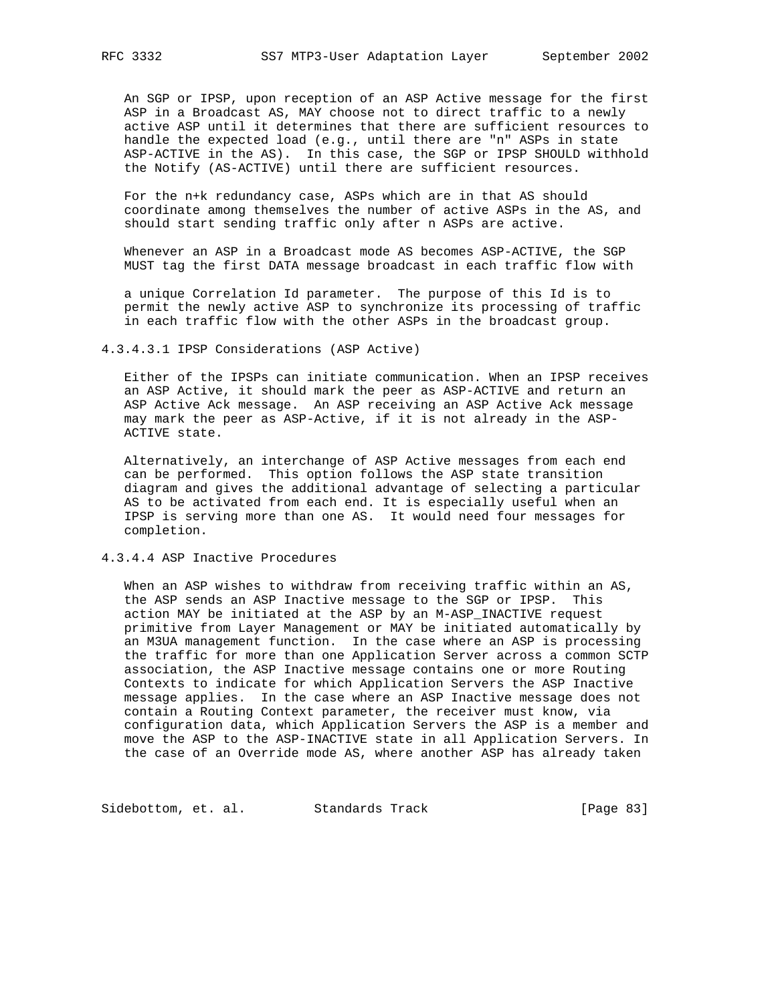An SGP or IPSP, upon reception of an ASP Active message for the first ASP in a Broadcast AS, MAY choose not to direct traffic to a newly active ASP until it determines that there are sufficient resources to handle the expected load (e.g., until there are "n" ASPs in state ASP-ACTIVE in the AS). In this case, the SGP or IPSP SHOULD withhold the Notify (AS-ACTIVE) until there are sufficient resources.

 For the n+k redundancy case, ASPs which are in that AS should coordinate among themselves the number of active ASPs in the AS, and should start sending traffic only after n ASPs are active.

 Whenever an ASP in a Broadcast mode AS becomes ASP-ACTIVE, the SGP MUST tag the first DATA message broadcast in each traffic flow with

 a unique Correlation Id parameter. The purpose of this Id is to permit the newly active ASP to synchronize its processing of traffic in each traffic flow with the other ASPs in the broadcast group.

4.3.4.3.1 IPSP Considerations (ASP Active)

 Either of the IPSPs can initiate communication. When an IPSP receives an ASP Active, it should mark the peer as ASP-ACTIVE and return an ASP Active Ack message. An ASP receiving an ASP Active Ack message may mark the peer as ASP-Active, if it is not already in the ASP- ACTIVE state.

 Alternatively, an interchange of ASP Active messages from each end can be performed. This option follows the ASP state transition diagram and gives the additional advantage of selecting a particular AS to be activated from each end. It is especially useful when an IPSP is serving more than one AS. It would need four messages for completion.

4.3.4.4 ASP Inactive Procedures

 When an ASP wishes to withdraw from receiving traffic within an AS, the ASP sends an ASP Inactive message to the SGP or IPSP. This action MAY be initiated at the ASP by an M-ASP\_INACTIVE request primitive from Layer Management or MAY be initiated automatically by an M3UA management function. In the case where an ASP is processing the traffic for more than one Application Server across a common SCTP association, the ASP Inactive message contains one or more Routing Contexts to indicate for which Application Servers the ASP Inactive message applies. In the case where an ASP Inactive message does not contain a Routing Context parameter, the receiver must know, via configuration data, which Application Servers the ASP is a member and move the ASP to the ASP-INACTIVE state in all Application Servers. In the case of an Override mode AS, where another ASP has already taken

Sidebottom, et. al. Standards Track [Page 83]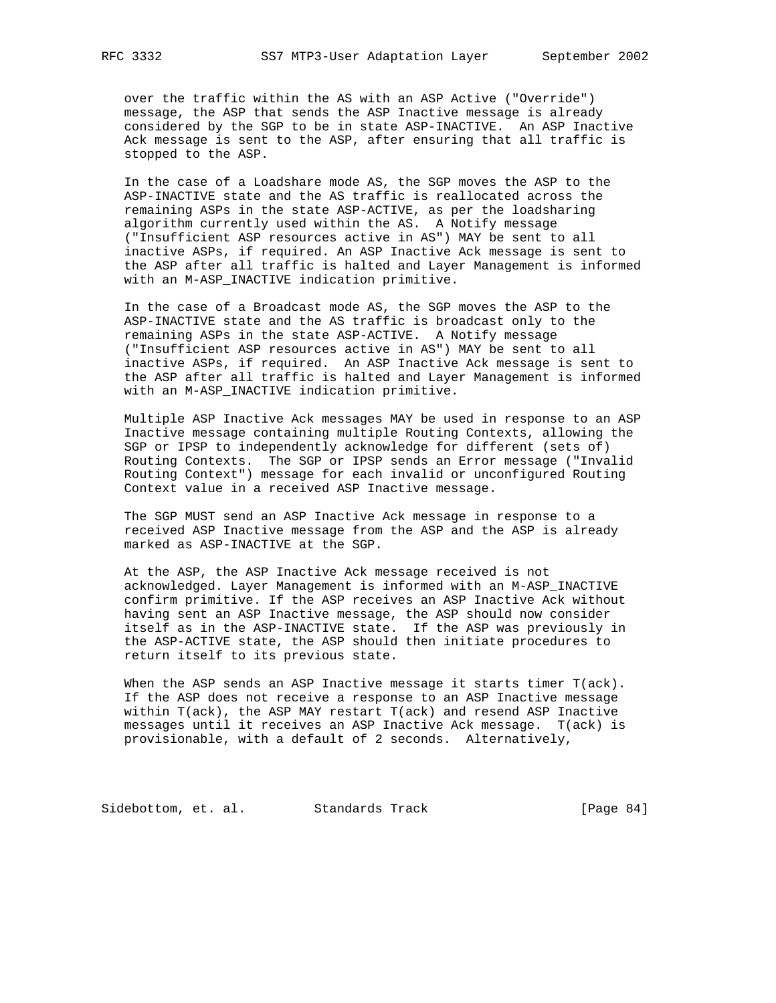over the traffic within the AS with an ASP Active ("Override") message, the ASP that sends the ASP Inactive message is already considered by the SGP to be in state ASP-INACTIVE. An ASP Inactive Ack message is sent to the ASP, after ensuring that all traffic is stopped to the ASP.

 In the case of a Loadshare mode AS, the SGP moves the ASP to the ASP-INACTIVE state and the AS traffic is reallocated across the remaining ASPs in the state ASP-ACTIVE, as per the loadsharing algorithm currently used within the AS. A Notify message ("Insufficient ASP resources active in AS") MAY be sent to all inactive ASPs, if required. An ASP Inactive Ack message is sent to the ASP after all traffic is halted and Layer Management is informed with an M-ASP\_INACTIVE indication primitive.

 In the case of a Broadcast mode AS, the SGP moves the ASP to the ASP-INACTIVE state and the AS traffic is broadcast only to the remaining ASPs in the state ASP-ACTIVE. A Notify message ("Insufficient ASP resources active in AS") MAY be sent to all inactive ASPs, if required. An ASP Inactive Ack message is sent to the ASP after all traffic is halted and Layer Management is informed with an M-ASP\_INACTIVE indication primitive.

 Multiple ASP Inactive Ack messages MAY be used in response to an ASP Inactive message containing multiple Routing Contexts, allowing the SGP or IPSP to independently acknowledge for different (sets of) Routing Contexts. The SGP or IPSP sends an Error message ("Invalid Routing Context") message for each invalid or unconfigured Routing Context value in a received ASP Inactive message.

 The SGP MUST send an ASP Inactive Ack message in response to a received ASP Inactive message from the ASP and the ASP is already marked as ASP-INACTIVE at the SGP.

 At the ASP, the ASP Inactive Ack message received is not acknowledged. Layer Management is informed with an M-ASP\_INACTIVE confirm primitive. If the ASP receives an ASP Inactive Ack without having sent an ASP Inactive message, the ASP should now consider itself as in the ASP-INACTIVE state. If the ASP was previously in the ASP-ACTIVE state, the ASP should then initiate procedures to return itself to its previous state.

 When the ASP sends an ASP Inactive message it starts timer T(ack). If the ASP does not receive a response to an ASP Inactive message within T(ack), the ASP MAY restart T(ack) and resend ASP Inactive messages until it receives an ASP Inactive Ack message. T(ack) is provisionable, with a default of 2 seconds. Alternatively,

Sidebottom, et. al. Standards Track [Page 84]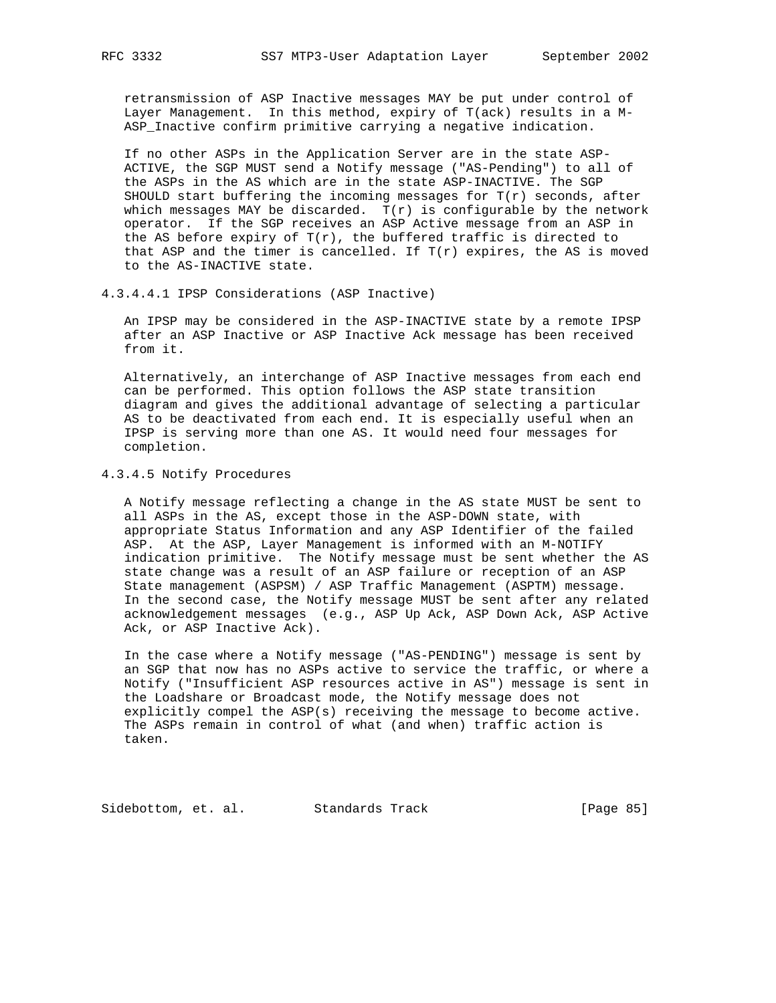retransmission of ASP Inactive messages MAY be put under control of Layer Management. In this method, expiry of T(ack) results in a M- ASP\_Inactive confirm primitive carrying a negative indication.

 If no other ASPs in the Application Server are in the state ASP- ACTIVE, the SGP MUST send a Notify message ("AS-Pending") to all of the ASPs in the AS which are in the state ASP-INACTIVE. The SGP SHOULD start buffering the incoming messages for  $T(r)$  seconds, after which messages MAY be discarded.  $T(r)$  is configurable by the network operator. If the SGP receives an ASP Active message from an ASP in the AS before expiry of  $T(r)$ , the buffered traffic is directed to that ASP and the timer is cancelled. If  $T(r)$  expires, the AS is moved to the AS-INACTIVE state.

4.3.4.4.1 IPSP Considerations (ASP Inactive)

 An IPSP may be considered in the ASP-INACTIVE state by a remote IPSP after an ASP Inactive or ASP Inactive Ack message has been received from it.

 Alternatively, an interchange of ASP Inactive messages from each end can be performed. This option follows the ASP state transition diagram and gives the additional advantage of selecting a particular AS to be deactivated from each end. It is especially useful when an IPSP is serving more than one AS. It would need four messages for completion.

## 4.3.4.5 Notify Procedures

 A Notify message reflecting a change in the AS state MUST be sent to all ASPs in the AS, except those in the ASP-DOWN state, with appropriate Status Information and any ASP Identifier of the failed ASP. At the ASP, Layer Management is informed with an M-NOTIFY indication primitive. The Notify message must be sent whether the AS state change was a result of an ASP failure or reception of an ASP State management (ASPSM) / ASP Traffic Management (ASPTM) message. In the second case, the Notify message MUST be sent after any related acknowledgement messages (e.g., ASP Up Ack, ASP Down Ack, ASP Active Ack, or ASP Inactive Ack).

 In the case where a Notify message ("AS-PENDING") message is sent by an SGP that now has no ASPs active to service the traffic, or where a Notify ("Insufficient ASP resources active in AS") message is sent in the Loadshare or Broadcast mode, the Notify message does not explicitly compel the ASP(s) receiving the message to become active. The ASPs remain in control of what (and when) traffic action is taken.

Sidebottom, et. al. Standards Track [Page 85]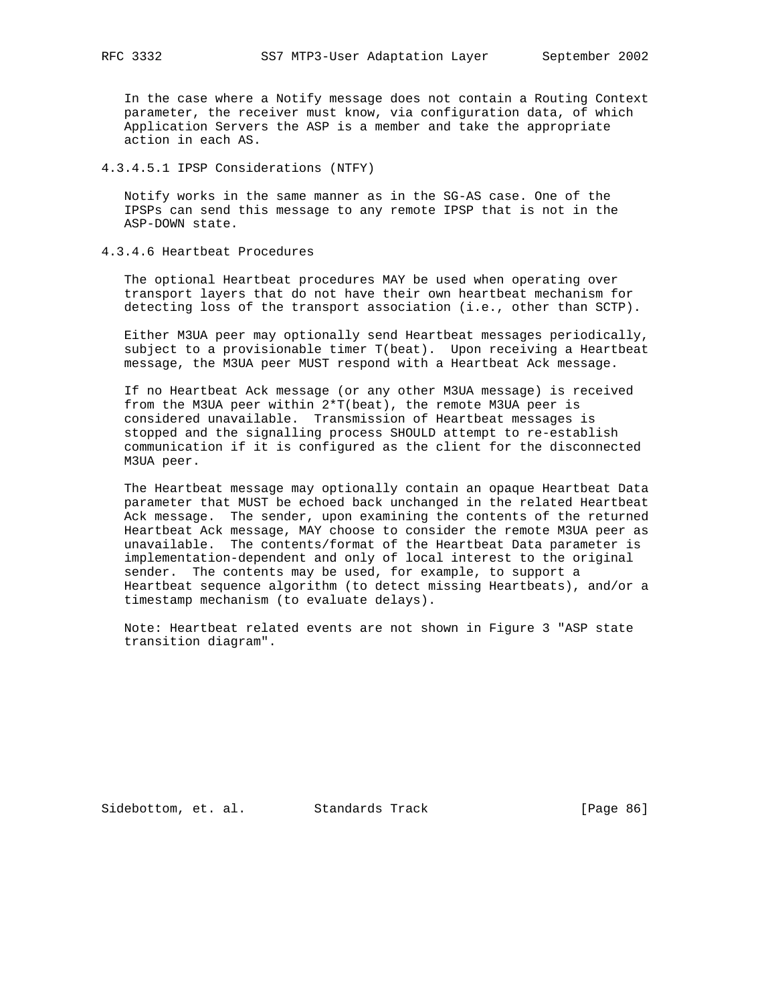In the case where a Notify message does not contain a Routing Context parameter, the receiver must know, via configuration data, of which Application Servers the ASP is a member and take the appropriate action in each AS.

4.3.4.5.1 IPSP Considerations (NTFY)

 Notify works in the same manner as in the SG-AS case. One of the IPSPs can send this message to any remote IPSP that is not in the ASP-DOWN state.

4.3.4.6 Heartbeat Procedures

 The optional Heartbeat procedures MAY be used when operating over transport layers that do not have their own heartbeat mechanism for detecting loss of the transport association (i.e., other than SCTP).

 Either M3UA peer may optionally send Heartbeat messages periodically, subject to a provisionable timer T(beat). Upon receiving a Heartbeat message, the M3UA peer MUST respond with a Heartbeat Ack message.

 If no Heartbeat Ack message (or any other M3UA message) is received from the M3UA peer within 2\*T(beat), the remote M3UA peer is considered unavailable. Transmission of Heartbeat messages is stopped and the signalling process SHOULD attempt to re-establish communication if it is configured as the client for the disconnected M3UA peer.

 The Heartbeat message may optionally contain an opaque Heartbeat Data parameter that MUST be echoed back unchanged in the related Heartbeat Ack message. The sender, upon examining the contents of the returned Heartbeat Ack message, MAY choose to consider the remote M3UA peer as unavailable. The contents/format of the Heartbeat Data parameter is implementation-dependent and only of local interest to the original sender. The contents may be used, for example, to support a Heartbeat sequence algorithm (to detect missing Heartbeats), and/or a timestamp mechanism (to evaluate delays).

 Note: Heartbeat related events are not shown in Figure 3 "ASP state transition diagram".

Sidebottom, et. al. Standards Track [Page 86]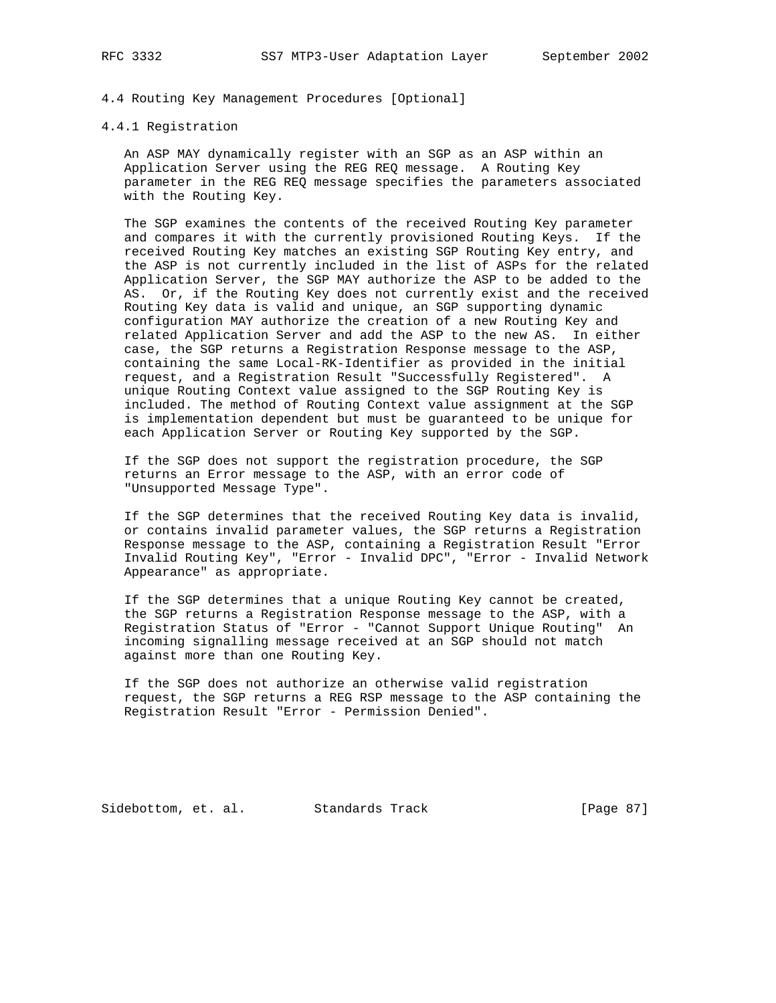## 4.4 Routing Key Management Procedures [Optional]

#### 4.4.1 Registration

 An ASP MAY dynamically register with an SGP as an ASP within an Application Server using the REG REQ message. A Routing Key parameter in the REG REQ message specifies the parameters associated with the Routing Key.

 The SGP examines the contents of the received Routing Key parameter and compares it with the currently provisioned Routing Keys. If the received Routing Key matches an existing SGP Routing Key entry, and the ASP is not currently included in the list of ASPs for the related Application Server, the SGP MAY authorize the ASP to be added to the AS. Or, if the Routing Key does not currently exist and the received Routing Key data is valid and unique, an SGP supporting dynamic configuration MAY authorize the creation of a new Routing Key and related Application Server and add the ASP to the new AS. In either case, the SGP returns a Registration Response message to the ASP, containing the same Local-RK-Identifier as provided in the initial request, and a Registration Result "Successfully Registered". A unique Routing Context value assigned to the SGP Routing Key is included. The method of Routing Context value assignment at the SGP is implementation dependent but must be guaranteed to be unique for each Application Server or Routing Key supported by the SGP.

 If the SGP does not support the registration procedure, the SGP returns an Error message to the ASP, with an error code of "Unsupported Message Type".

 If the SGP determines that the received Routing Key data is invalid, or contains invalid parameter values, the SGP returns a Registration Response message to the ASP, containing a Registration Result "Error Invalid Routing Key", "Error - Invalid DPC", "Error - Invalid Network Appearance" as appropriate.

 If the SGP determines that a unique Routing Key cannot be created, the SGP returns a Registration Response message to the ASP, with a Registration Status of "Error - "Cannot Support Unique Routing" An incoming signalling message received at an SGP should not match against more than one Routing Key.

 If the SGP does not authorize an otherwise valid registration request, the SGP returns a REG RSP message to the ASP containing the Registration Result "Error - Permission Denied".

Sidebottom, et. al. Standards Track [Page 87]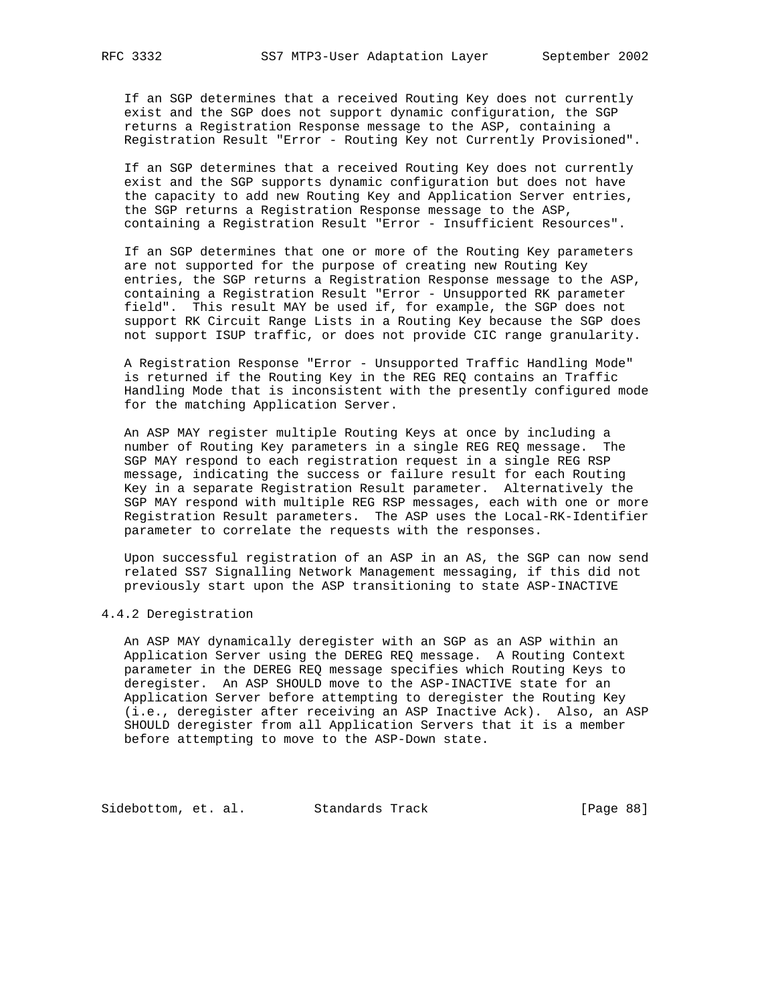If an SGP determines that a received Routing Key does not currently exist and the SGP does not support dynamic configuration, the SGP returns a Registration Response message to the ASP, containing a Registration Result "Error - Routing Key not Currently Provisioned".

 If an SGP determines that a received Routing Key does not currently exist and the SGP supports dynamic configuration but does not have the capacity to add new Routing Key and Application Server entries, the SGP returns a Registration Response message to the ASP, containing a Registration Result "Error - Insufficient Resources".

 If an SGP determines that one or more of the Routing Key parameters are not supported for the purpose of creating new Routing Key entries, the SGP returns a Registration Response message to the ASP, containing a Registration Result "Error - Unsupported RK parameter field". This result MAY be used if, for example, the SGP does not support RK Circuit Range Lists in a Routing Key because the SGP does not support ISUP traffic, or does not provide CIC range granularity.

 A Registration Response "Error - Unsupported Traffic Handling Mode" is returned if the Routing Key in the REG REQ contains an Traffic Handling Mode that is inconsistent with the presently configured mode for the matching Application Server.

 An ASP MAY register multiple Routing Keys at once by including a number of Routing Key parameters in a single REG REQ message. The SGP MAY respond to each registration request in a single REG RSP message, indicating the success or failure result for each Routing Key in a separate Registration Result parameter. Alternatively the SGP MAY respond with multiple REG RSP messages, each with one or more Registration Result parameters. The ASP uses the Local-RK-Identifier parameter to correlate the requests with the responses.

 Upon successful registration of an ASP in an AS, the SGP can now send related SS7 Signalling Network Management messaging, if this did not previously start upon the ASP transitioning to state ASP-INACTIVE

## 4.4.2 Deregistration

 An ASP MAY dynamically deregister with an SGP as an ASP within an Application Server using the DEREG REQ message. A Routing Context parameter in the DEREG REQ message specifies which Routing Keys to deregister. An ASP SHOULD move to the ASP-INACTIVE state for an Application Server before attempting to deregister the Routing Key (i.e., deregister after receiving an ASP Inactive Ack). Also, an ASP SHOULD deregister from all Application Servers that it is a member before attempting to move to the ASP-Down state.

Sidebottom, et. al. Standards Track [Page 88]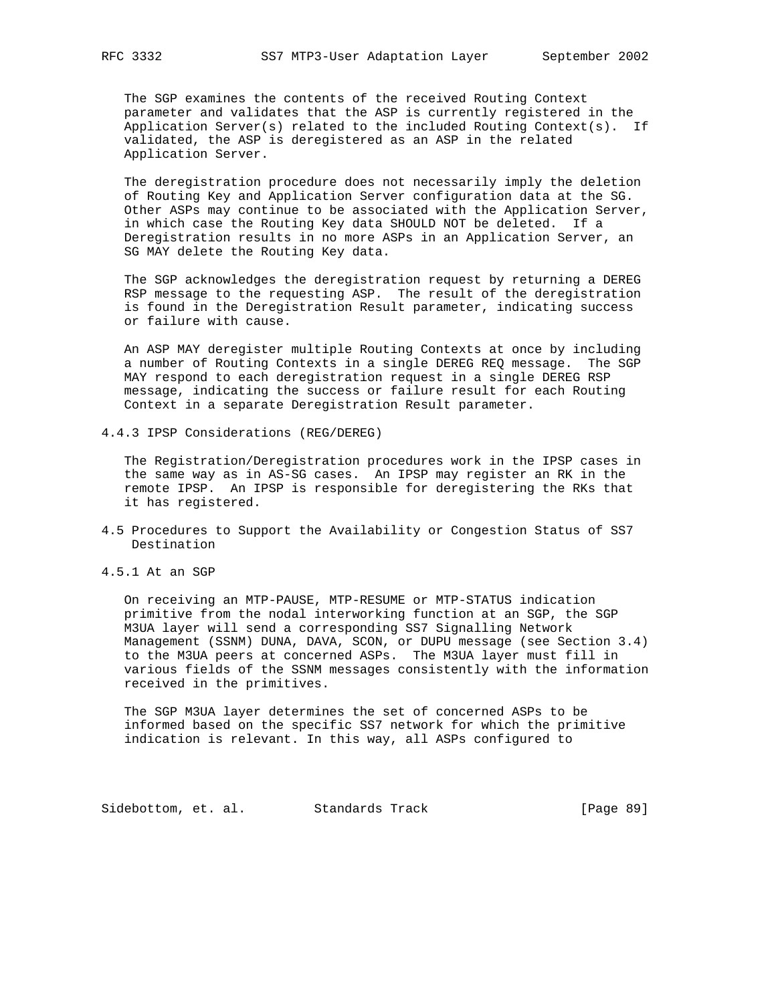The SGP examines the contents of the received Routing Context parameter and validates that the ASP is currently registered in the Application Server(s) related to the included Routing Context(s). If validated, the ASP is deregistered as an ASP in the related Application Server.

 The deregistration procedure does not necessarily imply the deletion of Routing Key and Application Server configuration data at the SG. Other ASPs may continue to be associated with the Application Server, in which case the Routing Key data SHOULD NOT be deleted. If a Deregistration results in no more ASPs in an Application Server, an SG MAY delete the Routing Key data.

 The SGP acknowledges the deregistration request by returning a DEREG RSP message to the requesting ASP. The result of the deregistration is found in the Deregistration Result parameter, indicating success or failure with cause.

 An ASP MAY deregister multiple Routing Contexts at once by including a number of Routing Contexts in a single DEREG REQ message. The SGP MAY respond to each deregistration request in a single DEREG RSP message, indicating the success or failure result for each Routing Context in a separate Deregistration Result parameter.

4.4.3 IPSP Considerations (REG/DEREG)

 The Registration/Deregistration procedures work in the IPSP cases in the same way as in AS-SG cases. An IPSP may register an RK in the remote IPSP. An IPSP is responsible for deregistering the RKs that it has registered.

- 4.5 Procedures to Support the Availability or Congestion Status of SS7 Destination
- 4.5.1 At an SGP

 On receiving an MTP-PAUSE, MTP-RESUME or MTP-STATUS indication primitive from the nodal interworking function at an SGP, the SGP M3UA layer will send a corresponding SS7 Signalling Network Management (SSNM) DUNA, DAVA, SCON, or DUPU message (see Section 3.4) to the M3UA peers at concerned ASPs. The M3UA layer must fill in various fields of the SSNM messages consistently with the information received in the primitives.

 The SGP M3UA layer determines the set of concerned ASPs to be informed based on the specific SS7 network for which the primitive indication is relevant. In this way, all ASPs configured to

Sidebottom, et. al. Standards Track [Page 89]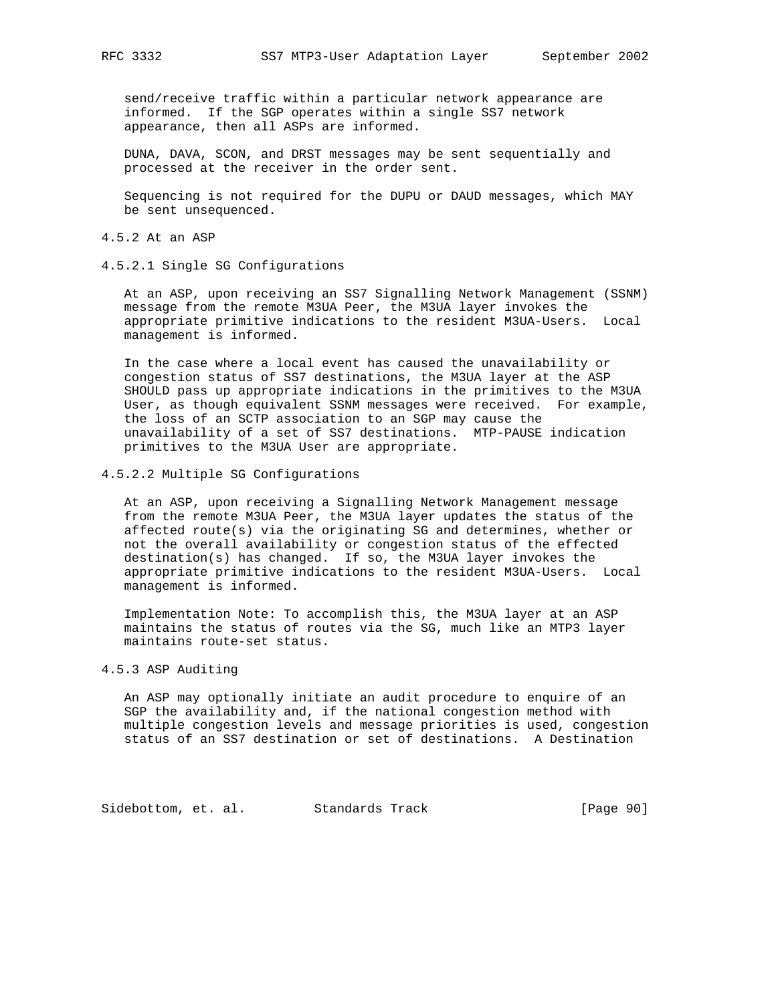send/receive traffic within a particular network appearance are informed. If the SGP operates within a single SS7 network appearance, then all ASPs are informed.

 DUNA, DAVA, SCON, and DRST messages may be sent sequentially and processed at the receiver in the order sent.

 Sequencing is not required for the DUPU or DAUD messages, which MAY be sent unsequenced.

4.5.2 At an ASP

4.5.2.1 Single SG Configurations

 At an ASP, upon receiving an SS7 Signalling Network Management (SSNM) message from the remote M3UA Peer, the M3UA layer invokes the appropriate primitive indications to the resident M3UA-Users. Local management is informed.

 In the case where a local event has caused the unavailability or congestion status of SS7 destinations, the M3UA layer at the ASP SHOULD pass up appropriate indications in the primitives to the M3UA User, as though equivalent SSNM messages were received. For example, the loss of an SCTP association to an SGP may cause the unavailability of a set of SS7 destinations. MTP-PAUSE indication primitives to the M3UA User are appropriate.

4.5.2.2 Multiple SG Configurations

 At an ASP, upon receiving a Signalling Network Management message from the remote M3UA Peer, the M3UA layer updates the status of the affected route(s) via the originating SG and determines, whether or not the overall availability or congestion status of the effected destination(s) has changed. If so, the M3UA layer invokes the appropriate primitive indications to the resident M3UA-Users. Local management is informed.

 Implementation Note: To accomplish this, the M3UA layer at an ASP maintains the status of routes via the SG, much like an MTP3 layer maintains route-set status.

4.5.3 ASP Auditing

 An ASP may optionally initiate an audit procedure to enquire of an SGP the availability and, if the national congestion method with multiple congestion levels and message priorities is used, congestion status of an SS7 destination or set of destinations. A Destination

Sidebottom, et. al. Standards Track [Page 90]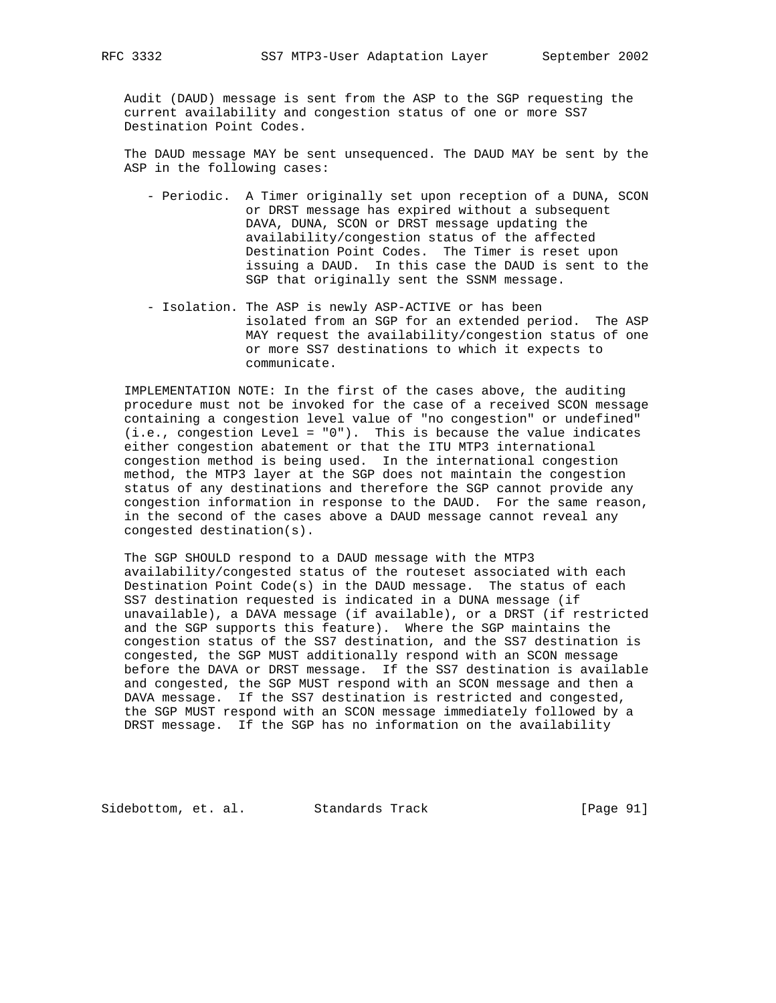Audit (DAUD) message is sent from the ASP to the SGP requesting the current availability and congestion status of one or more SS7 Destination Point Codes.

 The DAUD message MAY be sent unsequenced. The DAUD MAY be sent by the ASP in the following cases:

- Periodic. A Timer originally set upon reception of a DUNA, SCON or DRST message has expired without a subsequent DAVA, DUNA, SCON or DRST message updating the availability/congestion status of the affected Destination Point Codes. The Timer is reset upon issuing a DAUD. In this case the DAUD is sent to the SGP that originally sent the SSNM message.
- Isolation. The ASP is newly ASP-ACTIVE or has been isolated from an SGP for an extended period. The ASP MAY request the availability/congestion status of one or more SS7 destinations to which it expects to communicate.

 IMPLEMENTATION NOTE: In the first of the cases above, the auditing procedure must not be invoked for the case of a received SCON message containing a congestion level value of "no congestion" or undefined" (i.e., congestion Level = "0"). This is because the value indicates either congestion abatement or that the ITU MTP3 international congestion method is being used. In the international congestion method, the MTP3 layer at the SGP does not maintain the congestion status of any destinations and therefore the SGP cannot provide any congestion information in response to the DAUD. For the same reason, in the second of the cases above a DAUD message cannot reveal any congested destination(s).

 The SGP SHOULD respond to a DAUD message with the MTP3 availability/congested status of the routeset associated with each Destination Point Code(s) in the DAUD message. The status of each SS7 destination requested is indicated in a DUNA message (if unavailable), a DAVA message (if available), or a DRST (if restricted and the SGP supports this feature). Where the SGP maintains the congestion status of the SS7 destination, and the SS7 destination is congested, the SGP MUST additionally respond with an SCON message before the DAVA or DRST message. If the SS7 destination is available and congested, the SGP MUST respond with an SCON message and then a DAVA message. If the SS7 destination is restricted and congested, the SGP MUST respond with an SCON message immediately followed by a DRST message. If the SGP has no information on the availability

Sidebottom, et. al. Standards Track [Page 91]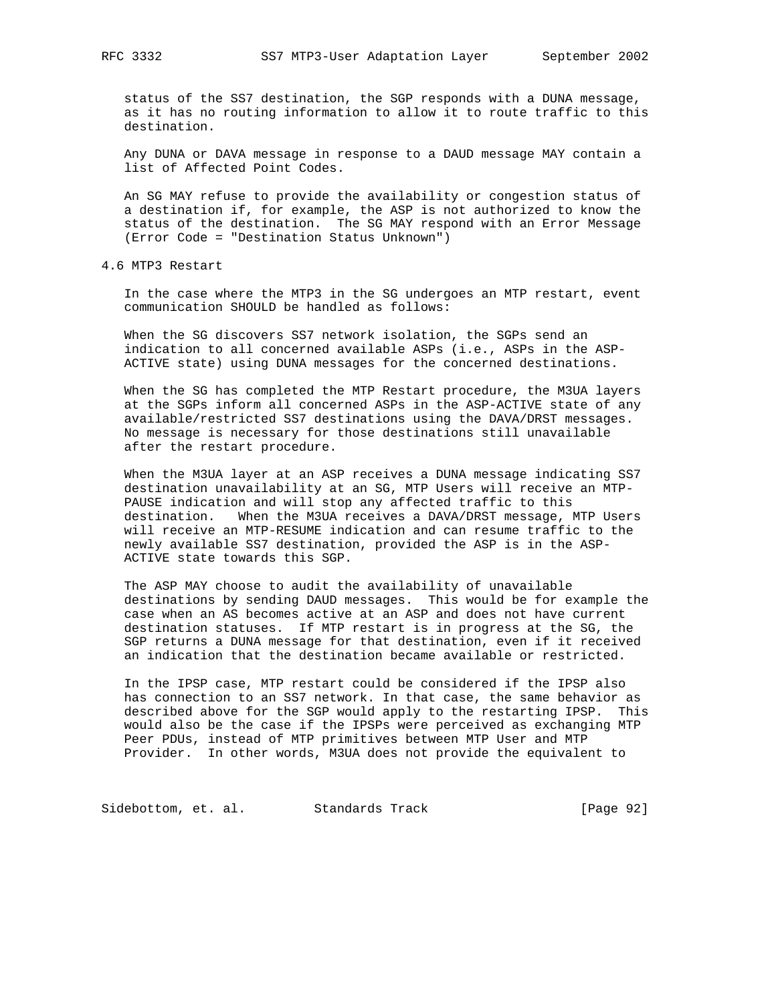status of the SS7 destination, the SGP responds with a DUNA message, as it has no routing information to allow it to route traffic to this destination.

 Any DUNA or DAVA message in response to a DAUD message MAY contain a list of Affected Point Codes.

 An SG MAY refuse to provide the availability or congestion status of a destination if, for example, the ASP is not authorized to know the status of the destination. The SG MAY respond with an Error Message (Error Code = "Destination Status Unknown")

4.6 MTP3 Restart

 In the case where the MTP3 in the SG undergoes an MTP restart, event communication SHOULD be handled as follows:

 When the SG discovers SS7 network isolation, the SGPs send an indication to all concerned available ASPs (i.e., ASPs in the ASP- ACTIVE state) using DUNA messages for the concerned destinations.

 When the SG has completed the MTP Restart procedure, the M3UA layers at the SGPs inform all concerned ASPs in the ASP-ACTIVE state of any available/restricted SS7 destinations using the DAVA/DRST messages. No message is necessary for those destinations still unavailable after the restart procedure.

 When the M3UA layer at an ASP receives a DUNA message indicating SS7 destination unavailability at an SG, MTP Users will receive an MTP- PAUSE indication and will stop any affected traffic to this destination. When the M3UA receives a DAVA/DRST message, MTP Users will receive an MTP-RESUME indication and can resume traffic to the newly available SS7 destination, provided the ASP is in the ASP- ACTIVE state towards this SGP.

 The ASP MAY choose to audit the availability of unavailable destinations by sending DAUD messages. This would be for example the case when an AS becomes active at an ASP and does not have current destination statuses. If MTP restart is in progress at the SG, the SGP returns a DUNA message for that destination, even if it received an indication that the destination became available or restricted.

 In the IPSP case, MTP restart could be considered if the IPSP also has connection to an SS7 network. In that case, the same behavior as described above for the SGP would apply to the restarting IPSP. This would also be the case if the IPSPs were perceived as exchanging MTP Peer PDUs, instead of MTP primitives between MTP User and MTP Provider. In other words, M3UA does not provide the equivalent to

Sidebottom, et. al. Standards Track [Page 92]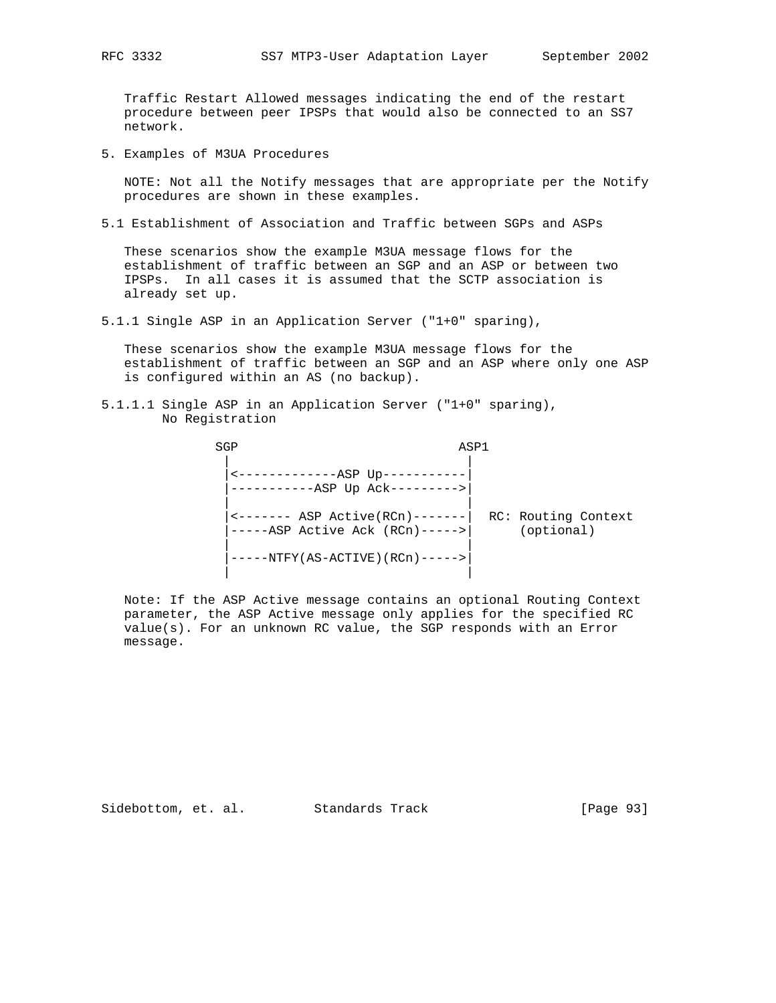Traffic Restart Allowed messages indicating the end of the restart procedure between peer IPSPs that would also be connected to an SS7 network.

5. Examples of M3UA Procedures

 NOTE: Not all the Notify messages that are appropriate per the Notify procedures are shown in these examples.

5.1 Establishment of Association and Traffic between SGPs and ASPs

 These scenarios show the example M3UA message flows for the establishment of traffic between an SGP and an ASP or between two IPSPs. In all cases it is assumed that the SCTP association is already set up.

5.1.1 Single ASP in an Application Server ("1+0" sparing),

 These scenarios show the example M3UA message flows for the establishment of traffic between an SGP and an ASP where only one ASP is configured within an AS (no backup).

5.1.1.1 Single ASP in an Application Server ("1+0" sparing), No Registration

| SGP |                                                                                                           | ASP1 |                                   |
|-----|-----------------------------------------------------------------------------------------------------------|------|-----------------------------------|
|     | ---------ASP Up--<br>-----ASP Up Ack--------->                                                            |      |                                   |
|     | $\leftarrow \leftarrow \leftarrow \leftarrow$ ASP Active(RCn) -------<br>$---ASP$ Active Ack $(RCn)--->>$ |      | RC: Routing Context<br>(optional) |
|     | ---NTFY(AS-ACTIVE)(RCn)----->                                                                             |      |                                   |

 Note: If the ASP Active message contains an optional Routing Context parameter, the ASP Active message only applies for the specified RC value(s). For an unknown RC value, the SGP responds with an Error message.

Sidebottom, et. al. Standards Track [Page 93]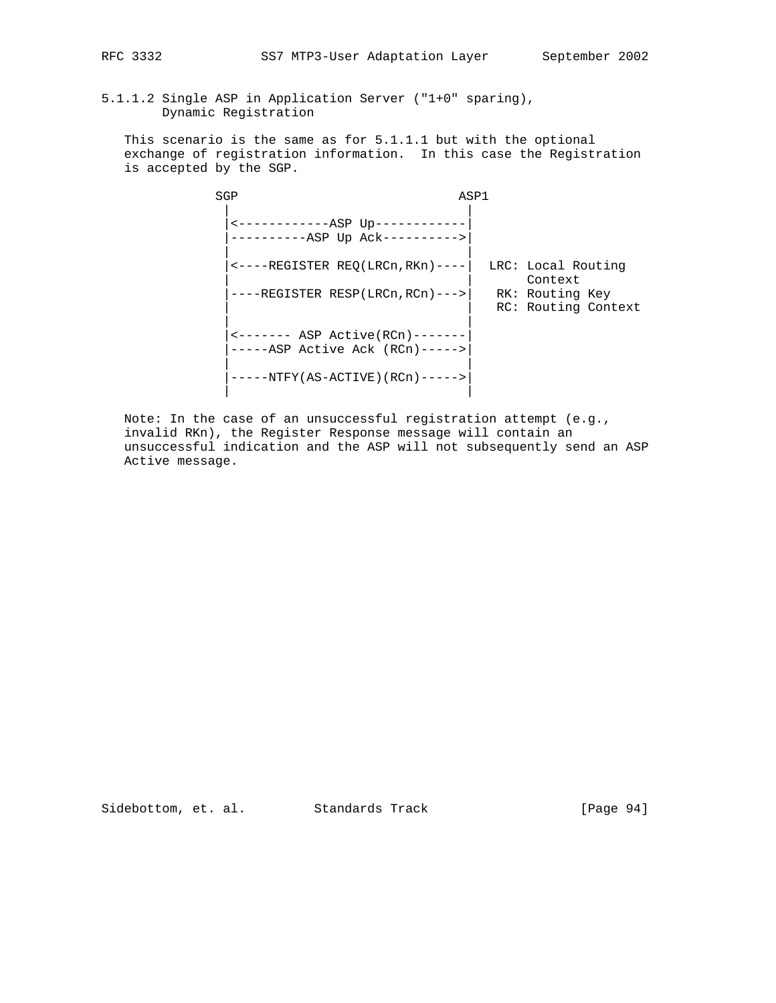5.1.1.2 Single ASP in Application Server ("1+0" sparing), Dynamic Registration

 This scenario is the same as for 5.1.1.1 but with the optional exchange of registration information. In this case the Registration is accepted by the SGP.

| SGP                                                                  | ASP1 |                                        |
|----------------------------------------------------------------------|------|----------------------------------------|
| <-------------ASP Up------<br>------ASP Up Ack---------->            |      |                                        |
| $\leftarrow$ ----REGISTER REQ(LRCn, RKn) ----                        |      | LRC: Local Routing<br>Context          |
| ---REGISTER RESP(LRCn,RCn)--->                                       |      | RK: Routing Key<br>RC: Routing Context |
| <------- ASP Active (RCn)-------<br>$---ASP$ Active Ack (RCn) -----> |      |                                        |
| $-NTFY (AS-ACTIVE) (RCD) --- ->$                                     |      |                                        |

 Note: In the case of an unsuccessful registration attempt (e.g., invalid RKn), the Register Response message will contain an unsuccessful indication and the ASP will not subsequently send an ASP Active message.

Sidebottom, et. al. Standards Track [Page 94]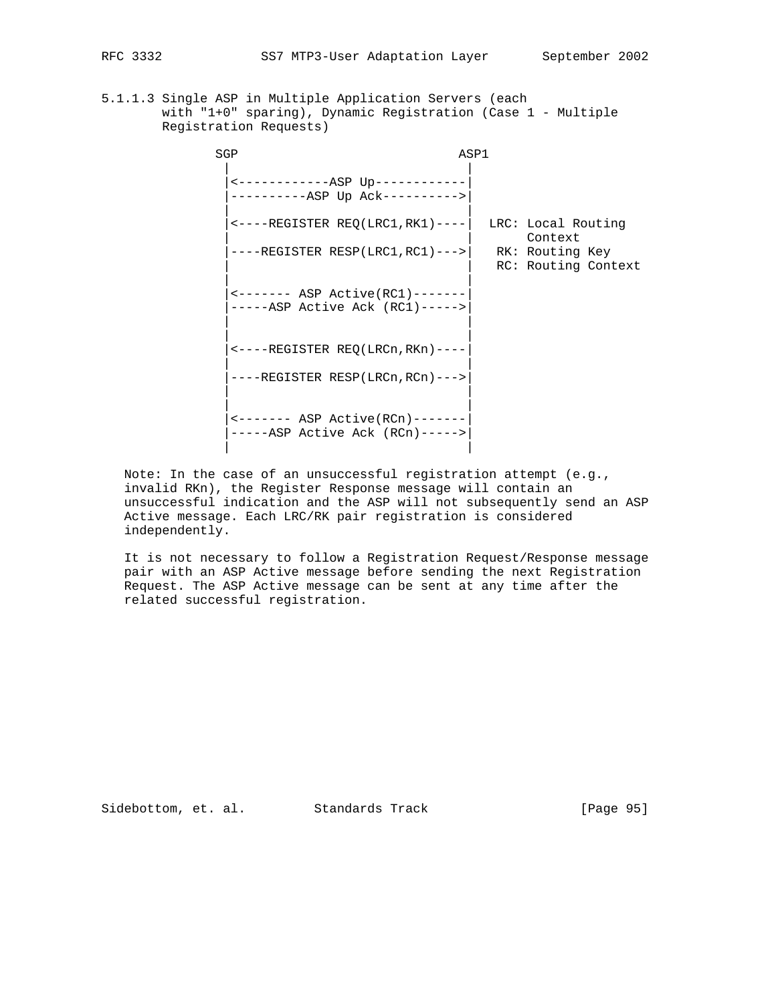5.1.1.3 Single ASP in Multiple Application Servers (each with "1+0" sparing), Dynamic Registration (Case 1 - Multiple Registration Requests)

| SGP                                                                              | ASP1 |                                        |  |
|----------------------------------------------------------------------------------|------|----------------------------------------|--|
| <-------------ASP Up------------<br>----------ASP Up Ack---------->              |      |                                        |  |
| $\leftarrow$ ----REGISTER REQ(LRC1,RK1)----                                      |      | LRC: Local Routing<br>Context          |  |
| $---REGISTER RESP(LRC1, RC1) ---$                                                |      | RK: Routing Key<br>RC: Routing Context |  |
| $\leftarrow$ ------- ASP Active(RC1)-------<br>$---ASP$ Active Ack (RC1) ----->  |      |                                        |  |
| $\leftarrow$ ----REGISTER REO (LRCn, RKn) ----                                   |      |                                        |  |
| $---REGISTER RESP(LRCn, RCn) ---$                                                |      |                                        |  |
| $\leftarrow$ ------- ASP Active(RCn)-------<br>$----ASP$ Active Ack (RCn) -----> |      |                                        |  |

 Note: In the case of an unsuccessful registration attempt (e.g., invalid RKn), the Register Response message will contain an unsuccessful indication and the ASP will not subsequently send an ASP Active message. Each LRC/RK pair registration is considered independently.

 It is not necessary to follow a Registration Request/Response message pair with an ASP Active message before sending the next Registration Request. The ASP Active message can be sent at any time after the related successful registration.

Sidebottom, et. al. Standards Track [Page 95]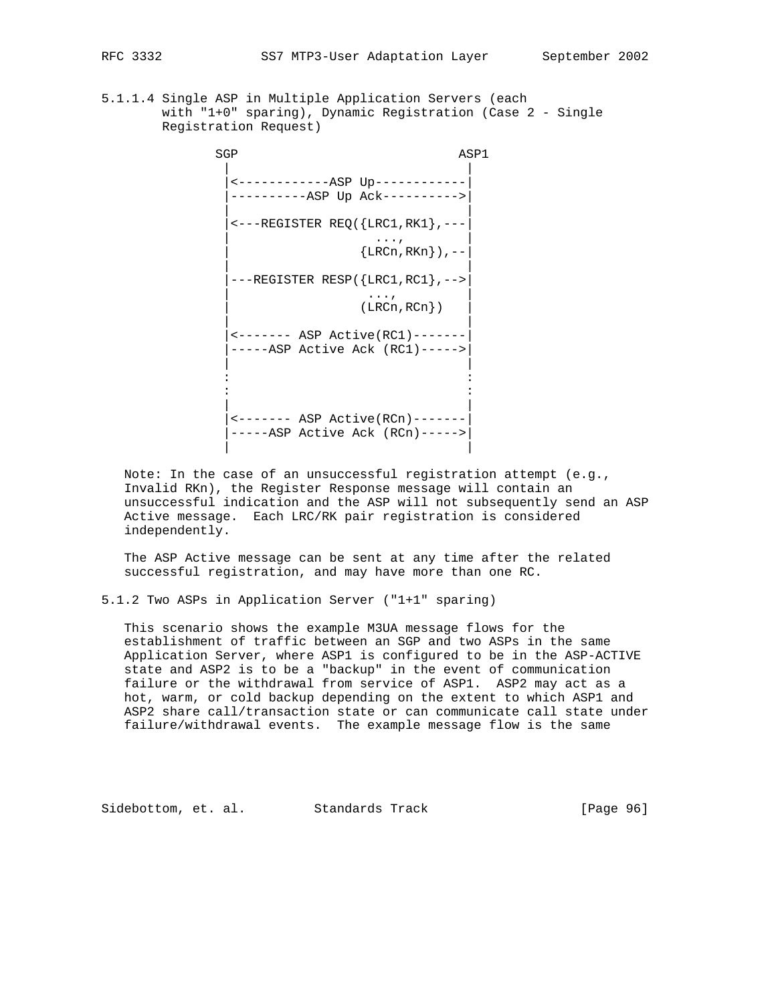- 
- 5.1.1.4 Single ASP in Multiple Application Servers (each with "1+0" sparing), Dynamic Registration (Case 2 - Single Registration Request)

SGP ASP1 | | |<------------ASP Up------------| |----------ASP Up Ack---------->| | | |<---REGISTER REQ({LRC1,RK1},---| | ..., |  $\{ LRCn, RKn \}$ ), -- | | |---REGISTER RESP({LRC1,RC1},-->| | ..., | | (LRCn,RCn}) | | | |<------- ASP Active(RC1)-------| |-----ASP Active Ack (RC1)----->| | | the contract of the contract of the contract of the contract of the contract of the contract of the contract of the contract of the contract of the contract of the contract of the contract of the contract of the contract of | | |<------- ASP Active(RCn)-------| |-----ASP Active Ack (RCn)----->| | |

 Note: In the case of an unsuccessful registration attempt (e.g., Invalid RKn), the Register Response message will contain an unsuccessful indication and the ASP will not subsequently send an ASP Active message. Each LRC/RK pair registration is considered independently.

 The ASP Active message can be sent at any time after the related successful registration, and may have more than one RC.

5.1.2 Two ASPs in Application Server ("1+1" sparing)

 This scenario shows the example M3UA message flows for the establishment of traffic between an SGP and two ASPs in the same Application Server, where ASP1 is configured to be in the ASP-ACTIVE state and ASP2 is to be a "backup" in the event of communication failure or the withdrawal from service of ASP1. ASP2 may act as a hot, warm, or cold backup depending on the extent to which ASP1 and ASP2 share call/transaction state or can communicate call state under failure/withdrawal events. The example message flow is the same

Sidebottom, et. al. Standards Track [Page 96]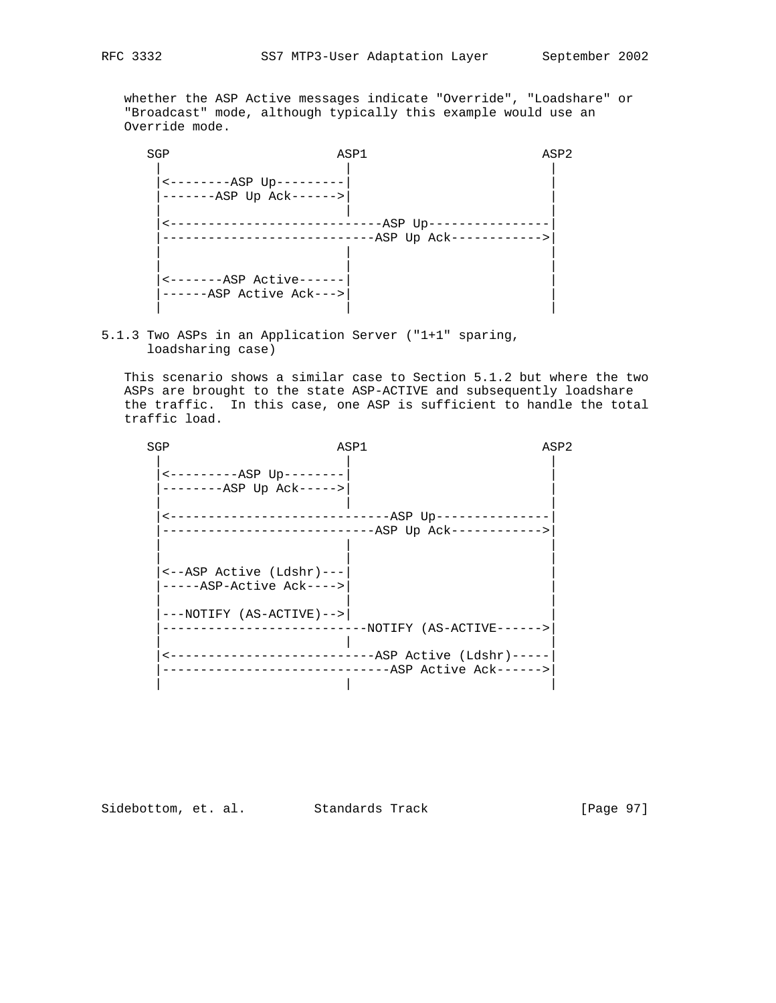whether the ASP Active messages indicate "Override", "Loadshare" or "Broadcast" mode, although typically this example would use an Override mode.

 SGP ASP1 ASP2 | | | |<--------ASP Up---------| | |-------ASP Up Ack------>| | | | | |<----------------------------ASP Up----------------| |----------------------------ASP Up Ack------------>| | | | | | | |<-------ASP Active------| | |------ASP Active Ack--->| | | | |

5.1.3 Two ASPs in an Application Server ("1+1" sparing, loadsharing case)

 This scenario shows a similar case to Section 5.1.2 but where the two ASPs are brought to the state ASP-ACTIVE and subsequently loadshare the traffic. In this case, one ASP is sufficient to handle the total traffic load.

| SGP                                                  | ASP1                                                                        | ASP2 |
|------------------------------------------------------|-----------------------------------------------------------------------------|------|
| $------ASP$ Up -------<br>--------ASP Up Ack----->   |                                                                             |      |
|                                                      | ------------------------ASP Up--------------<br>$-$ ASP Up Ack------------> |      |
| <--ASP Active (Ldshr)---<br>-----ASP-Active Ack----> |                                                                             |      |
| $---NOTIFY (AS-ACTIVE) ---$                          | -NOTIFY (AS-ACTIVE------>                                                   |      |
| ---------------------------                          | $--ASP$ Active (Ldshr) -----<br>--ASP Active Ack------>                     |      |
|                                                      |                                                                             |      |

Sidebottom, et. al. Standards Track [Page 97]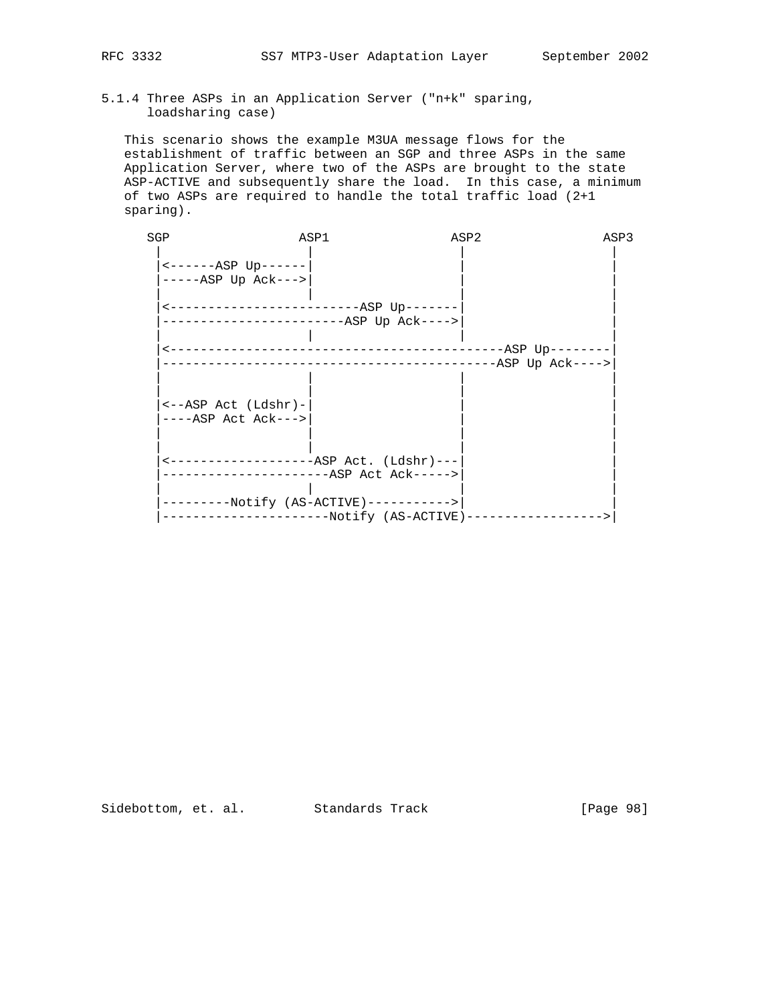# 5.1.4 Three ASPs in an Application Server ("n+k" sparing, loadsharing case)

 This scenario shows the example M3UA message flows for the establishment of traffic between an SGP and three ASPs in the same Application Server, where two of the ASPs are brought to the state ASP-ACTIVE and subsequently share the load. In this case, a minimum of two ASPs are required to handle the total traffic load (2+1 sparing).

| SGP                                                    | ASP1                                     | ASP2                                            | ASP3             |
|--------------------------------------------------------|------------------------------------------|-------------------------------------------------|------------------|
| $----ASP$ Up------<br>$---ABP$ Up $Ack---$             |                                          |                                                 |                  |
|                                                        | ------------ASP Up Ack---->              |                                                 |                  |
|                                                        |                                          | ---------------------------------ASP Up-------- | -ASP Up Ack----> |
| $\leftarrow -ASP$ Act (Ldshr)-<br>$---ASP$ Act Ack---> |                                          |                                                 |                  |
|                                                        | <--------------------ASP Act. (Ldshr)--- |                                                 |                  |
|                                                        | $-Notify (AS-ACTIVE)-----$               | ------Notify (AS-ACTIVE)--------                | --------->       |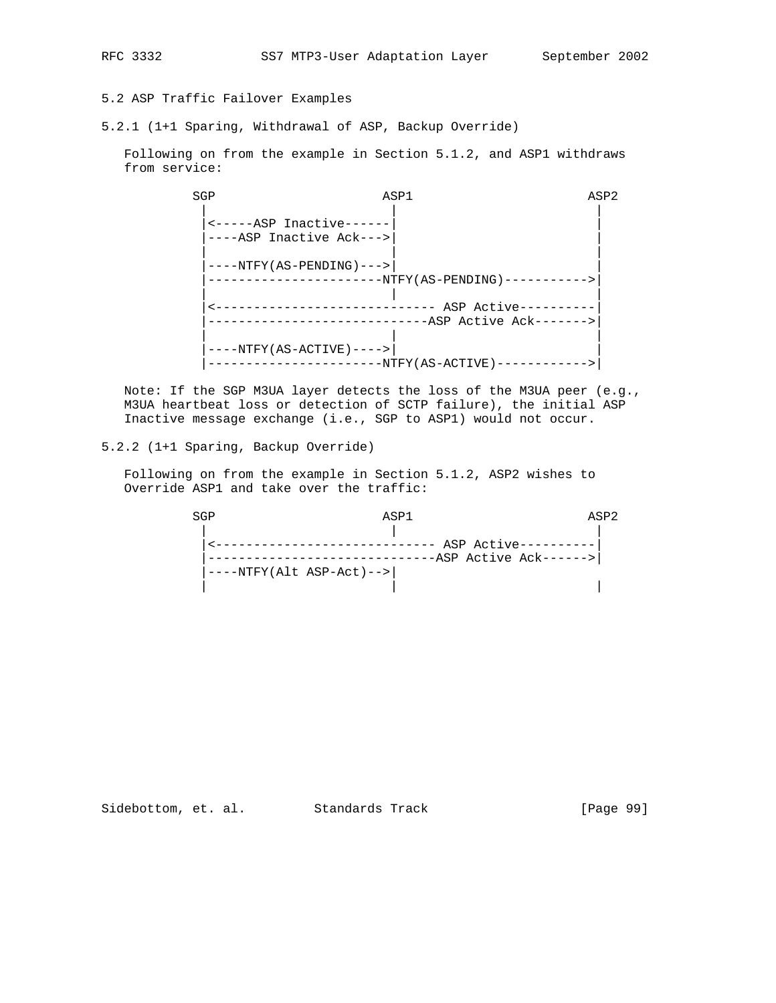RFC 3332 SS7 MTP3-User Adaptation Layer September 2002

# 5.2 ASP Traffic Failover Examples

5.2.1 (1+1 Sparing, Withdrawal of ASP, Backup Override)

 Following on from the example in Section 5.1.2, and ASP1 withdraws from service:

 SGP ASP1 ASP2 | | |  $|$  <-----ASP Inactive------ |----ASP Inactive Ack--->| | | | | |----NTFY(AS-PENDING)--->| | |-----------------------NTFY(AS-PENDING)----------->| | | | |<----------------------------- ASP Active----------| |-----------------------------ASP Active Ack------->| | | | |----NTFY(AS-ACTIVE)---->| | |-----------------------NTFY(AS-ACTIVE)------------>|

 Note: If the SGP M3UA layer detects the loss of the M3UA peer (e.g., M3UA heartbeat loss or detection of SCTP failure), the initial ASP Inactive message exchange (i.e., SGP to ASP1) would not occur.

## 5.2.2 (1+1 Sparing, Backup Override)

 Following on from the example in Section 5.1.2, ASP2 wishes to Override ASP1 and take over the traffic:

 SGP ASP1 ASP2 | | | |<----------------------------- ASP Active----------| |------------------------------ASP Active Ack------>| |----NTFY(Alt ASP-Act)-->| | | |

Sidebottom, et. al. Standards Track [Page 99]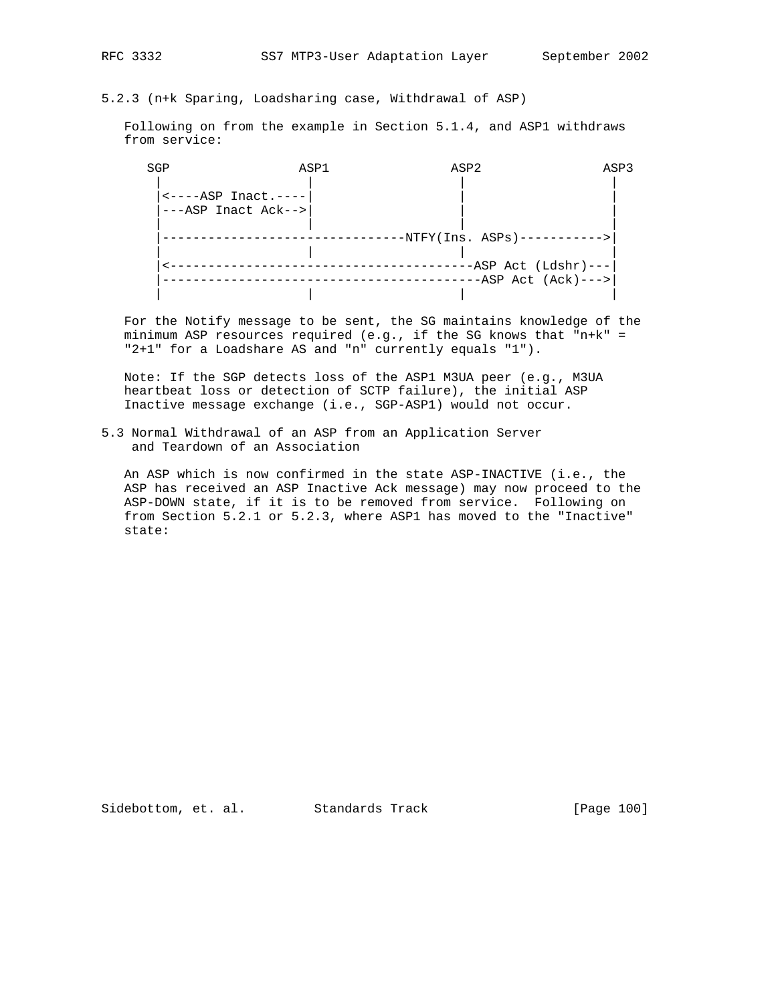# 5.2.3 (n+k Sparing, Loadsharing case, Withdrawal of ASP)

 Following on from the example in Section 5.1.4, and ASP1 withdraws from service:

| SGP                                                                            | ASP1 | ASP2                                           | ASP3 |
|--------------------------------------------------------------------------------|------|------------------------------------------------|------|
| $\left  \left. \text{---ABP}\right. \right.$ Inact.----<br>---ASP Inact Ack--> |      |                                                |      |
|                                                                                |      | $-NTFY(Ins. ASPs)$ ----------->                |      |
|                                                                                |      | -ASP Act (Ldshr)---<br>$-ASP$ Act $(Ack)$ ---> |      |
|                                                                                |      |                                                |      |

 For the Notify message to be sent, the SG maintains knowledge of the minimum ASP resources required (e.g., if the SG knows that "n+k" = "2+1" for a Loadshare AS and "n" currently equals "1").

 Note: If the SGP detects loss of the ASP1 M3UA peer (e.g., M3UA heartbeat loss or detection of SCTP failure), the initial ASP Inactive message exchange (i.e., SGP-ASP1) would not occur.

5.3 Normal Withdrawal of an ASP from an Application Server and Teardown of an Association

 An ASP which is now confirmed in the state ASP-INACTIVE (i.e., the ASP has received an ASP Inactive Ack message) may now proceed to the ASP-DOWN state, if it is to be removed from service. Following on from Section 5.2.1 or 5.2.3, where ASP1 has moved to the "Inactive" state:

Sidebottom, et. al. Standards Track [Page 100]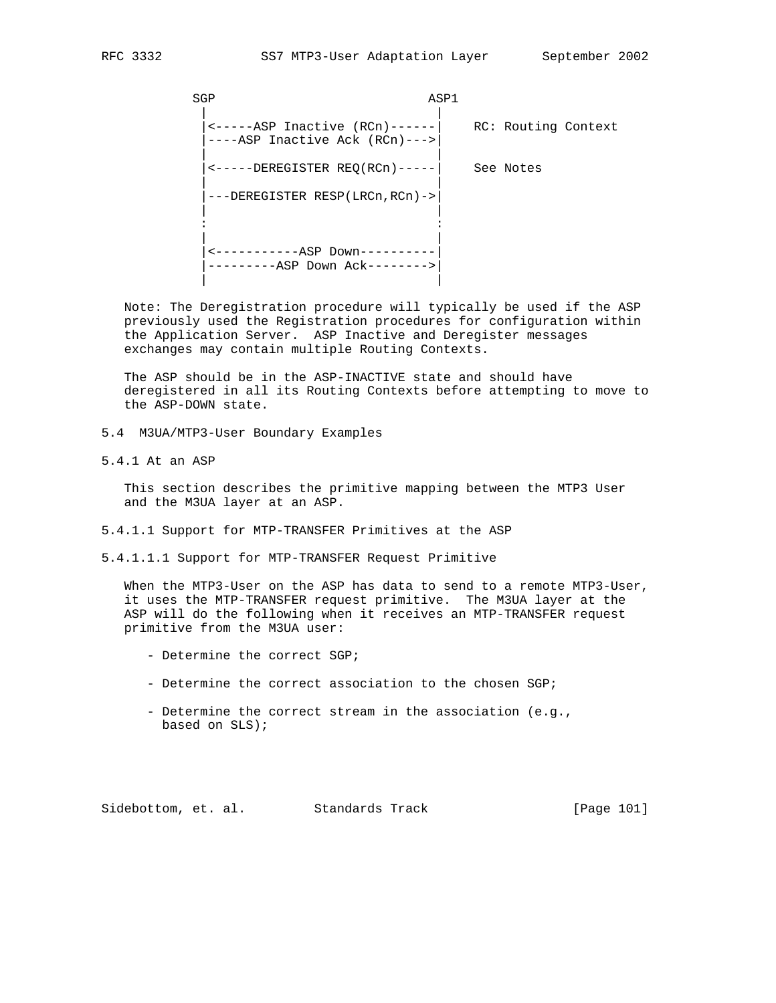SGP ASP1 | | |<-----ASP Inactive (RCn)------| RC: Routing Context |----ASP Inactive Ack (RCn)--->| | | |<-----DEREGISTER REQ(RCn)-----| See Notes | | |---DEREGISTER RESP(LRCn,RCn)->| | | the second control of the second control of the second control of the second control of the second control of | | |<-----------ASP Down----------| |---------ASP Down Ack-------->| | |

 Note: The Deregistration procedure will typically be used if the ASP previously used the Registration procedures for configuration within the Application Server. ASP Inactive and Deregister messages exchanges may contain multiple Routing Contexts.

 The ASP should be in the ASP-INACTIVE state and should have deregistered in all its Routing Contexts before attempting to move to the ASP-DOWN state.

- 5.4 M3UA/MTP3-User Boundary Examples
- 5.4.1 At an ASP

 This section describes the primitive mapping between the MTP3 User and the M3UA layer at an ASP.

- 5.4.1.1 Support for MTP-TRANSFER Primitives at the ASP
- 5.4.1.1.1 Support for MTP-TRANSFER Request Primitive

When the MTP3-User on the ASP has data to send to a remote MTP3-User, it uses the MTP-TRANSFER request primitive. The M3UA layer at the ASP will do the following when it receives an MTP-TRANSFER request primitive from the M3UA user:

- Determine the correct SGP;
- Determine the correct association to the chosen SGP;
- Determine the correct stream in the association (e.g., based on SLS);

Sidebottom, et. al. Standards Track [Page 101]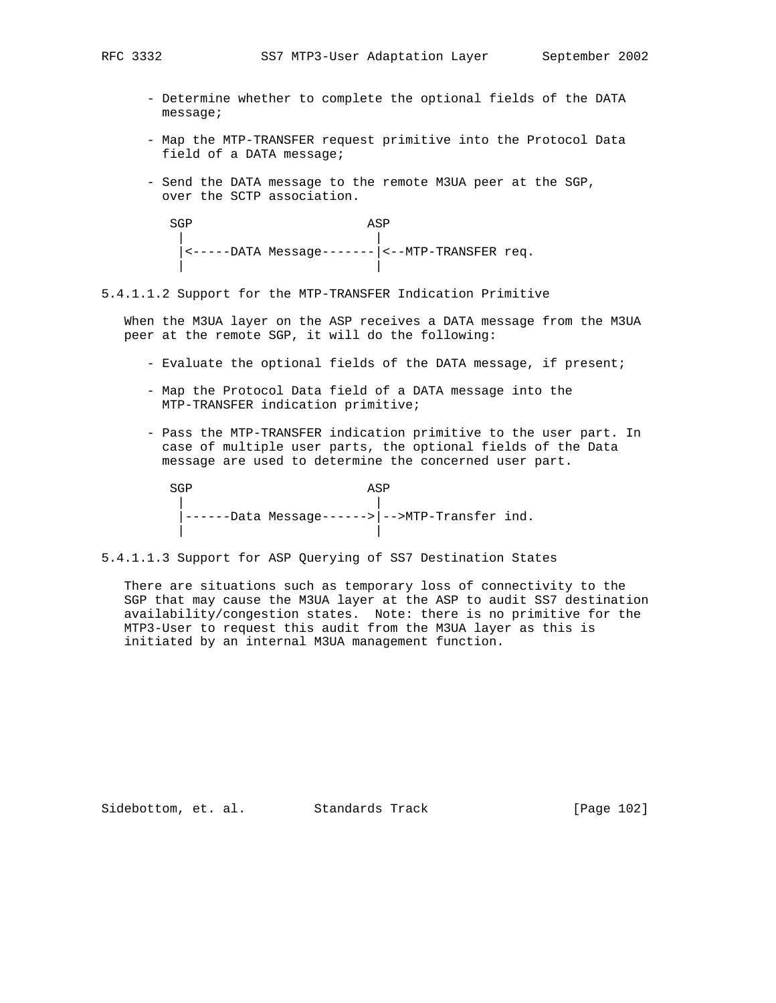- Determine whether to complete the optional fields of the DATA message;
- Map the MTP-TRANSFER request primitive into the Protocol Data field of a DATA message;
- Send the DATA message to the remote M3UA peer at the SGP, over the SCTP association.

SGP ASP | | |<-----DATA Message-------|<--MTP-TRANSFER req. | |

5.4.1.1.2 Support for the MTP-TRANSFER Indication Primitive

 When the M3UA layer on the ASP receives a DATA message from the M3UA peer at the remote SGP, it will do the following:

- Evaluate the optional fields of the DATA message, if present;
- Map the Protocol Data field of a DATA message into the MTP-TRANSFER indication primitive;
- Pass the MTP-TRANSFER indication primitive to the user part. In case of multiple user parts, the optional fields of the Data message are used to determine the concerned user part.

SGP ASP | | |------Data Message------>|-->MTP-Transfer ind. | |

5.4.1.1.3 Support for ASP Querying of SS7 Destination States

 There are situations such as temporary loss of connectivity to the SGP that may cause the M3UA layer at the ASP to audit SS7 destination availability/congestion states. Note: there is no primitive for the MTP3-User to request this audit from the M3UA layer as this is initiated by an internal M3UA management function.

Sidebottom, et. al. Standards Track [Page 102]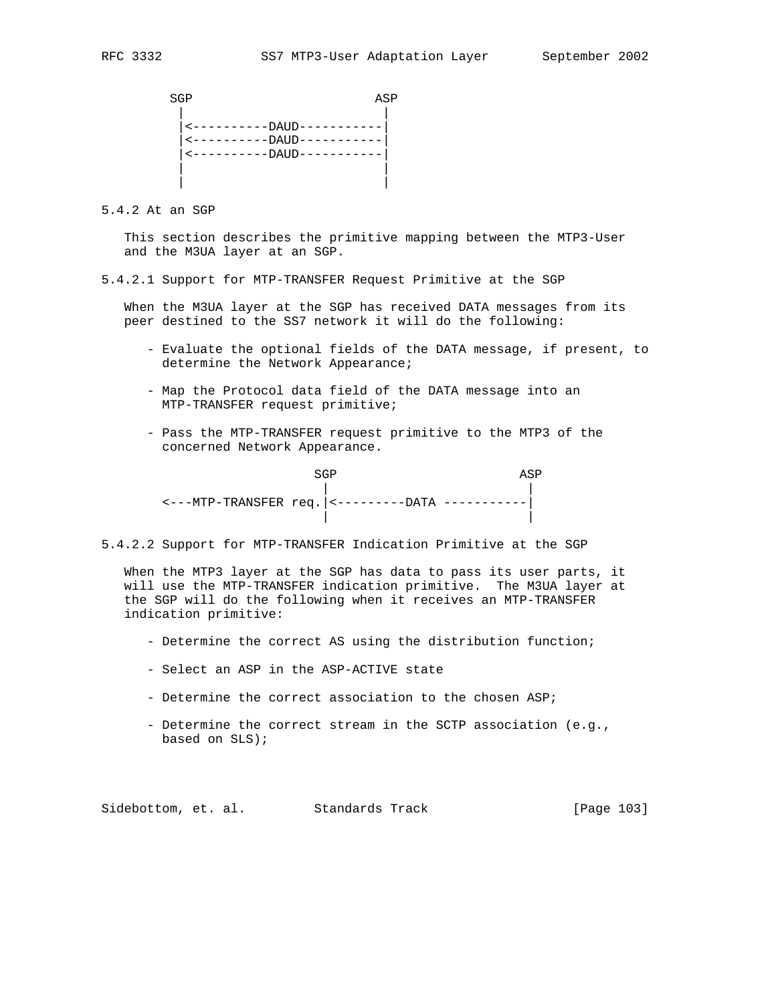SGP ASP | | |<----------DAUD-----------| |<----------DAUD-----------| |<----------DAUD-----------| | | | |

5.4.2 At an SGP

 This section describes the primitive mapping between the MTP3-User and the M3UA layer at an SGP.

5.4.2.1 Support for MTP-TRANSFER Request Primitive at the SGP

 When the M3UA layer at the SGP has received DATA messages from its peer destined to the SS7 network it will do the following:

- Evaluate the optional fields of the DATA message, if present, to determine the Network Appearance;
- Map the Protocol data field of the DATA message into an MTP-TRANSFER request primitive;
- Pass the MTP-TRANSFER request primitive to the MTP3 of the concerned Network Appearance.

SGP ASP | | <---MTP-TRANSFER req.|<---------DATA -----------| | |

5.4.2.2 Support for MTP-TRANSFER Indication Primitive at the SGP

 When the MTP3 layer at the SGP has data to pass its user parts, it will use the MTP-TRANSFER indication primitive. The M3UA layer at the SGP will do the following when it receives an MTP-TRANSFER indication primitive:

- Determine the correct AS using the distribution function;
- Select an ASP in the ASP-ACTIVE state
- Determine the correct association to the chosen ASP;
- Determine the correct stream in the SCTP association (e.g., based on SLS);

Sidebottom, et. al. Standards Track [Page 103]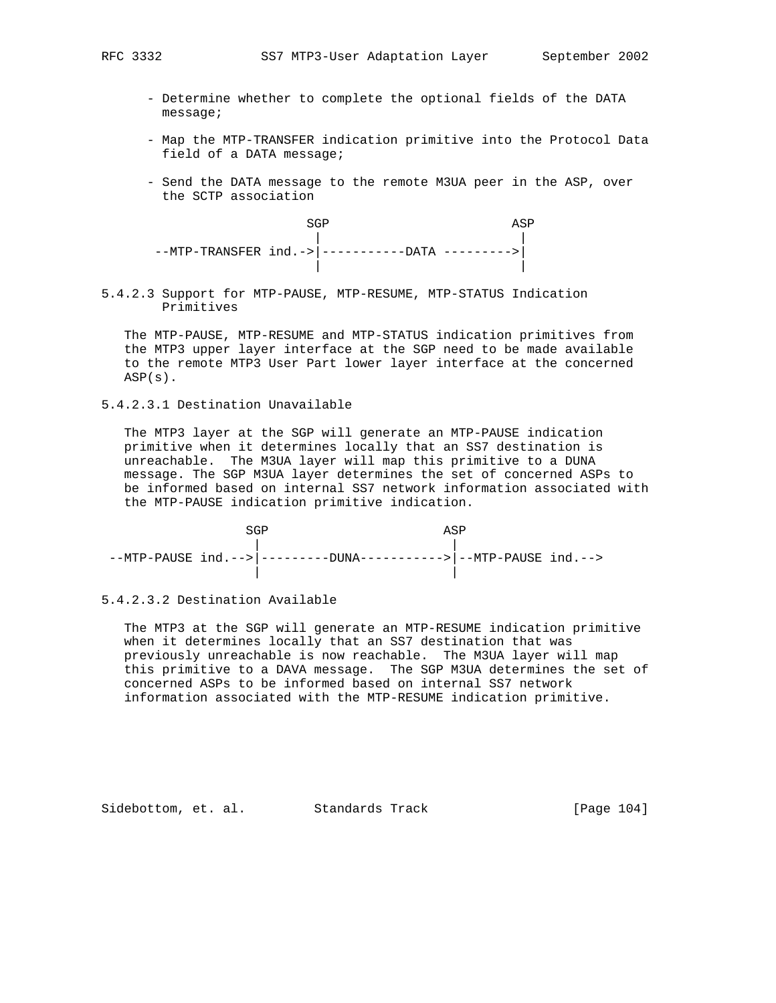- Determine whether to complete the optional fields of the DATA message;
- Map the MTP-TRANSFER indication primitive into the Protocol Data field of a DATA message;
- Send the DATA message to the remote M3UA peer in the ASP, over the SCTP association

SGP ASP | | --MTP-TRANSFER ind.->|-----------DATA --------->| | |

5.4.2.3 Support for MTP-PAUSE, MTP-RESUME, MTP-STATUS Indication Primitives

 The MTP-PAUSE, MTP-RESUME and MTP-STATUS indication primitives from the MTP3 upper layer interface at the SGP need to be made available to the remote MTP3 User Part lower layer interface at the concerned ASP(s).

5.4.2.3.1 Destination Unavailable

 The MTP3 layer at the SGP will generate an MTP-PAUSE indication primitive when it determines locally that an SS7 destination is unreachable. The M3UA layer will map this primitive to a DUNA message. The SGP M3UA layer determines the set of concerned ASPs to be informed based on internal SS7 network information associated with the MTP-PAUSE indication primitive indication.

|  | $--MTP-PAUSE$ ind.--> --------DUNA----------> --MTP-PAUSE ind.--> |  |
|--|-------------------------------------------------------------------|--|

5.4.2.3.2 Destination Available

 The MTP3 at the SGP will generate an MTP-RESUME indication primitive when it determines locally that an SS7 destination that was previously unreachable is now reachable. The M3UA layer will map this primitive to a DAVA message. The SGP M3UA determines the set of concerned ASPs to be informed based on internal SS7 network information associated with the MTP-RESUME indication primitive.

Sidebottom, et. al. Standards Track [Page 104]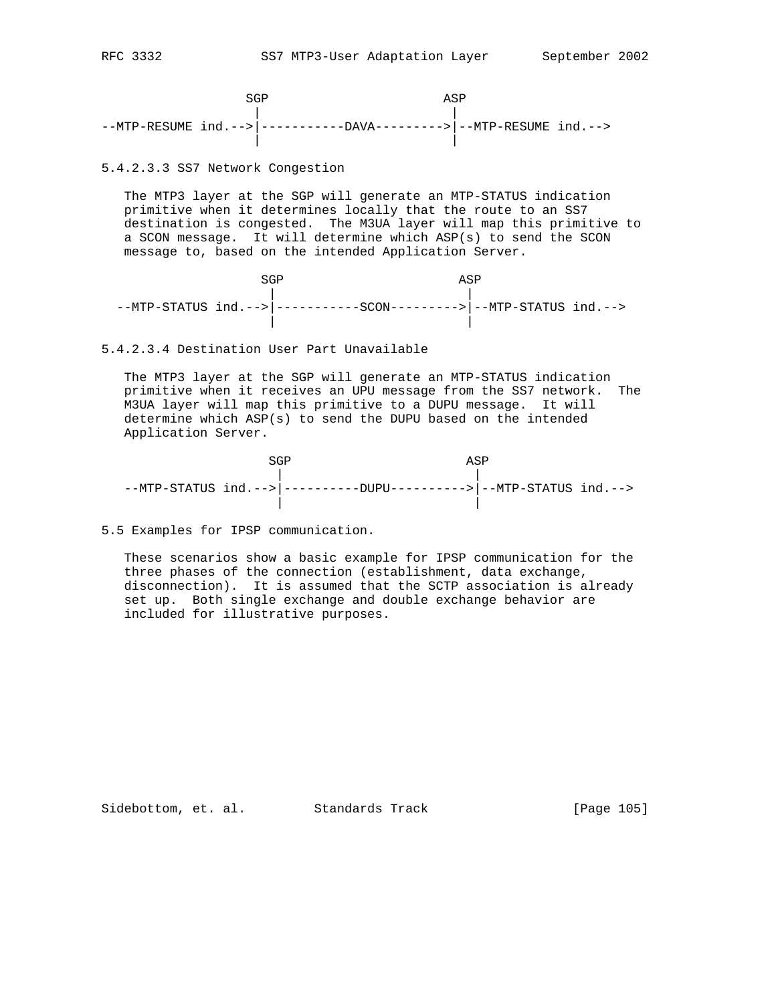SGP ASP | | --MTP-RESUME ind.-->|-----------DAVA--------->|--MTP-RESUME ind.--> | |

5.4.2.3.3 SS7 Network Congestion

 The MTP3 layer at the SGP will generate an MTP-STATUS indication primitive when it determines locally that the route to an SS7 destination is congested. The M3UA layer will map this primitive to a SCON message. It will determine which ASP(s) to send the SCON message to, based on the intended Application Server.

SGP ASP | | --MTP-STATUS ind.-->|-----------SCON--------->|--MTP-STATUS ind.--> | |

5.4.2.3.4 Destination User Part Unavailable

 The MTP3 layer at the SGP will generate an MTP-STATUS indication primitive when it receives an UPU message from the SS7 network. The M3UA layer will map this primitive to a DUPU message. It will determine which ASP(s) to send the DUPU based on the intended Application Server.

SGP ASP | | --MTP-STATUS ind.-->|----------DUPU---------->|--MTP-STATUS ind.--> | |

5.5 Examples for IPSP communication.

 These scenarios show a basic example for IPSP communication for the three phases of the connection (establishment, data exchange, disconnection). It is assumed that the SCTP association is already set up. Both single exchange and double exchange behavior are included for illustrative purposes.

Sidebottom, et. al. Standards Track [Page 105]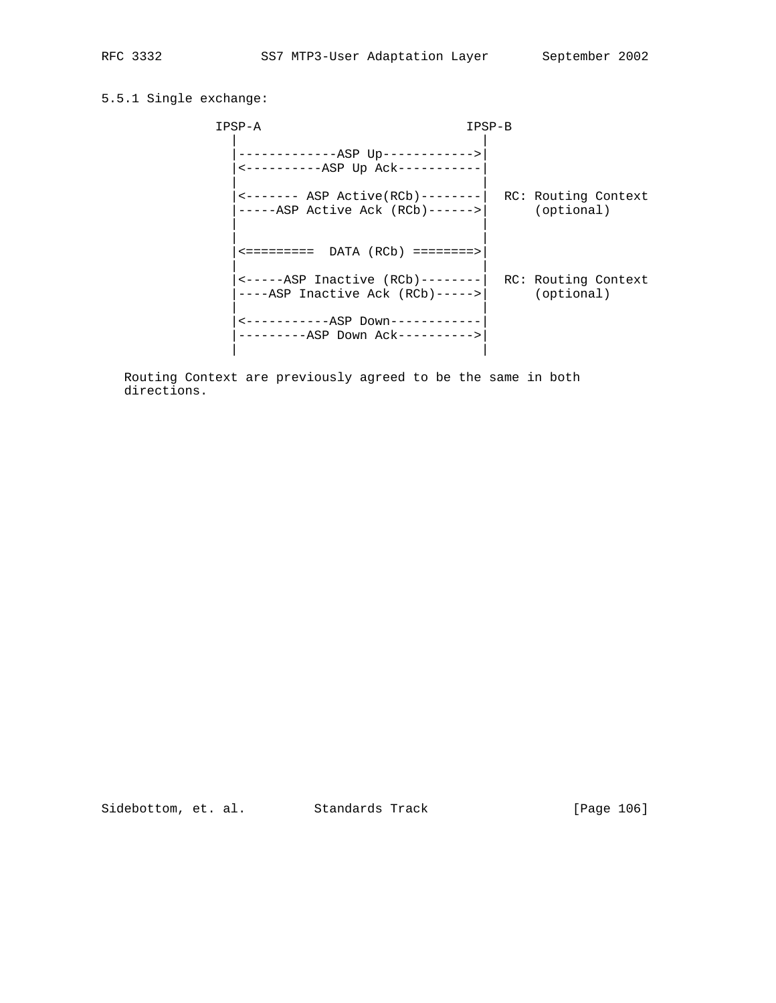# 5.5.1 Single exchange:

| IPSP-A                                                                              | IPSP-B |                                   |
|-------------------------------------------------------------------------------------|--------|-----------------------------------|
| -------------ASP Up------------><br><-----------ASP Up Ack-----------               |        |                                   |
| $\leftarrow$ ------ ASP Active(RCb)--------<br>$---ASP$ Active Ack $(RCb)---->$     |        | RC: Routing Context<br>(optional) |
| $\leftarrow$ ========= DATA (RCb) ========>                                         |        |                                   |
| $\leftarrow$ -----ASP Inactive (RCb)-------- <br>$---ASP$ Inactive Ack $(RCb)---->$ |        | RC: Routing Context<br>(optional) |
| <-----------ASP Down-----------<br>---------ASP Down Ack---------->                 |        |                                   |

 Routing Context are previously agreed to be the same in both directions.

Sidebottom, et. al. Standards Track [Page 106]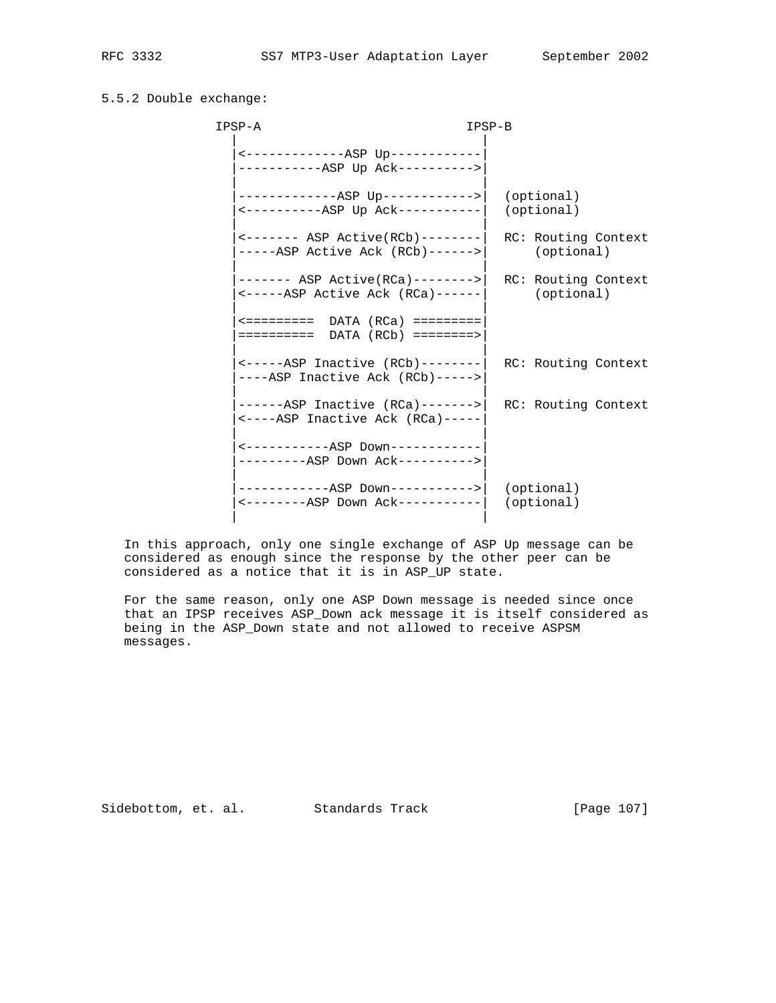## 5.5.2 Double exchange:

| IPSP-A                                                                                                     | IPSP-B |                                   |
|------------------------------------------------------------------------------------------------------------|--------|-----------------------------------|
| <--------------ASP Up-----------<br>-----------ASP Up Ack---------->                                       |        |                                   |
| -------------ASP Up------------> <br><----------ASP Up Ack-----------                                      |        | (optional)<br>(optional)          |
| $\leftarrow \leftarrow \leftarrow \leftarrow$ ASP Active(RCb) --------<br>$---ASP$ Active Ack $(RCb)---->$ |        | RC: Routing Context<br>(optional) |
| ------- ASP Active(RCa)--------> <br>$\leftarrow$ -----ASP Active Ack (RCa)------                          |        | RC: Routing Context<br>(optional) |
| $\leftarrow$ ========= DATA (RCa) =========                                                                |        |                                   |
| $\leftarrow$ -----ASP Inactive (RCb)-------- <br>----ASP Inactive Ack (RCb)----->                          |        | RC: Routing Context               |
| $----ASP$ Inactive (RCa) -------><br><----ASP Inactive Ack (RCa)-----                                      |        | RC: Routing Context               |
| <-----------ASP Down-----------<br>---------ASP Down Ack---------->                                        |        |                                   |
| ------------ASP Down-----------><br>$\leftarrow$ --------ASP Down Ack----------                            |        | (optional)<br>(optional)          |
|                                                                                                            |        |                                   |

 In this approach, only one single exchange of ASP Up message can be considered as enough since the response by the other peer can be considered as a notice that it is in ASP\_UP state.

 For the same reason, only one ASP Down message is needed since once that an IPSP receives ASP\_Down ack message it is itself considered as being in the ASP\_Down state and not allowed to receive ASPSM messages.

Sidebottom, et. al. Standards Track [Page 107]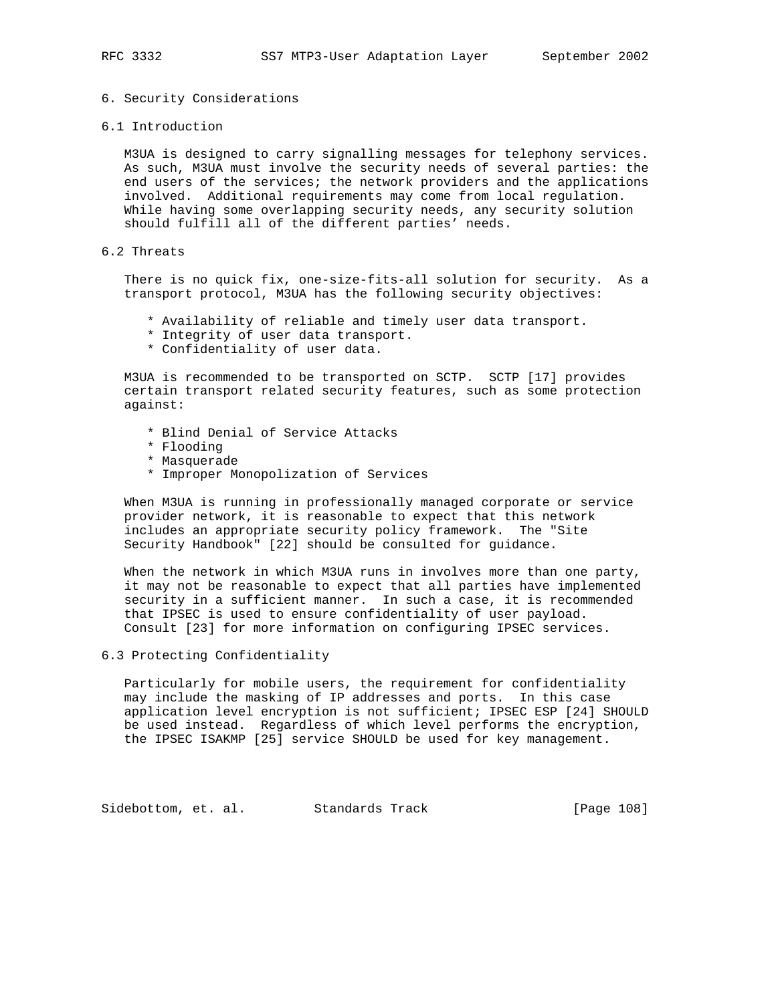## 6. Security Considerations

6.1 Introduction

 M3UA is designed to carry signalling messages for telephony services. As such, M3UA must involve the security needs of several parties: the end users of the services; the network providers and the applications involved. Additional requirements may come from local regulation. While having some overlapping security needs, any security solution should fulfill all of the different parties' needs.

# 6.2 Threats

 There is no quick fix, one-size-fits-all solution for security. As a transport protocol, M3UA has the following security objectives:

- \* Availability of reliable and timely user data transport.
- \* Integrity of user data transport.
- \* Confidentiality of user data.

 M3UA is recommended to be transported on SCTP. SCTP [17] provides certain transport related security features, such as some protection against:

- \* Blind Denial of Service Attacks
- \* Flooding
- \* Masquerade
- \* Improper Monopolization of Services

 When M3UA is running in professionally managed corporate or service provider network, it is reasonable to expect that this network includes an appropriate security policy framework. The "Site Security Handbook" [22] should be consulted for guidance.

 When the network in which M3UA runs in involves more than one party, it may not be reasonable to expect that all parties have implemented security in a sufficient manner. In such a case, it is recommended that IPSEC is used to ensure confidentiality of user payload. Consult [23] for more information on configuring IPSEC services.

# 6.3 Protecting Confidentiality

 Particularly for mobile users, the requirement for confidentiality may include the masking of IP addresses and ports. In this case application level encryption is not sufficient; IPSEC ESP [24] SHOULD be used instead. Regardless of which level performs the encryption, the IPSEC ISAKMP [25] service SHOULD be used for key management.

Sidebottom, et. al. Standards Track [Page 108]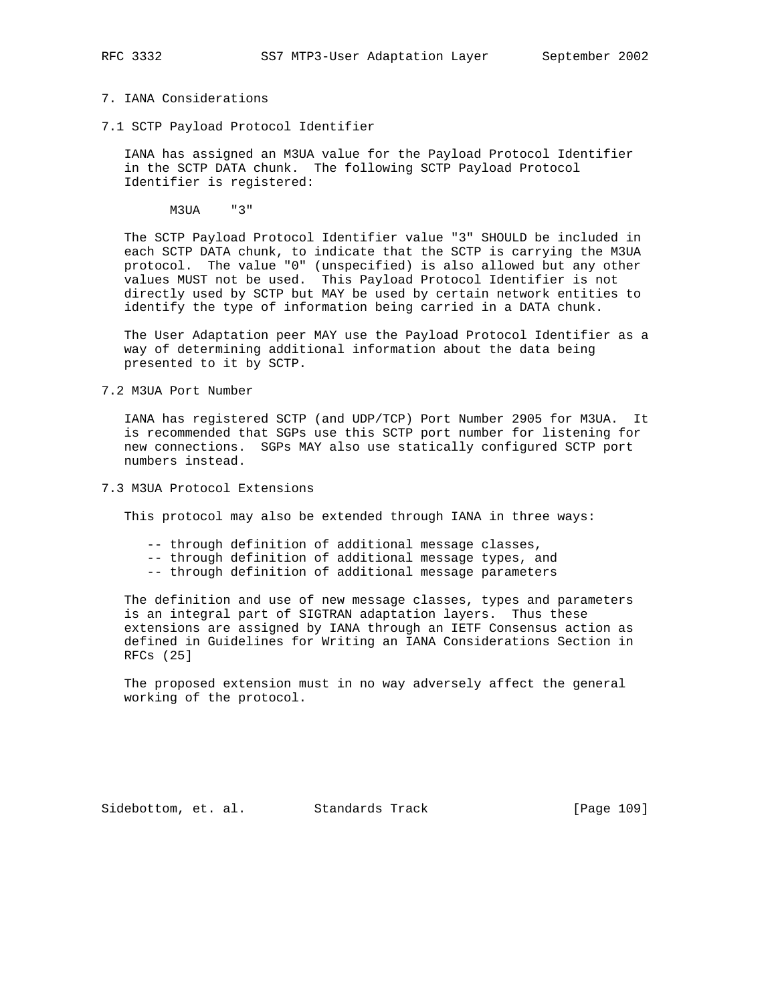# 7. IANA Considerations

7.1 SCTP Payload Protocol Identifier

 IANA has assigned an M3UA value for the Payload Protocol Identifier in the SCTP DATA chunk. The following SCTP Payload Protocol Identifier is registered:

M3UA "3"

 The SCTP Payload Protocol Identifier value "3" SHOULD be included in each SCTP DATA chunk, to indicate that the SCTP is carrying the M3UA protocol. The value "0" (unspecified) is also allowed but any other values MUST not be used. This Payload Protocol Identifier is not directly used by SCTP but MAY be used by certain network entities to identify the type of information being carried in a DATA chunk.

 The User Adaptation peer MAY use the Payload Protocol Identifier as a way of determining additional information about the data being presented to it by SCTP.

7.2 M3UA Port Number

 IANA has registered SCTP (and UDP/TCP) Port Number 2905 for M3UA. It is recommended that SGPs use this SCTP port number for listening for new connections. SGPs MAY also use statically configured SCTP port numbers instead.

7.3 M3UA Protocol Extensions

This protocol may also be extended through IANA in three ways:

- -- through definition of additional message classes,
- -- through definition of additional message types, and
- -- through definition of additional message parameters

 The definition and use of new message classes, types and parameters is an integral part of SIGTRAN adaptation layers. Thus these extensions are assigned by IANA through an IETF Consensus action as defined in Guidelines for Writing an IANA Considerations Section in RFCs (25]

 The proposed extension must in no way adversely affect the general working of the protocol.

Sidebottom, et. al. Standards Track [Page 109]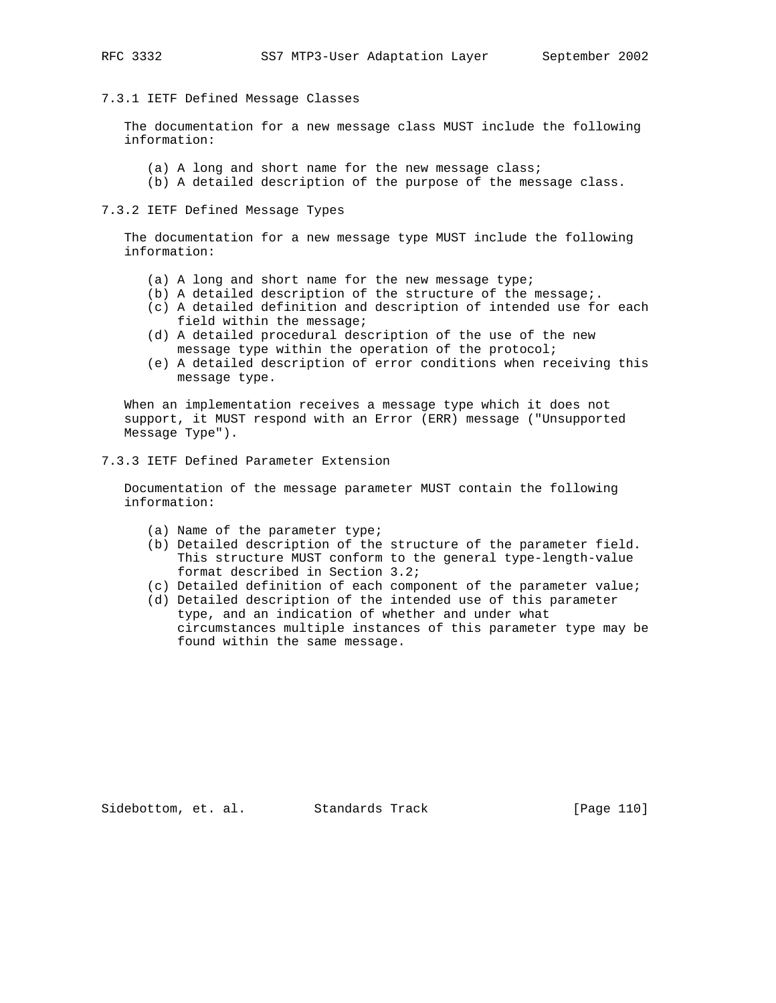## 7.3.1 IETF Defined Message Classes

 The documentation for a new message class MUST include the following information:

- (a) A long and short name for the new message class;
- (b) A detailed description of the purpose of the message class.

#### 7.3.2 IETF Defined Message Types

 The documentation for a new message type MUST include the following information:

- (a) A long and short name for the new message type;
- (b) A detailed description of the structure of the message;.
- (c) A detailed definition and description of intended use for each field within the message;
- (d) A detailed procedural description of the use of the new message type within the operation of the protocol;
- (e) A detailed description of error conditions when receiving this message type.

 When an implementation receives a message type which it does not support, it MUST respond with an Error (ERR) message ("Unsupported Message Type").

7.3.3 IETF Defined Parameter Extension

 Documentation of the message parameter MUST contain the following information:

- (a) Name of the parameter type;
- (b) Detailed description of the structure of the parameter field. This structure MUST conform to the general type-length-value format described in Section 3.2;
- (c) Detailed definition of each component of the parameter value;
- (d) Detailed description of the intended use of this parameter type, and an indication of whether and under what circumstances multiple instances of this parameter type may be found within the same message.

Sidebottom, et. al. Standards Track [Page 110]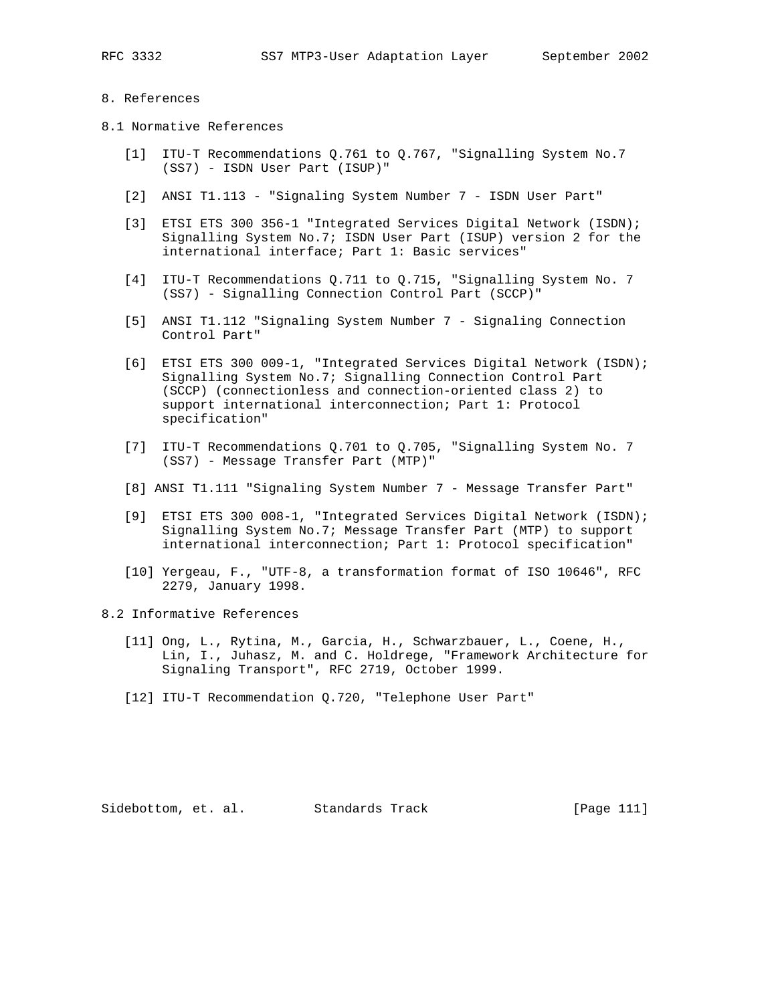#### 8. References

- 8.1 Normative References
	- [1] ITU-T Recommendations Q.761 to Q.767, "Signalling System No.7 (SS7) - ISDN User Part (ISUP)"
	- [2] ANSI T1.113 "Signaling System Number 7 ISDN User Part"
	- [3] ETSI ETS 300 356-1 "Integrated Services Digital Network (ISDN); Signalling System No.7; ISDN User Part (ISUP) version 2 for the international interface; Part 1: Basic services"
	- [4] ITU-T Recommendations Q.711 to Q.715, "Signalling System No. 7 (SS7) - Signalling Connection Control Part (SCCP)"
	- [5] ANSI T1.112 "Signaling System Number 7 Signaling Connection Control Part"
	- [6] ETSI ETS 300 009-1, "Integrated Services Digital Network (ISDN); Signalling System No.7; Signalling Connection Control Part (SCCP) (connectionless and connection-oriented class 2) to support international interconnection; Part 1: Protocol specification"
	- [7] ITU-T Recommendations Q.701 to Q.705, "Signalling System No. 7 (SS7) - Message Transfer Part (MTP)"
	- [8] ANSI T1.111 "Signaling System Number 7 Message Transfer Part"
	- [9] ETSI ETS 300 008-1, "Integrated Services Digital Network (ISDN); Signalling System No.7; Message Transfer Part (MTP) to support international interconnection; Part 1: Protocol specification"
	- [10] Yergeau, F., "UTF-8, a transformation format of ISO 10646", RFC 2279, January 1998.
- 8.2 Informative References
	- [11] Ong, L., Rytina, M., Garcia, H., Schwarzbauer, L., Coene, H., Lin, I., Juhasz, M. and C. Holdrege, "Framework Architecture for Signaling Transport", RFC 2719, October 1999.
	- [12] ITU-T Recommendation Q.720, "Telephone User Part"

Sidebottom, et. al. Standards Track [Page 111]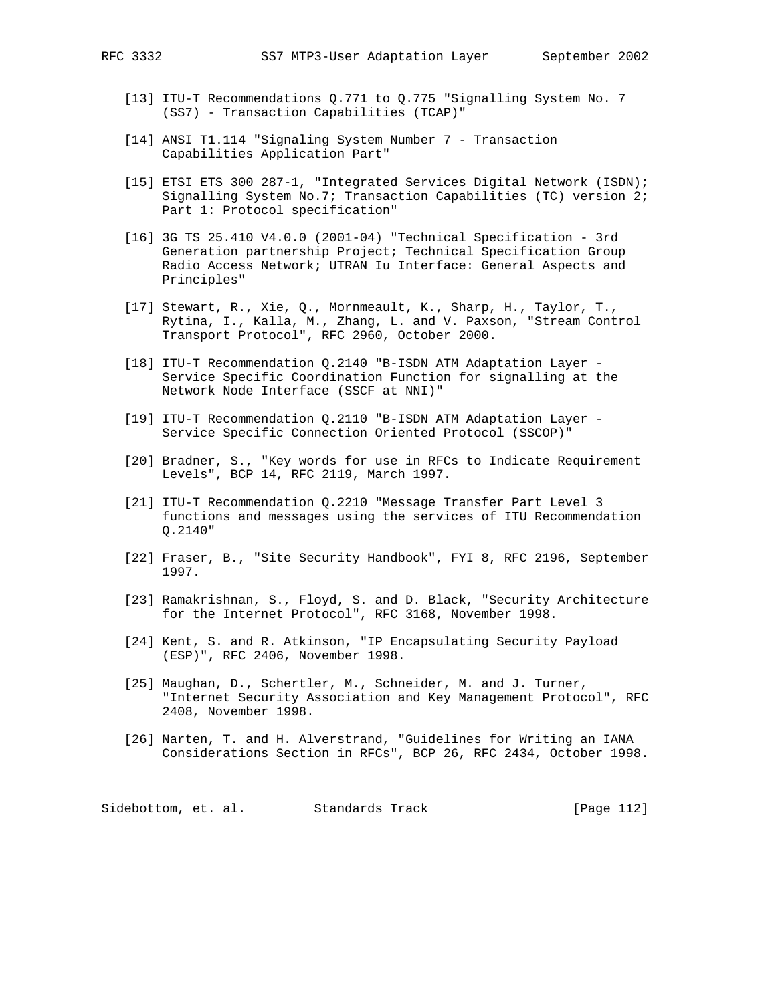- [13] ITU-T Recommendations Q.771 to Q.775 "Signalling System No. 7 (SS7) - Transaction Capabilities (TCAP)"
- [14] ANSI T1.114 "Signaling System Number 7 Transaction Capabilities Application Part"
- [15] ETSI ETS 300 287-1, "Integrated Services Digital Network (ISDN); Signalling System No.7; Transaction Capabilities (TC) version 2; Part 1: Protocol specification"
- [16] 3G TS 25.410 V4.0.0 (2001-04) "Technical Specification 3rd Generation partnership Project; Technical Specification Group Radio Access Network; UTRAN Iu Interface: General Aspects and Principles"
- [17] Stewart, R., Xie, Q., Mornmeault, K., Sharp, H., Taylor, T., Rytina, I., Kalla, M., Zhang, L. and V. Paxson, "Stream Control Transport Protocol", RFC 2960, October 2000.
- [18] ITU-T Recommendation Q.2140 "B-ISDN ATM Adaptation Layer Service Specific Coordination Function for signalling at the Network Node Interface (SSCF at NNI)"
- [19] ITU-T Recommendation Q.2110 "B-ISDN ATM Adaptation Layer Service Specific Connection Oriented Protocol (SSCOP)"
- [20] Bradner, S., "Key words for use in RFCs to Indicate Requirement Levels", BCP 14, RFC 2119, March 1997.
- [21] ITU-T Recommendation Q.2210 "Message Transfer Part Level 3 functions and messages using the services of ITU Recommendation Q.2140"
- [22] Fraser, B., "Site Security Handbook", FYI 8, RFC 2196, September 1997.
- [23] Ramakrishnan, S., Floyd, S. and D. Black, "Security Architecture for the Internet Protocol", RFC 3168, November 1998.
- [24] Kent, S. and R. Atkinson, "IP Encapsulating Security Payload (ESP)", RFC 2406, November 1998.
- [25] Maughan, D., Schertler, M., Schneider, M. and J. Turner, "Internet Security Association and Key Management Protocol", RFC 2408, November 1998.
- [26] Narten, T. and H. Alverstrand, "Guidelines for Writing an IANA Considerations Section in RFCs", BCP 26, RFC 2434, October 1998.

Sidebottom, et. al. Standards Track [Page 112]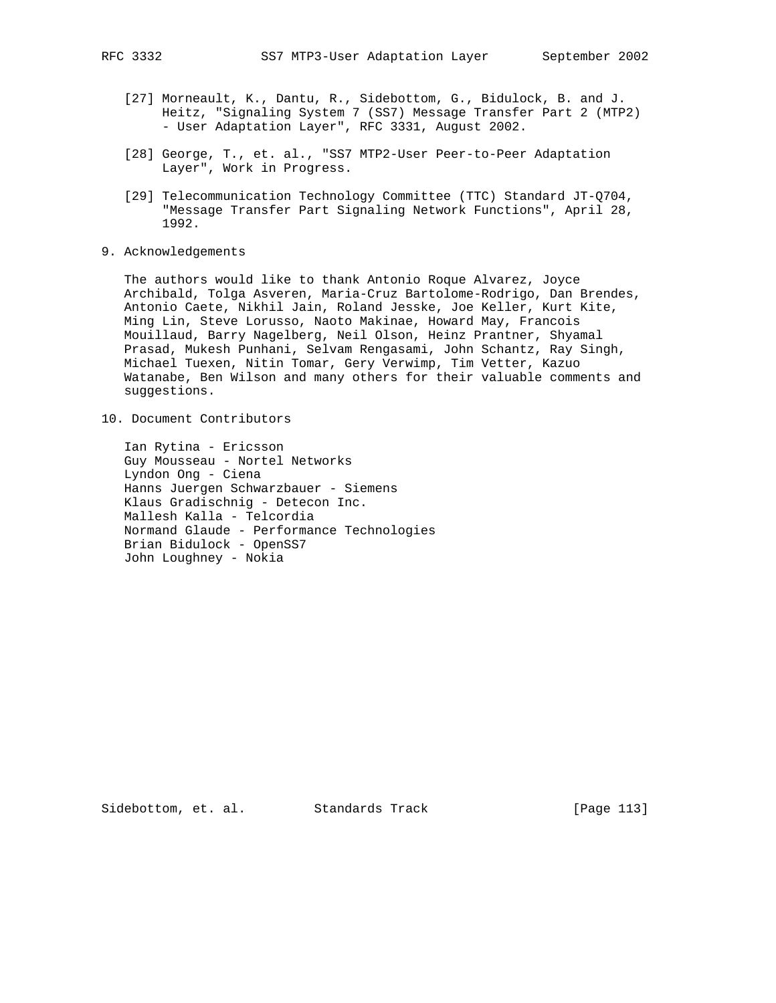- [27] Morneault, K., Dantu, R., Sidebottom, G., Bidulock, B. and J. Heitz, "Signaling System 7 (SS7) Message Transfer Part 2 (MTP2) - User Adaptation Layer", RFC 3331, August 2002.
- [28] George, T., et. al., "SS7 MTP2-User Peer-to-Peer Adaptation Layer", Work in Progress.
- [29] Telecommunication Technology Committee (TTC) Standard JT-Q704, "Message Transfer Part Signaling Network Functions", April 28, 1992.
- 9. Acknowledgements

 The authors would like to thank Antonio Roque Alvarez, Joyce Archibald, Tolga Asveren, Maria-Cruz Bartolome-Rodrigo, Dan Brendes, Antonio Caete, Nikhil Jain, Roland Jesske, Joe Keller, Kurt Kite, Ming Lin, Steve Lorusso, Naoto Makinae, Howard May, Francois Mouillaud, Barry Nagelberg, Neil Olson, Heinz Prantner, Shyamal Prasad, Mukesh Punhani, Selvam Rengasami, John Schantz, Ray Singh, Michael Tuexen, Nitin Tomar, Gery Verwimp, Tim Vetter, Kazuo Watanabe, Ben Wilson and many others for their valuable comments and suggestions.

10. Document Contributors

 Ian Rytina - Ericsson Guy Mousseau - Nortel Networks Lyndon Ong - Ciena Hanns Juergen Schwarzbauer - Siemens Klaus Gradischnig - Detecon Inc. Mallesh Kalla - Telcordia Normand Glaude - Performance Technologies Brian Bidulock - OpenSS7 John Loughney - Nokia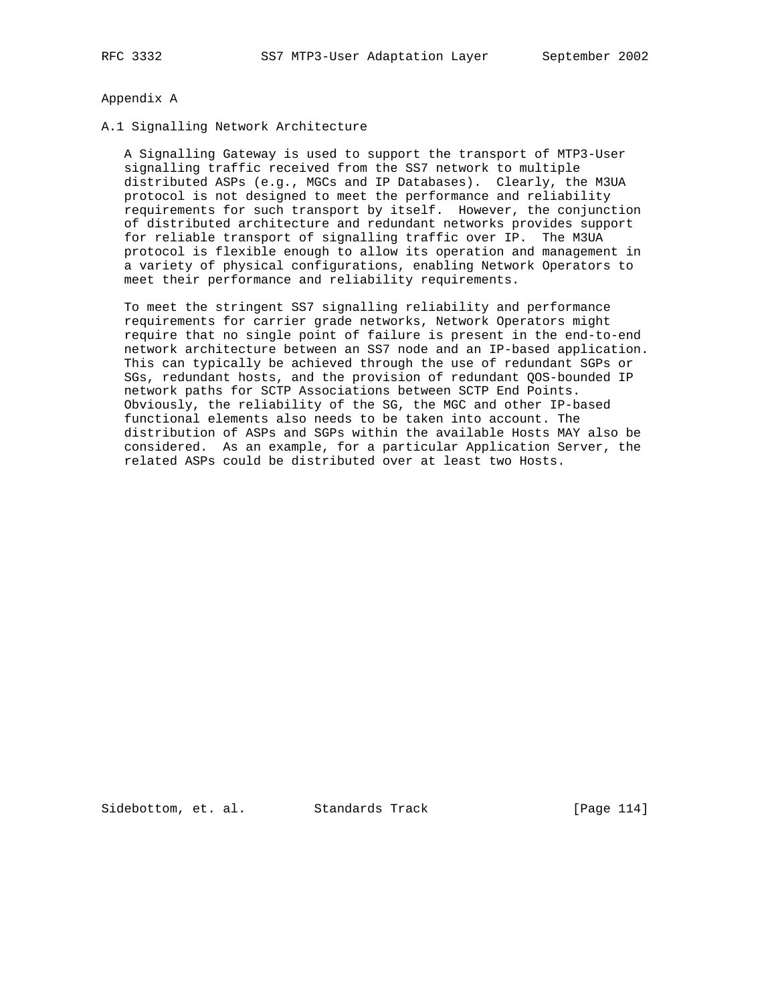#### Appendix A

# A.1 Signalling Network Architecture

 A Signalling Gateway is used to support the transport of MTP3-User signalling traffic received from the SS7 network to multiple distributed ASPs (e.g., MGCs and IP Databases). Clearly, the M3UA protocol is not designed to meet the performance and reliability requirements for such transport by itself. However, the conjunction of distributed architecture and redundant networks provides support for reliable transport of signalling traffic over IP. The M3UA protocol is flexible enough to allow its operation and management in a variety of physical configurations, enabling Network Operators to meet their performance and reliability requirements.

 To meet the stringent SS7 signalling reliability and performance requirements for carrier grade networks, Network Operators might require that no single point of failure is present in the end-to-end network architecture between an SS7 node and an IP-based application. This can typically be achieved through the use of redundant SGPs or SGs, redundant hosts, and the provision of redundant QOS-bounded IP network paths for SCTP Associations between SCTP End Points. Obviously, the reliability of the SG, the MGC and other IP-based functional elements also needs to be taken into account. The distribution of ASPs and SGPs within the available Hosts MAY also be considered. As an example, for a particular Application Server, the related ASPs could be distributed over at least two Hosts.

Sidebottom, et. al. Standards Track [Page 114]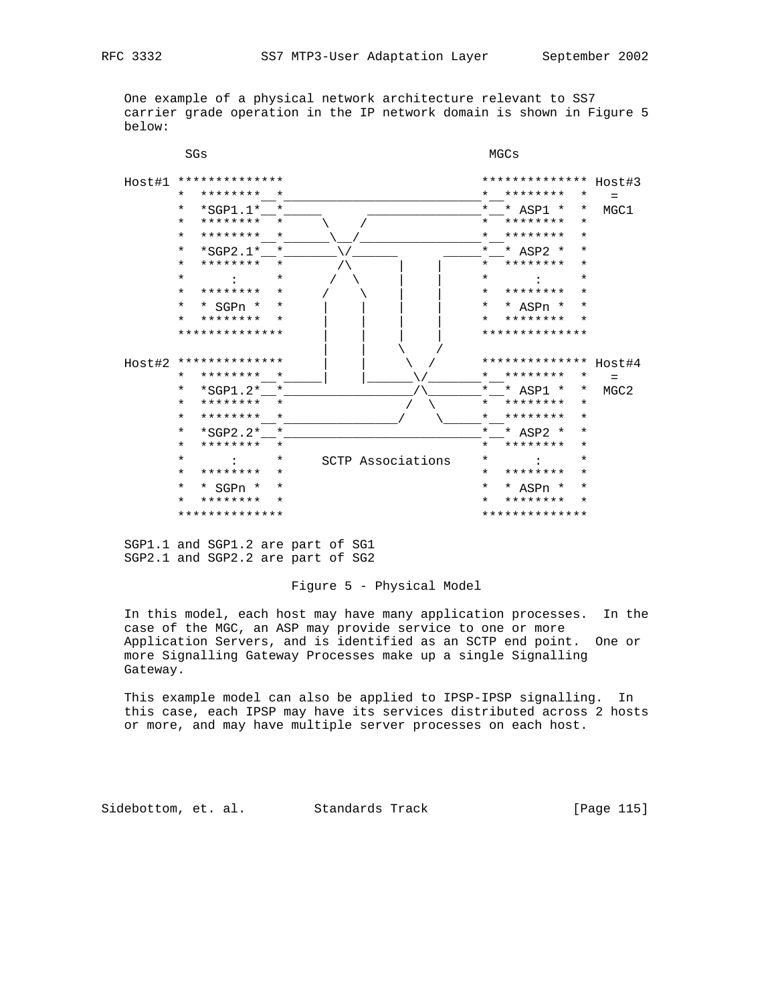One example of a physical network architecture relevant to SS7 carrier grade operation in the IP network domain is shown in Figure 5 below:



 SGP1.1 and SGP1.2 are part of SG1 SGP2.1 and SGP2.2 are part of SG2

## Figure 5 - Physical Model

 In this model, each host may have many application processes. In the case of the MGC, an ASP may provide service to one or more Application Servers, and is identified as an SCTP end point. One or more Signalling Gateway Processes make up a single Signalling Gateway.

 This example model can also be applied to IPSP-IPSP signalling. In this case, each IPSP may have its services distributed across 2 hosts or more, and may have multiple server processes on each host.

Sidebottom, et. al. Standards Track [Page 115]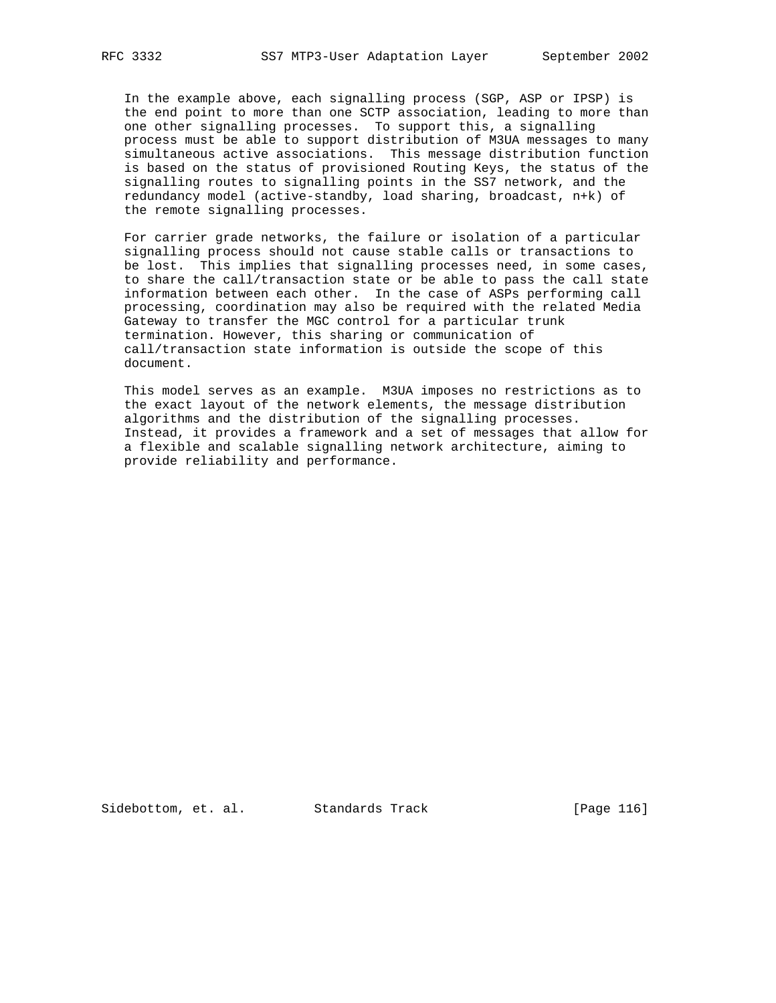In the example above, each signalling process (SGP, ASP or IPSP) is the end point to more than one SCTP association, leading to more than one other signalling processes. To support this, a signalling process must be able to support distribution of M3UA messages to many simultaneous active associations. This message distribution function is based on the status of provisioned Routing Keys, the status of the signalling routes to signalling points in the SS7 network, and the redundancy model (active-standby, load sharing, broadcast, n+k) of the remote signalling processes.

 For carrier grade networks, the failure or isolation of a particular signalling process should not cause stable calls or transactions to be lost. This implies that signalling processes need, in some cases, to share the call/transaction state or be able to pass the call state information between each other. In the case of ASPs performing call processing, coordination may also be required with the related Media Gateway to transfer the MGC control for a particular trunk termination. However, this sharing or communication of call/transaction state information is outside the scope of this document.

 This model serves as an example. M3UA imposes no restrictions as to the exact layout of the network elements, the message distribution algorithms and the distribution of the signalling processes. Instead, it provides a framework and a set of messages that allow for a flexible and scalable signalling network architecture, aiming to provide reliability and performance.

Sidebottom, et. al. Standards Track [Page 116]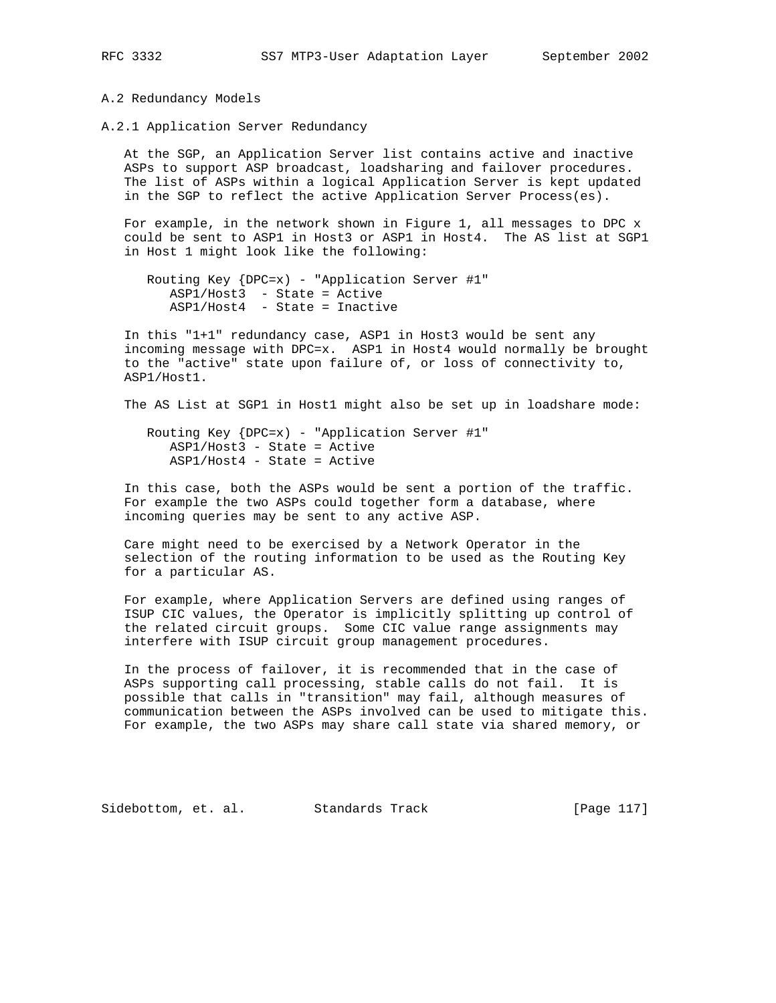A.2 Redundancy Models

A.2.1 Application Server Redundancy

 At the SGP, an Application Server list contains active and inactive ASPs to support ASP broadcast, loadsharing and failover procedures. The list of ASPs within a logical Application Server is kept updated in the SGP to reflect the active Application Server Process(es).

 For example, in the network shown in Figure 1, all messages to DPC x could be sent to ASP1 in Host3 or ASP1 in Host4. The AS list at SGP1 in Host 1 might look like the following:

 Routing Key {DPC=x) - "Application Server #1" ASP1/Host3 - State = Active ASP1/Host4 - State = Inactive

 In this "1+1" redundancy case, ASP1 in Host3 would be sent any incoming message with DPC=x. ASP1 in Host4 would normally be brought to the "active" state upon failure of, or loss of connectivity to, ASP1/Host1.

The AS List at SGP1 in Host1 might also be set up in loadshare mode:

 Routing Key {DPC=x) - "Application Server #1" ASP1/Host3 - State = Active ASP1/Host4 - State = Active

 In this case, both the ASPs would be sent a portion of the traffic. For example the two ASPs could together form a database, where incoming queries may be sent to any active ASP.

 Care might need to be exercised by a Network Operator in the selection of the routing information to be used as the Routing Key for a particular AS.

 For example, where Application Servers are defined using ranges of ISUP CIC values, the Operator is implicitly splitting up control of the related circuit groups. Some CIC value range assignments may interfere with ISUP circuit group management procedures.

 In the process of failover, it is recommended that in the case of ASPs supporting call processing, stable calls do not fail. It is possible that calls in "transition" may fail, although measures of communication between the ASPs involved can be used to mitigate this. For example, the two ASPs may share call state via shared memory, or

Sidebottom, et. al. Standards Track [Page 117]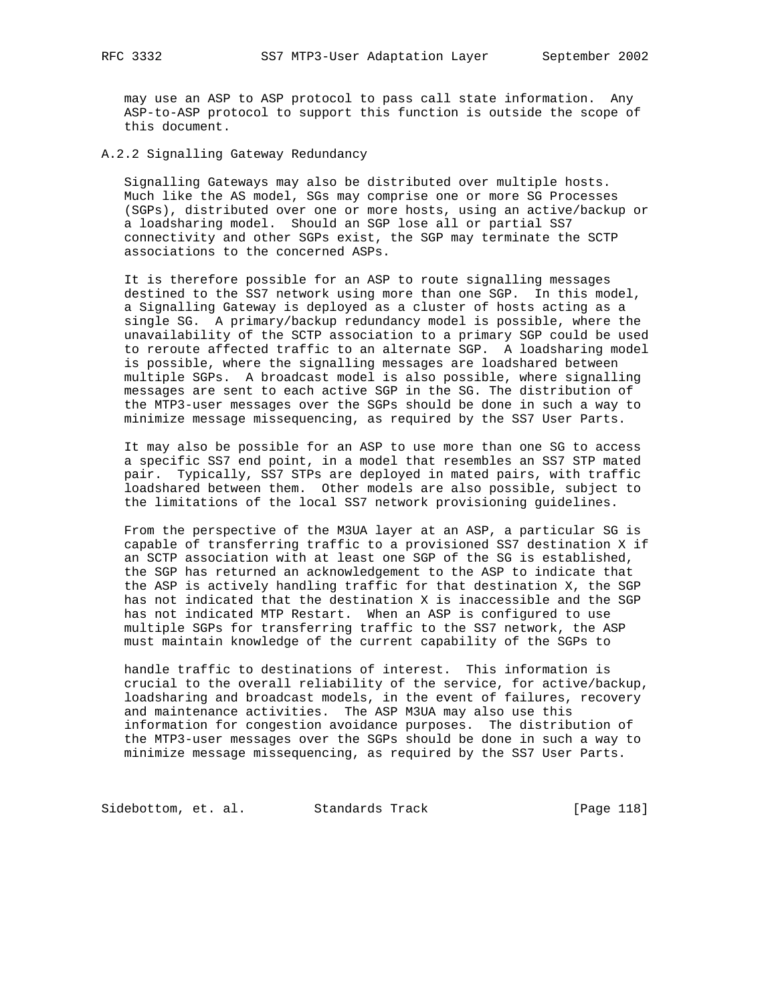may use an ASP to ASP protocol to pass call state information. Any ASP-to-ASP protocol to support this function is outside the scope of this document.

A.2.2 Signalling Gateway Redundancy

 Signalling Gateways may also be distributed over multiple hosts. Much like the AS model, SGs may comprise one or more SG Processes (SGPs), distributed over one or more hosts, using an active/backup or a loadsharing model. Should an SGP lose all or partial SS7 connectivity and other SGPs exist, the SGP may terminate the SCTP associations to the concerned ASPs.

 It is therefore possible for an ASP to route signalling messages destined to the SS7 network using more than one SGP. In this model, a Signalling Gateway is deployed as a cluster of hosts acting as a single SG. A primary/backup redundancy model is possible, where the unavailability of the SCTP association to a primary SGP could be used to reroute affected traffic to an alternate SGP. A loadsharing model is possible, where the signalling messages are loadshared between multiple SGPs. A broadcast model is also possible, where signalling messages are sent to each active SGP in the SG. The distribution of the MTP3-user messages over the SGPs should be done in such a way to minimize message missequencing, as required by the SS7 User Parts.

 It may also be possible for an ASP to use more than one SG to access a specific SS7 end point, in a model that resembles an SS7 STP mated pair. Typically, SS7 STPs are deployed in mated pairs, with traffic loadshared between them. Other models are also possible, subject to the limitations of the local SS7 network provisioning guidelines.

 From the perspective of the M3UA layer at an ASP, a particular SG is capable of transferring traffic to a provisioned SS7 destination X if an SCTP association with at least one SGP of the SG is established, the SGP has returned an acknowledgement to the ASP to indicate that the ASP is actively handling traffic for that destination X, the SGP has not indicated that the destination X is inaccessible and the SGP has not indicated MTP Restart. When an ASP is configured to use multiple SGPs for transferring traffic to the SS7 network, the ASP must maintain knowledge of the current capability of the SGPs to

 handle traffic to destinations of interest. This information is crucial to the overall reliability of the service, for active/backup, loadsharing and broadcast models, in the event of failures, recovery and maintenance activities. The ASP M3UA may also use this information for congestion avoidance purposes. The distribution of the MTP3-user messages over the SGPs should be done in such a way to minimize message missequencing, as required by the SS7 User Parts.

Sidebottom, et. al. Standards Track [Page 118]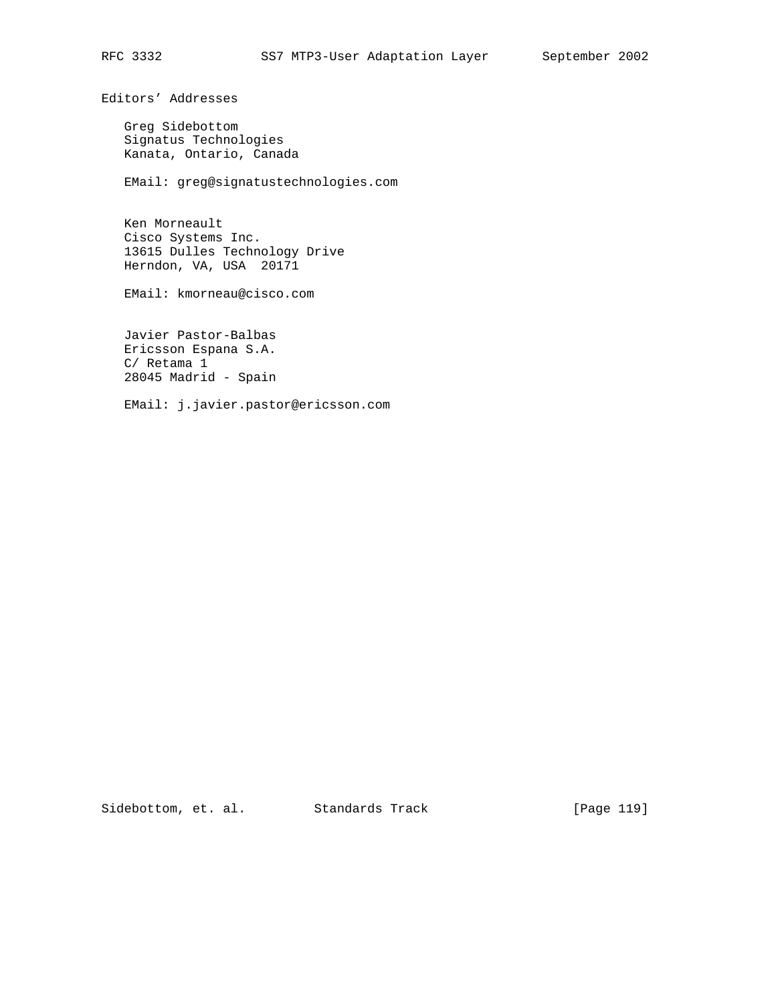Editors' Addresses

 Greg Sidebottom Signatus Technologies Kanata, Ontario, Canada

EMail: greg@signatustechnologies.com

 Ken Morneault Cisco Systems Inc. 13615 Dulles Technology Drive Herndon, VA, USA 20171

EMail: kmorneau@cisco.com

 Javier Pastor-Balbas Ericsson Espana S.A. C/ Retama 1 28045 Madrid - Spain

EMail: j.javier.pastor@ericsson.com

Sidebottom, et. al. Standards Track [Page 119]